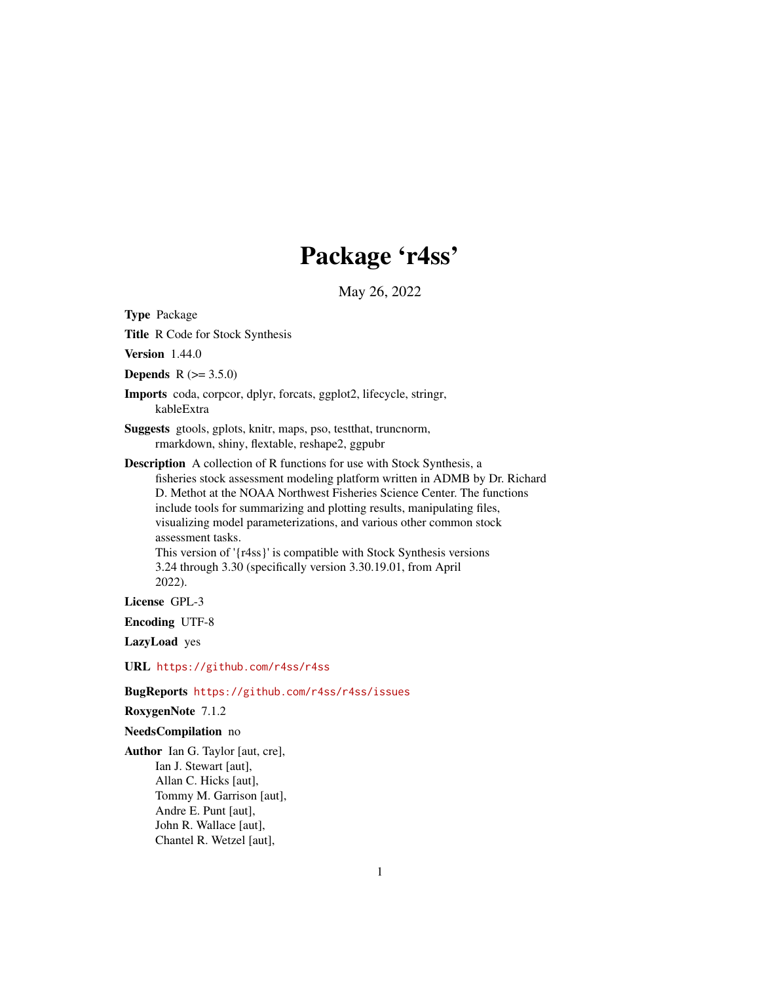# Package 'r4ss'

May 26, 2022

Type Package

Title R Code for Stock Synthesis

Version 1.44.0

**Depends**  $R (= 3.5.0)$ 

Imports coda, corpcor, dplyr, forcats, ggplot2, lifecycle, stringr, kableExtra

Suggests gtools, gplots, knitr, maps, pso, testthat, truncnorm, rmarkdown, shiny, flextable, reshape2, ggpubr

Description A collection of R functions for use with Stock Synthesis, a fisheries stock assessment modeling platform written in ADMB by Dr. Richard D. Methot at the NOAA Northwest Fisheries Science Center. The functions include tools for summarizing and plotting results, manipulating files, visualizing model parameterizations, and various other common stock assessment tasks.

This version of '{r4ss}' is compatible with Stock Synthesis versions 3.24 through 3.30 (specifically version 3.30.19.01, from April 2022).

License GPL-3

Encoding UTF-8

LazyLoad yes

URL <https://github.com/r4ss/r4ss>

BugReports <https://github.com/r4ss/r4ss/issues>

RoxygenNote 7.1.2

#### NeedsCompilation no

Author Ian G. Taylor [aut, cre], Ian J. Stewart [aut], Allan C. Hicks [aut], Tommy M. Garrison [aut], Andre E. Punt [aut], John R. Wallace [aut], Chantel R. Wetzel [aut],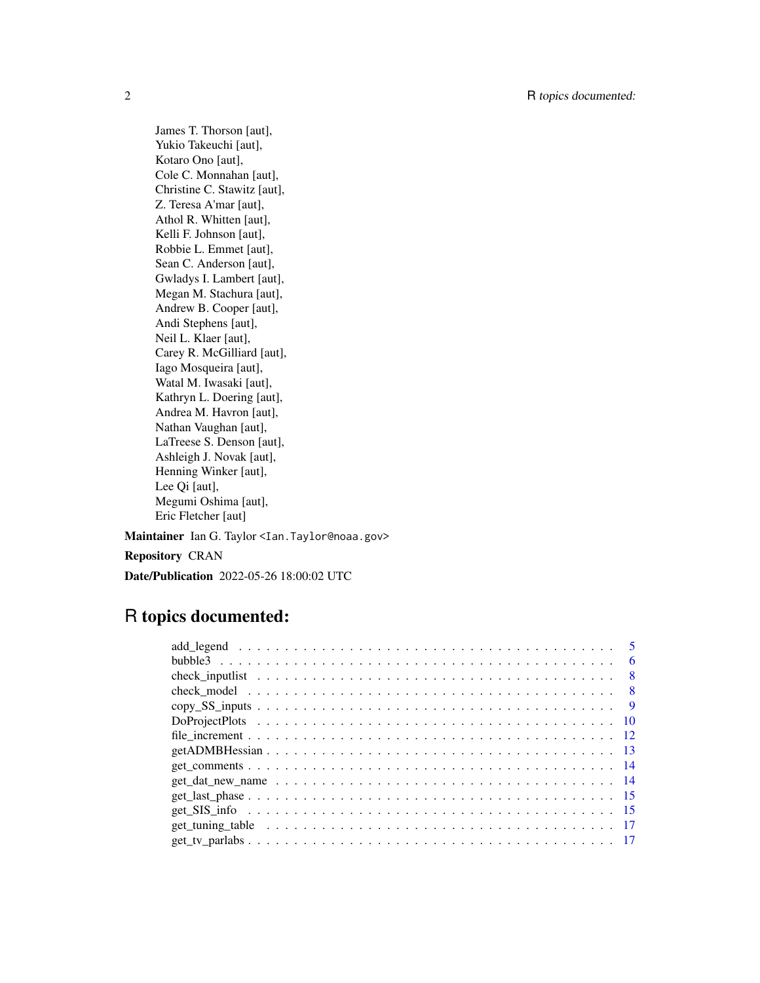James T. Thorson [aut], Yukio Takeuchi [aut], Kotaro Ono [aut], Cole C. Monnahan [aut], Christine C. Stawitz [aut], Z. Teresa A'mar [aut], Athol R. Whitten [aut], Kelli F. Johnson [aut], Robbie L. Emmet [aut], Sean C. Anderson [aut], Gwladys I. Lambert [aut], Megan M. Stachura [aut], Andrew B. Cooper [aut], Andi Stephens [aut], Neil L. Klaer [aut], Carey R. McGilliard [aut], Iago Mosqueira [aut], Watal M. Iwasaki [aut], Kathryn L. Doering [aut], Andrea M. Havron [aut], Nathan Vaughan [aut], LaTreese S. Denson [aut], Ashleigh J. Novak [aut], Henning Winker [aut], Lee Qi [aut], Megumi Oshima [aut], Eric Fletcher [aut]

Maintainer Ian G. Taylor <Ian. Taylor@noaa.gov>

Repository CRAN

Date/Publication 2022-05-26 18:00:02 UTC

# R topics documented:

|                | 6   |
|----------------|-----|
|                | - 8 |
| - 8            |     |
| $\overline{9}$ |     |
|                |     |
|                |     |
|                |     |
|                |     |
|                |     |
|                |     |
|                |     |
|                |     |
|                |     |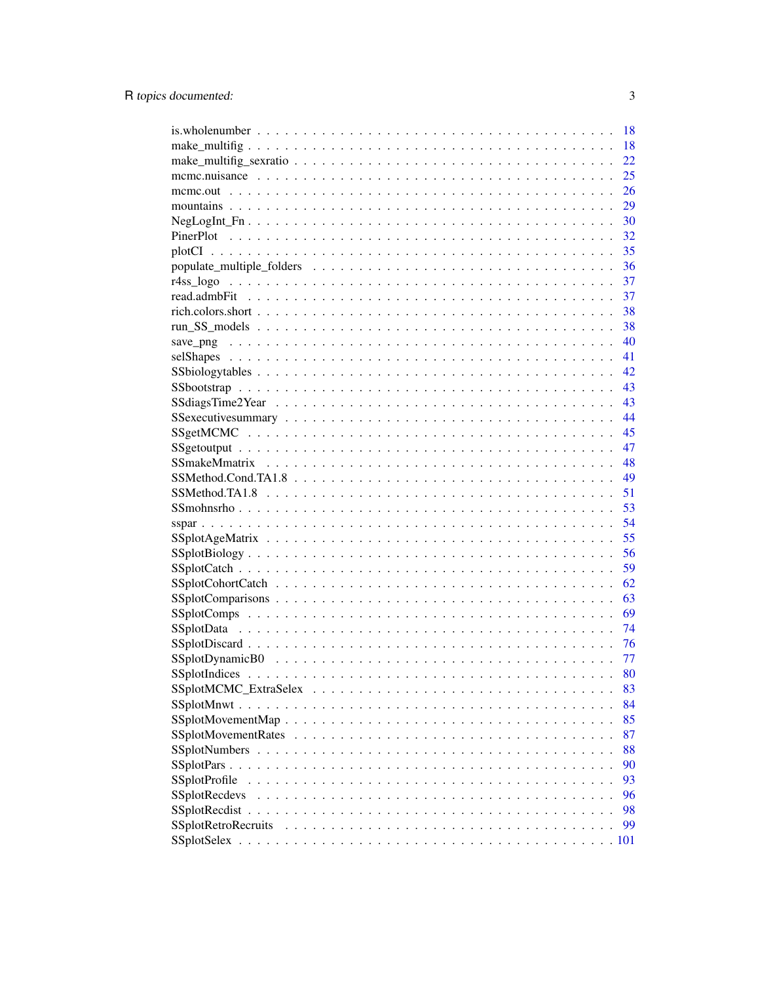|                                                                                                    | 18 |
|----------------------------------------------------------------------------------------------------|----|
|                                                                                                    | 18 |
|                                                                                                    | 22 |
|                                                                                                    | 25 |
|                                                                                                    | 26 |
|                                                                                                    | 29 |
| $NegLogInt_Fn \ldots \ldots \ldots \ldots \ldots \ldots \ldots \ldots \ldots \ldots \ldots \ldots$ | 30 |
|                                                                                                    | 32 |
|                                                                                                    | 35 |
|                                                                                                    | 36 |
|                                                                                                    | 37 |
|                                                                                                    | 37 |
|                                                                                                    | 38 |
|                                                                                                    | 38 |
|                                                                                                    | 40 |
|                                                                                                    | 41 |
|                                                                                                    | 42 |
|                                                                                                    | 43 |
|                                                                                                    | 43 |
|                                                                                                    | 44 |
|                                                                                                    | 45 |
|                                                                                                    | 47 |
|                                                                                                    | 48 |
|                                                                                                    | 49 |
|                                                                                                    | 51 |
|                                                                                                    | 53 |
|                                                                                                    | 54 |
|                                                                                                    | 55 |
|                                                                                                    | 56 |
|                                                                                                    | 59 |
|                                                                                                    | 62 |
|                                                                                                    | 63 |
|                                                                                                    | 69 |
|                                                                                                    | 74 |
|                                                                                                    | 76 |
|                                                                                                    | 77 |
|                                                                                                    | 80 |
|                                                                                                    | 83 |
|                                                                                                    | 84 |
|                                                                                                    | 85 |
|                                                                                                    | 87 |
|                                                                                                    | 88 |
|                                                                                                    | 90 |
| <b>SSplotProfile</b>                                                                               | 93 |
| <b>SSplotRecdevs</b>                                                                               | 96 |
|                                                                                                    | 98 |
|                                                                                                    |    |
| SSplotRetroRecruits                                                                                | 99 |
|                                                                                                    |    |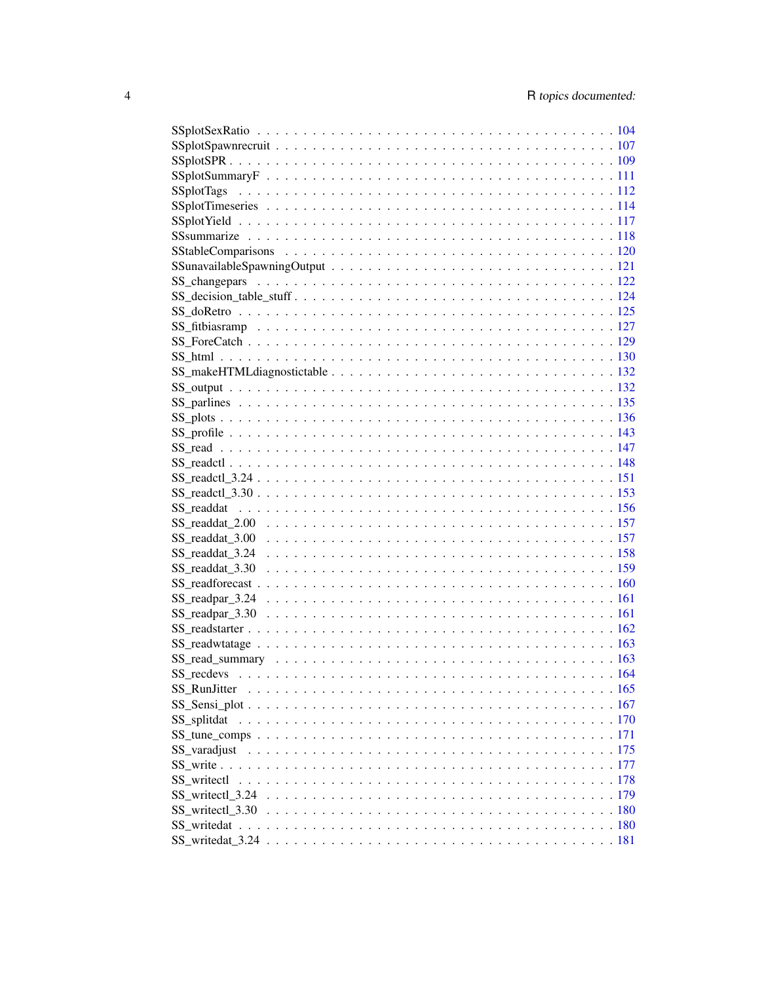| SS_writectl_3.24 \cdot \cdot \cdot \cdot \cdot \cdot \cdot \cdot \cdot \cdot \cdot \cdot \cdot \cdot \cdot \cdot \cdot \cdot \cdot \cdot \cdot \cdot \cdot \cdot \cdot \cdot \cdot \cdot \cdot \cdot \cdot \cdot \cdot \cdot |  |
|------------------------------------------------------------------------------------------------------------------------------------------------------------------------------------------------------------------------------|--|
|                                                                                                                                                                                                                              |  |
|                                                                                                                                                                                                                              |  |
|                                                                                                                                                                                                                              |  |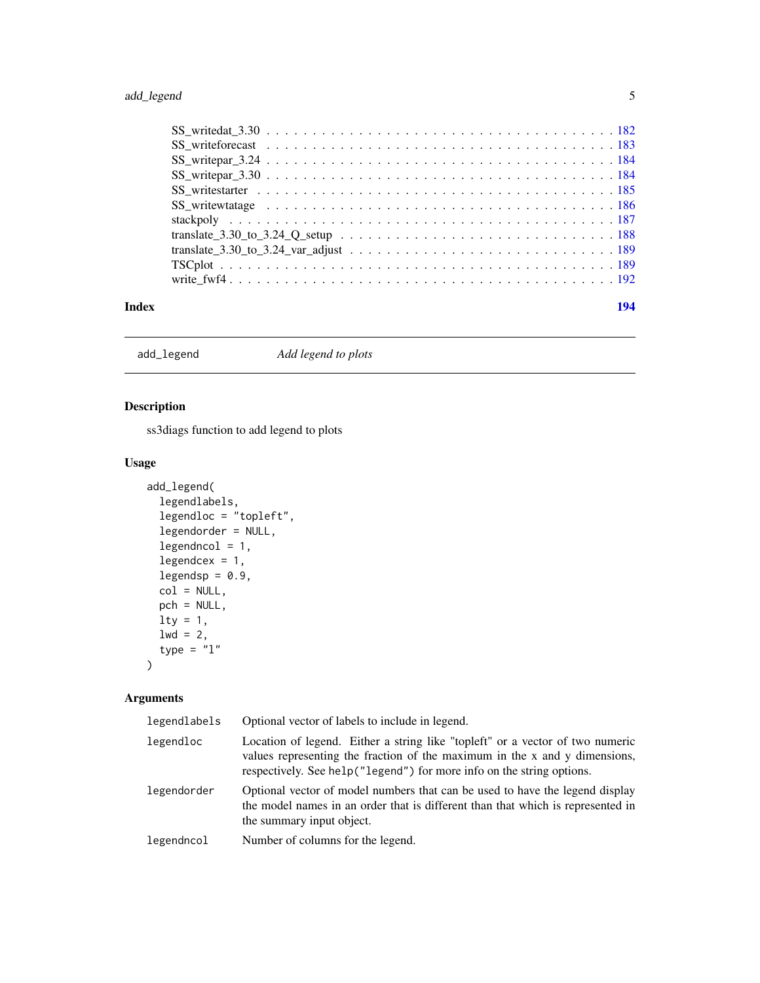# <span id="page-4-0"></span>add\_legend 5

| Index | 194 |  |
|-------|-----|--|
|       |     |  |
|       |     |  |
|       |     |  |
|       |     |  |
|       |     |  |
|       |     |  |
|       |     |  |
|       |     |  |
|       |     |  |
|       |     |  |
|       |     |  |

add\_legend *Add legend to plots*

# Description

ss3diags function to add legend to plots

# Usage

```
add_legend(
  legendlabels,
  legendloc = "topleft",
  legendorder = NULL,
  legendncol = 1,legendcex = 1,
  legendsp = 0.9,
 col = NULL,pch = NULL,
 lty = 1,\frac{1}{1}wd = 2,type = "1")
```

| legendlabels | Optional vector of labels to include in legend.                                                                                                                                                                                      |
|--------------|--------------------------------------------------------------------------------------------------------------------------------------------------------------------------------------------------------------------------------------|
| legendloc    | Location of legend. Either a string like "topleft" or a vector of two numeric<br>values representing the fraction of the maximum in the x and y dimensions,<br>respectively. See help("legend") for more info on the string options. |
| legendorder  | Optional vector of model numbers that can be used to have the legend display<br>the model names in an order that is different than that which is represented in<br>the summary input object.                                         |
| legendncol   | Number of columns for the legend.                                                                                                                                                                                                    |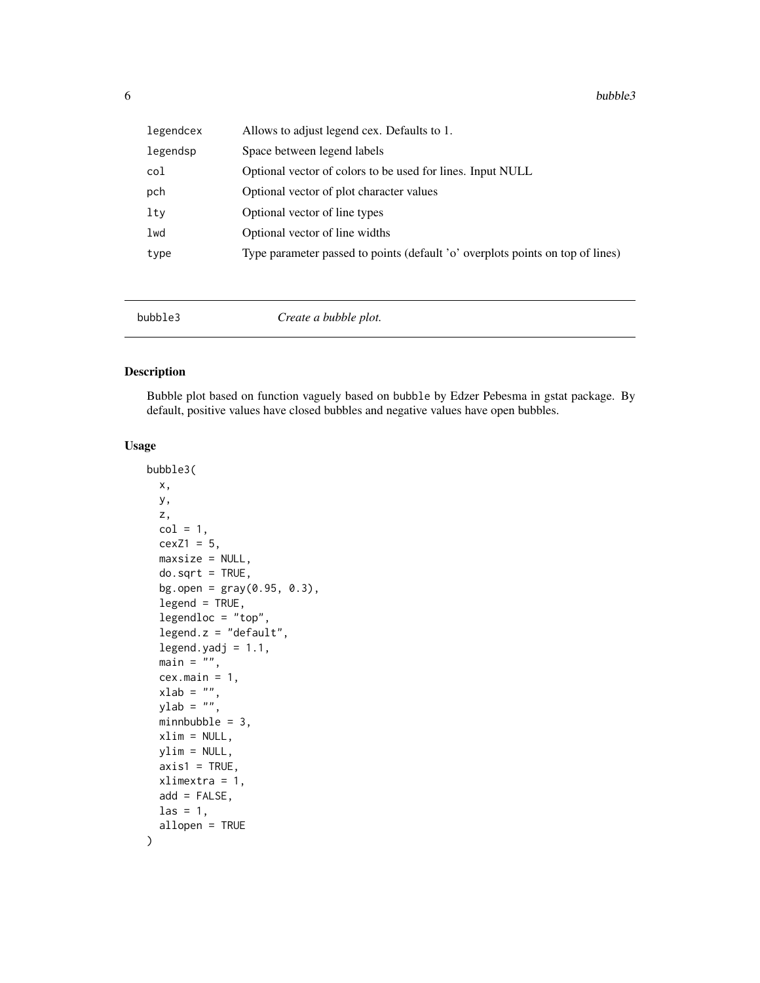<span id="page-5-0"></span>

| legendcex | Allows to adjust legend cex. Defaults to 1.                                    |
|-----------|--------------------------------------------------------------------------------|
| legendsp  | Space between legend labels                                                    |
| col       | Optional vector of colors to be used for lines. Input NULL                     |
| pch       | Optional vector of plot character values                                       |
| lty       | Optional vector of line types                                                  |
| lwd       | Optional vector of line widths                                                 |
| type      | Type parameter passed to points (default 'o' overplots points on top of lines) |
|           |                                                                                |

bubble3 *Create a bubble plot.*

# Description

Bubble plot based on function vaguely based on bubble by Edzer Pebesma in gstat package. By default, positive values have closed bubbles and negative values have open bubbles.

# Usage

```
bubble3(
 x,
 y,
  z,
 col = 1,
  cexZ1 = 5,
 maxsize = NULL,
  do.sqrt = TRUE,bg.open = gray(0.95, 0.3),
  legend = TRUE,
  legendloc = "top",
  legend.z = "default",
  legend.yadj = 1.1,
 main = "",cex.main = 1,
  xlab = "",
 ylab = \binom{m}{y},
 minnbubble = 3,xlim = NULL,ylim = NULL,
  axis1 = TRUE,xlimextra = 1,
  add = FALSE,\text{las} = 1,
  allopen = TRUE
)
```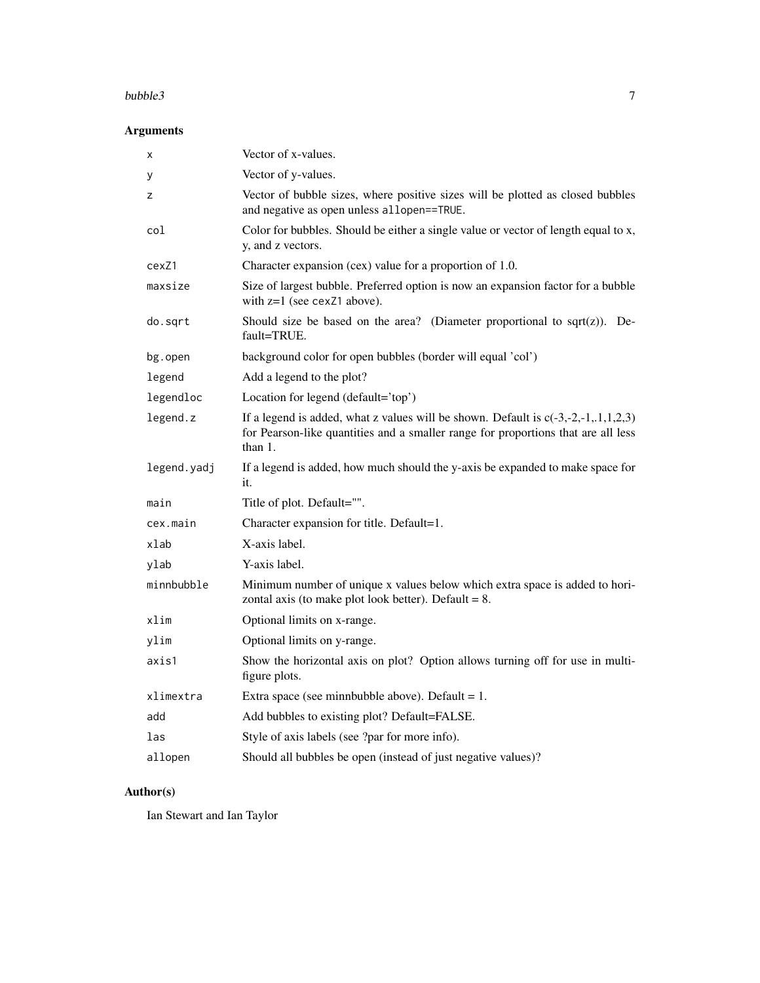#### bubble3 7

# Arguments

| X           | Vector of x-values.                                                                                                                                                                    |
|-------------|----------------------------------------------------------------------------------------------------------------------------------------------------------------------------------------|
| у           | Vector of y-values.                                                                                                                                                                    |
| z           | Vector of bubble sizes, where positive sizes will be plotted as closed bubbles<br>and negative as open unless allopen==TRUE.                                                           |
| col         | Color for bubbles. Should be either a single value or vector of length equal to x,<br>y, and z vectors.                                                                                |
| cexZ1       | Character expansion (cex) value for a proportion of 1.0.                                                                                                                               |
| maxsize     | Size of largest bubble. Preferred option is now an expansion factor for a bubble<br>with $z=1$ (see cexZ1 above).                                                                      |
| do.sqrt     | Should size be based on the area? (Diameter proportional to sqrt $(z)$ ). De-<br>fault=TRUE.                                                                                           |
| bg.open     | background color for open bubbles (border will equal 'col')                                                                                                                            |
| legend      | Add a legend to the plot?                                                                                                                                                              |
| legendloc   | Location for legend (default='top')                                                                                                                                                    |
| legend.z    | If a legend is added, what z values will be shown. Default is $c(-3,-2,-1,1,1,2,3)$<br>for Pearson-like quantities and a smaller range for proportions that are all less<br>than $1$ . |
| legend.yadj | If a legend is added, how much should the y-axis be expanded to make space for<br>it.                                                                                                  |
| main        | Title of plot. Default="".                                                                                                                                                             |
| cex.main    | Character expansion for title. Default=1.                                                                                                                                              |
| xlab        | X-axis label.                                                                                                                                                                          |
| ylab        | Y-axis label.                                                                                                                                                                          |
| minnbubble  | Minimum number of unique x values below which extra space is added to hori-<br>zontal axis (to make plot look better). Default $= 8$ .                                                 |
| xlim        | Optional limits on x-range.                                                                                                                                                            |
| ylim        | Optional limits on y-range.                                                                                                                                                            |
| axis1       | Show the horizontal axis on plot? Option allows turning off for use in multi-<br>figure plots.                                                                                         |
| xlimextra   | Extra space (see minnbubble above). Default = $1$ .                                                                                                                                    |
| add         | Add bubbles to existing plot? Default=FALSE.                                                                                                                                           |
| las         | Style of axis labels (see ?par for more info).                                                                                                                                         |
| allopen     | Should all bubbles be open (instead of just negative values)?                                                                                                                          |

# Author(s)

Ian Stewart and Ian Taylor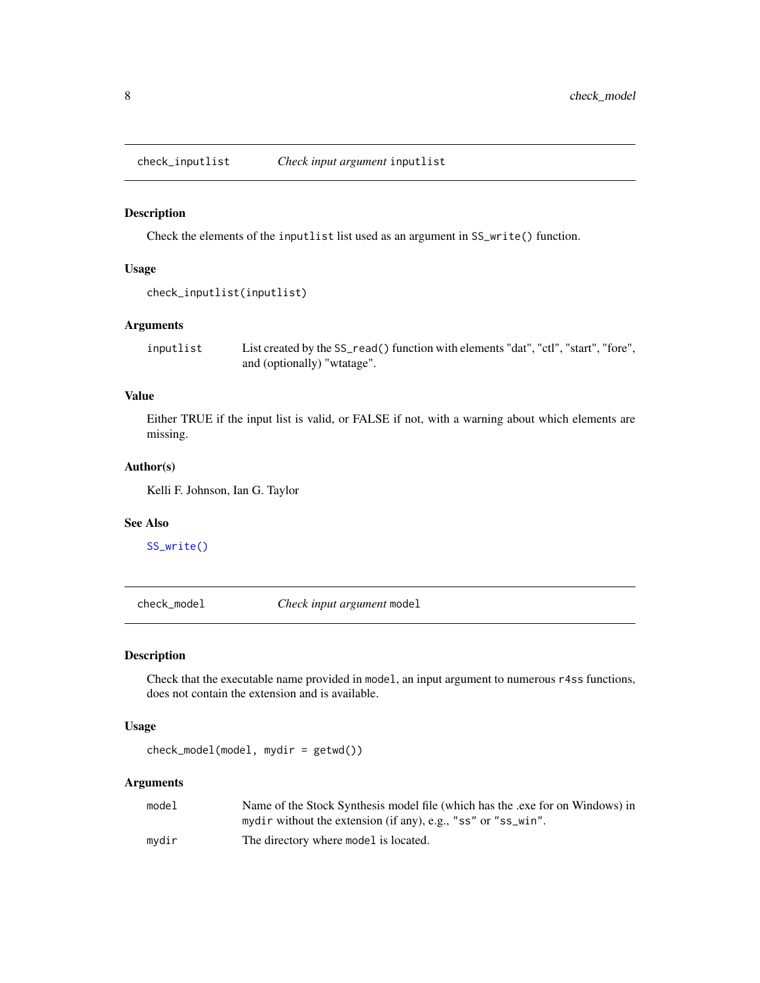<span id="page-7-0"></span>check\_inputlist *Check input argument* inputlist

#### Description

Check the elements of the inputlist list used as an argument in SS\_write() function.

#### Usage

```
check_inputlist(inputlist)
```
# Arguments

inputlist List created by the SS\_read() function with elements "dat", "ctl", "start", "fore", and (optionally) "wtatage".

# Value

Either TRUE if the input list is valid, or FALSE if not, with a warning about which elements are missing.

#### Author(s)

Kelli F. Johnson, Ian G. Taylor

#### See Also

[SS\\_write\(\)](#page-176-1)

check\_model *Check input argument* model

#### Description

Check that the executable name provided in model, an input argument to numerous r4ss functions, does not contain the extension and is available.

#### Usage

check\_model(model, mydir = getwd())

| model | Name of the Stock Synthesis model file (which has the .exe for on Windows) in |
|-------|-------------------------------------------------------------------------------|
|       | mydir without the extension (if any), e.g., "ss" or "ss_win".                 |
| mydir | The directory where model is located.                                         |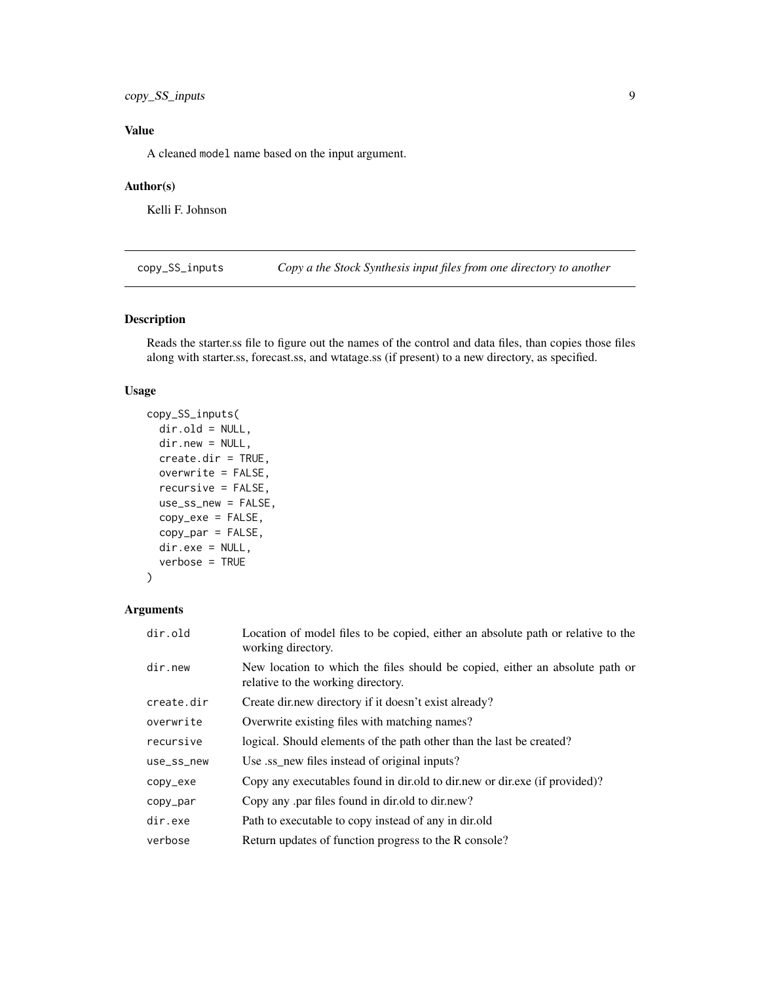<span id="page-8-0"></span>copy\_SS\_inputs 9

# Value

A cleaned model name based on the input argument.

#### Author(s)

Kelli F. Johnson

copy\_SS\_inputs *Copy a the Stock Synthesis input files from one directory to another*

# Description

Reads the starter.ss file to figure out the names of the control and data files, than copies those files along with starter.ss, forecast.ss, and wtatage.ss (if present) to a new directory, as specified.

# Usage

```
copy_SS_inputs(
  dir.old = NULL,
  dir.new = NULL,
  create.dir = TRUE,
  overwrite = FALSE,
  recursive = FALSE,
  use_ss_new = FALSE,
  copy_exe = FALSE,
  copy_par = FALSE,
 dir.exe = NULL,
  verbose = TRUE
)
```

| dir.old    | Location of model files to be copied, either an absolute path or relative to the<br>working directory.             |
|------------|--------------------------------------------------------------------------------------------------------------------|
| dir.new    | New location to which the files should be copied, either an absolute path or<br>relative to the working directory. |
| create.dir | Create dir.new directory if it doesn't exist already?                                                              |
| overwrite  | Overwrite existing files with matching names?                                                                      |
| recursive  | logical. Should elements of the path other than the last be created?                                               |
| use_ss_new | Use ss new files instead of original inputs?                                                                       |
| copy_exe   | Copy any executables found in dir. old to dir. new or dir. exe (if provided)?                                      |
| copy_par   | Copy any par files found in dirition to dirinew?                                                                   |
| dir.exe    | Path to executable to copy instead of any in dir.old                                                               |
| verbose    | Return updates of function progress to the R console?                                                              |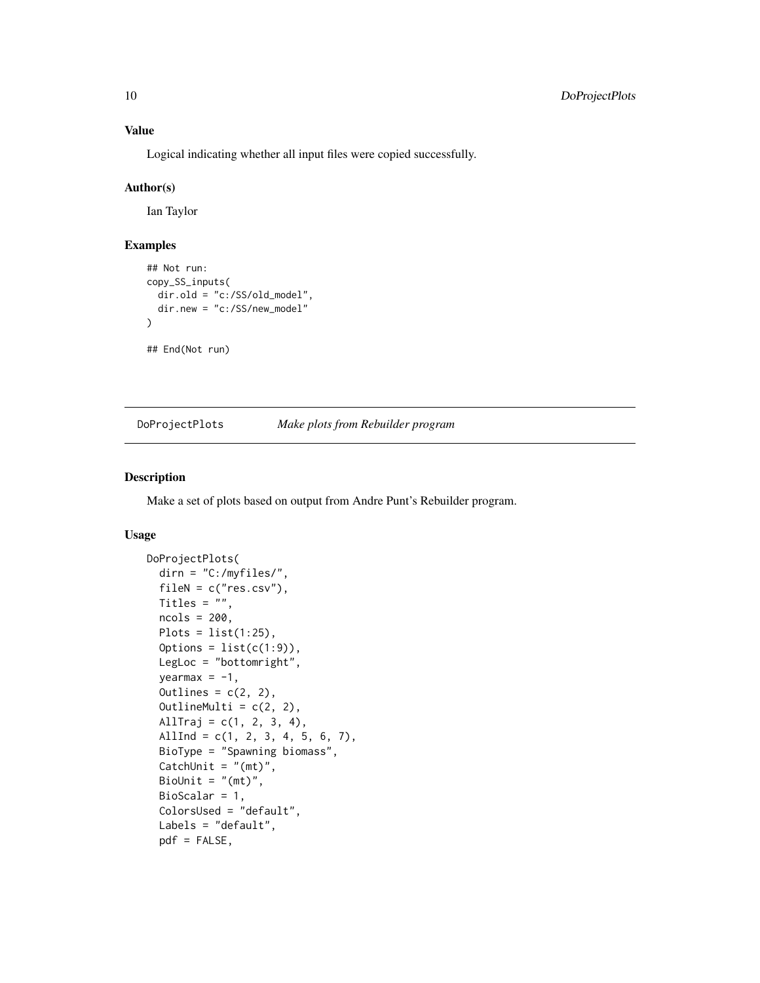#### Value

Logical indicating whether all input files were copied successfully.

#### Author(s)

Ian Taylor

# Examples

```
## Not run:
copy_SS_inputs(
  dir.old = "c:/SS/old_model",
  dir.new = "c:/SS/new_model"
)
## End(Not run)
```
DoProjectPlots *Make plots from Rebuilder program*

# Description

Make a set of plots based on output from Andre Punt's Rebuilder program.

#### Usage

```
DoProjectPlots(
  dirn = "C:/myfiles/",
  fileN = c("res.csv"),Titles = ",
  ncols = 200,
 Plots = list(1:25),
  Options = list(c(1:9)),
 LegLoc = "bottomright",
  yearmax = -1,Outlines = c(2, 2),
  OutlineMulti = c(2, 2),
 AllTraj = c(1, 2, 3, 4),
  AllInd = c(1, 2, 3, 4, 5, 6, 7),
 BioType = "Spawning biomass",
  CatchUnit = "(mt)",
 BioUnit = "(\text{mt})",
 BioScalar = 1,
  ColorsUsed = "default",
  Labels = "default",
  pdf = FALSE,
```
<span id="page-9-0"></span>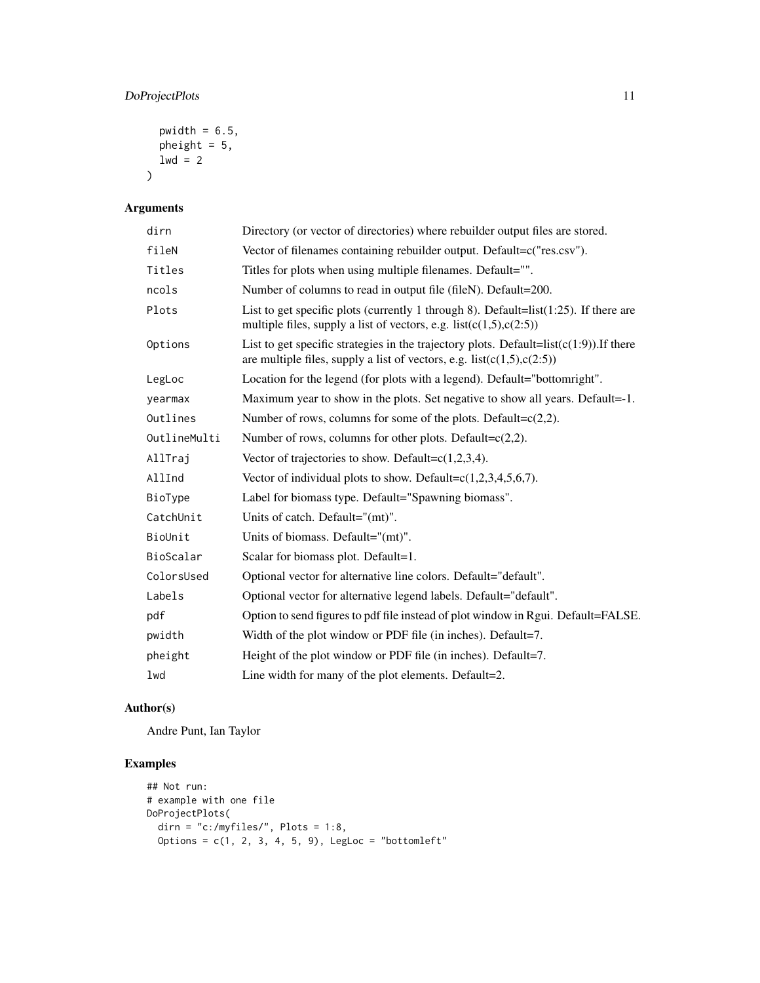# DoProjectPlots 11

```
pwidth = 6.5,
  pheight = 5,
  1wd = 2\mathcal{L}
```
# Arguments

| dirn         | Directory (or vector of directories) where rebuilder output files are stored.                                                                                            |
|--------------|--------------------------------------------------------------------------------------------------------------------------------------------------------------------------|
| fileN        | Vector of filenames containing rebuilder output. Default=c("res.csv").                                                                                                   |
| Titles       | Titles for plots when using multiple filenames. Default="".                                                                                                              |
| ncols        | Number of columns to read in output file (fileN). Default=200.                                                                                                           |
| Plots        | List to get specific plots (currently 1 through 8). Default= $list(1:25)$ . If there are<br>multiple files, supply a list of vectors, e.g. $list(c(1,5), c(2:5))$        |
| Options      | List to get specific strategies in the trajectory plots. Default= $list(c(1:9))$ . If there<br>are multiple files, supply a list of vectors, e.g. $list(c(1,5), c(2:5))$ |
| LegLoc       | Location for the legend (for plots with a legend). Default="bottomright".                                                                                                |
| yearmax      | Maximum year to show in the plots. Set negative to show all years. Default=-1.                                                                                           |
| Outlines     | Number of rows, columns for some of the plots. Default= $c(2,2)$ .                                                                                                       |
| OutlineMulti | Number of rows, columns for other plots. Default= $c(2,2)$ .                                                                                                             |
| AllTraj      | Vector of trajectories to show. Default= $c(1,2,3,4)$ .                                                                                                                  |
| AllInd       | Vector of individual plots to show. Default= $c(1,2,3,4,5,6,7)$ .                                                                                                        |
| BioType      | Label for biomass type. Default="Spawning biomass".                                                                                                                      |
| CatchUnit    | Units of catch. Default= $"$ (mt)".                                                                                                                                      |
| BioUnit      | Units of biomass. Default="(mt)".                                                                                                                                        |
| BioScalar    | Scalar for biomass plot. Default=1.                                                                                                                                      |
| ColorsUsed   | Optional vector for alternative line colors. Default="default".                                                                                                          |
| Labels       | Optional vector for alternative legend labels. Default="default".                                                                                                        |
| pdf          | Option to send figures to pdf file instead of plot window in Rgui. Default=FALSE.                                                                                        |
| pwidth       | Width of the plot window or PDF file (in inches). Default=7.                                                                                                             |
| pheight      | Height of the plot window or PDF file (in inches). Default=7.                                                                                                            |
| lwd          | Line width for many of the plot elements. Default=2.                                                                                                                     |

# Author(s)

Andre Punt, Ian Taylor

# Examples

```
## Not run:
# example with one file
DoProjectPlots(
 dirn = "c:/myfiles/", Plots = 1:8,
  Options = c(1, 2, 3, 4, 5, 9), LegLoc = "bottomleft"
```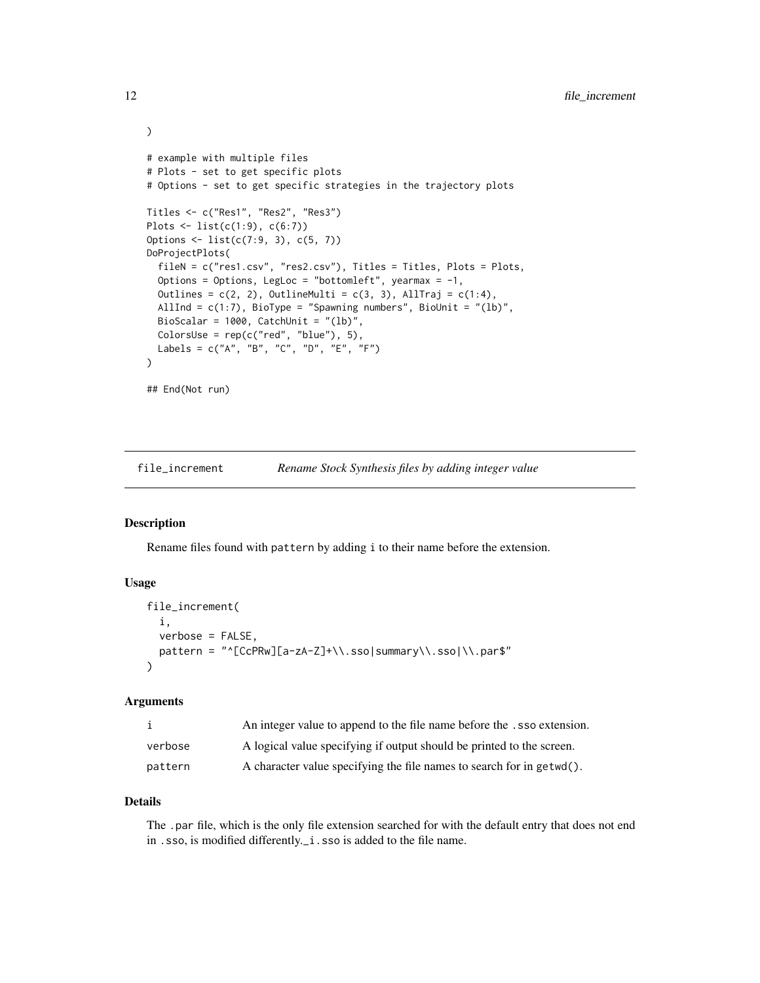```
# example with multiple files
# Plots - set to get specific plots
# Options - set to get specific strategies in the trajectory plots
Titles <- c("Res1", "Res2", "Res3")
Plots <- list(c(1:9), c(6:7))
Options <- list(c(7:9, 3), c(5, 7))
DoProjectPlots(
  fileN = c("res1.csv", "res2.csv"), Titles = Titles, Plots = Plots,
  Options = Options, LegLoc = "bottomleft", yearmax = -1,
  Outlines = c(2, 2), OutlineMulti = c(3, 3), AllTraj = c(1:4),
  AllInd = c(1:7), BioType = "Spawning numbers", BioUnit = "(lb)",
  BioScalar = 1000, CatchUnit = "(lb)",
  ColorsUse = rep(c("red", "blue"), 5),
  Labels = c("A", "B", "C", "D", "E", "F")
)
## End(Not run)
```
file\_increment *Rename Stock Synthesis files by adding integer value*

#### Description

Rename files found with pattern by adding i to their name before the extension.

#### Usage

```
file_increment(
  i,
 verbose = FALSE,
 pattern = "^[CcPRw][a-zA-Z]+\\.sso|summary\\.sso|\\.par$"
)
```
#### Arguments

|         | An integer value to append to the file name before the .sso extension. |
|---------|------------------------------------------------------------------------|
| verbose | A logical value specifying if output should be printed to the screen.  |
| pattern | A character value specifying the file names to search for in getwd().  |

#### Details

The .par file, which is the only file extension searched for with the default entry that does not end in .sso, is modified differently.\_i.sso is added to the file name.

<span id="page-11-0"></span>

)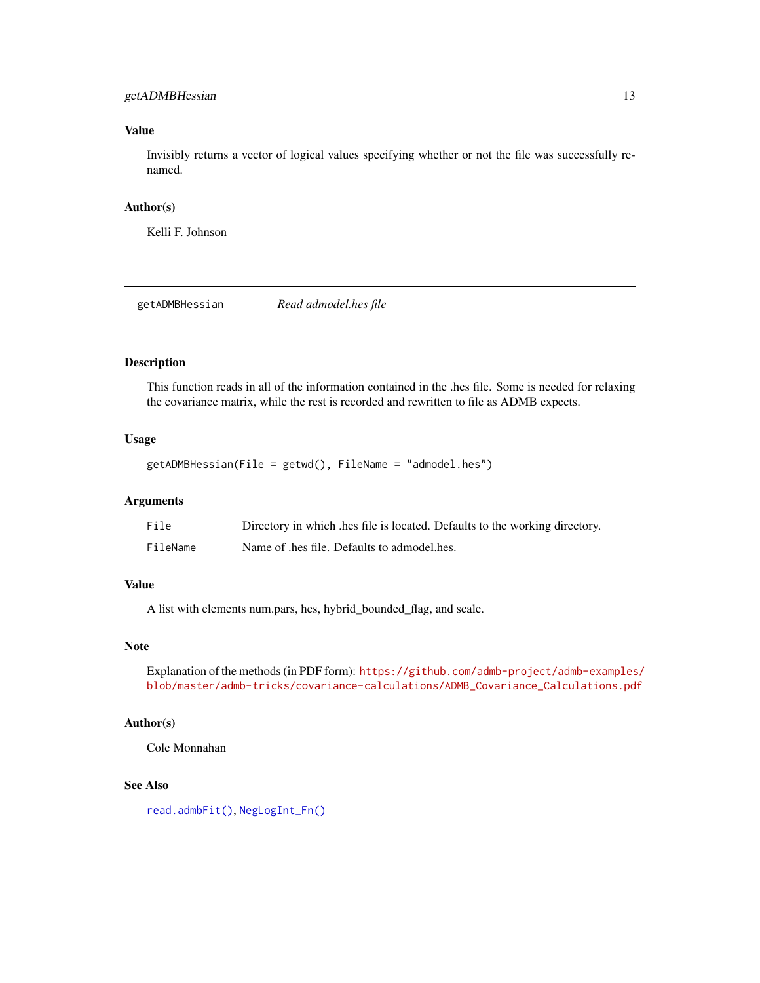# <span id="page-12-0"></span>getADMBHessian 13

# Value

Invisibly returns a vector of logical values specifying whether or not the file was successfully renamed.

#### Author(s)

Kelli F. Johnson

<span id="page-12-1"></span>getADMBHessian *Read admodel.hes file*

# Description

This function reads in all of the information contained in the .hes file. Some is needed for relaxing the covariance matrix, while the rest is recorded and rewritten to file as ADMB expects.

#### Usage

```
getADMBHessian(File = getwd(), FileName = "admodel.hes")
```
#### Arguments

| File     | Directory in which hes file is located. Defaults to the working directory. |
|----------|----------------------------------------------------------------------------|
| FileName | Name of .hes file. Defaults to admodel.hes.                                |

#### Value

A list with elements num.pars, hes, hybrid\_bounded\_flag, and scale.

#### Note

Explanation of the methods (in PDF form): [https://github.com/admb-project/admb-examples](https://github.com/admb-project/admb-examples/blob/master/admb-tricks/covariance-calculations/ADMB_Covariance_Calculations.pdf)/ [blob/master/admb-tricks/covariance-calculations/ADMB\\_Covariance\\_Calculations.pdf](https://github.com/admb-project/admb-examples/blob/master/admb-tricks/covariance-calculations/ADMB_Covariance_Calculations.pdf)

# Author(s)

Cole Monnahan

# See Also

[read.admbFit\(\)](#page-36-1), [NegLogInt\\_Fn\(\)](#page-29-1)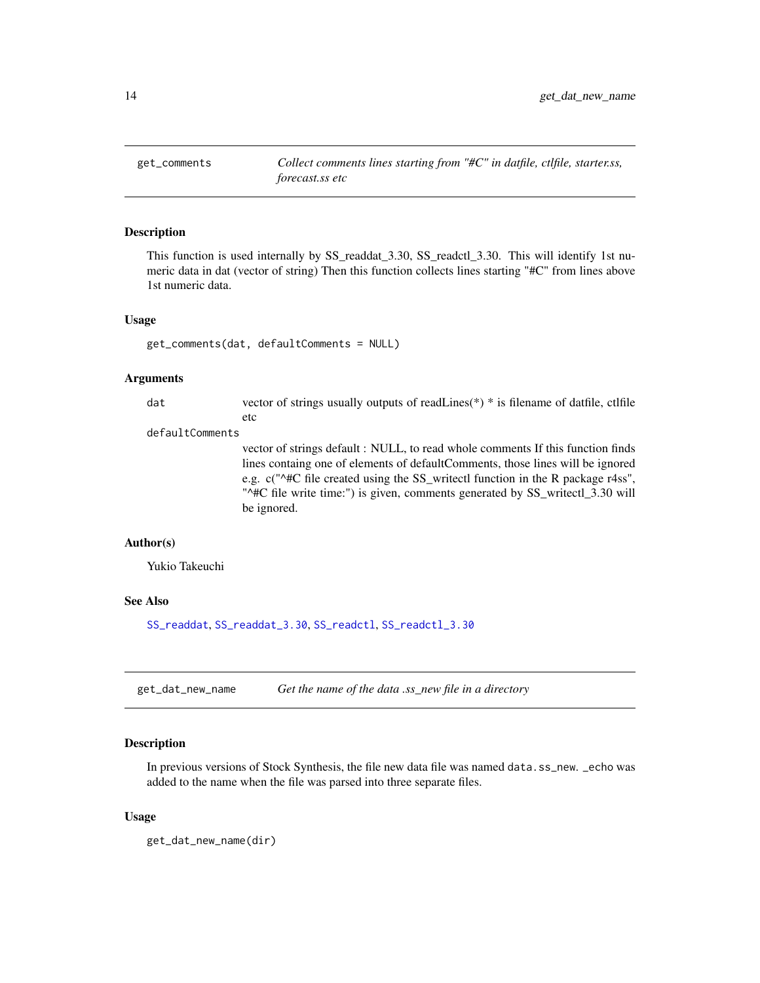<span id="page-13-0"></span>

#### Description

This function is used internally by SS\_readdat\_3.30, SS\_readctl\_3.30. This will identify 1st numeric data in dat (vector of string) Then this function collects lines starting "#C" from lines above 1st numeric data.

#### Usage

```
get_comments(dat, defaultComments = NULL)
```
#### Arguments

| dat             | vector of strings usually outputs of read Lines(*) * is filename of datfile, ctlfile |
|-----------------|--------------------------------------------------------------------------------------|
|                 | etc                                                                                  |
| defaultComments |                                                                                      |

vector of strings default : NULL, to read whole comments If this function finds lines containg one of elements of defaultComments, those lines will be ignored e.g. c("^#C file created using the SS\_writectl function in the R package r4ss", "^#C file write time:") is given, comments generated by SS\_writectl\_3.30 will be ignored.

#### Author(s)

Yukio Takeuchi

#### See Also

[SS\\_readdat](#page-155-1), [SS\\_readdat\\_3.30](#page-158-1), [SS\\_readctl](#page-147-1), [SS\\_readctl\\_3.30](#page-152-1)

get\_dat\_new\_name *Get the name of the data .ss\_new file in a directory*

#### Description

In previous versions of Stock Synthesis, the file new data file was named data.ss\_new. \_echo was added to the name when the file was parsed into three separate files.

#### Usage

get\_dat\_new\_name(dir)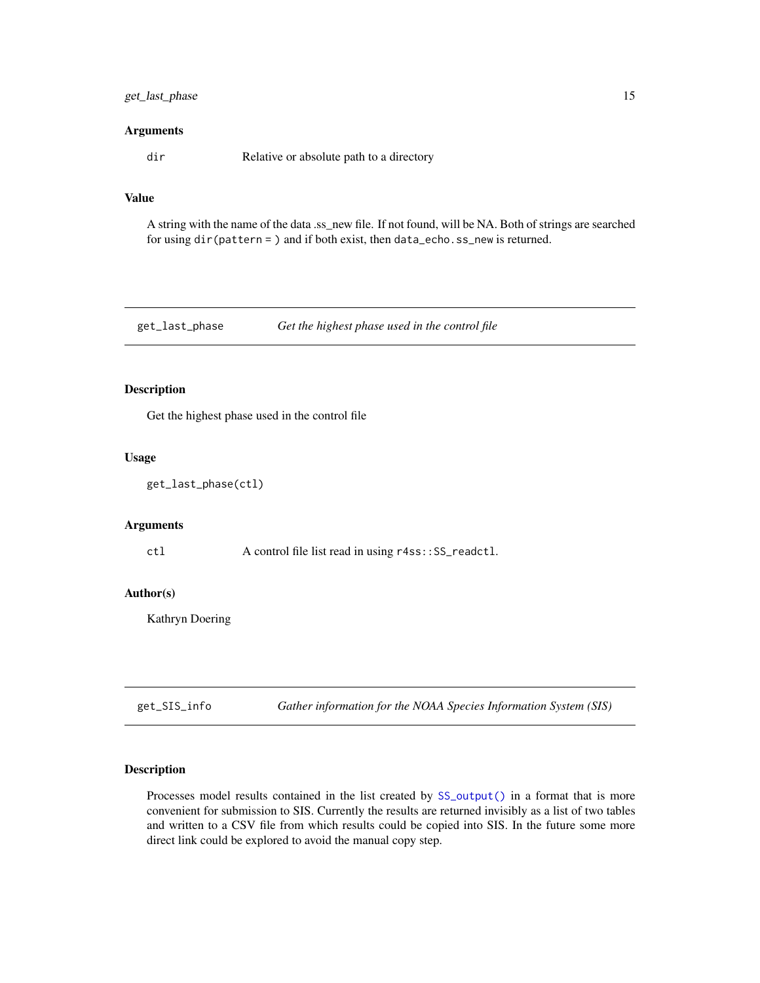# <span id="page-14-0"></span>get\_last\_phase 15

#### Arguments

dir Relative or absolute path to a directory

# Value

A string with the name of the data .ss\_new file. If not found, will be NA. Both of strings are searched for using dir(pattern = ) and if both exist, then data\_echo.ss\_new is returned.

get\_last\_phase *Get the highest phase used in the control file*

# Description

Get the highest phase used in the control file

#### Usage

get\_last\_phase(ctl)

# Arguments

ctl A control file list read in using r4ss::SS\_readctl.

#### Author(s)

Kathryn Doering

get\_SIS\_info *Gather information for the NOAA Species Information System (SIS)*

#### Description

Processes model results contained in the list created by  $SS\_output()$  in a format that is more convenient for submission to SIS. Currently the results are returned invisibly as a list of two tables and written to a CSV file from which results could be copied into SIS. In the future some more direct link could be explored to avoid the manual copy step.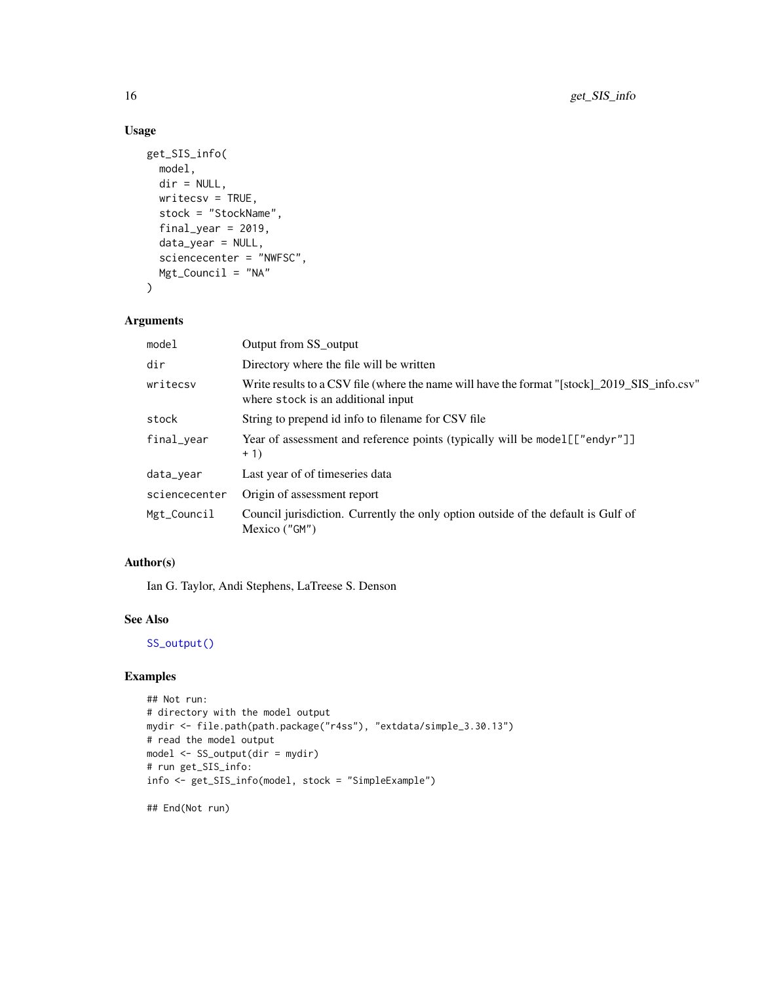# Usage

```
get_SIS_info(
 model,
 dir = NULL,writecsv = TRUE,
 stock = "StockName",
  final\_year = 2019,
 data_year = NULL,
  sciencecenter = "NWFSC",
 Mgt_Council = "NA"
\mathcal{L}
```
# Arguments

| model         | Output from SS output                                                                                                              |
|---------------|------------------------------------------------------------------------------------------------------------------------------------|
| dir           | Directory where the file will be written                                                                                           |
| writecsy      | Write results to a CSV file (where the name will have the format "[stock] 2019 SIS info.csv"<br>where stock is an additional input |
| stock         | String to prepend id info to filename for CSV file                                                                                 |
| final_year    | Year of assessment and reference points (typically will be model [["endyr"]]<br>$+1)$                                              |
| data_year     | Last year of of timeseries data                                                                                                    |
| sciencecenter | Origin of assessment report                                                                                                        |
| Mgt_Council   | Council jurisdiction. Currently the only option outside of the default is Gulf of<br>Mexico ("GM")                                 |
|               |                                                                                                                                    |

# Author(s)

Ian G. Taylor, Andi Stephens, LaTreese S. Denson

#### See Also

[SS\\_output\(\)](#page-131-1)

# Examples

```
## Not run:
# directory with the model output
mydir <- file.path(path.package("r4ss"), "extdata/simple_3.30.13")
# read the model output
model <- SS_output(dir = mydir)
# run get_SIS_info:
info <- get_SIS_info(model, stock = "SimpleExample")
## End(Not run)
```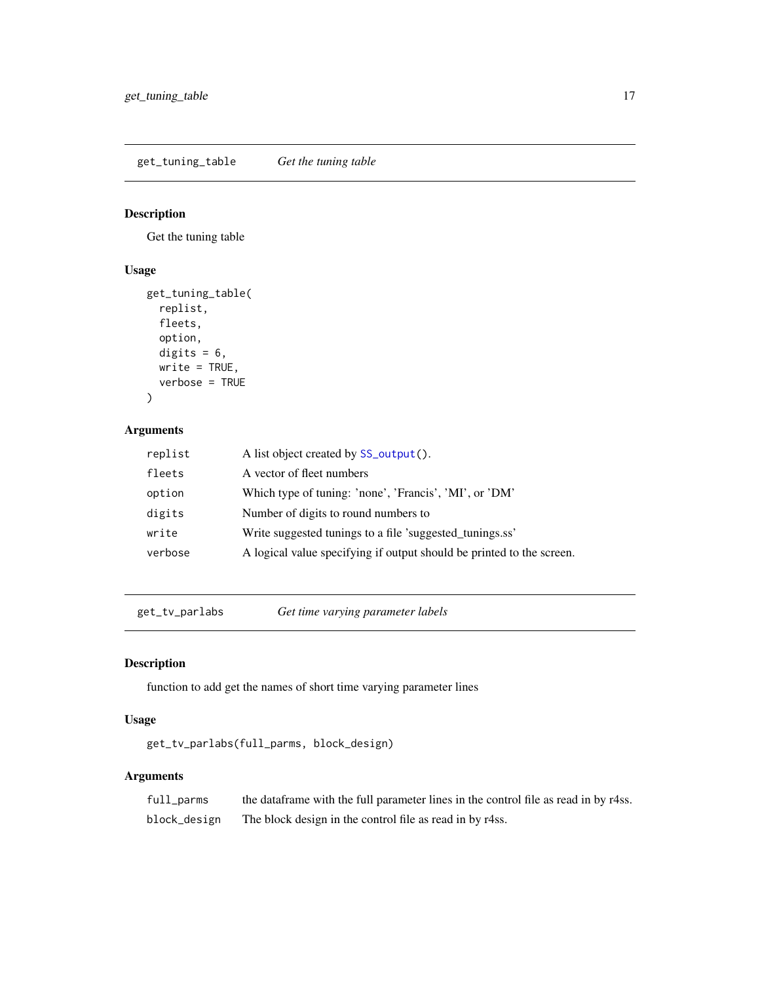<span id="page-16-0"></span>get\_tuning\_table *Get the tuning table*

# Description

Get the tuning table

# Usage

```
get_tuning_table(
 replist,
 fleets,
 option,
 digits = 6,
 write = TRUE,
  verbose = TRUE
)
```
# Arguments

| replist | A list object created by SS_output().                                 |
|---------|-----------------------------------------------------------------------|
| fleets  | A vector of fleet numbers                                             |
| option  | Which type of tuning: 'none', 'Francis', 'MI', or 'DM'                |
| digits  | Number of digits to round numbers to                                  |
| write   | Write suggested tunings to a file 'suggested_tunings.ss'              |
| verbose | A logical value specifying if output should be printed to the screen. |

get\_tv\_parlabs *Get time varying parameter labels*

# Description

function to add get the names of short time varying parameter lines

#### Usage

```
get_tv_parlabs(full_parms, block_design)
```

| full_parms   | the data frame with the full parameter lines in the control file as read in by r4ss. |
|--------------|--------------------------------------------------------------------------------------|
| block_design | The block design in the control file as read in by r4ss.                             |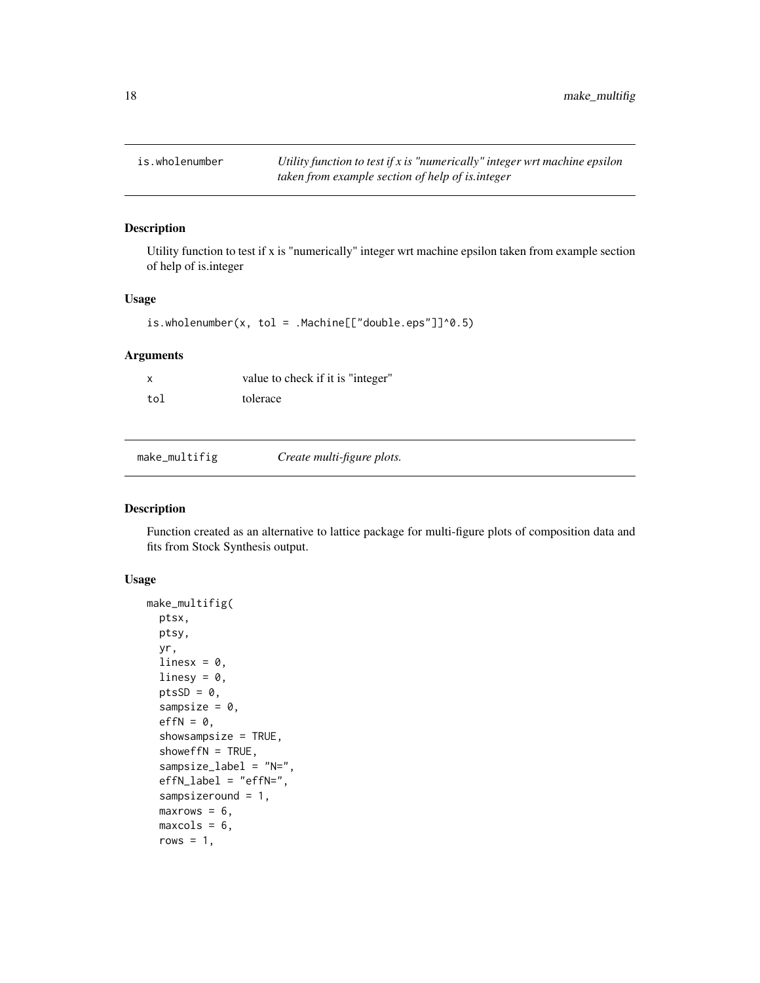<span id="page-17-0"></span>is.wholenumber *Utility function to test if x is "numerically" integer wrt machine epsilon taken from example section of help of is.integer*

#### Description

Utility function to test if x is "numerically" integer wrt machine epsilon taken from example section of help of is.integer

#### Usage

is.wholenumber(x, tol = .Machine $[["double.eps"]]^0.5)$ 

# Arguments

|     | value to check if it is "integer" |
|-----|-----------------------------------|
| tol | tolerace                          |

<span id="page-17-1"></span>make\_multifig *Create multi-figure plots.*

#### Description

Function created as an alternative to lattice package for multi-figure plots of composition data and fits from Stock Synthesis output.

# Usage

```
make_multifig(
  ptsx,
 ptsy,
  yr,
  linesx = 0,
  linesy = 0,
 ptsSD = 0,
  sampsize = 0,
  effN = 0,
  showsampsize = TRUE,
  showeffN = TRUE,
  sampsize_label = "N=",
  effN_label = "effN=",
  sampsizeround = 1,
  maxrows = 6,
  maxcols = 6,
  rows = 1,
```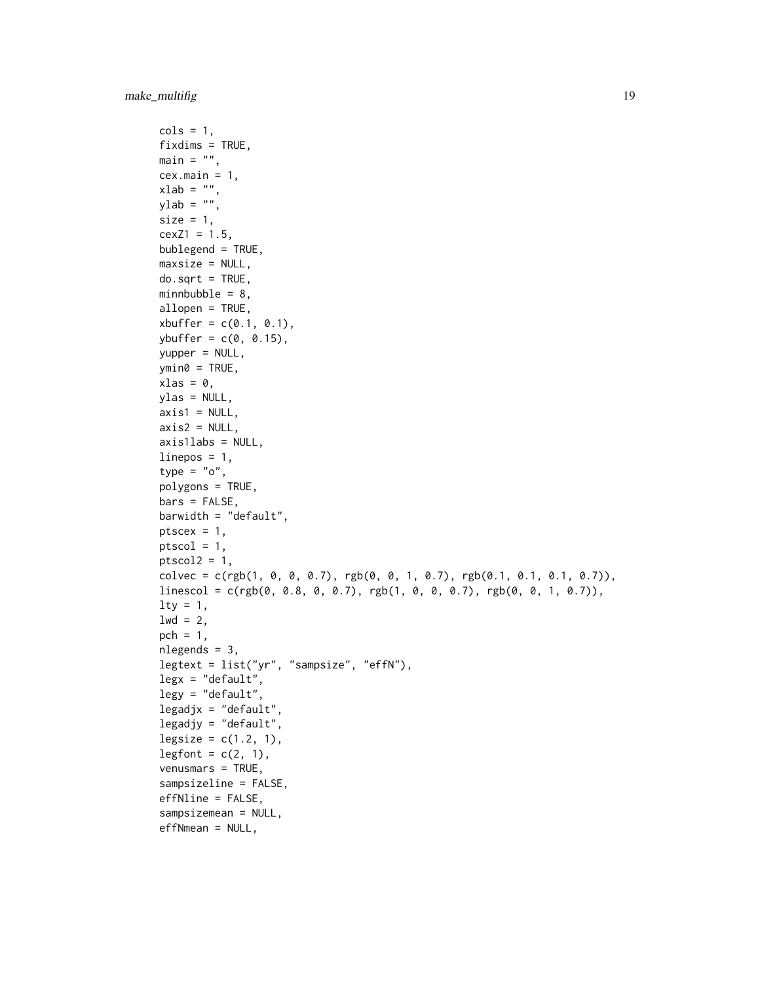```
cols = 1,
fixdims = TRUE,
main = "".cex.main = 1,
xlab = "",
ylab = "",
size = 1,
cexZ1 = 1.5,
bublegend = TRUE,
maxsize = NULL,do.sqrt = TRUE,minnbubble = 8,allopen = TRUE,
xbuffer = c(0.1, 0.1),ybuffer = c(0, 0.15),
yupper = NULL,
ymin@ = TRUE,xlas = 0,
ylas = NULL,
axis1 = NULL,axis2 = NULL,axis1labs = NULL,
linepos = 1,
type = "o",polygons = TRUE,
bars = FALSE,
barwidth = "default",
ptscex = 1,
ptscal = 1,ptscal2 = 1,colvec = c(rgb(1, 0, 0, 0.7), rgb(0, 0, 1, 0.7), rgb(0.1, 0.1, 0.1, 0.7)),
linescol = c(rgb(0, 0.8, 0, 0.7), rgb(1, 0, 0, 0.7), rgb(0, 0, 1, 0.7)),
lty = 1,
1wd = 2,pch = 1,
nlegends = 3,
legtext = list("yr", "sampsize", "effN"),
legx = "default",legy = "default",legadjx = "default",
legadjy = "default",
legsize = c(1.2, 1),legfont = c(2, 1),
venusmars = TRUE,
sampsizeline = FALSE,
effNline = FALSE,
sampsizemean = NULL,
effNmean = NULL,
```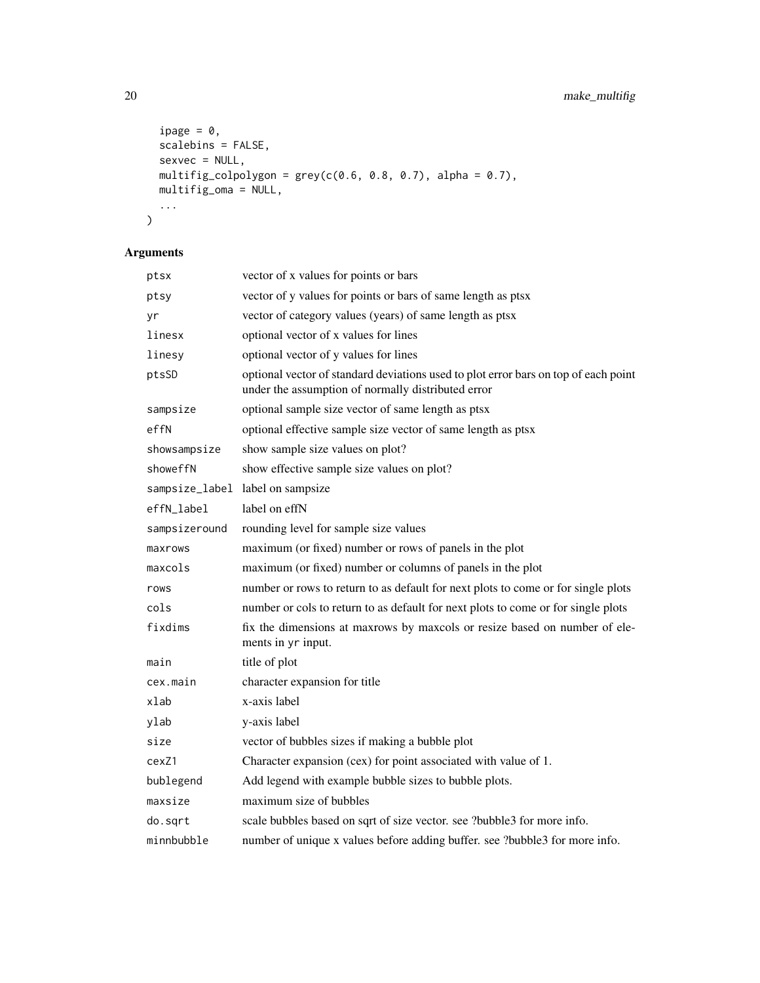```
ipage = 0,
  scalebins = FALSE,
  sexvec = NULL,
 multifig_colpolygon = grey(c(0.6, 0.8, 0.7), alpha = 0.7),
  multifig_oma = NULL,
  ...
\mathcal{L}
```

| ptsx           | vector of x values for points or bars                                                                                                     |
|----------------|-------------------------------------------------------------------------------------------------------------------------------------------|
| ptsy           | vector of y values for points or bars of same length as ptsx                                                                              |
| yr             | vector of category values (years) of same length as ptsx                                                                                  |
| linesx         | optional vector of x values for lines                                                                                                     |
| linesy         | optional vector of y values for lines                                                                                                     |
| ptsSD          | optional vector of standard deviations used to plot error bars on top of each point<br>under the assumption of normally distributed error |
| sampsize       | optional sample size vector of same length as ptsx                                                                                        |
| effN           | optional effective sample size vector of same length as ptsx                                                                              |
| showsampsize   | show sample size values on plot?                                                                                                          |
| showeffN       | show effective sample size values on plot?                                                                                                |
| sampsize_label | label on sampsize                                                                                                                         |
| effN_label     | label on effN                                                                                                                             |
| sampsizeround  | rounding level for sample size values                                                                                                     |
| maxrows        | maximum (or fixed) number or rows of panels in the plot                                                                                   |
| maxcols        | maximum (or fixed) number or columns of panels in the plot                                                                                |
| rows           | number or rows to return to as default for next plots to come or for single plots                                                         |
| cols           | number or cols to return to as default for next plots to come or for single plots                                                         |
| fixdims        | fix the dimensions at maxrows by maxcols or resize based on number of ele-<br>ments in yr input.                                          |
| main           | title of plot                                                                                                                             |
| cex.main       | character expansion for title                                                                                                             |
| xlab           | x-axis label                                                                                                                              |
| ylab           | y-axis label                                                                                                                              |
| size           | vector of bubbles sizes if making a bubble plot                                                                                           |
| cexZ1          | Character expansion (cex) for point associated with value of 1.                                                                           |
| bublegend      | Add legend with example bubble sizes to bubble plots.                                                                                     |
| maxsize        | maximum size of bubbles                                                                                                                   |
| do.sqrt        | scale bubbles based on sqrt of size vector. see ?bubble3 for more info.                                                                   |
| minnbubble     | number of unique x values before adding buffer. see ?bubble3 for more info.                                                               |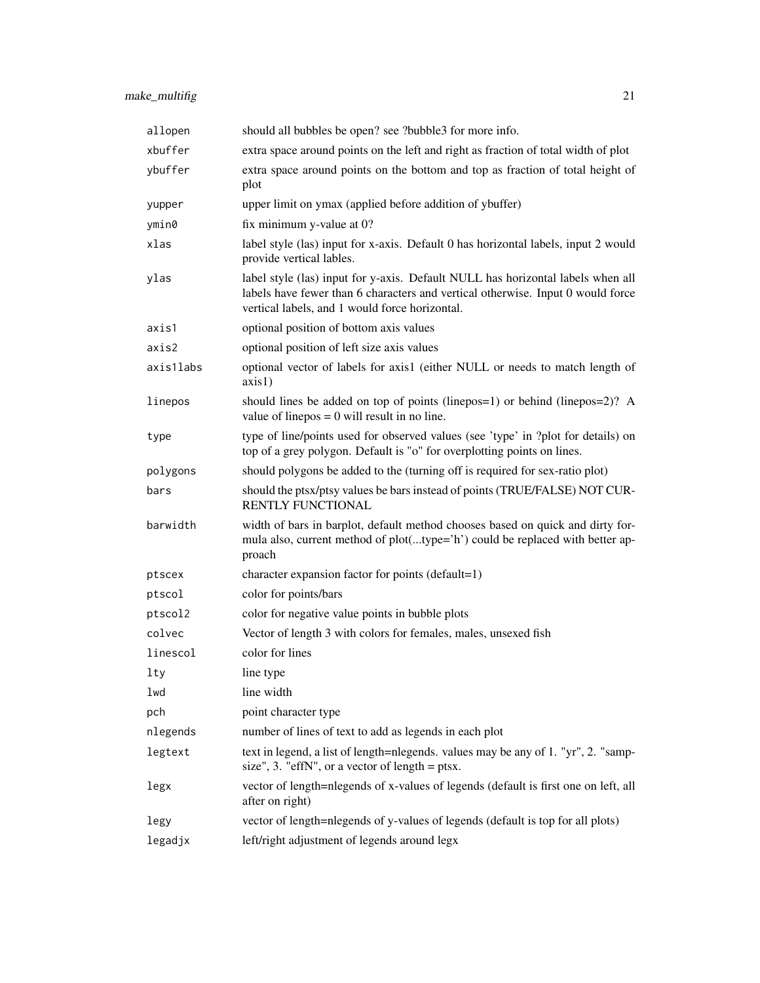| allopen   | should all bubbles be open? see ?bubble3 for more info.                                                                                                                                                              |
|-----------|----------------------------------------------------------------------------------------------------------------------------------------------------------------------------------------------------------------------|
| xbuffer   | extra space around points on the left and right as fraction of total width of plot                                                                                                                                   |
| ybuffer   | extra space around points on the bottom and top as fraction of total height of<br>plot                                                                                                                               |
| yupper    | upper limit on ymax (applied before addition of ybuffer)                                                                                                                                                             |
| ymin0     | fix minimum y-value at 0?                                                                                                                                                                                            |
| xlas      | label style (las) input for x-axis. Default 0 has horizontal labels, input 2 would<br>provide vertical lables.                                                                                                       |
| ylas      | label style (las) input for y-axis. Default NULL has horizontal labels when all<br>labels have fewer than 6 characters and vertical otherwise. Input 0 would force<br>vertical labels, and 1 would force horizontal. |
| axis1     | optional position of bottom axis values                                                                                                                                                                              |
| axis2     | optional position of left size axis values                                                                                                                                                                           |
| axis1labs | optional vector of labels for axis1 (either NULL or needs to match length of<br>axis1)                                                                                                                               |
| linepos   | should lines be added on top of points (line pos = 1) or behind (line $pos = 2$ )? A<br>value of line $pos = 0$ will result in no line.                                                                              |
| type      | type of line/points used for observed values (see 'type' in ?plot for details) on<br>top of a grey polygon. Default is "o" for overplotting points on lines.                                                         |
| polygons  | should polygons be added to the (turning off is required for sex-ratio plot)                                                                                                                                         |
| bars      | should the ptsx/ptsy values be bars instead of points (TRUE/FALSE) NOT CUR-<br>RENTLY FUNCTIONAL                                                                                                                     |
| barwidth  | width of bars in barplot, default method chooses based on quick and dirty for-<br>mula also, current method of plot(type='h') could be replaced with better ap-<br>proach                                            |
| ptscex    | character expansion factor for points (default=1)                                                                                                                                                                    |
| ptscol    | color for points/bars                                                                                                                                                                                                |
| ptscol2   | color for negative value points in bubble plots                                                                                                                                                                      |
| colvec    | Vector of length 3 with colors for females, males, unsexed fish                                                                                                                                                      |
| linescol  | color for lines                                                                                                                                                                                                      |
| 1ty       | line type                                                                                                                                                                                                            |
| lwd       | line width                                                                                                                                                                                                           |
| pch       | point character type                                                                                                                                                                                                 |
| nlegends  | number of lines of text to add as legends in each plot                                                                                                                                                               |
| legtext   | text in legend, a list of length=nlegends. values may be any of 1. "yr", 2. "samp-<br>size", 3. "effN", or a vector of length $=$ ptsx.                                                                              |
| legx      | vector of length=nlegends of x-values of legends (default is first one on left, all<br>after on right)                                                                                                               |
| legy      | vector of length=nlegends of y-values of legends (default is top for all plots)                                                                                                                                      |
| legadjx   | left/right adjustment of legends around legx                                                                                                                                                                         |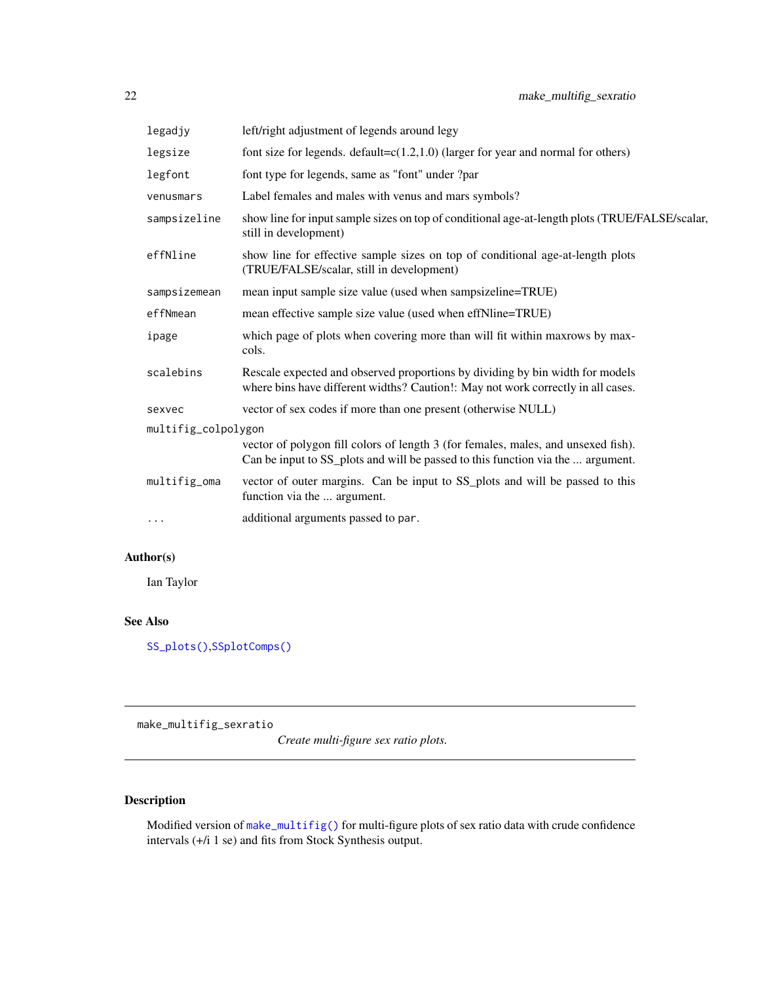<span id="page-21-0"></span>

| left/right adjustment of legends around legy                                                                                                                         |  |  |
|----------------------------------------------------------------------------------------------------------------------------------------------------------------------|--|--|
| font size for legends. default= $c(1.2,1.0)$ (larger for year and normal for others)                                                                                 |  |  |
| font type for legends, same as "font" under ?par                                                                                                                     |  |  |
| Label females and males with venus and mars symbols?                                                                                                                 |  |  |
| show line for input sample sizes on top of conditional age-at-length plots (TRUE/FALSE/scalar,<br>still in development)                                              |  |  |
| show line for effective sample sizes on top of conditional age-at-length plots<br>(TRUE/FALSE/scalar, still in development)                                          |  |  |
| mean input sample size value (used when sampsizeline=TRUE)                                                                                                           |  |  |
| mean effective sample size value (used when effNline=TRUE)                                                                                                           |  |  |
| which page of plots when covering more than will fit within maxrows by max-<br>cols.                                                                                 |  |  |
| Rescale expected and observed proportions by dividing by bin width for models<br>where bins have different widths? Caution!: May not work correctly in all cases.    |  |  |
| vector of sex codes if more than one present (otherwise NULL)                                                                                                        |  |  |
| multifig_colpolygon                                                                                                                                                  |  |  |
| vector of polygon fill colors of length 3 (for females, males, and unsexed fish).<br>Can be input to SS_plots and will be passed to this function via the  argument. |  |  |
| vector of outer margins. Can be input to SS_plots and will be passed to this<br>function via the  argument.                                                          |  |  |
| additional arguments passed to par.                                                                                                                                  |  |  |
|                                                                                                                                                                      |  |  |

# Author(s)

Ian Taylor

# See Also

[SS\\_plots\(\)](#page-135-1),[SSplotComps\(\)](#page-68-1)

make\_multifig\_sexratio

*Create multi-figure sex ratio plots.*

# Description

Modified version of [make\\_multifig\(\)](#page-17-1) for multi-figure plots of sex ratio data with crude confidence intervals (+/i 1 se) and fits from Stock Synthesis output.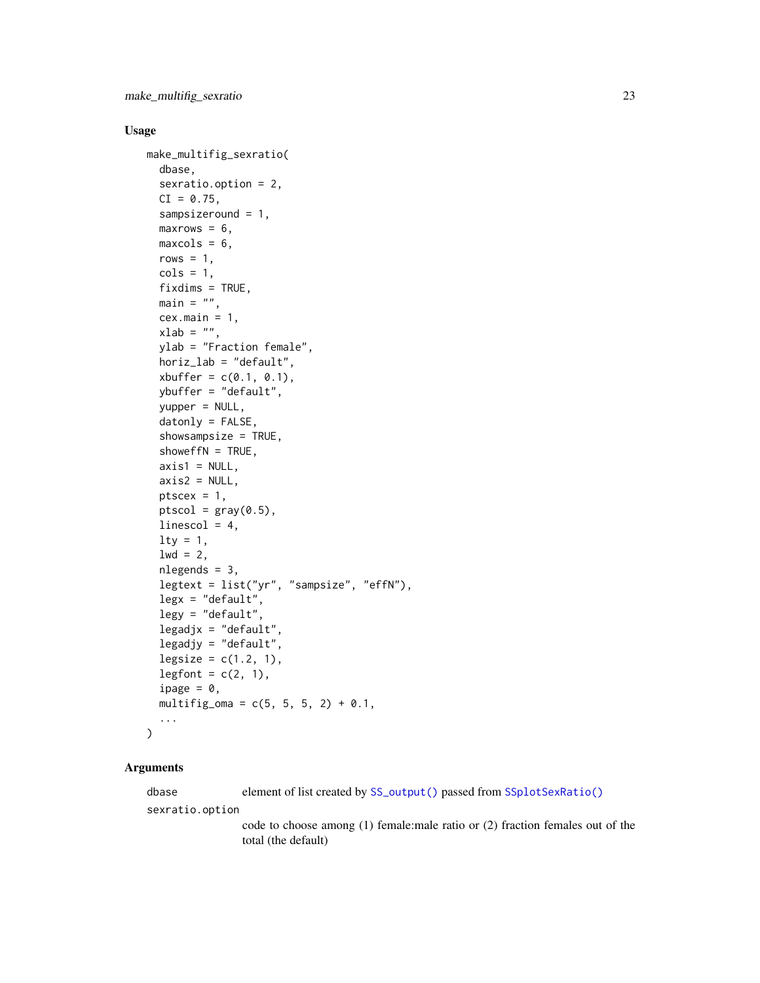#### Usage

```
make_multifig_sexratio(
  dbase,
  sexratio.option = 2,
  CI = 0.75,sampsizeround = 1,
  maxrows = 6,
 maxcols = 6,
  rows = 1,
  \text{cols} = 1,
  fixdims = TRUE,
 main = "",cex.main = 1,
  xlab = "",
  ylab = "Fraction female",
  horiz_lab = "default",
  xbuffer = c(0.1, 0.1),
  ybuffer = "default",
  yupper = NULL,
  datonly = FALSE,
  showsampsize = TRUE,
  showeffN = TRUE,
  axis1 = NULL,axis2 = NULL,ptsec = 1,
  ptscal = gray(0.5),
  linescol = 4,
  lty = 1,
  1wd = 2,
  nlegends = 3,
  legtext = list("yr", "sampsize", "effN"),
  legx = "default",legy = "default",
  legadjx = "default",legadjy = "default",
  legsize = c(1.2, 1),legfont = c(2, 1),
  ipage = \theta,
  multifig_oma = c(5, 5, 5, 2) + 0.1,
  ...
)
```
# Arguments

dbase element of list created by [SS\\_output\(\)](#page-131-1) passed from [SSplotSexRatio\(\)](#page-103-1) sexratio.option code to choose among (1) female:male ratio or (2) fraction females out of the total (the default)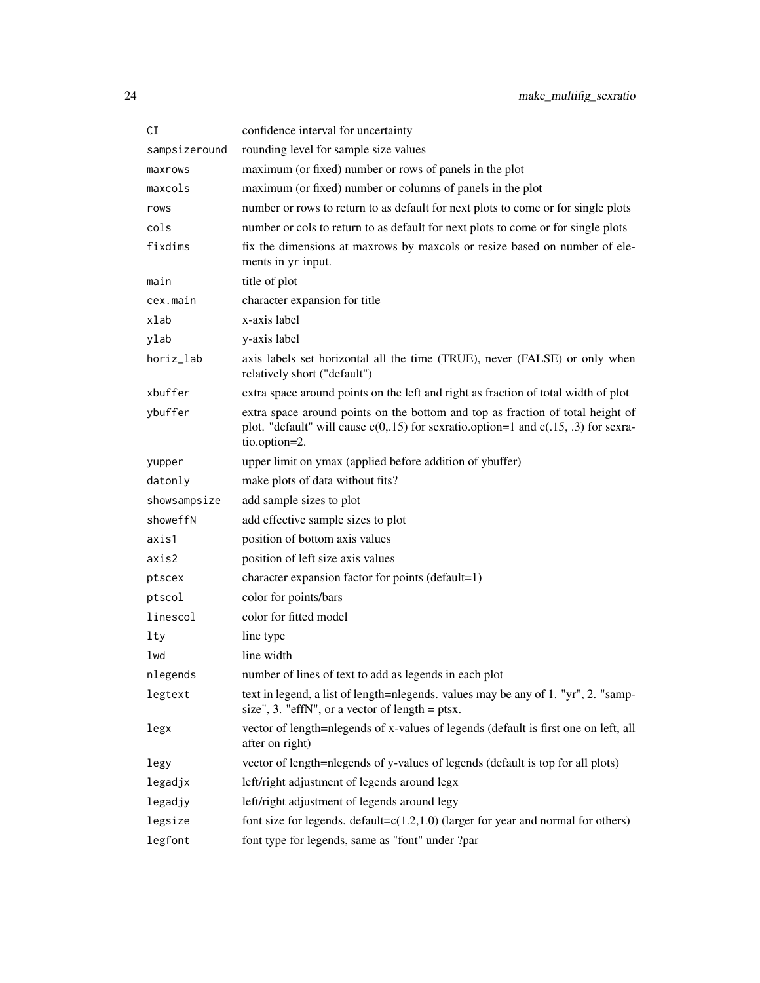| СI            | confidence interval for uncertainty                                                                                                                                                       |
|---------------|-------------------------------------------------------------------------------------------------------------------------------------------------------------------------------------------|
| sampsizeround | rounding level for sample size values                                                                                                                                                     |
| maxrows       | maximum (or fixed) number or rows of panels in the plot                                                                                                                                   |
| maxcols       | maximum (or fixed) number or columns of panels in the plot                                                                                                                                |
| rows          | number or rows to return to as default for next plots to come or for single plots                                                                                                         |
| cols          | number or cols to return to as default for next plots to come or for single plots                                                                                                         |
| fixdims       | fix the dimensions at maxrows by maxcols or resize based on number of ele-<br>ments in yr input.                                                                                          |
| main          | title of plot                                                                                                                                                                             |
| cex.main      | character expansion for title                                                                                                                                                             |
| xlab          | x-axis label                                                                                                                                                                              |
| ylab          | y-axis label                                                                                                                                                                              |
| horiz_lab     | axis labels set horizontal all the time (TRUE), never (FALSE) or only when<br>relatively short ("default")                                                                                |
| xbuffer       | extra space around points on the left and right as fraction of total width of plot                                                                                                        |
| ybuffer       | extra space around points on the bottom and top as fraction of total height of<br>plot. "default" will cause $c(0,15)$ for sexratio.option=1 and $c(.15, .3)$ for sexra-<br>tio.option=2. |
| yupper        | upper limit on ymax (applied before addition of ybuffer)                                                                                                                                  |
| datonly       | make plots of data without fits?                                                                                                                                                          |
| showsampsize  | add sample sizes to plot                                                                                                                                                                  |
| showeffN      | add effective sample sizes to plot                                                                                                                                                        |
| axis1         | position of bottom axis values                                                                                                                                                            |
| axis2         | position of left size axis values                                                                                                                                                         |
| ptscex        | character expansion factor for points (default=1)                                                                                                                                         |
| ptscol        | color for points/bars                                                                                                                                                                     |
| linescol      | color for fitted model                                                                                                                                                                    |
| lty           | line type                                                                                                                                                                                 |
| lwd           | line width                                                                                                                                                                                |
| nlegends      | number of lines of text to add as legends in each plot                                                                                                                                    |
| legtext       | text in legend, a list of length=nlegends. values may be any of 1. "yr", 2. "samp-<br>size", 3. "effN", or a vector of length $=$ ptsx.                                                   |
| legx          | vector of length=nlegends of x-values of legends (default is first one on left, all<br>after on right)                                                                                    |
| legy          | vector of length=nlegends of y-values of legends (default is top for all plots)                                                                                                           |
| legadjx       | left/right adjustment of legends around legx                                                                                                                                              |
| legadjy       | left/right adjustment of legends around legy                                                                                                                                              |
| legsize       | font size for legends. default= $c(1.2,1.0)$ (larger for year and normal for others)                                                                                                      |
| legfont       | font type for legends, same as "font" under ?par                                                                                                                                          |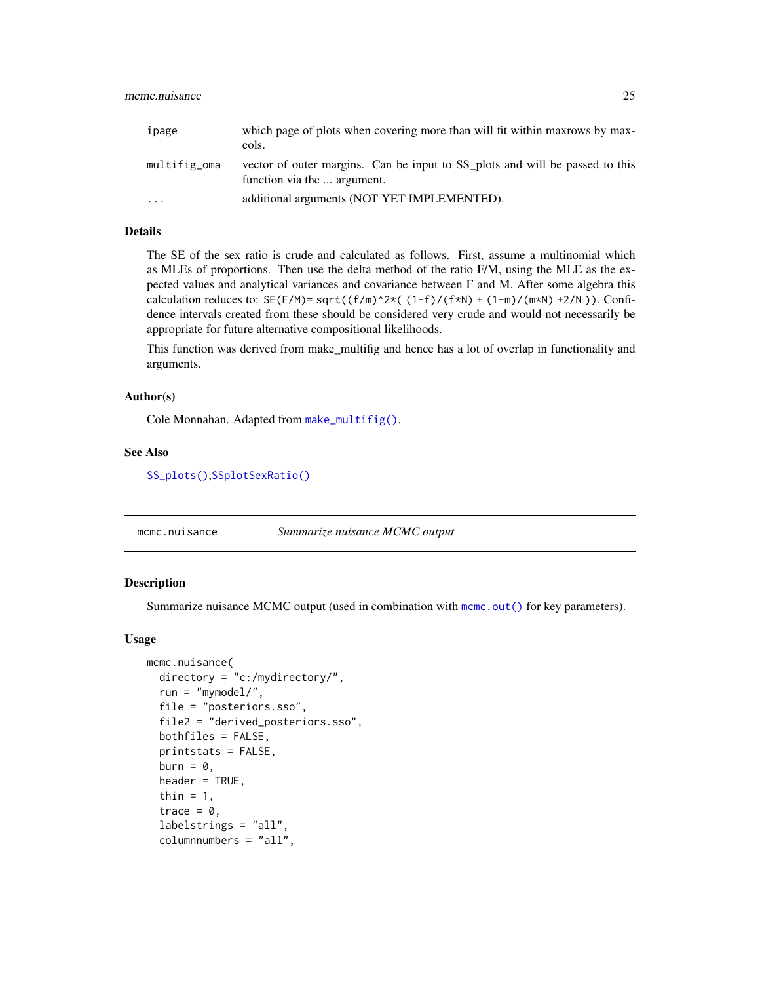<span id="page-24-0"></span>

| ipage        | which page of plots when covering more than will fit within maxrows by max-<br>cols.                        |
|--------------|-------------------------------------------------------------------------------------------------------------|
| multifig_oma | vector of outer margins. Can be input to SS_plots and will be passed to this<br>function via the  argument. |
| $\ddotsc$    | additional arguments (NOT YET IMPLEMENTED).                                                                 |

# Details

The SE of the sex ratio is crude and calculated as follows. First, assume a multinomial which as MLEs of proportions. Then use the delta method of the ratio F/M, using the MLE as the expected values and analytical variances and covariance between F and M. After some algebra this calculation reduces to:  $SE(F/M) = sqrt((f/m)^{2*}( (1-f)/(f*N) + (1-m)/(m*N) +2/N )$ . Confidence intervals created from these should be considered very crude and would not necessarily be appropriate for future alternative compositional likelihoods.

This function was derived from make\_multifig and hence has a lot of overlap in functionality and arguments.

#### Author(s)

Cole Monnahan. Adapted from [make\\_multifig\(\)](#page-17-1).

#### See Also

[SS\\_plots\(\)](#page-135-1),[SSplotSexRatio\(\)](#page-103-1)

<span id="page-24-1"></span>mcmc.nuisance *Summarize nuisance MCMC output*

#### Description

Summarize nuisance MCMC output (used in combination with [mcmc.out\(\)](#page-25-1) for key parameters).

#### Usage

```
mcmc.nuisance(
  directory = "c:/mydirectory/",
  run = "mymodel/",
  file = "posteriors.sso",
  file2 = "derived_posteriors.sso",
  bothfiles = FALSE,
  printstats = FALSE,
  burn = \theta,
  header = TRUE,
  thin = 1,
  trace = 0,
  labelstrings = "all",
  columnnumbers = "all",
```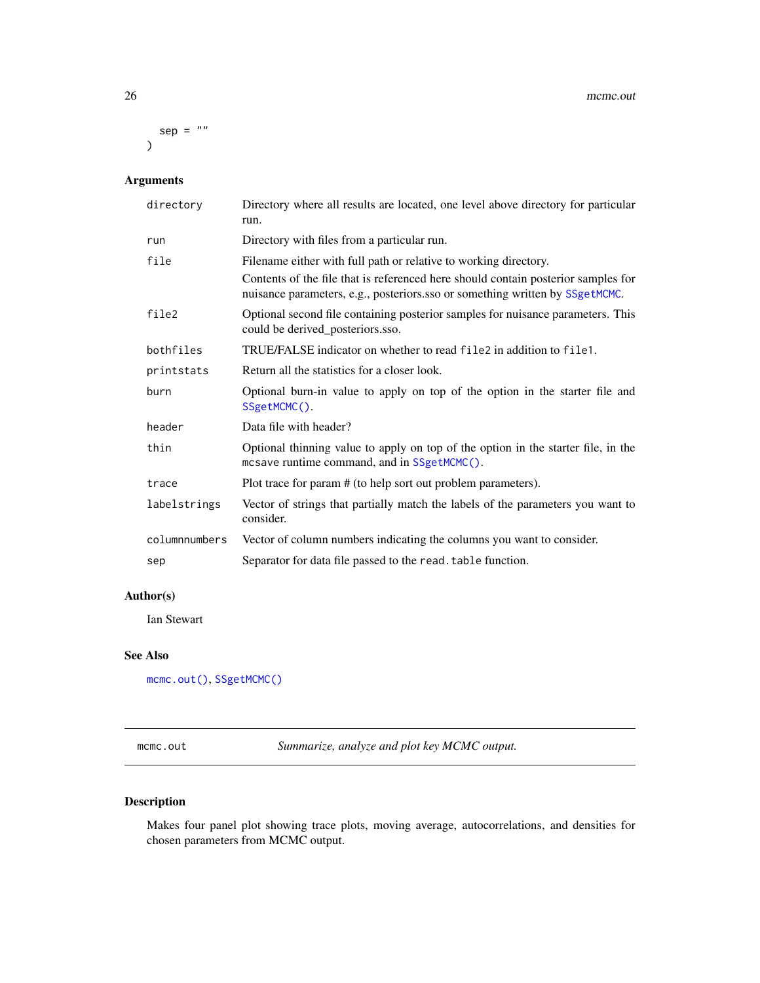<span id="page-25-0"></span> $sep = ""$  $\mathcal{L}$ 

# Arguments

| directory     | Directory where all results are located, one level above directory for particular<br>run.                                                                         |
|---------------|-------------------------------------------------------------------------------------------------------------------------------------------------------------------|
| run           | Directory with files from a particular run.                                                                                                                       |
| file          | Filename either with full path or relative to working directory.                                                                                                  |
|               | Contents of the file that is referenced here should contain posterior samples for<br>nuisance parameters, e.g., posteriors.sso or something written by SSgetMCMC. |
| file2         | Optional second file containing posterior samples for nuisance parameters. This<br>could be derived_posteriors.sso.                                               |
| bothfiles     | TRUE/FALSE indicator on whether to read file 2 in addition to file 1.                                                                                             |
| printstats    | Return all the statistics for a closer look.                                                                                                                      |
| burn          | Optional burn-in value to apply on top of the option in the starter file and<br>SSgetMCMC().                                                                      |
| header        | Data file with header?                                                                                                                                            |
| thin          | Optional thinning value to apply on top of the option in the starter file, in the<br>mcsave runtime command, and in SSgetMCMC().                                  |
| trace         | Plot trace for param # (to help sort out problem parameters).                                                                                                     |
| labelstrings  | Vector of strings that partially match the labels of the parameters you want to<br>consider.                                                                      |
| columnnumbers | Vector of column numbers indicating the columns you want to consider.                                                                                             |
| sep           | Separator for data file passed to the read. table function.                                                                                                       |

# Author(s)

Ian Stewart

# See Also

[mcmc.out\(\)](#page-25-1), [SSgetMCMC\(\)](#page-44-1)

<span id="page-25-1"></span>mcmc.out *Summarize, analyze and plot key MCMC output.*

# Description

Makes four panel plot showing trace plots, moving average, autocorrelations, and densities for chosen parameters from MCMC output.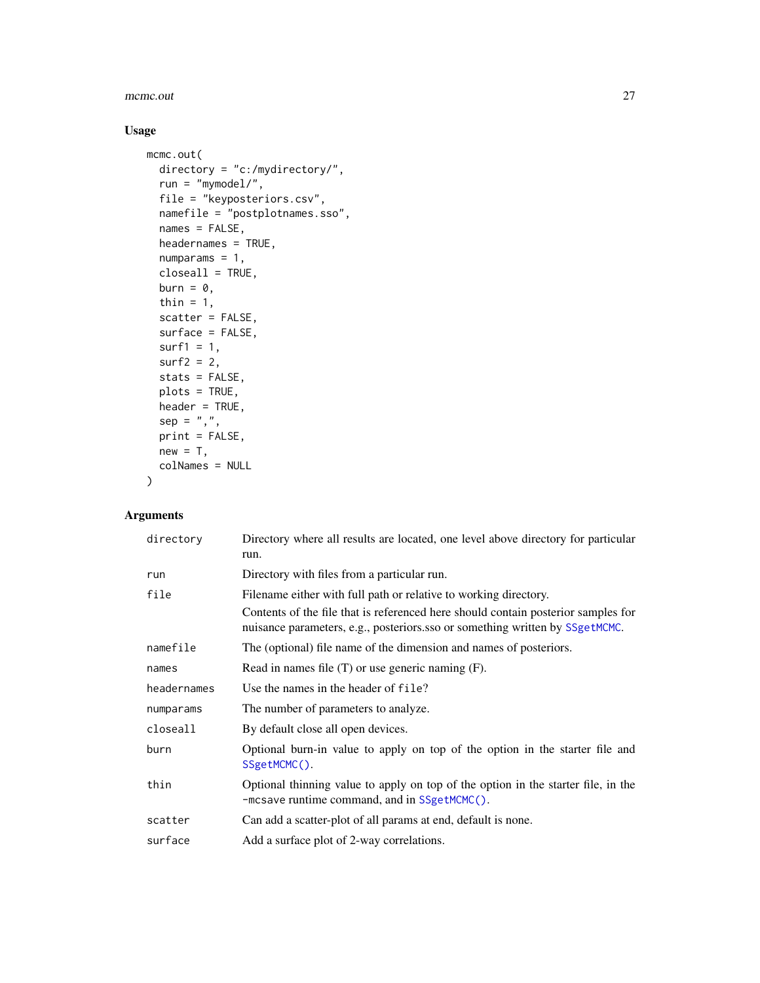#### mcmc.out 27

# Usage

```
mcmc.out(
 directory = "c:/mydirectory/",
 run = "mymodel/",
 file = "keyposteriors.csv",
 namefile = "postplotnames.sso",
 names = FALSE,
 headernames = TRUE,
 numparams = 1,
 closeall = TRUE,
 burn = \theta,
 thin = 1,
 scatter = FALSE,
 surface = FALSE,
  surf1 = 1,surf2 = 2,stats = FALSE,
 plots = TRUE,
 header = TRUE,sep = ","print = FALSE,
 new = T,
 colNames = NULL
)
```

| directory   | Directory where all results are located, one level above directory for particular<br>run.                                                                         |
|-------------|-------------------------------------------------------------------------------------------------------------------------------------------------------------------|
| run         | Directory with files from a particular run.                                                                                                                       |
| file        | Filename either with full path or relative to working directory.                                                                                                  |
|             | Contents of the file that is referenced here should contain posterior samples for<br>nuisance parameters, e.g., posteriors.sso or something written by SSgetMCMC. |
| namefile    | The (optional) file name of the dimension and names of posteriors.                                                                                                |
| names       | Read in names file $(T)$ or use generic naming $(F)$ .                                                                                                            |
| headernames | Use the names in the header of file?                                                                                                                              |
| numparams   | The number of parameters to analyze.                                                                                                                              |
| closeall    | By default close all open devices.                                                                                                                                |
| burn        | Optional burn-in value to apply on top of the option in the starter file and<br>SSgetMCMC().                                                                      |
| thin        | Optional thinning value to apply on top of the option in the starter file, in the<br>-mcsave runtime command, and in SSgetMCMC().                                 |
| scatter     | Can add a scatter-plot of all params at end, default is none.                                                                                                     |
| surface     | Add a surface plot of 2-way correlations.                                                                                                                         |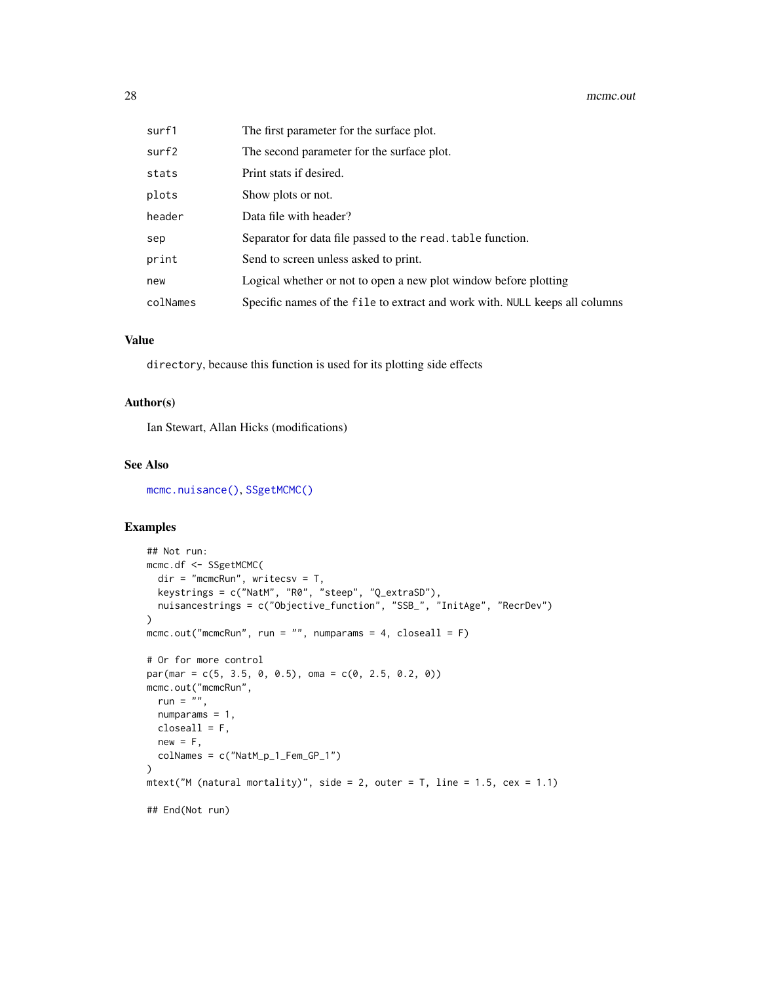| surf1    | The first parameter for the surface plot.                                   |
|----------|-----------------------------------------------------------------------------|
| surf2    | The second parameter for the surface plot.                                  |
| stats    | Print stats if desired.                                                     |
| plots    | Show plots or not.                                                          |
| header   | Data file with header?                                                      |
| sep      | Separator for data file passed to the read. table function.                 |
| print    | Send to screen unless asked to print.                                       |
| new      | Logical whether or not to open a new plot window before plotting            |
| colNames | Specific names of the file to extract and work with. NULL keeps all columns |

#### Value

directory, because this function is used for its plotting side effects

#### Author(s)

Ian Stewart, Allan Hicks (modifications)

#### See Also

[mcmc.nuisance\(\)](#page-24-1), [SSgetMCMC\(\)](#page-44-1)

#### Examples

```
## Not run:
mcmc.df <- SSgetMCMC(
 dir = "mcmcRun", writecsv = T,
  keystrings = c("NatM", "R0", "steep", "Q_extraSD"),
  nuisancestrings = c("Objective_function", "SSB_", "InitAge", "RecrDev")
\lambdamcmc.out("mcmcRun", run = "", numparams = 4, closeall = F)
# Or for more control
par(max = c(5, 3.5, 0, 0.5), oma = c(0, 2.5, 0.2, 0))mcmc.out("mcmcRun",
  run = ",
  numparams = 1,
  closeall = F,
  new = F,
  colNames = c("NatM_p_1_Fem_GP_1")
\mathcal{L}mtext("M (natural mortality)", side = 2, outer = T, line = 1.5, cex = 1.1)
## End(Not run)
```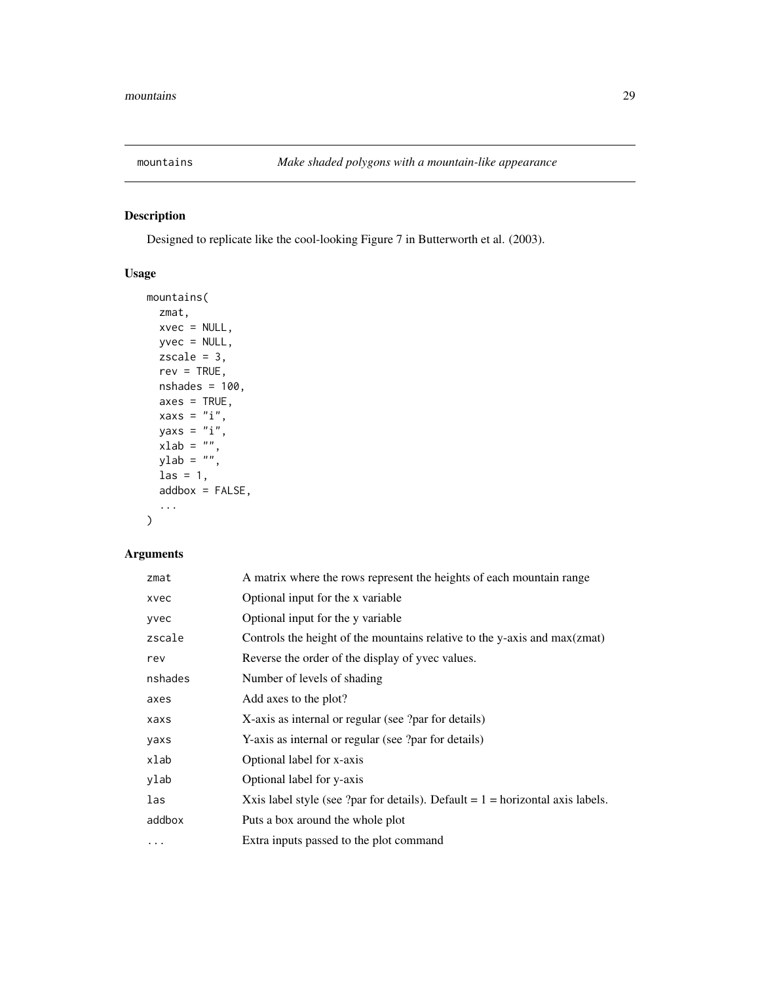<span id="page-28-0"></span>

# Description

Designed to replicate like the cool-looking Figure 7 in Butterworth et al. (2003).

# Usage

```
mountains(
 zmat,
 xvec = NULL,
 yvec = NULL,
 zscale = 3,
 rev = TRUE,nshades = 100,
 axes = TRUE,xaxs = "i",yaxs = "i",xlab = ",
 ylab = ",
 \text{las} = 1,
  addbox = FALSE,...
)
```

| zmat    | A matrix where the rows represent the heights of each mountain range             |
|---------|----------------------------------------------------------------------------------|
| xvec    | Optional input for the x variable                                                |
| yvec    | Optional input for the y variable                                                |
| zscale  | Controls the height of the mountains relative to the y-axis and max(zmat)        |
| rev     | Reverse the order of the display of yvec values.                                 |
| nshades | Number of levels of shading                                                      |
| axes    | Add axes to the plot?                                                            |
| xaxs    | X-axis as internal or regular (see ?par for details)                             |
| yaxs    | Y-axis as internal or regular (see ?par for details)                             |
| xlab    | Optional label for x-axis                                                        |
| ylab    | Optional label for y-axis                                                        |
| las     | Xxis label style (see ?par for details). Default $= 1 =$ horizontal axis labels. |
| addbox  | Puts a box around the whole plot                                                 |
| $\cdot$ | Extra inputs passed to the plot command                                          |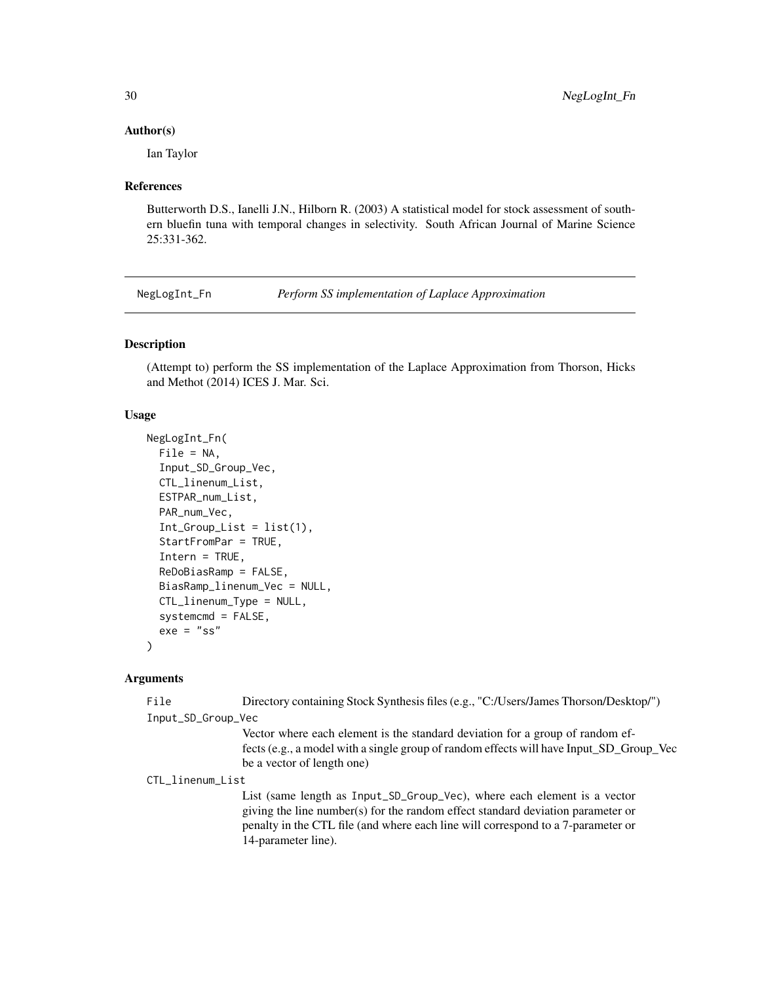#### <span id="page-29-0"></span>Author(s)

Ian Taylor

#### References

Butterworth D.S., Ianelli J.N., Hilborn R. (2003) A statistical model for stock assessment of southern bluefin tuna with temporal changes in selectivity. South African Journal of Marine Science 25:331-362.

<span id="page-29-1"></span>NegLogInt\_Fn *Perform SS implementation of Laplace Approximation*

#### Description

(Attempt to) perform the SS implementation of the Laplace Approximation from Thorson, Hicks and Methot (2014) ICES J. Mar. Sci.

#### Usage

```
NegLogInt_Fn(
  File = NA,
  Input_SD_Group_Vec,
  CTL_linenum_List,
 ESTPAR_num_List,
 PAR_num_Vec,
  Int_Group\_List = list(1),
  StartFromPar = TRUE,
  Intern = TRUE,
  ReDoBiasRamp = FALSE,
  BiasRamp_linenum_Vec = NULL,
  CTL_linenum_Type = NULL,
  systemcmd = FALSE,
  exe = "ss"\lambda
```
#### Arguments

File Directory containing Stock Synthesis files (e.g., "C:/Users/James Thorson/Desktop/") Input\_SD\_Group\_Vec

> Vector where each element is the standard deviation for a group of random effects (e.g., a model with a single group of random effects will have Input\_SD\_Group\_Vec be a vector of length one)

CTL\_linenum\_List

List (same length as Input\_SD\_Group\_Vec), where each element is a vector giving the line number(s) for the random effect standard deviation parameter or penalty in the CTL file (and where each line will correspond to a 7-parameter or 14-parameter line).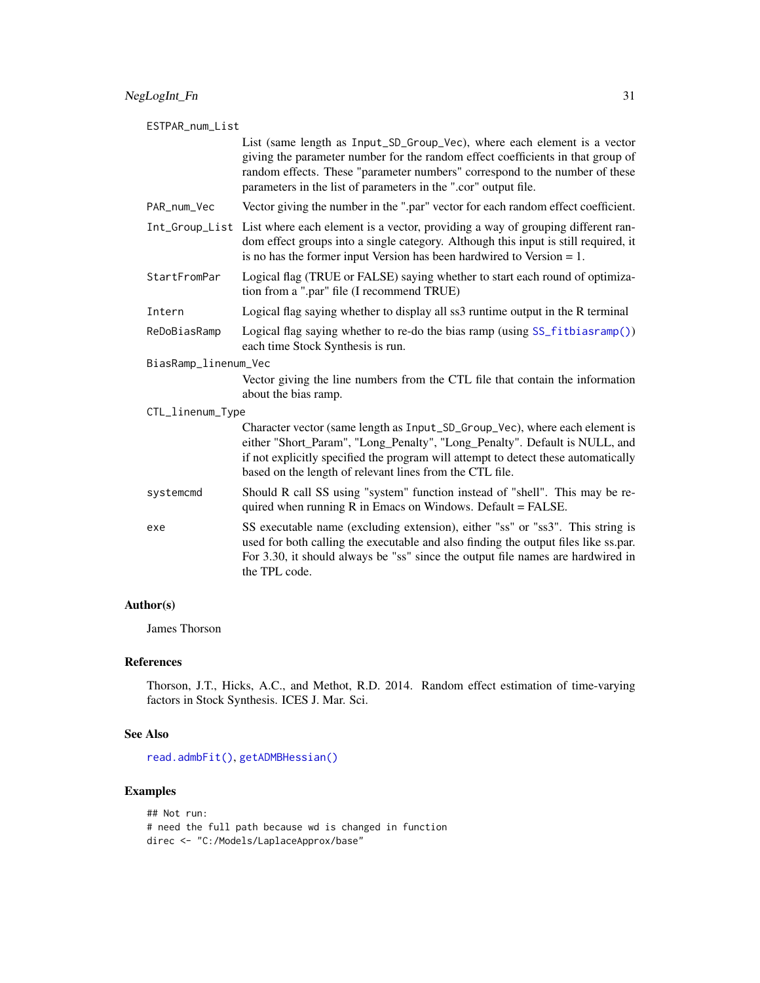| ESTPAR_num_List      |                                                                                                                                                                                                                                                                                                               |  |
|----------------------|---------------------------------------------------------------------------------------------------------------------------------------------------------------------------------------------------------------------------------------------------------------------------------------------------------------|--|
|                      | List (same length as Input_SD_Group_Vec), where each element is a vector<br>giving the parameter number for the random effect coefficients in that group of<br>random effects. These "parameter numbers" correspond to the number of these<br>parameters in the list of parameters in the ".cor" output file. |  |
| PAR_num_Vec          | Vector giving the number in the ".par" vector for each random effect coefficient.                                                                                                                                                                                                                             |  |
|                      | Int_Group_List List where each element is a vector, providing a way of grouping different ran-<br>dom effect groups into a single category. Although this input is still required, it<br>is no has the former input Version has been hardwired to Version $= 1$ .                                             |  |
| StartFromPar         | Logical flag (TRUE or FALSE) saying whether to start each round of optimiza-<br>tion from a ".par" file (I recommend TRUE)                                                                                                                                                                                    |  |
| Intern               | Logical flag saying whether to display all ss3 runtime output in the R terminal                                                                                                                                                                                                                               |  |
| ReDoBiasRamp         | Logical flag saying whether to re-do the bias ramp (using SS_fitbiasramp())<br>each time Stock Synthesis is run.                                                                                                                                                                                              |  |
| BiasRamp_linenum_Vec |                                                                                                                                                                                                                                                                                                               |  |
|                      | Vector giving the line numbers from the CTL file that contain the information<br>about the bias ramp.                                                                                                                                                                                                         |  |
| CTL_linenum_Type     |                                                                                                                                                                                                                                                                                                               |  |
|                      | Character vector (same length as Input_SD_Group_Vec), where each element is<br>either "Short_Param", "Long_Penalty", "Long_Penalty". Default is NULL, and<br>if not explicitly specified the program will attempt to detect these automatically<br>based on the length of relevant lines from the CTL file.   |  |
| systemcmd            | Should R call SS using "system" function instead of "shell". This may be re-<br>quired when running $R$ in Emacs on Windows. Default = FALSE.                                                                                                                                                                 |  |
| exe                  | SS executable name (excluding extension), either "ss" or "ss3". This string is<br>used for both calling the executable and also finding the output files like ss.par.<br>For 3.30, it should always be "ss" since the output file names are hardwired in<br>the TPL code.                                     |  |

# Author(s)

James Thorson

# References

Thorson, J.T., Hicks, A.C., and Methot, R.D. 2014. Random effect estimation of time-varying factors in Stock Synthesis. ICES J. Mar. Sci.

# See Also

[read.admbFit\(\)](#page-36-1), [getADMBHessian\(\)](#page-12-1)

# Examples

## Not run: # need the full path because wd is changed in function direc <- "C:/Models/LaplaceApprox/base"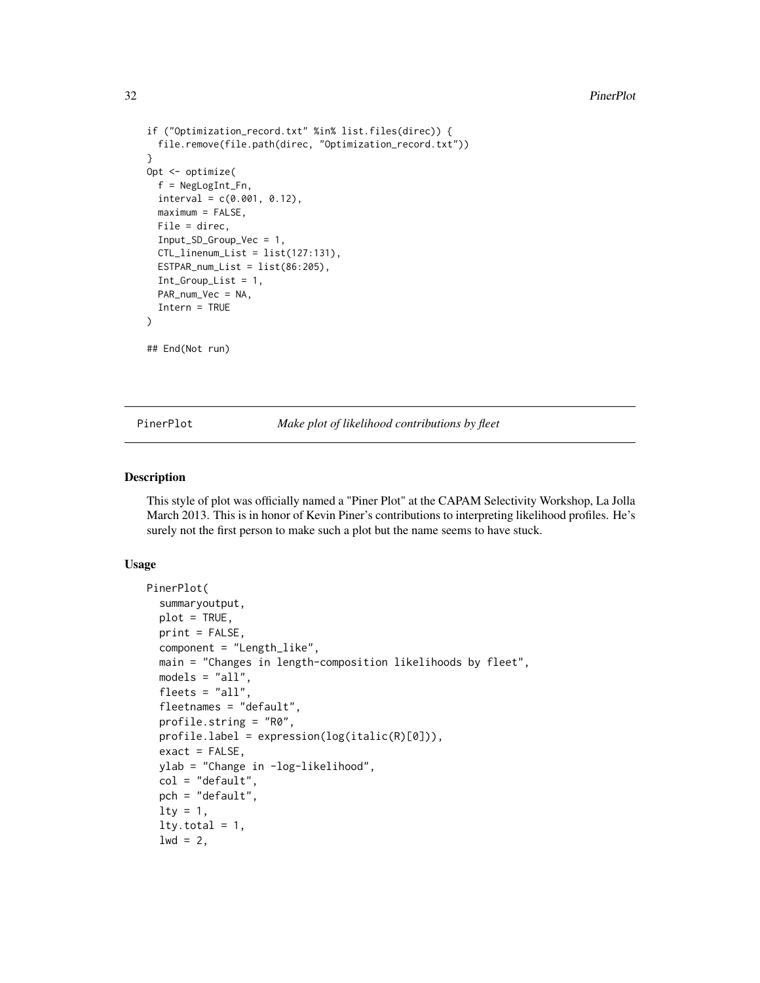#### 32 PinerPlot

```
if ("Optimization_record.txt" %in% list.files(direc)) {
  file.remove(file.path(direc, "Optimization_record.txt"))
}
Opt <- optimize(
  f = NegLogInt_Fn,
  interval = c(0.001, 0.12),
  maximum = FALSE,File = direc,
  Input_SD_Group_Vec = 1,
  CTL_linenum_List = list(127:131),
  ESTPAR_number = list(86:205),
  Int_Group_List = 1,
  PAR_num_Vec = NA,
  Intern = TRUE
)
## End(Not run)
```
PinerPlot *Make plot of likelihood contributions by fleet*

#### **Description**

This style of plot was officially named a "Piner Plot" at the CAPAM Selectivity Workshop, La Jolla March 2013. This is in honor of Kevin Piner's contributions to interpreting likelihood profiles. He's surely not the first person to make such a plot but the name seems to have stuck.

#### Usage

```
PinerPlot(
  summaryoutput,
  plot = TRUE,
  print = FALSE,
  component = "Length_like",
  main = "Changes in length-composition likelihoods by fleet",
  models = "all",fleets = "all",
  fleetnames = "default",
  profile.string = "R0",
  profile.label = expression(log(italic(R)[0])),
  exact = FALSE,ylab = "Change in -log-likelihood",
  col = "default",pch = "default",
  lty = 1,lty.total = 1,1wd = 2,
```
<span id="page-31-0"></span>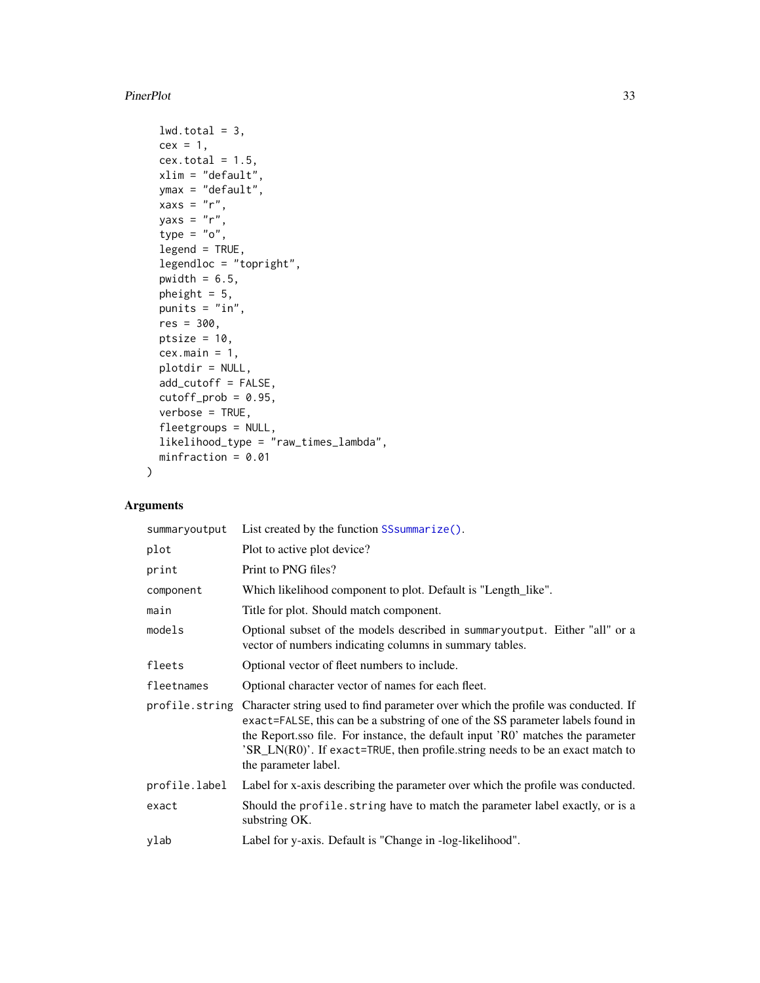#### PinerPlot 33

```
lwd.total = 3,
 cex = 1,
 cex.total = 1.5,
 xlim = "default",
 ymax = "default",
 xaxs = "r",yaxs = "r",type = "o",legend = TRUE,
  legendloc = "topright",
 pwidth = 6.5,
 pheight = 5,
 punits = "in",
 res = 300,
 ptsize = 10,
  cex.mainloop = 1,
 plotdir = NULL,
  add_cutoff = FALSE,
 cutoff\_prob = 0.95,verbose = TRUE,
  fleetgroups = NULL,
 likelihood_type = "raw_times_lambda",
 minfraction = 0.01\mathcal{L}
```

| summaryoutput | List created by the function SS summarize().                                                                                                                                                                                                                                                                                                                                   |
|---------------|--------------------------------------------------------------------------------------------------------------------------------------------------------------------------------------------------------------------------------------------------------------------------------------------------------------------------------------------------------------------------------|
| plot          | Plot to active plot device?                                                                                                                                                                                                                                                                                                                                                    |
| print         | Print to PNG files?                                                                                                                                                                                                                                                                                                                                                            |
| component     | Which likelihood component to plot. Default is "Length_like".                                                                                                                                                                                                                                                                                                                  |
| main          | Title for plot. Should match component.                                                                                                                                                                                                                                                                                                                                        |
| models        | Optional subset of the models described in summaryoutput. Either "all" or a<br>vector of numbers indicating columns in summary tables.                                                                                                                                                                                                                                         |
| fleets        | Optional vector of fleet numbers to include.                                                                                                                                                                                                                                                                                                                                   |
| fleetnames    | Optional character vector of names for each fleet.                                                                                                                                                                                                                                                                                                                             |
|               | profile.string Character string used to find parameter over which the profile was conducted. If<br>exact=FALSE, this can be a substring of one of the SS parameter labels found in<br>the Report sso file. For instance, the default input 'RO' matches the parameter<br>'SR_LN(R0)'. If exact=TRUE, then profile.string needs to be an exact match to<br>the parameter label. |
| profile.label | Label for x-axis describing the parameter over which the profile was conducted.                                                                                                                                                                                                                                                                                                |
| exact         | Should the profile. string have to match the parameter label exactly, or is a<br>substring OK.                                                                                                                                                                                                                                                                                 |
| ylab          | Label for y-axis. Default is "Change in -log-likelihood".                                                                                                                                                                                                                                                                                                                      |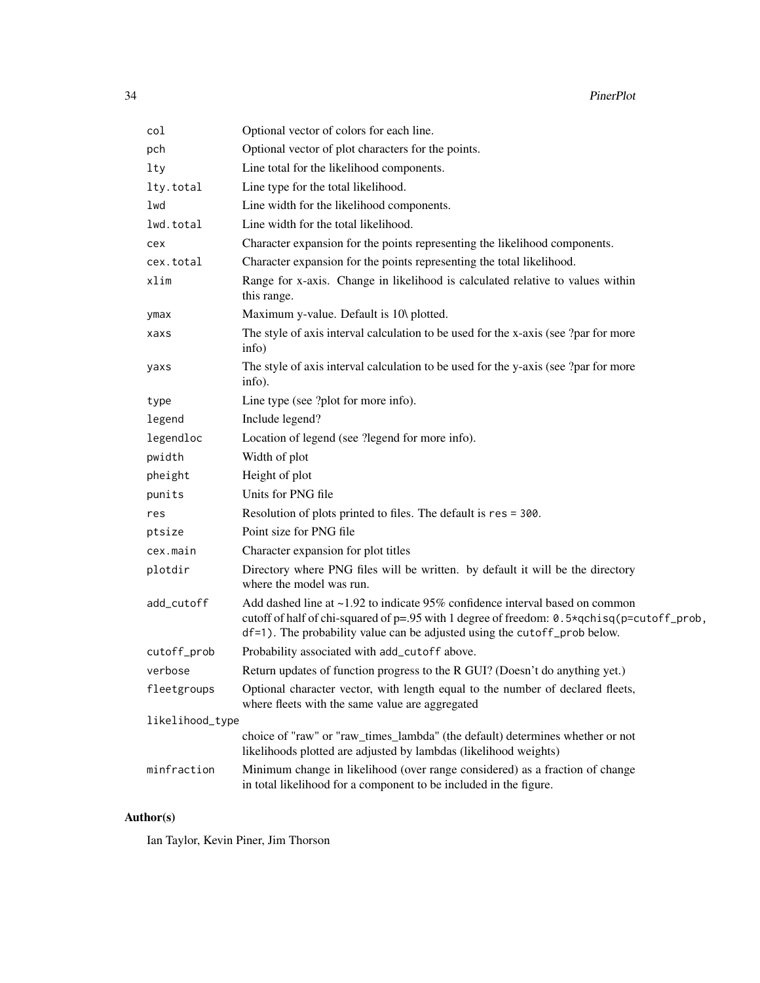| col             | Optional vector of colors for each line.                                                                                                                                                                                                                      |  |
|-----------------|---------------------------------------------------------------------------------------------------------------------------------------------------------------------------------------------------------------------------------------------------------------|--|
| pch             | Optional vector of plot characters for the points.                                                                                                                                                                                                            |  |
| lty             | Line total for the likelihood components.                                                                                                                                                                                                                     |  |
| lty.total       | Line type for the total likelihood.                                                                                                                                                                                                                           |  |
| lwd             | Line width for the likelihood components.                                                                                                                                                                                                                     |  |
| lwd.total       | Line width for the total likelihood.                                                                                                                                                                                                                          |  |
| cex             | Character expansion for the points representing the likelihood components.                                                                                                                                                                                    |  |
| cex.total       | Character expansion for the points representing the total likelihood.                                                                                                                                                                                         |  |
| xlim            | Range for x-axis. Change in likelihood is calculated relative to values within<br>this range.                                                                                                                                                                 |  |
| ymax            | Maximum y-value. Default is 10\ plotted.                                                                                                                                                                                                                      |  |
| xaxs            | The style of axis interval calculation to be used for the x-axis (see ?par for more<br>info)                                                                                                                                                                  |  |
| yaxs            | The style of axis interval calculation to be used for the y-axis (see ?par for more<br>info).                                                                                                                                                                 |  |
| type            | Line type (see ?plot for more info).                                                                                                                                                                                                                          |  |
| legend          | Include legend?                                                                                                                                                                                                                                               |  |
| legendloc       | Location of legend (see ?legend for more info).                                                                                                                                                                                                               |  |
| pwidth          | Width of plot                                                                                                                                                                                                                                                 |  |
| pheight         | Height of plot                                                                                                                                                                                                                                                |  |
| punits          | Units for PNG file                                                                                                                                                                                                                                            |  |
| res             | Resolution of plots printed to files. The default is res = 300.                                                                                                                                                                                               |  |
| ptsize          | Point size for PNG file                                                                                                                                                                                                                                       |  |
| cex.main        | Character expansion for plot titles                                                                                                                                                                                                                           |  |
| plotdir         | Directory where PNG files will be written. by default it will be the directory<br>where the model was run.                                                                                                                                                    |  |
| add_cutoff      | Add dashed line at $\sim$ 1.92 to indicate 95% confidence interval based on common<br>cutoff of half of chi-squared of p=.95 with 1 degree of freedom: 0.5*qchisq(p=cutoff_prob,<br>df=1). The probability value can be adjusted using the cutoff_prob below. |  |
| cutoff_prob     | Probability associated with add_cutoff above.                                                                                                                                                                                                                 |  |
| verbose         | Return updates of function progress to the R GUI? (Doesn't do anything yet.)                                                                                                                                                                                  |  |
| fleetgroups     | Optional character vector, with length equal to the number of declared fleets,<br>where fleets with the same value are aggregated                                                                                                                             |  |
| likelihood_type |                                                                                                                                                                                                                                                               |  |
|                 | choice of "raw" or "raw_times_lambda" (the default) determines whether or not<br>likelihoods plotted are adjusted by lambdas (likelihood weights)                                                                                                             |  |
| minfraction     | Minimum change in likelihood (over range considered) as a fraction of change<br>in total likelihood for a component to be included in the figure.                                                                                                             |  |

# Author(s)

Ian Taylor, Kevin Piner, Jim Thorson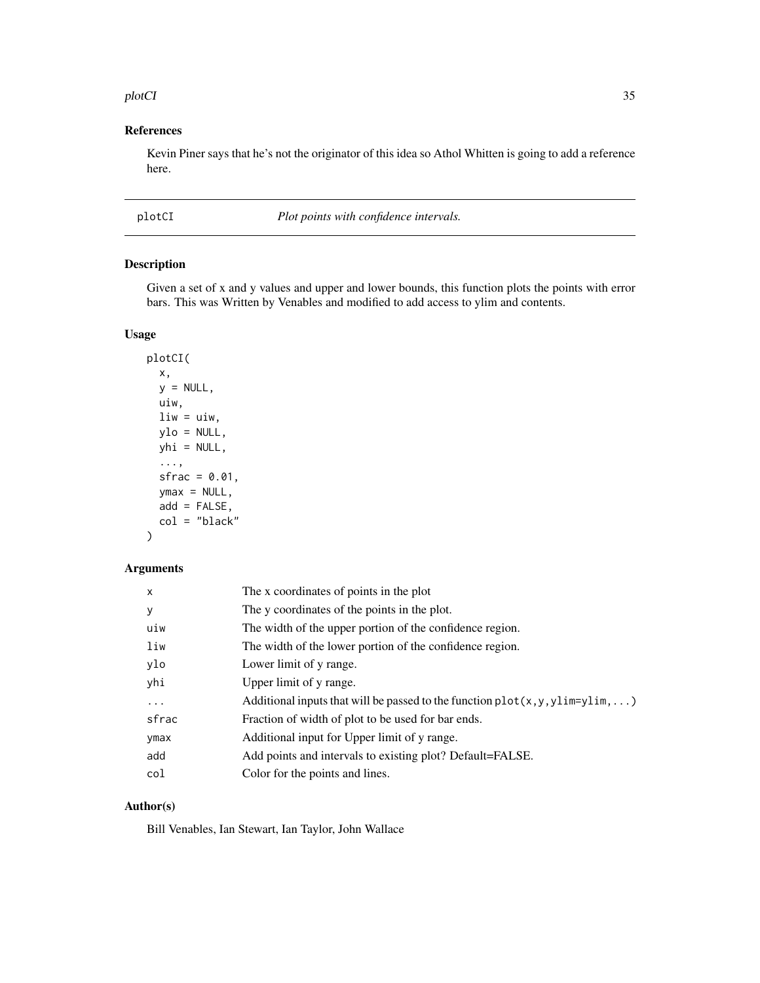#### <span id="page-34-0"></span>plotCI 35

# References

Kevin Piner says that he's not the originator of this idea so Athol Whitten is going to add a reference here.

plotCI *Plot points with confidence intervals.*

# Description

Given a set of x and y values and upper and lower bounds, this function plots the points with error bars. This was Written by Venables and modified to add access to ylim and contents.

#### Usage

```
plotCI(
  x,
  y = NULL,uiw,
 \ln w = u \cdot w,
 ylo = NULL,
 yhi = NULL,
  ...,
  sfrac = 0.01,ymax = NULL,add = FALSE,col = "black")
```
#### Arguments

| $\times$ | The x coordinates of points in the plot                                          |
|----------|----------------------------------------------------------------------------------|
| У        | The y coordinates of the points in the plot.                                     |
| uiw      | The width of the upper portion of the confidence region.                         |
| liw      | The width of the lower portion of the confidence region.                         |
| ylo      | Lower limit of y range.                                                          |
| yhi      | Upper limit of y range.                                                          |
| $\cdots$ | Additional inputs that will be passed to the function $plot(x, y, y)$ im=ylim, ) |
| sfrac    | Fraction of width of plot to be used for bar ends.                               |
| ymax     | Additional input for Upper limit of y range.                                     |
| add      | Add points and intervals to existing plot? Default=FALSE.                        |
| col      | Color for the points and lines.                                                  |

# Author(s)

Bill Venables, Ian Stewart, Ian Taylor, John Wallace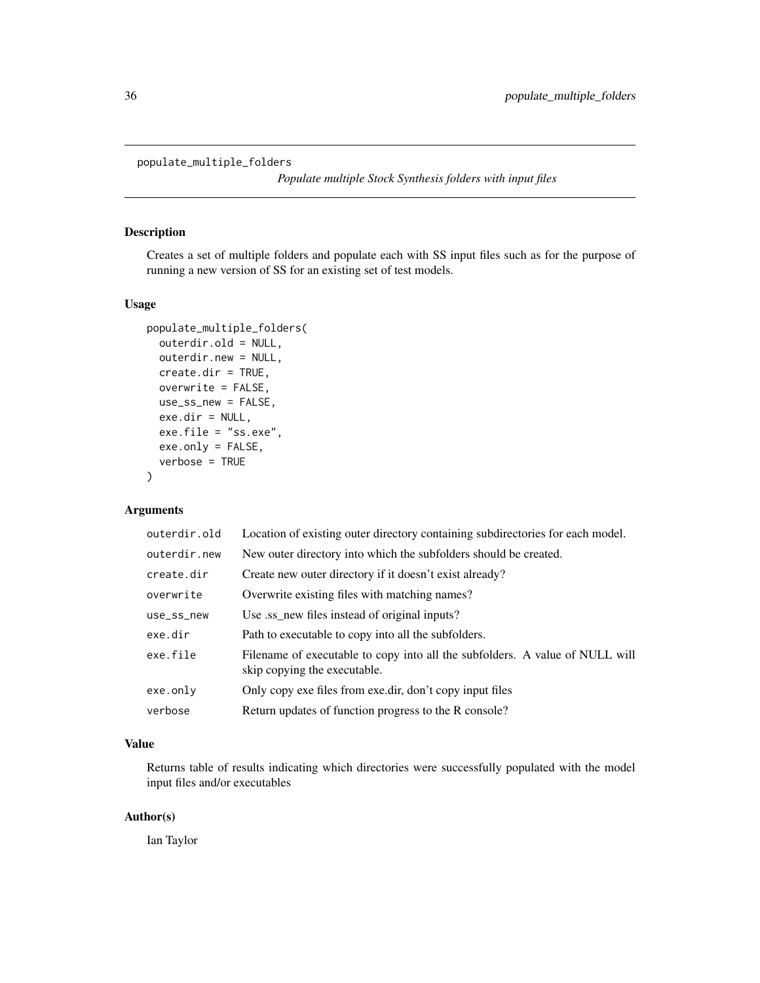<span id="page-35-0"></span>populate\_multiple\_folders

*Populate multiple Stock Synthesis folders with input files*

# Description

Creates a set of multiple folders and populate each with SS input files such as for the purpose of running a new version of SS for an existing set of test models.

#### Usage

```
populate_multiple_folders(
  outerdir.old = NULL,
  outerdir.new = NULL,
  create.dir = TRUE,
  overwrite = FALSE,
  use_ss_new = FALSE,
  exe.dir = NULL,
  exe.file = "ss.exe",
  exe.only = FALSE,
  verbose = TRUE
)
```
# Arguments

| outerdir.old | Location of existing outer directory containing subdirectories for each model.                               |
|--------------|--------------------------------------------------------------------------------------------------------------|
| outerdir.new | New outer directory into which the subfolders should be created.                                             |
| create.dir   | Create new outer directory if it doesn't exist already?                                                      |
| overwrite    | Overwrite existing files with matching names?                                                                |
| use_ss_new   | Use ss_new files instead of original inputs?                                                                 |
| exe.dir      | Path to executable to copy into all the subfolders.                                                          |
| exe.file     | Filename of executable to copy into all the subfolders. A value of NULL will<br>skip copying the executable. |
| exe.only     | Only copy exe files from exe.dir, don't copy input files                                                     |
| verbose      | Return updates of function progress to the R console?                                                        |

#### Value

Returns table of results indicating which directories were successfully populated with the model input files and/or executables

# Author(s)

Ian Taylor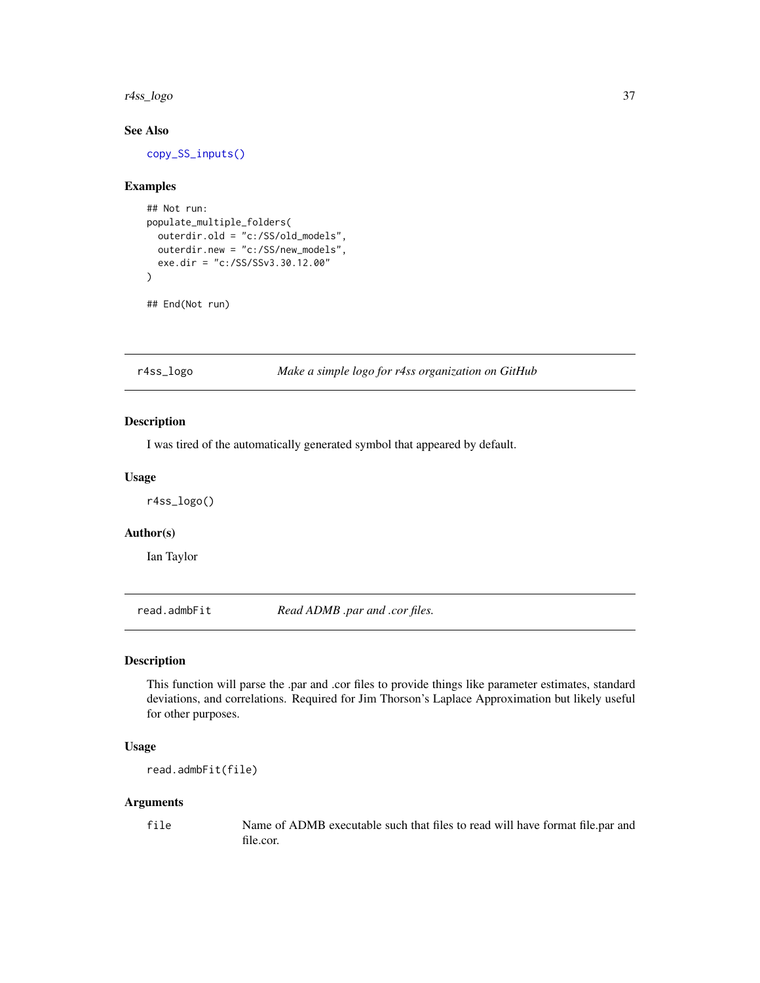#### r4ss\_logo 37

## See Also

[copy\\_SS\\_inputs\(\)](#page-8-0)

## Examples

```
## Not run:
populate_multiple_folders(
  outerdir.old = "c:/SS/old_models",
  outerdir.new = "c:/SS/new_models",
  exe.dir = "c:/SS/SSv3.30.12.00"
)
## End(Not run)
```
r4ss\_logo *Make a simple logo for r4ss organization on GitHub*

## Description

I was tired of the automatically generated symbol that appeared by default.

## Usage

r4ss\_logo()

## Author(s)

Ian Taylor

read.admbFit *Read ADMB .par and .cor files.*

## Description

This function will parse the .par and .cor files to provide things like parameter estimates, standard deviations, and correlations. Required for Jim Thorson's Laplace Approximation but likely useful for other purposes.

#### Usage

read.admbFit(file)

#### Arguments

file Name of ADMB executable such that files to read will have format file.par and file.cor.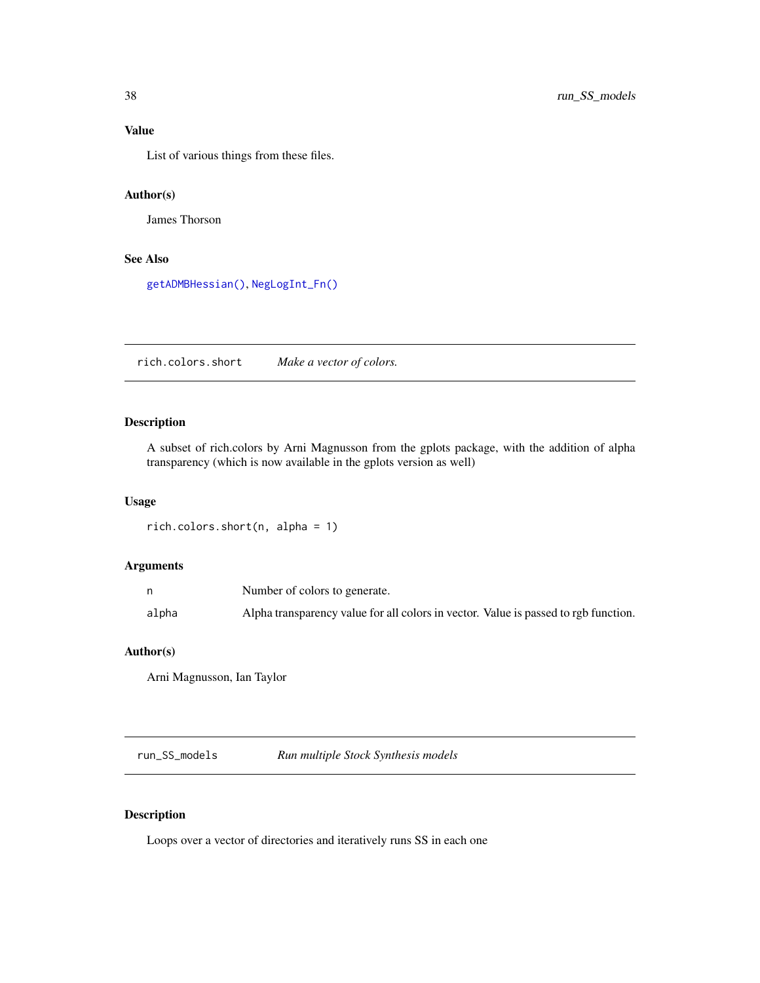# Value

List of various things from these files.

## Author(s)

James Thorson

# See Also

[getADMBHessian\(\)](#page-12-0), [NegLogInt\\_Fn\(\)](#page-29-0)

rich.colors.short *Make a vector of colors.*

# Description

A subset of rich.colors by Arni Magnusson from the gplots package, with the addition of alpha transparency (which is now available in the gplots version as well)

## Usage

```
rich.colors.short(n, alpha = 1)
```
# Arguments

|       | Number of colors to generate.                                                       |  |
|-------|-------------------------------------------------------------------------------------|--|
| alpha | Alpha transparency value for all colors in vector. Value is passed to rgb function. |  |

## Author(s)

Arni Magnusson, Ian Taylor

run\_SS\_models *Run multiple Stock Synthesis models*

## Description

Loops over a vector of directories and iteratively runs SS in each one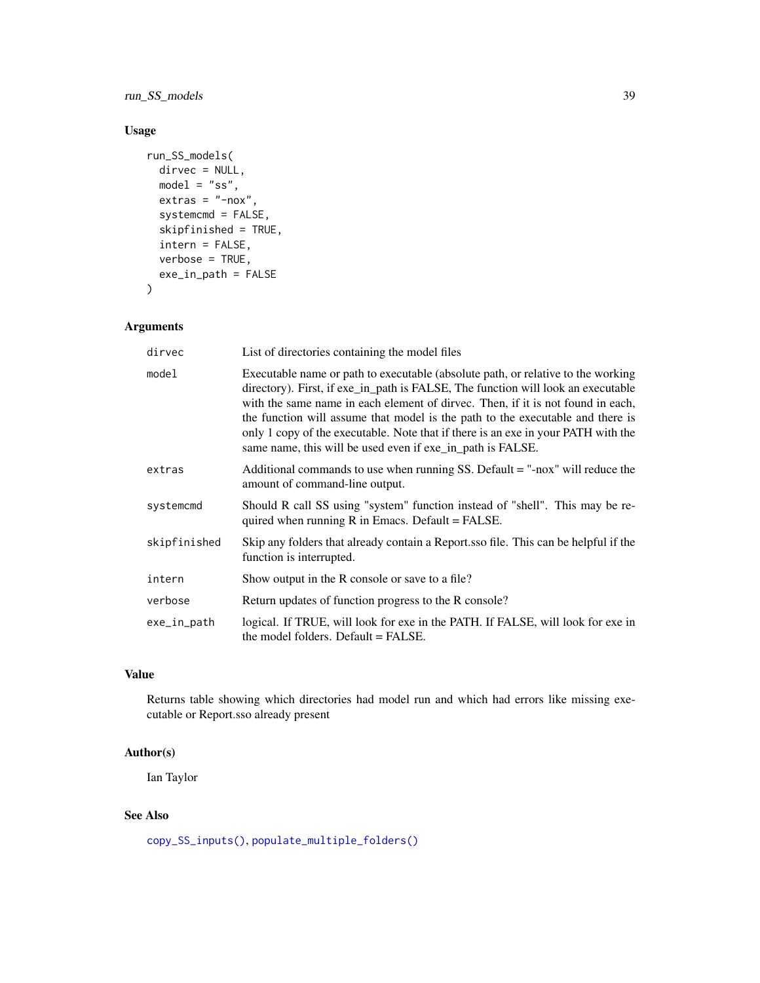run\_SS\_models 39

# Usage

```
run_SS_models(
 dirvec = NULL,
 model = "ss",extras = "-nox",systemcmd = FALSE,
  skipfinished = TRUE,
  intern = FALSE,
 verbose = TRUE,
 exe_in_path = FALSE
)
```
# Arguments

| dirvec       | List of directories containing the model files                                                                                                                                                                                                                                                                                                                                                                                                                                               |
|--------------|----------------------------------------------------------------------------------------------------------------------------------------------------------------------------------------------------------------------------------------------------------------------------------------------------------------------------------------------------------------------------------------------------------------------------------------------------------------------------------------------|
| model        | Executable name or path to executable (absolute path, or relative to the working<br>directory). First, if exe_in_path is FALSE, The function will look an executable<br>with the same name in each element of dirvec. Then, if it is not found in each,<br>the function will assume that model is the path to the executable and there is<br>only 1 copy of the executable. Note that if there is an exe in your PATH with the<br>same name, this will be used even if exe in path is FALSE. |
| extras       | Additional commands to use when running SS. Default $=$ "-nox" will reduce the<br>amount of command-line output.                                                                                                                                                                                                                                                                                                                                                                             |
| systemcmd    | Should R call SS using "system" function instead of "shell". This may be re-<br>quired when running $R$ in Emacs. Default = FALSE.                                                                                                                                                                                                                                                                                                                                                           |
| skipfinished | Skip any folders that already contain a Report sso file. This can be helpful if the<br>function is interrupted.                                                                                                                                                                                                                                                                                                                                                                              |
| intern       | Show output in the R console or save to a file?                                                                                                                                                                                                                                                                                                                                                                                                                                              |
| verbose      | Return updates of function progress to the R console?                                                                                                                                                                                                                                                                                                                                                                                                                                        |
| exe_in_path  | logical. If TRUE, will look for exe in the PATH. If FALSE, will look for exe in<br>the model folders. Default = FALSE.                                                                                                                                                                                                                                                                                                                                                                       |

## Value

Returns table showing which directories had model run and which had errors like missing executable or Report.sso already present

## Author(s)

Ian Taylor

## See Also

[copy\\_SS\\_inputs\(\)](#page-8-0), [populate\\_multiple\\_folders\(\)](#page-35-0)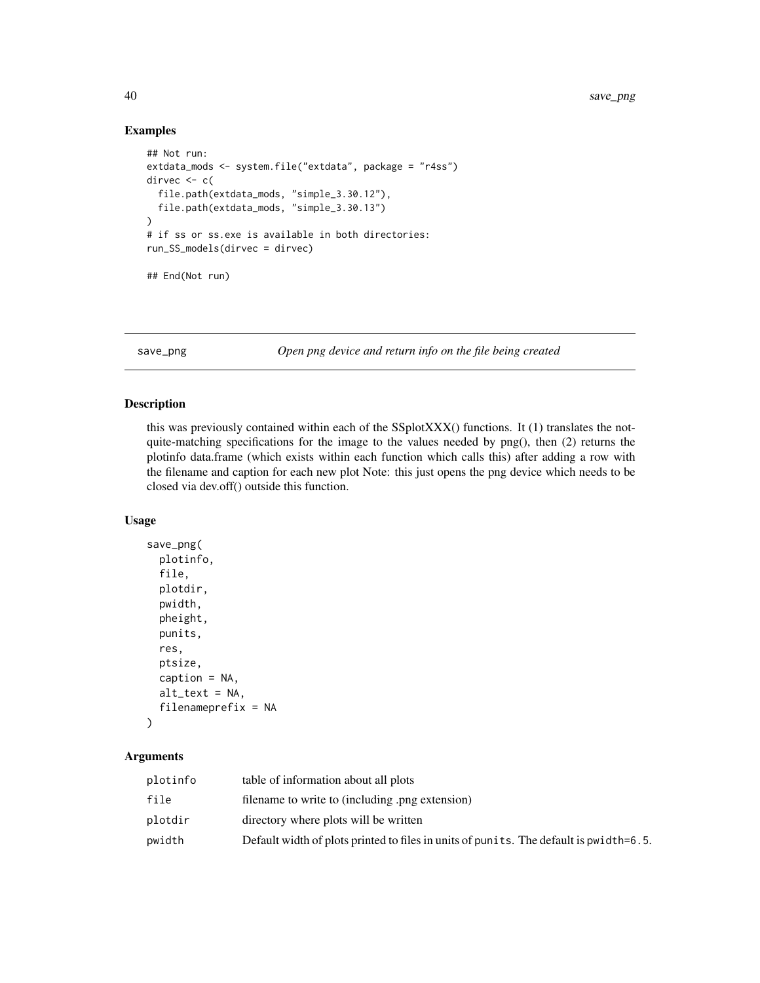## Examples

```
## Not run:
extdata_mods <- system.file("extdata", package = "r4ss")
dirvec <-c(file.path(extdata_mods, "simple_3.30.12"),
  file.path(extdata_mods, "simple_3.30.13")
)
# if ss or ss.exe is available in both directories:
run_SS_models(dirvec = dirvec)
## End(Not run)
```
save\_png *Open png device and return info on the file being created*

# Description

this was previously contained within each of the SSplotXXX() functions. It (1) translates the notquite-matching specifications for the image to the values needed by png(), then (2) returns the plotinfo data.frame (which exists within each function which calls this) after adding a row with the filename and caption for each new plot Note: this just opens the png device which needs to be closed via dev.off() outside this function.

#### Usage

```
save_png(
 plotinfo,
 file,
 plotdir,
 pwidth,
 pheight,
 punits,
  res,
 ptsize,
 caption = NA,
  alt\_text = NA,
  filenameprefix = NA
)
```

| plotinfo | table of information about all plots                                                   |
|----------|----------------------------------------------------------------------------------------|
| file     | filename to write to (including .png extension)                                        |
| plotdir  | directory where plots will be written                                                  |
| pwidth   | Default width of plots printed to files in units of punits. The default is pwidth=6.5. |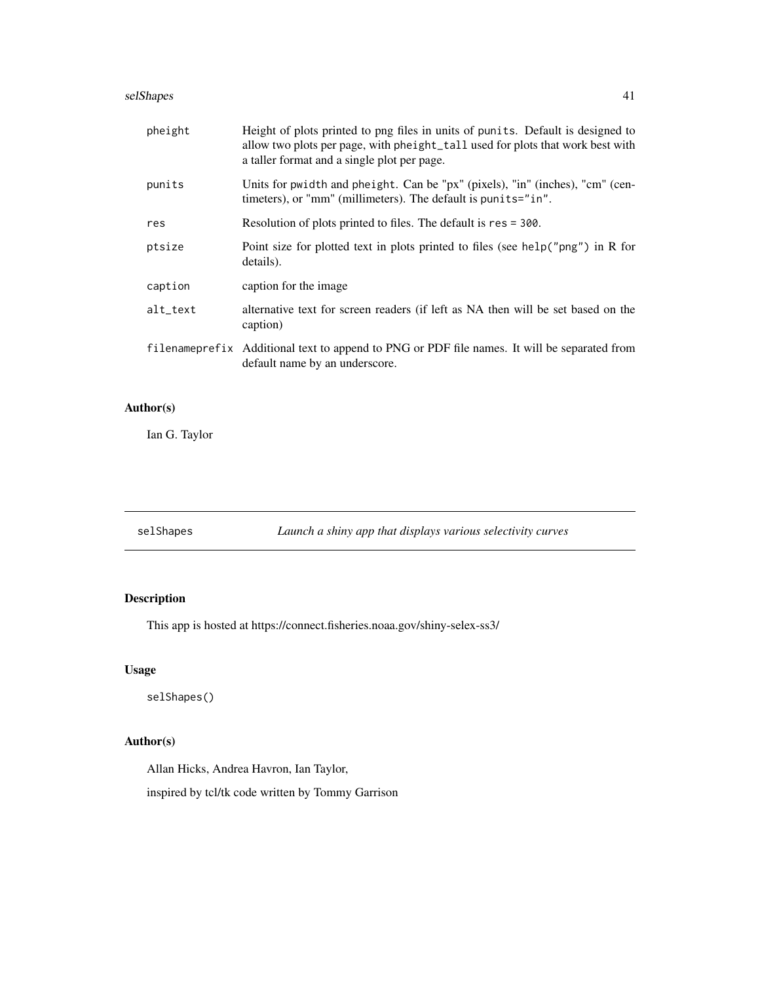#### selShapes 41

| pheight  | Height of plots printed to png files in units of punits. Default is designed to<br>allow two plots per page, with pheight_tall used for plots that work best with<br>a taller format and a single plot per page. |
|----------|------------------------------------------------------------------------------------------------------------------------------------------------------------------------------------------------------------------|
| punits   | Units for pwidth and pheight. Can be "px" (pixels), "in" (inches), "cm" (cen-<br>timeters), or "mm" (millimeters). The default is punits="in".                                                                   |
| res      | Resolution of plots printed to files. The default is res = 300.                                                                                                                                                  |
| ptsize   | Point size for plotted text in plots printed to files (see help("png") in R for<br>details).                                                                                                                     |
| caption  | caption for the image.                                                                                                                                                                                           |
| alt_text | alternative text for screen readers (if left as NA then will be set based on the<br>caption)                                                                                                                     |
|          | filename prefix Additional text to append to PNG or PDF file names. It will be separated from<br>default name by an underscore.                                                                                  |

# Author(s)

Ian G. Taylor

selShapes *Launch a shiny app that displays various selectivity curves*

# Description

This app is hosted at https://connect.fisheries.noaa.gov/shiny-selex-ss3/

# Usage

selShapes()

# Author(s)

Allan Hicks, Andrea Havron, Ian Taylor,

inspired by tcl/tk code written by Tommy Garrison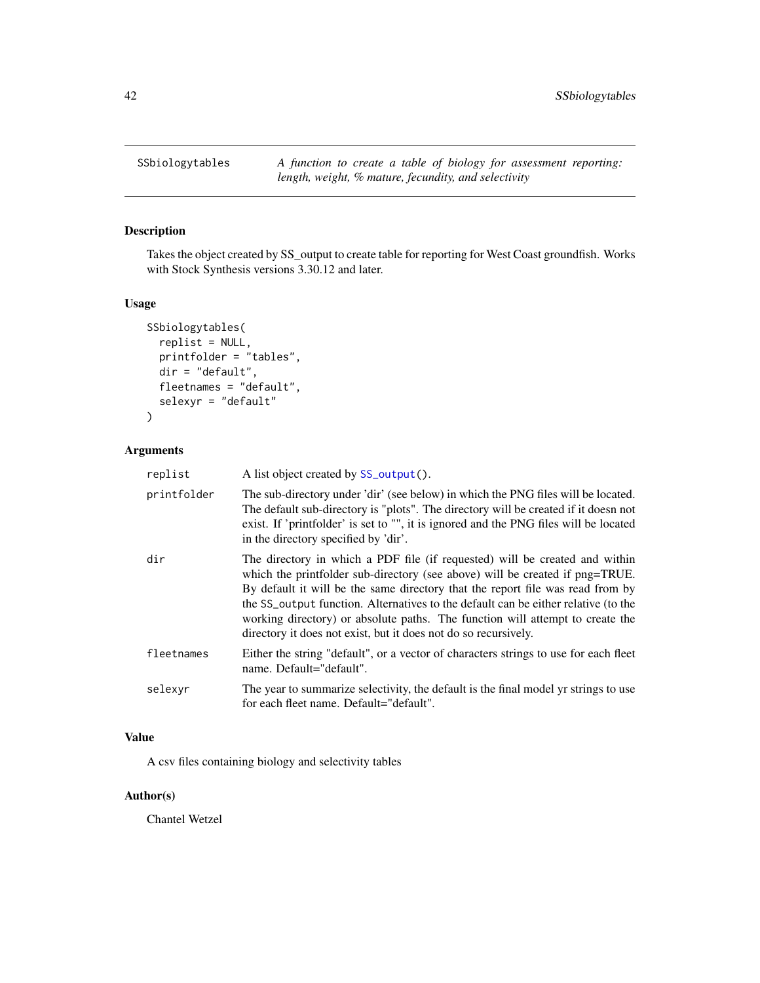# Description

Takes the object created by SS\_output to create table for reporting for West Coast groundfish. Works with Stock Synthesis versions 3.30.12 and later.

# Usage

```
SSbiologytables(
  replist = NULL,
 printfolder = "tables",
 dir = "default",
  fleetnames = "default",
  selexyr = "default"
)
```
# Arguments

| replist     | A list object created by SS_output().                                                                                                                                                                                                                                                                                                                                                                                                                                                   |
|-------------|-----------------------------------------------------------------------------------------------------------------------------------------------------------------------------------------------------------------------------------------------------------------------------------------------------------------------------------------------------------------------------------------------------------------------------------------------------------------------------------------|
| printfolder | The sub-directory under 'dir' (see below) in which the PNG files will be located.<br>The default sub-directory is "plots". The directory will be created if it doesn not<br>exist. If 'printfolder' is set to "", it is ignored and the PNG files will be located<br>in the directory specified by 'dir'.                                                                                                                                                                               |
| dir         | The directory in which a PDF file (if requested) will be created and within<br>which the printfolder sub-directory (see above) will be created if png=TRUE.<br>By default it will be the same directory that the report file was read from by<br>the SS_output function. Alternatives to the default can be either relative (to the<br>working directory) or absolute paths. The function will attempt to create the<br>directory it does not exist, but it does not do so recursively. |
| fleetnames  | Either the string "default", or a vector of characters strings to use for each fleet<br>name. Default="default".                                                                                                                                                                                                                                                                                                                                                                        |
| selexyr     | The year to summarize selectivity, the default is the final model yr strings to use<br>for each fleet name. Default="default".                                                                                                                                                                                                                                                                                                                                                          |

## Value

A csv files containing biology and selectivity tables

# Author(s)

Chantel Wetzel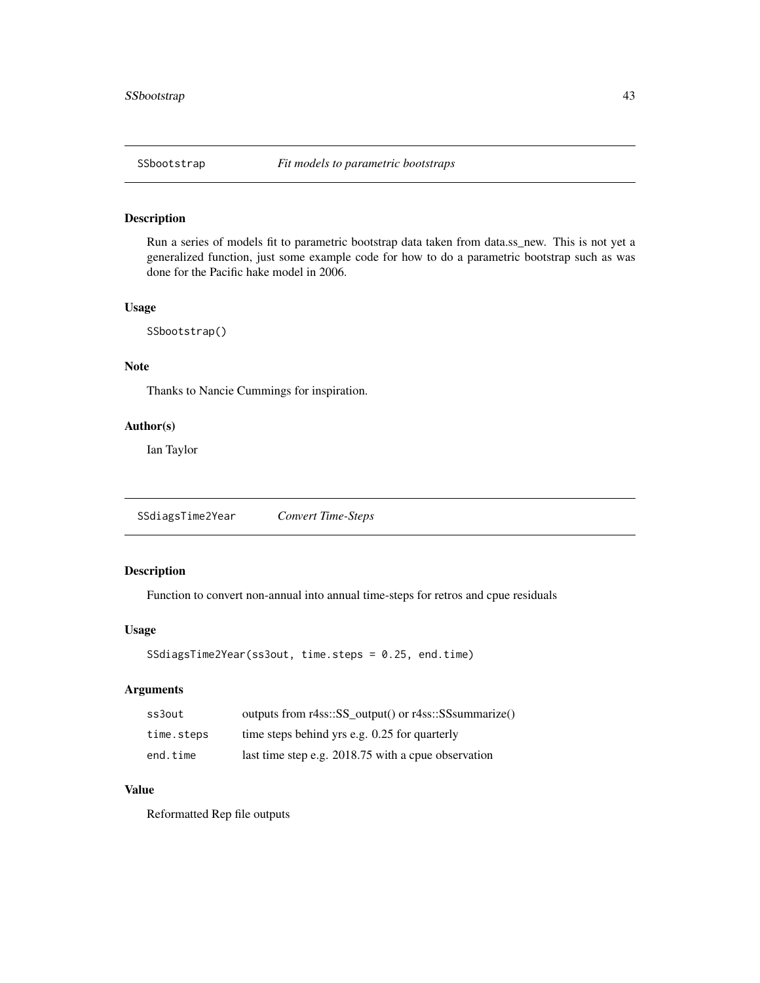# Description

Run a series of models fit to parametric bootstrap data taken from data.ss\_new. This is not yet a generalized function, just some example code for how to do a parametric bootstrap such as was done for the Pacific hake model in 2006.

## Usage

SSbootstrap()

#### Note

Thanks to Nancie Cummings for inspiration.

## Author(s)

Ian Taylor

SSdiagsTime2Year *Convert Time-Steps*

# Description

Function to convert non-annual into annual time-steps for retros and cpue residuals

## Usage

```
SSdiagsTime2Year(ss3out, time.steps = 0.25, end.time)
```
# Arguments

| ss3out     | outputs from r4ss::SS_output() or r4ss::SSsummarize() |
|------------|-------------------------------------------------------|
| time.steps | time steps behind yrs e.g. 0.25 for quarterly         |
| end.time   | last time step e.g. 2018.75 with a cpue observation   |

#### Value

Reformatted Rep file outputs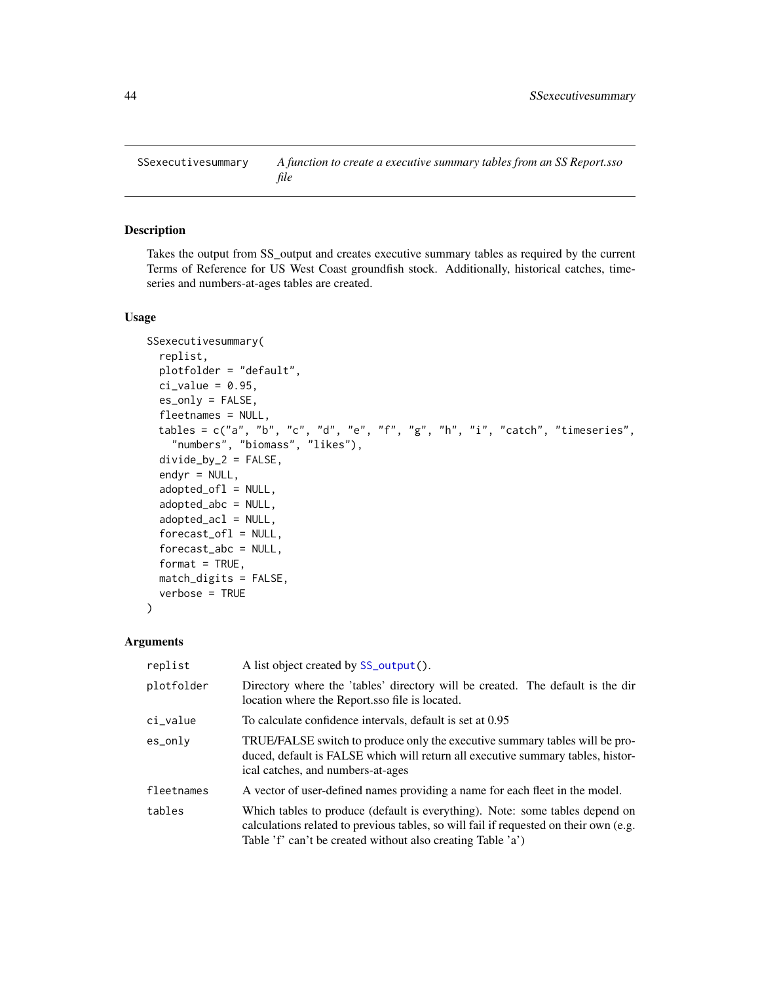SSexecutivesummary *A function to create a executive summary tables from an SS Report.sso file*

#### Description

Takes the output from SS\_output and creates executive summary tables as required by the current Terms of Reference for US West Coast groundfish stock. Additionally, historical catches, timeseries and numbers-at-ages tables are created.

#### Usage

```
SSexecutivesummary(
  replist,
 plotfolder = "default",
  ci_value = 0.95,es_only = FALSE,
  fleetnames = NULL,
  tables = c("a", "b", "c", "d", "e", "f", "g", "h", "i", "catch", "timeseries","numbers", "biomass", "likes"),
  divide_by_2 = FALSE,endyr = NULL,adopted_ofl = NULL,
  adopted_abc = NULL,
  adopted_acl = NULL,
  forceast_of1 = NULL,forecast_abc = NULL,
  format = TRUE,match_digits = FALSE,
  verbose = TRUE
)
```

| replist    | A list object created by SS_output().                                                                                                                                                                                                |
|------------|--------------------------------------------------------------------------------------------------------------------------------------------------------------------------------------------------------------------------------------|
| plotfolder | Directory where the 'tables' directory will be created. The default is the dir<br>location where the Report sso file is located.                                                                                                     |
| ci_value   | To calculate confidence intervals, default is set at 0.95                                                                                                                                                                            |
| es_only    | TRUE/FALSE switch to produce only the executive summary tables will be pro-<br>duced, default is FALSE which will return all executive summary tables, histor-<br>ical catches, and numbers-at-ages                                  |
| fleetnames | A vector of user-defined names providing a name for each fleet in the model.                                                                                                                                                         |
| tables     | Which tables to produce (default is everything). Note: some tables depend on<br>calculations related to previous tables, so will fail if requested on their own (e.g.<br>Table 'f' can't be created without also creating Table 'a') |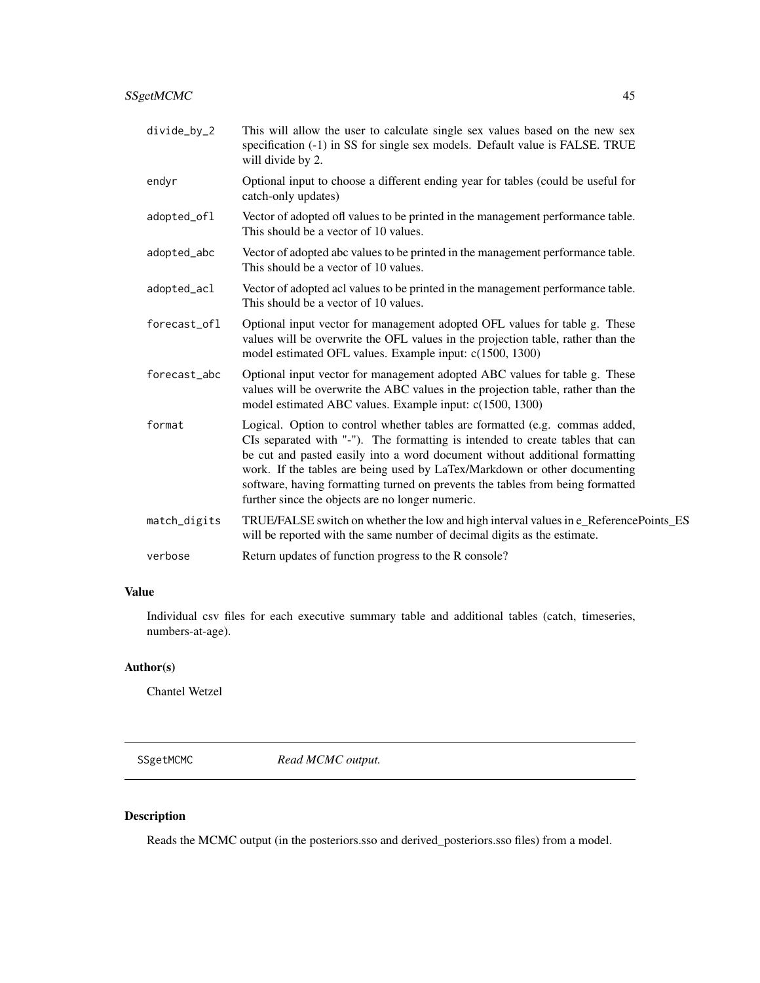- divide\_by\_2 This will allow the user to calculate single sex values based on the new sex specification (-1) in SS for single sex models. Default value is FALSE. TRUE will divide by 2.
- endyr Optional input to choose a different ending year for tables (could be useful for catch-only updates)
- adopted\_ofl Vector of adopted ofl values to be printed in the management performance table. This should be a vector of 10 values.
- adopted\_abc Vector of adopted abc values to be printed in the management performance table. This should be a vector of 10 values.
- adopted\_acl Vector of adopted acl values to be printed in the management performance table. This should be a vector of 10 values.
- forecast\_ofl Optional input vector for management adopted OFL values for table g. These values will be overwrite the OFL values in the projection table, rather than the model estimated OFL values. Example input: c(1500, 1300)
- forecast\_abc Optional input vector for management adopted ABC values for table g. These values will be overwrite the ABC values in the projection table, rather than the model estimated ABC values. Example input: c(1500, 1300)
- format Logical. Option to control whether tables are formatted (e.g. commas added, CIs separated with "-"). The formatting is intended to create tables that can be cut and pasted easily into a word document without additional formatting work. If the tables are being used by LaTex/Markdown or other documenting software, having formatting turned on prevents the tables from being formatted further since the objects are no longer numeric.
- match\_digits TRUE/FALSE switch on whether the low and high interval values in e\_ReferencePoints\_ES will be reported with the same number of decimal digits as the estimate.

verbose Return updates of function progress to the R console?

#### Value

Individual csv files for each executive summary table and additional tables (catch, timeseries, numbers-at-age).

## Author(s)

Chantel Wetzel

SSgetMCMC *Read MCMC output.*

## **Description**

Reads the MCMC output (in the posteriors.sso and derived\_posteriors.sso files) from a model.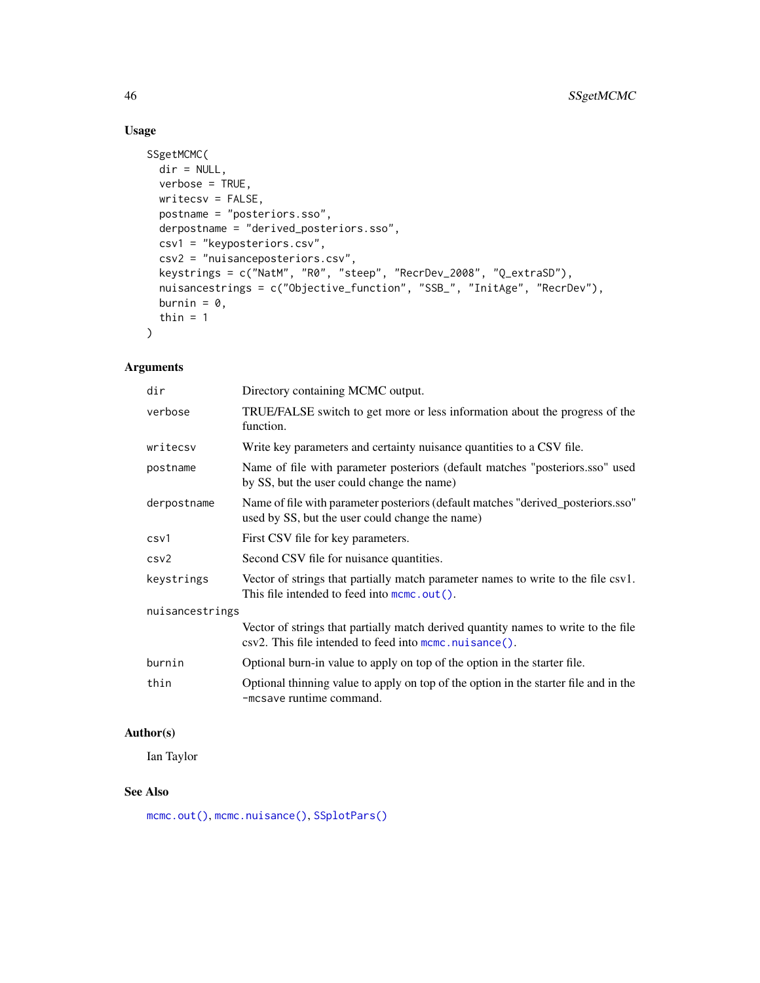# Usage

```
SSgetMCMC(
 dir = NULL,verbose = TRUE,
 writecsv = FALSE,
 postname = "posteriors.sso",
 derpostname = "derived_posteriors.sso",
 csv1 = "keyposteriors.csv",
 csv2 = "nuisanceposteriors.csv",
 keystrings = c("NatM", "R0", "steep", "RecrDev_2008", "Q_extraSD"),
 nuisancestrings = c("Objective_function", "SSB_", "InitAge", "RecrDev"),
 burnin = 0,
 thin = 1\mathcal{L}
```
# Arguments

| dir             | Directory containing MCMC output.                                                                                                            |
|-----------------|----------------------------------------------------------------------------------------------------------------------------------------------|
| verbose         | TRUE/FALSE switch to get more or less information about the progress of the<br>function.                                                     |
| writecsv        | Write key parameters and certainty nuisance quantities to a CSV file.                                                                        |
| postname        | Name of file with parameter posteriors (default matches "posteriors.sso" used<br>by SS, but the user could change the name)                  |
| derpostname     | Name of file with parameter posteriors (default matches "derived_posteriors.sso"<br>used by SS, but the user could change the name)          |
| csv1            | First CSV file for key parameters.                                                                                                           |
| csv2            | Second CSV file for nuisance quantities.                                                                                                     |
| keystrings      | Vector of strings that partially match parameter names to write to the file csv1.<br>This file intended to feed into mcmc.out().             |
| nuisancestrings |                                                                                                                                              |
|                 | Vector of strings that partially match derived quantity names to write to the file<br>csv2. This file intended to feed into momo.nuisance(). |
| burnin          | Optional burn-in value to apply on top of the option in the starter file.                                                                    |
| thin            | Optional thinning value to apply on top of the option in the starter file and in the<br>-mcsave runtime command.                             |

# Author(s)

Ian Taylor

# See Also

[mcmc.out\(\)](#page-25-0), [mcmc.nuisance\(\)](#page-24-0), [SSplotPars\(\)](#page-89-0)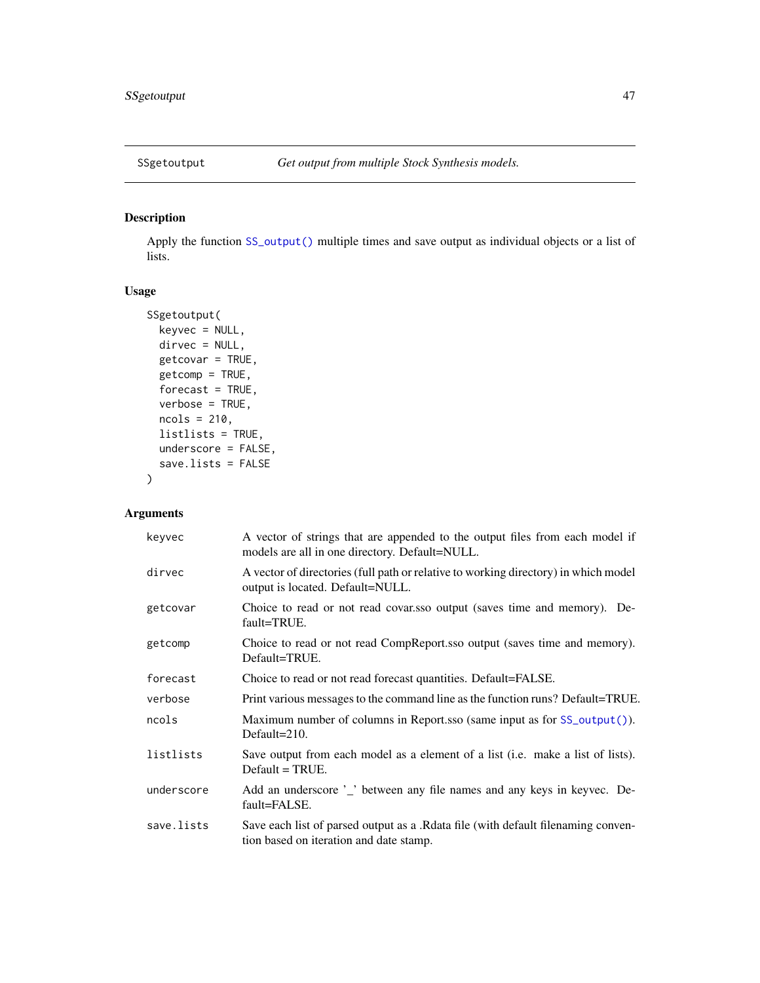<span id="page-46-0"></span>

# Description

Apply the function [SS\\_output\(\)](#page-131-0) multiple times and save output as individual objects or a list of lists.

# Usage

```
SSgetoutput(
 keyvec = NULL,
 dirvec = NULL,
  getcovar = TRUE,
  getcomp = TRUE,
  forecast = TRUE,
  verbose = TRUE,
 ncols = 210,
  listlists = TRUE,
 underscore = FALSE,
  save.lists = FALSE
\mathcal{E}
```

| keyvec     | A vector of strings that are appended to the output files from each model if<br>models are all in one directory. Default=NULL. |
|------------|--------------------------------------------------------------------------------------------------------------------------------|
| dirvec     | A vector of directories (full path or relative to working directory) in which model<br>output is located. Default=NULL.        |
| getcovar   | Choice to read or not read covar.sso output (saves time and memory). De-<br>fault=TRUE.                                        |
| getcomp    | Choice to read or not read CompReport.sso output (saves time and memory).<br>Default=TRUE.                                     |
| forecast   | Choice to read or not read forecast quantities. Default=FALSE.                                                                 |
| verbose    | Print various messages to the command line as the function runs? Default=TRUE.                                                 |
| ncols      | Maximum number of columns in Report.sso (same input as for SS_output()).<br>Default= $210$ .                                   |
| listlists  | Save output from each model as a element of a list ( <i>i.e.</i> make a list of lists).<br>$Default = TRUE.$                   |
| underscore | Add an underscore '_' between any file names and any keys in keyvec. De-<br>fault=FALSE.                                       |
| save.lists | Save each list of parsed output as a .Rdata file (with default filenaming conven-<br>tion based on iteration and date stamp.   |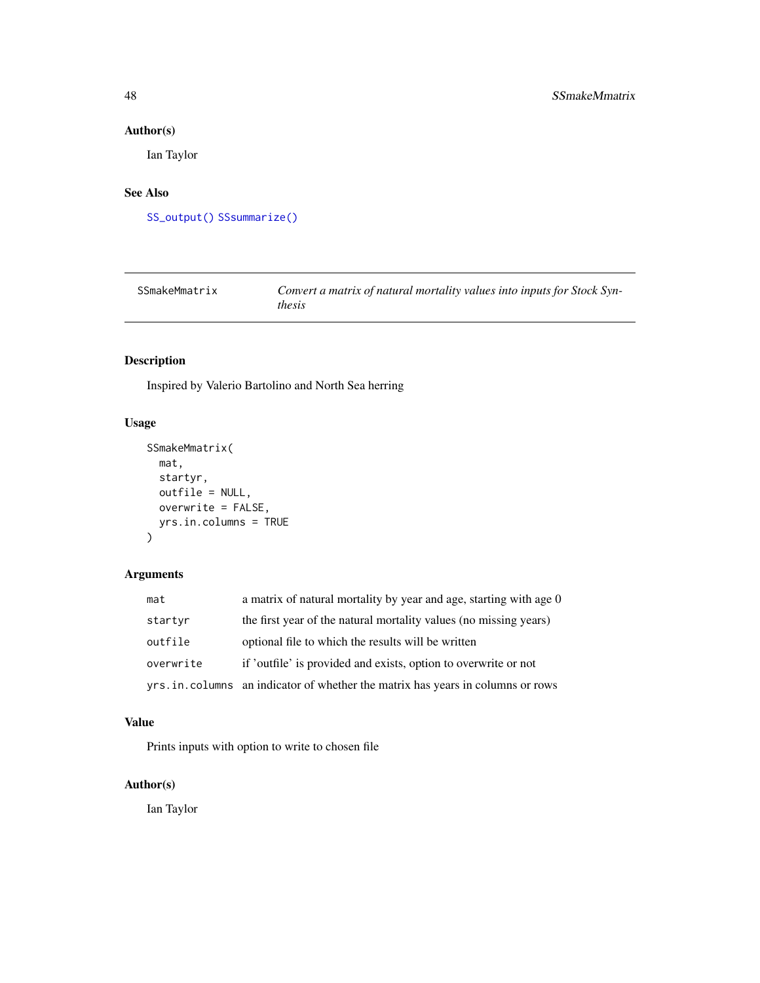# Author(s)

Ian Taylor

# See Also

[SS\\_output\(\)](#page-131-0) [SSsummarize\(\)](#page-117-0)

| SSmakeMmatrix | Convert a matrix of natural mortality values into inputs for Stock Syn- |
|---------------|-------------------------------------------------------------------------|
|               | <i>thesis</i>                                                           |

# Description

Inspired by Valerio Bartolino and North Sea herring

# Usage

```
SSmakeMmatrix(
 mat,
 startyr,
 outfile = NULL,
 overwrite = FALSE,
 yrs.in.columns = TRUE
)
```
# Arguments

| mat       | a matrix of natural mortality by year and age, starting with age 0             |
|-----------|--------------------------------------------------------------------------------|
| startyr   | the first year of the natural mortality values (no missing years)              |
| outfile   | optional file to which the results will be written                             |
| overwrite | if 'outfile' is provided and exists, option to overwrite or not                |
|           | yrs.in.columns an indicator of whether the matrix has years in columns or rows |

## Value

Prints inputs with option to write to chosen file

# Author(s)

Ian Taylor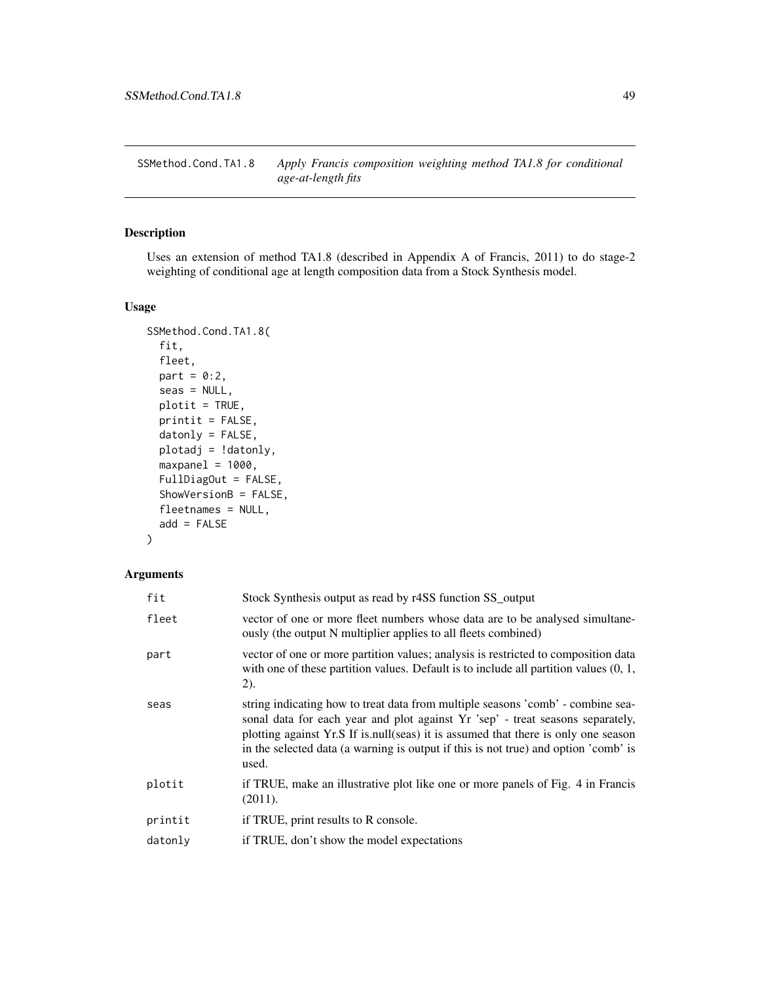<span id="page-48-0"></span>SSMethod.Cond.TA1.8 *Apply Francis composition weighting method TA1.8 for conditional age-at-length fits*

## Description

Uses an extension of method TA1.8 (described in Appendix A of Francis, 2011) to do stage-2 weighting of conditional age at length composition data from a Stock Synthesis model.

# Usage

```
SSMethod.Cond.TA1.8(
  fit,
  fleet,
 part = 0:2,
 seas = NULL,plotit = TRUE,
 printit = FALSE,
  datonly = FALSE,plotadj = !datonly,
 maxpanel = 1000,FullDiagOut = FALSE,
  ShowVersionB = FALSE,
  fleetnames = NULL,
  add = FALSE)
```

| fit     | Stock Synthesis output as read by r4SS function SS_output                                                                                                                                                                                                                                                                                               |
|---------|---------------------------------------------------------------------------------------------------------------------------------------------------------------------------------------------------------------------------------------------------------------------------------------------------------------------------------------------------------|
| fleet   | vector of one or more fleet numbers whose data are to be analysed simultane-<br>ously (the output N multiplier applies to all fleets combined)                                                                                                                                                                                                          |
| part    | vector of one or more partition values; analysis is restricted to composition data<br>with one of these partition values. Default is to include all partition values $(0, 1, 1)$<br>(2).                                                                                                                                                                |
| seas    | string indicating how to treat data from multiple seasons 'comb' - combine sea-<br>sonal data for each year and plot against Yr 'sep' - treat seasons separately,<br>plotting against Yr.S If is null(seas) it is assumed that there is only one season<br>in the selected data (a warning is output if this is not true) and option 'comb' is<br>used. |
| plotit  | if TRUE, make an illustrative plot like one or more panels of Fig. 4 in Francis<br>(2011).                                                                                                                                                                                                                                                              |
| printit | if TRUE, print results to R console.                                                                                                                                                                                                                                                                                                                    |
| datonly | if TRUE, don't show the model expectations                                                                                                                                                                                                                                                                                                              |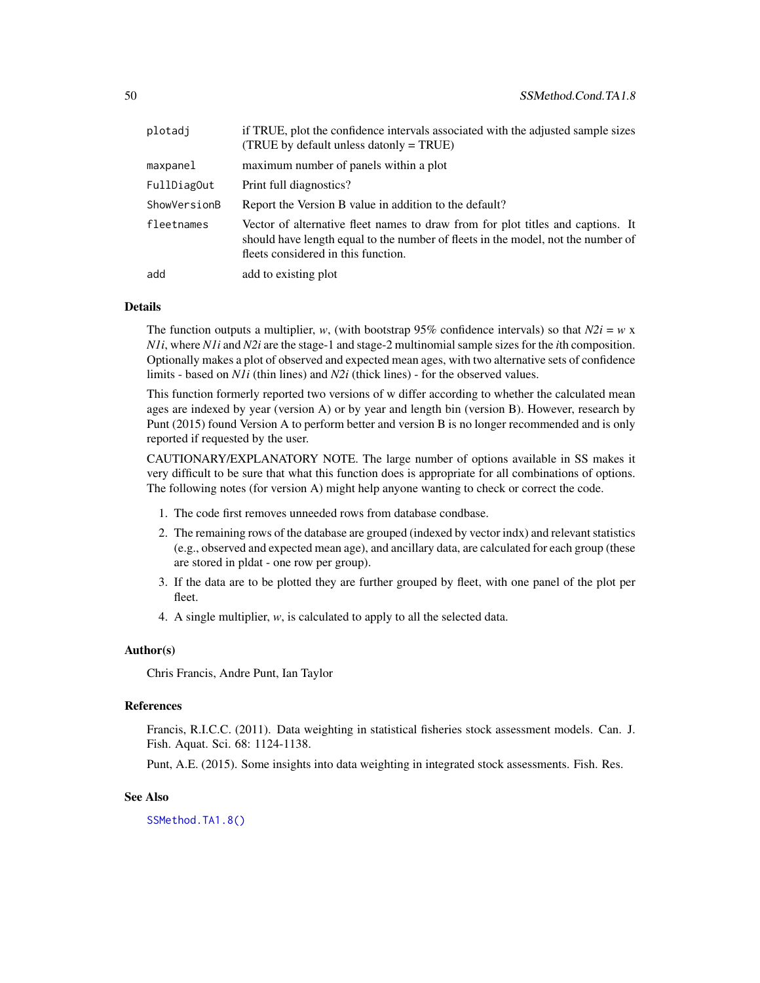| plotadi      | if TRUE, plot the confidence intervals associated with the adjusted sample sizes<br>(TRUE by default unless datonly $=$ TRUE)                                                                              |
|--------------|------------------------------------------------------------------------------------------------------------------------------------------------------------------------------------------------------------|
| maxpanel     | maximum number of panels within a plot                                                                                                                                                                     |
| FullDiagOut  | Print full diagnostics?                                                                                                                                                                                    |
| ShowVersionB | Report the Version B value in addition to the default?                                                                                                                                                     |
| fleetnames   | Vector of alternative fleet names to draw from for plot titles and captions. It<br>should have length equal to the number of fleets in the model, not the number of<br>fleets considered in this function. |
| add          | add to existing plot                                                                                                                                                                                       |

#### Details

The function outputs a multiplier, *w*, (with bootstrap 95% confidence intervals) so that  $N2i = w \times x$ *N1i*, where *N1i* and *N2i* are the stage-1 and stage-2 multinomial sample sizes for the *i*th composition. Optionally makes a plot of observed and expected mean ages, with two alternative sets of confidence limits - based on *N1i* (thin lines) and *N2i* (thick lines) - for the observed values.

This function formerly reported two versions of w differ according to whether the calculated mean ages are indexed by year (version A) or by year and length bin (version B). However, research by Punt (2015) found Version A to perform better and version B is no longer recommended and is only reported if requested by the user.

CAUTIONARY/EXPLANATORY NOTE. The large number of options available in SS makes it very difficult to be sure that what this function does is appropriate for all combinations of options. The following notes (for version A) might help anyone wanting to check or correct the code.

- 1. The code first removes unneeded rows from database condbase.
- 2. The remaining rows of the database are grouped (indexed by vector indx) and relevant statistics (e.g., observed and expected mean age), and ancillary data, are calculated for each group (these are stored in pldat - one row per group).
- 3. If the data are to be plotted they are further grouped by fleet, with one panel of the plot per fleet.
- 4. A single multiplier, *w*, is calculated to apply to all the selected data.

## Author(s)

Chris Francis, Andre Punt, Ian Taylor

#### References

Francis, R.I.C.C. (2011). Data weighting in statistical fisheries stock assessment models. Can. J. Fish. Aquat. Sci. 68: 1124-1138.

Punt, A.E. (2015). Some insights into data weighting in integrated stock assessments. Fish. Res.

## See Also

[SSMethod.TA1.8\(\)](#page-50-0)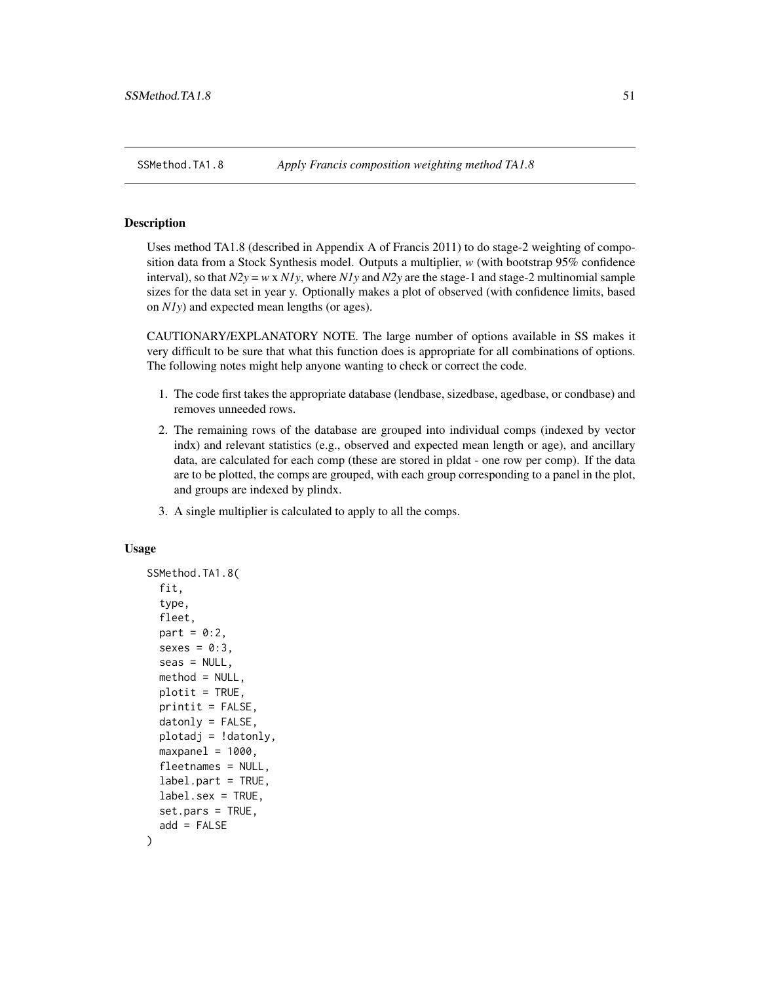<span id="page-50-0"></span>

## Description

Uses method TA1.8 (described in Appendix A of Francis 2011) to do stage-2 weighting of composition data from a Stock Synthesis model. Outputs a multiplier, *w* (with bootstrap 95% confidence interval), so that *N2y* = *w* x *N1y*, where *N1y* and *N2y* are the stage-1 and stage-2 multinomial sample sizes for the data set in year y. Optionally makes a plot of observed (with confidence limits, based on *N1y*) and expected mean lengths (or ages).

CAUTIONARY/EXPLANATORY NOTE. The large number of options available in SS makes it very difficult to be sure that what this function does is appropriate for all combinations of options. The following notes might help anyone wanting to check or correct the code.

- 1. The code first takes the appropriate database (lendbase, sizedbase, agedbase, or condbase) and removes unneeded rows.
- 2. The remaining rows of the database are grouped into individual comps (indexed by vector indx) and relevant statistics (e.g., observed and expected mean length or age), and ancillary data, are calculated for each comp (these are stored in pldat - one row per comp). If the data are to be plotted, the comps are grouped, with each group corresponding to a panel in the plot, and groups are indexed by plindx.
- 3. A single multiplier is calculated to apply to all the comps.

#### Usage

```
SSMethod.TA1.8(
  fit,
  type,
  fleet,
  part = 0:2,
  sexes = 0:3,
  seas = NULL,method = NULL,plotit = TRUE,
  print = FALSE,
  datonly = FALSE,plotadj = !datonly,
  maxpanel = 1000,fleetnames = NULL,
  label.part = TRUE,
  label.sex = TRUE,
  set.pars = TRUE,
  add = FALSE
)
```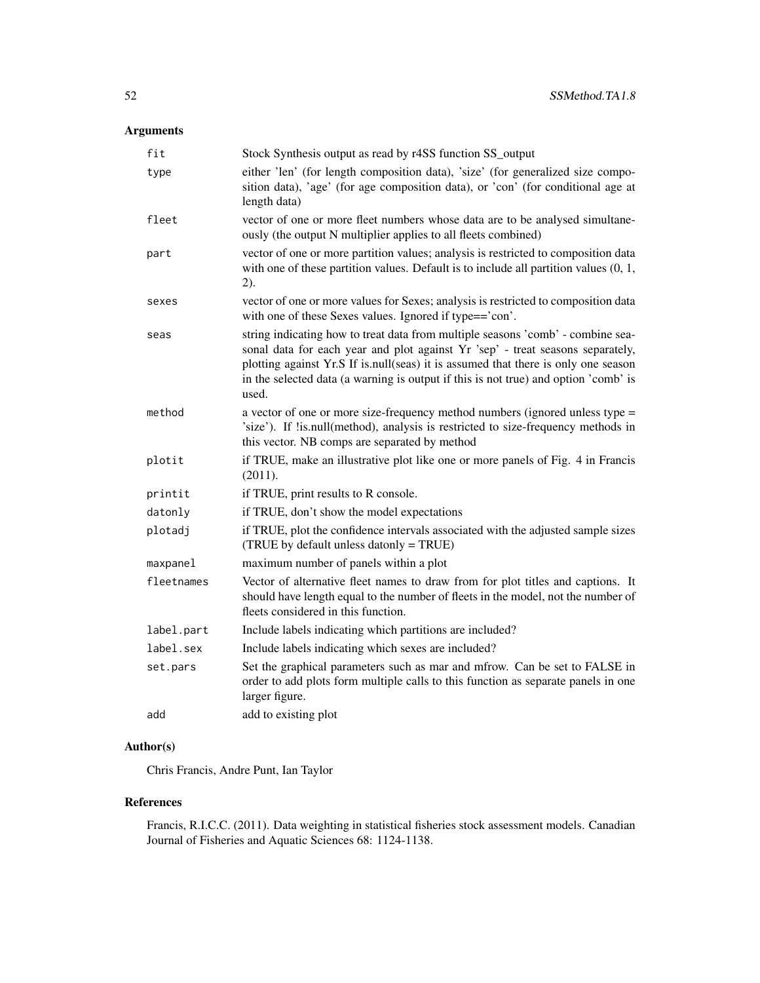# Arguments

| fit        | Stock Synthesis output as read by r4SS function SS_output                                                                                                                                                                                                                                                                                               |
|------------|---------------------------------------------------------------------------------------------------------------------------------------------------------------------------------------------------------------------------------------------------------------------------------------------------------------------------------------------------------|
| type       | either 'len' (for length composition data), 'size' (for generalized size compo-<br>sition data), 'age' (for age composition data), or 'con' (for conditional age at<br>length data)                                                                                                                                                                     |
| fleet      | vector of one or more fleet numbers whose data are to be analysed simultane-<br>ously (the output N multiplier applies to all fleets combined)                                                                                                                                                                                                          |
| part       | vector of one or more partition values; analysis is restricted to composition data<br>with one of these partition values. Default is to include all partition values $(0, 1, 1)$<br>2).                                                                                                                                                                 |
| sexes      | vector of one or more values for Sexes; analysis is restricted to composition data<br>with one of these Sexes values. Ignored if type=='con'.                                                                                                                                                                                                           |
| seas       | string indicating how to treat data from multiple seasons 'comb' - combine sea-<br>sonal data for each year and plot against Yr 'sep' - treat seasons separately,<br>plotting against Yr.S If is.null(seas) it is assumed that there is only one season<br>in the selected data (a warning is output if this is not true) and option 'comb' is<br>used. |
| method     | a vector of one or more size-frequency method numbers (ignored unless type =<br>'size'). If !is.null(method), analysis is restricted to size-frequency methods in<br>this vector. NB comps are separated by method                                                                                                                                      |
| plotit     | if TRUE, make an illustrative plot like one or more panels of Fig. 4 in Francis<br>(2011).                                                                                                                                                                                                                                                              |
| printit    | if TRUE, print results to R console.                                                                                                                                                                                                                                                                                                                    |
| datonly    | if TRUE, don't show the model expectations                                                                                                                                                                                                                                                                                                              |
| plotadj    | if TRUE, plot the confidence intervals associated with the adjusted sample sizes<br>(TRUE by default unless datonly = TRUE)                                                                                                                                                                                                                             |
| maxpanel   | maximum number of panels within a plot                                                                                                                                                                                                                                                                                                                  |
| fleetnames | Vector of alternative fleet names to draw from for plot titles and captions. It<br>should have length equal to the number of fleets in the model, not the number of<br>fleets considered in this function.                                                                                                                                              |
| label.part | Include labels indicating which partitions are included?                                                                                                                                                                                                                                                                                                |
| label.sex  | Include labels indicating which sexes are included?                                                                                                                                                                                                                                                                                                     |
| set.pars   | Set the graphical parameters such as mar and mfrow. Can be set to FALSE in<br>order to add plots form multiple calls to this function as separate panels in one<br>larger figure.                                                                                                                                                                       |
| add        | add to existing plot                                                                                                                                                                                                                                                                                                                                    |

# Author(s)

Chris Francis, Andre Punt, Ian Taylor

## References

Francis, R.I.C.C. (2011). Data weighting in statistical fisheries stock assessment models. Canadian Journal of Fisheries and Aquatic Sciences 68: 1124-1138.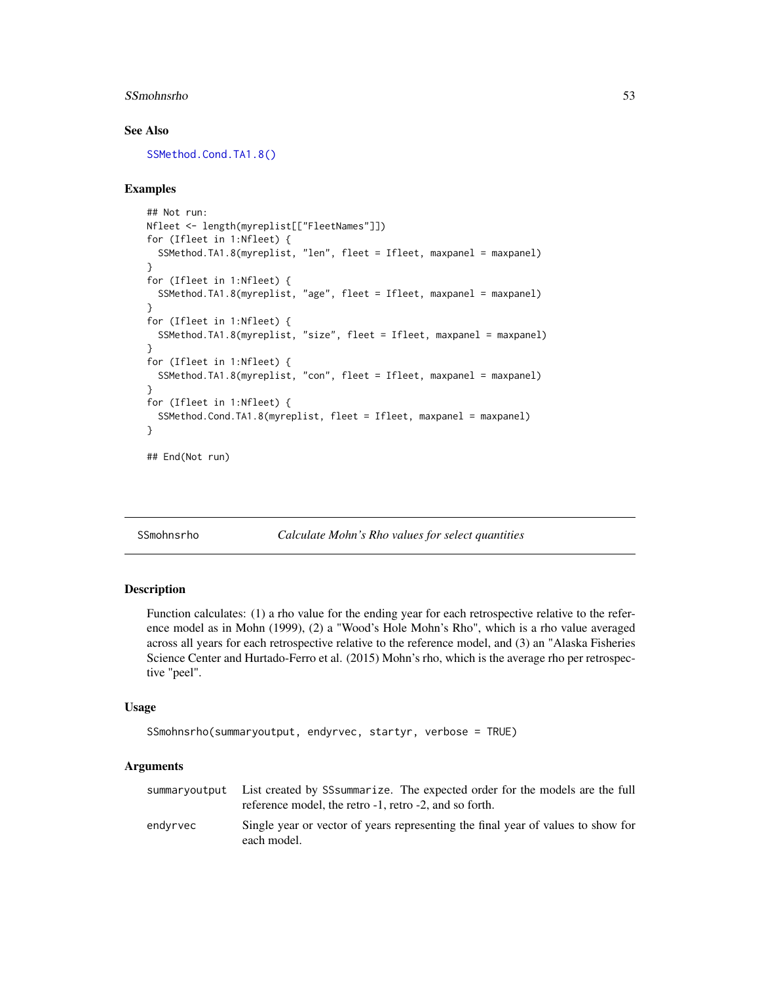#### SSmohnsrho 53

#### See Also

[SSMethod.Cond.TA1.8\(\)](#page-48-0)

## Examples

```
## Not run:
Nfleet <- length(myreplist[["FleetNames"]])
for (Ifleet in 1:Nfleet) {
 SSMethod.TA1.8(myreplist, "len", fleet = Ifleet, maxpanel = maxpanel)
}
for (Ifleet in 1:Nfleet) {
 SSMethod.TA1.8(myreplist, "age", fleet = Ifleet, maxpanel = maxpanel)
}
for (Ifleet in 1:Nfleet) {
 SSMethod.TA1.8(myreplist, "size", fleet = Ifleet, maxpanel = maxpanel)
}
for (Ifleet in 1:Nfleet) {
 SSMethod.TA1.8(myreplist, "con", fleet = Ifleet, maxpanel = maxpanel)
}
for (Ifleet in 1:Nfleet) {
 SSMethod.Cond.TA1.8(myreplist, fleet = Ifleet, maxpanel = maxpanel)
}
```

```
## End(Not run)
```
SSmohnsrho *Calculate Mohn's Rho values for select quantities*

#### Description

Function calculates: (1) a rho value for the ending year for each retrospective relative to the reference model as in Mohn (1999), (2) a "Wood's Hole Mohn's Rho", which is a rho value averaged across all years for each retrospective relative to the reference model, and (3) an "Alaska Fisheries Science Center and Hurtado-Ferro et al. (2015) Mohn's rho, which is the average rho per retrospective "peel".

#### Usage

```
SSmohnsrho(summaryoutput, endyrvec, startyr, verbose = TRUE)
```

|          | summaryoutput List created by SSsummarize. The expected order for the models are the full<br>reference model, the retro -1, retro -2, and so forth. |
|----------|-----------------------------------------------------------------------------------------------------------------------------------------------------|
| endvrvec | Single year or vector of years representing the final year of values to show for<br>each model.                                                     |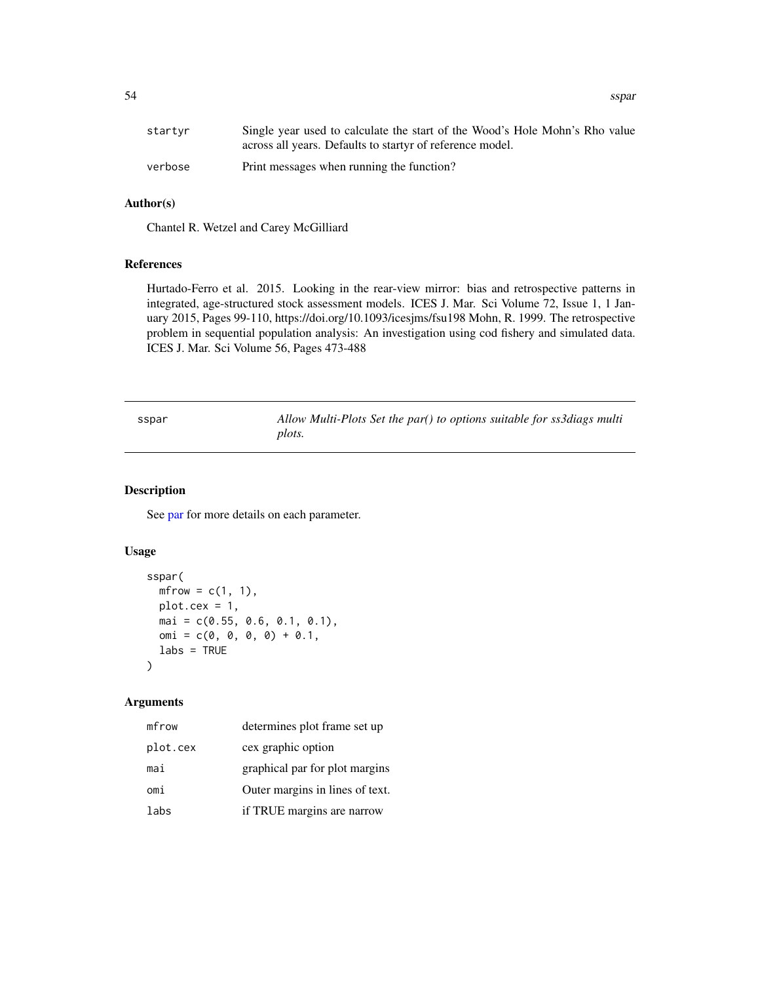startyr Single year used to calculate the start of the Wood's Hole Mohn's Rho value across all years. Defaults to startyr of reference model. verbose Print messages when running the function?

## Author(s)

Chantel R. Wetzel and Carey McGilliard

#### References

Hurtado-Ferro et al. 2015. Looking in the rear-view mirror: bias and retrospective patterns in integrated, age-structured stock assessment models. ICES J. Mar. Sci Volume 72, Issue 1, 1 January 2015, Pages 99-110, https://doi.org/10.1093/icesjms/fsu198 Mohn, R. 1999. The retrospective problem in sequential population analysis: An investigation using cod fishery and simulated data. ICES J. Mar. Sci Volume 56, Pages 473-488

sspar *Allow Multi-Plots Set the par() to options suitable for ss3diags multi plots.*

## Description

See [par](#page-0-0) for more details on each parameter.

# Usage

```
sspar(
 mfrow = c(1, 1),
 plot.cex = 1,
 mai = c(0.55, 0.6, 0.1, 0.1),
 omi = c(0, 0, 0, 0) + 0.1,
  labs = TRUE
\lambda
```

| mfrow    | determines plot frame set up    |
|----------|---------------------------------|
| plot.cex | cex graphic option              |
| mai      | graphical par for plot margins  |
| omi      | Outer margins in lines of text. |
| labs     | if TRUE margins are narrow      |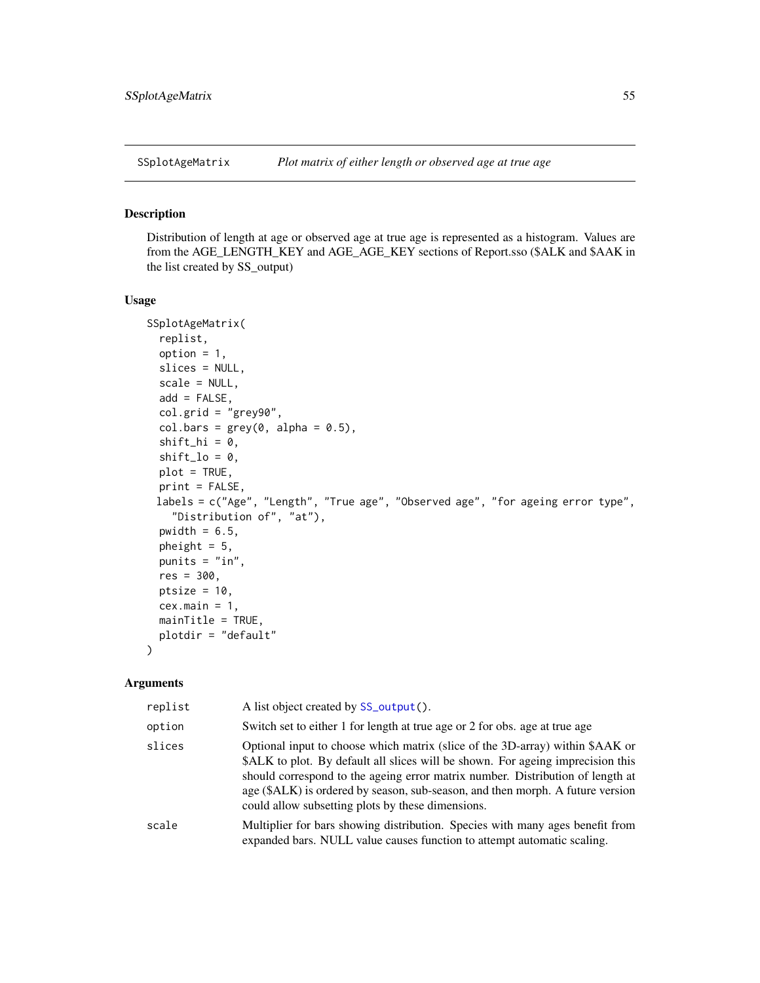## Description

Distribution of length at age or observed age at true age is represented as a histogram. Values are from the AGE\_LENGTH\_KEY and AGE\_AGE\_KEY sections of Report.sso (\$ALK and \$AAK in the list created by SS\_output)

## Usage

```
SSplotAgeMatrix(
  replist,
  option = 1,
  slices = NULL,
  scale = NULL,
  add = FALSE,col.grid = "grey90",
  col.bars = grey(0, alpha = 0.5),
  shift\_hi = 0,shift\_lo = 0,plot = TRUE,
 print = FALSE,
 labels = c("Age", "Length", "True age", "Observed age", "for ageing error type",
    "Distribution of", "at"),
  pwidth = 6.5,
 pheight = 5,
 punits = "in",res = 300,ptsize = 10,
  cex.main = 1,
  mainTitle = TRUE,
 plotdir = "default"
)
```

| replist | A list object created by SS_output().                                                                                                                                                                                                                                                                                                                                                     |
|---------|-------------------------------------------------------------------------------------------------------------------------------------------------------------------------------------------------------------------------------------------------------------------------------------------------------------------------------------------------------------------------------------------|
| option  | Switch set to either 1 for length at true age or 2 for obs. age at true age                                                                                                                                                                                                                                                                                                               |
| slices  | Optional input to choose which matrix (slice of the 3D-array) within \$AAK or<br>\$ALK to plot. By default all slices will be shown. For ageing imprecision this<br>should correspond to the ageing error matrix number. Distribution of length at<br>age (\$ALK) is ordered by season, sub-season, and then morph. A future version<br>could allow subsetting plots by these dimensions. |
| scale   | Multiplier for bars showing distribution. Species with many ages benefit from<br>expanded bars. NULL value causes function to attempt automatic scaling.                                                                                                                                                                                                                                  |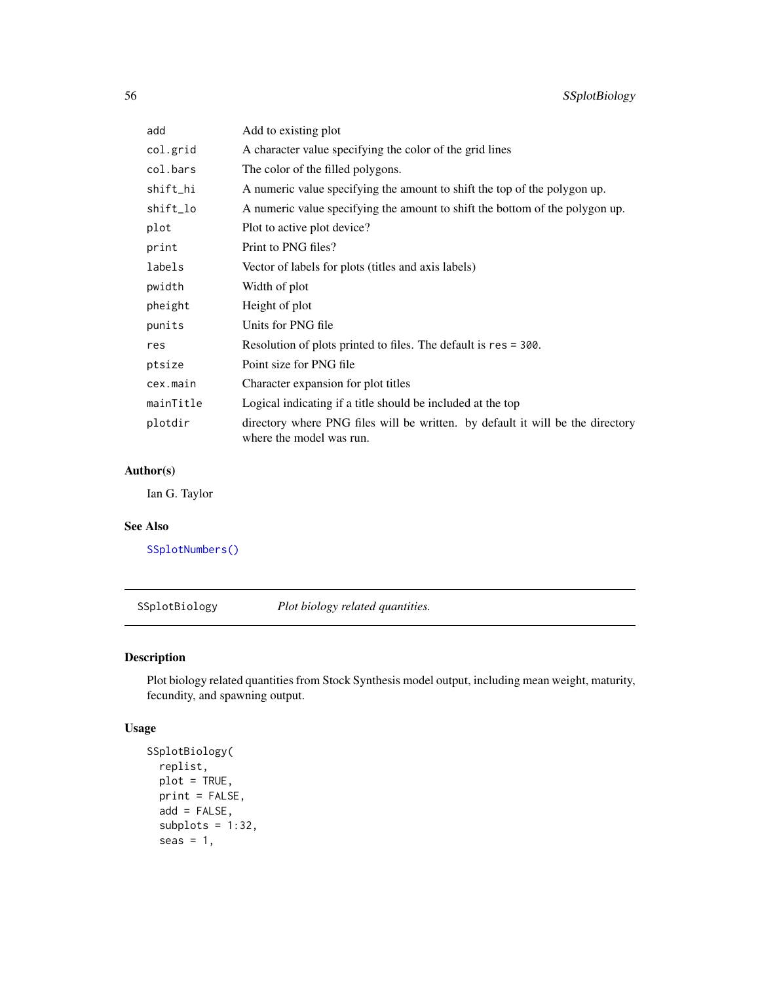| add       | Add to existing plot                                                                                       |
|-----------|------------------------------------------------------------------------------------------------------------|
| col.grid  | A character value specifying the color of the grid lines                                                   |
| col.bars  | The color of the filled polygons.                                                                          |
| shift_hi  | A numeric value specifying the amount to shift the top of the polygon up.                                  |
| shift_lo  | A numeric value specifying the amount to shift the bottom of the polygon up.                               |
| plot      | Plot to active plot device?                                                                                |
| print     | Print to PNG files?                                                                                        |
| labels    | Vector of labels for plots (titles and axis labels)                                                        |
| pwidth    | Width of plot                                                                                              |
| pheight   | Height of plot                                                                                             |
| punits    | Units for PNG file                                                                                         |
| res       | Resolution of plots printed to files. The default is res = 300.                                            |
| ptsize    | Point size for PNG file                                                                                    |
| cex.main  | Character expansion for plot titles                                                                        |
| mainTitle | Logical indicating if a title should be included at the top                                                |
| plotdir   | directory where PNG files will be written. by default it will be the directory<br>where the model was run. |

# Author(s)

Ian G. Taylor

# See Also

[SSplotNumbers\(\)](#page-87-0)

SSplotBiology *Plot biology related quantities.*

# Description

Plot biology related quantities from Stock Synthesis model output, including mean weight, maturity, fecundity, and spawning output.

# Usage

```
SSplotBiology(
 replist,
 plot = TRUE,
 print = FALSE,
 add = FALSE,subplots = 1:32,seas = 1,
```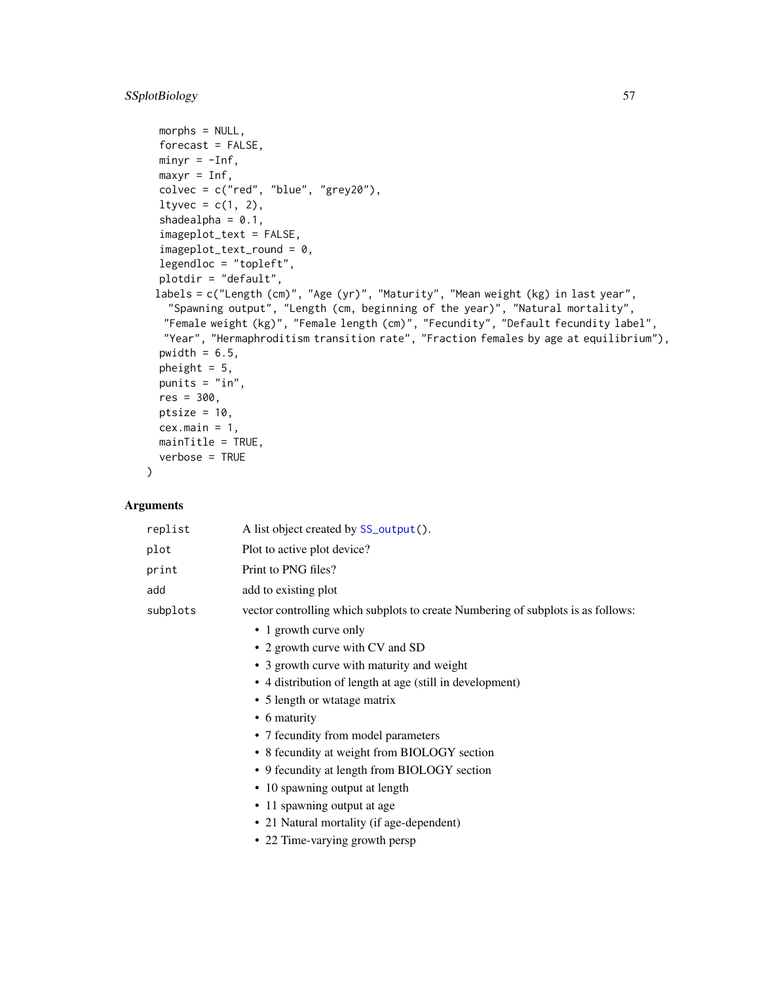# SSplotBiology 57

```
morphs = NULL,
forecast = FALSE,
minyr = -Inf,
maxyr = Inf,colvec = c("red", "blue", "grey20"),
ltyvec = c(1, 2),
shadealpha = 0.1,
imageplot_text = FALSE,
imageplot_text_round = 0,
legendloc = "topleft",
plotdir = "default",
labels = c("Length (cm)", "Age (yr)", "Maturity", "Mean weight (kg) in last year",
  "Spawning output", "Length (cm, beginning of the year)", "Natural mortality",
 "Female weight (kg)", "Female length (cm)", "Fecundity", "Default fecundity label",
 "Year", "Hermaphroditism transition rate", "Fraction females by age at equilibrium"),
pwidth = 6.5,
pheight = 5,
punits = "in",res = 300,
ptsize = 10.
cex.main = 1,
mainTitle = TRUE,
verbose = TRUE
```
# Arguments

)

| replist  | A list object created by SS_output().                                            |
|----------|----------------------------------------------------------------------------------|
| plot     | Plot to active plot device?                                                      |
| print    | Print to PNG files?                                                              |
| add      | add to existing plot                                                             |
| subplots | vector controlling which subplots to create Numbering of subplots is as follows: |
|          | • 1 growth curve only                                                            |
|          | • 2 growth curve with CV and SD                                                  |
|          | • 3 growth curve with maturity and weight                                        |

- 4 distribution of length at age (still in development)
- 5 length or wtatage matrix
- 6 maturity
- 7 fecundity from model parameters
- 8 fecundity at weight from BIOLOGY section
- 9 fecundity at length from BIOLOGY section
- 10 spawning output at length
- 11 spawning output at age
- 21 Natural mortality (if age-dependent)
- 22 Time-varying growth persp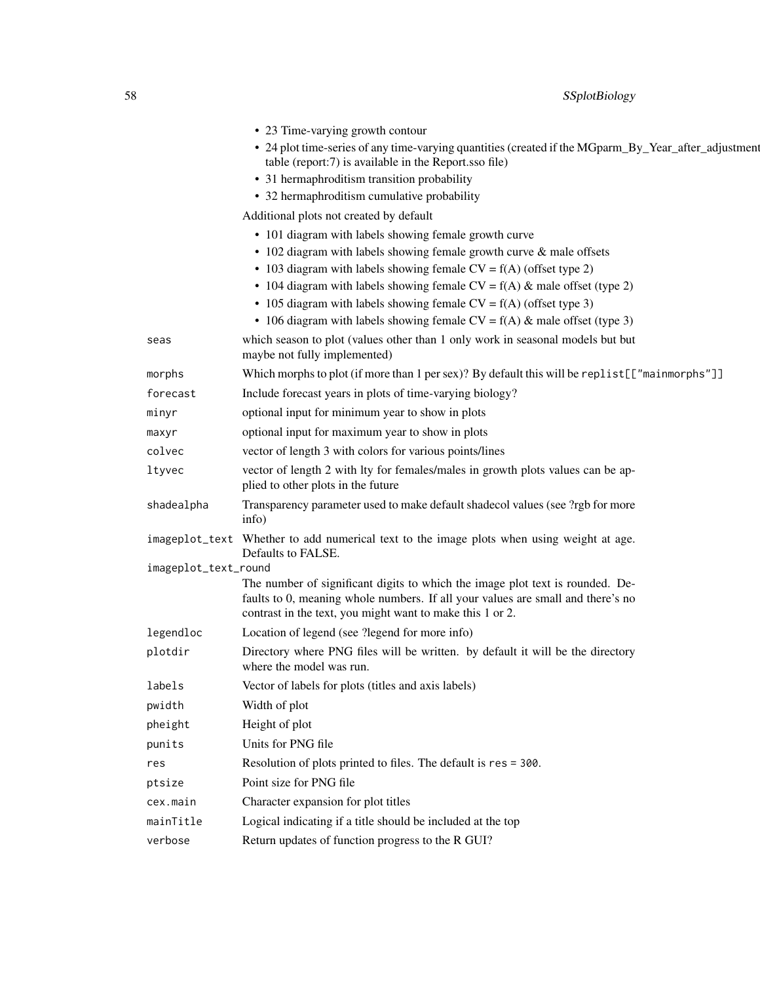|                      | • 23 Time-varying growth contour                                                                                                                                                                                              |
|----------------------|-------------------------------------------------------------------------------------------------------------------------------------------------------------------------------------------------------------------------------|
|                      | • 24 plot time-series of any time-varying quantities (created if the MGparm_By_Year_after_adjustment<br>table (report:7) is available in the Report.sso file)                                                                 |
|                      | • 31 hermaphroditism transition probability                                                                                                                                                                                   |
|                      | • 32 hermaphroditism cumulative probability                                                                                                                                                                                   |
|                      | Additional plots not created by default                                                                                                                                                                                       |
|                      | • 101 diagram with labels showing female growth curve                                                                                                                                                                         |
|                      | • 102 diagram with labels showing female growth curve & male offsets                                                                                                                                                          |
|                      | • 103 diagram with labels showing female $CV = f(A)$ (offset type 2)                                                                                                                                                          |
|                      | • 104 diagram with labels showing female $CV = f(A)$ & male offset (type 2)                                                                                                                                                   |
|                      | • 105 diagram with labels showing female $CV = f(A)$ (offset type 3)                                                                                                                                                          |
|                      | • 106 diagram with labels showing female $CV = f(A)$ & male offset (type 3)                                                                                                                                                   |
| seas                 | which season to plot (values other than 1 only work in seasonal models but but<br>maybe not fully implemented)                                                                                                                |
| morphs               | Which morphs to plot (if more than 1 per sex)? By default this will be replist [["mainmorphs"]]                                                                                                                               |
| forecast             | Include forecast years in plots of time-varying biology?                                                                                                                                                                      |
| minyr                | optional input for minimum year to show in plots                                                                                                                                                                              |
| maxyr                | optional input for maximum year to show in plots                                                                                                                                                                              |
| colvec               | vector of length 3 with colors for various points/lines                                                                                                                                                                       |
| ltyvec               | vector of length 2 with lty for females/males in growth plots values can be ap-<br>plied to other plots in the future                                                                                                         |
| shadealpha           | Transparency parameter used to make default shadecol values (see ?rgb for more<br>info)                                                                                                                                       |
|                      | imageplot_text Whether to add numerical text to the image plots when using weight at age.<br>Defaults to FALSE.                                                                                                               |
| imageplot_text_round |                                                                                                                                                                                                                               |
|                      | The number of significant digits to which the image plot text is rounded. De-<br>faults to 0, meaning whole numbers. If all your values are small and there's no<br>contrast in the text, you might want to make this 1 or 2. |
| legendloc            | Location of legend (see ?legend for more info)                                                                                                                                                                                |
| plotdir              | Directory where PNG files will be written. by default it will be the directory<br>where the model was run.                                                                                                                    |
| labels               | Vector of labels for plots (titles and axis labels)                                                                                                                                                                           |
| pwidth               | Width of plot                                                                                                                                                                                                                 |
| pheight              | Height of plot                                                                                                                                                                                                                |
| punits               | Units for PNG file                                                                                                                                                                                                            |
| res                  | Resolution of plots printed to files. The default is res = 300.                                                                                                                                                               |
| ptsize               | Point size for PNG file                                                                                                                                                                                                       |
| cex.main             | Character expansion for plot titles                                                                                                                                                                                           |
| mainTitle            | Logical indicating if a title should be included at the top                                                                                                                                                                   |
| verbose              | Return updates of function progress to the R GUI?                                                                                                                                                                             |
|                      |                                                                                                                                                                                                                               |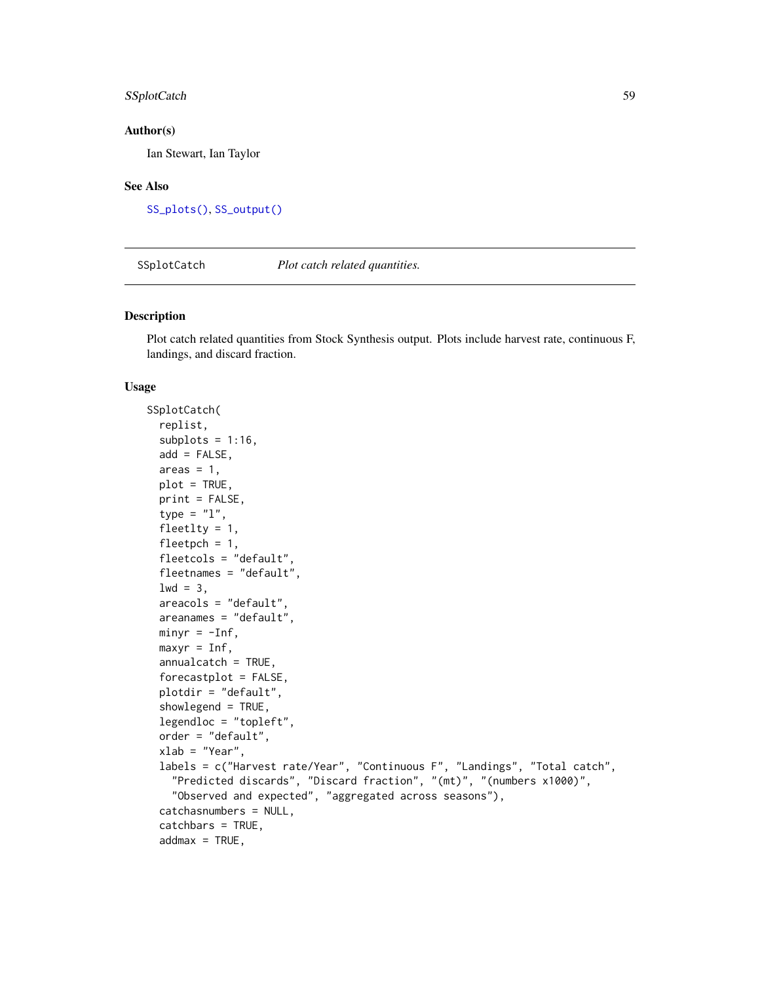# SSplotCatch 59

#### Author(s)

Ian Stewart, Ian Taylor

#### See Also

[SS\\_plots\(\)](#page-135-0), [SS\\_output\(\)](#page-131-0)

SSplotCatch *Plot catch related quantities.*

## Description

Plot catch related quantities from Stock Synthesis output. Plots include harvest rate, continuous F, landings, and discard fraction.

#### Usage

```
SSplotCatch(
  replist,
  subplots = 1:16,
  add = FALSE,areas = 1,
 plot = TRUE,
 print = FALSE,
  type = "1",fleetlty = 1,
  fleetpch = 1,
  fleetcols = "default",
  fleetnames = "default",
  1wd = 3,
  areacols = "default",
  areanames = "default",
 minyr = -Inf,maxyr = Inf,annualcatch = TRUE,
  forecastplot = FALSE,
  plotdir = "default",
  showlegend = TRUE,
  legendloc = "topleft",
  order = "default",
  xlab = "Year",
  labels = c("Harvest rate/Year", "Continuous F", "Landings", "Total catch",
    "Predicted discards", "Discard fraction", "(mt)", "(numbers x1000)",
    "Observed and expected", "aggregated across seasons"),
  catchasnumbers = NULL,
  catchbars = TRUE,
  addmax = TRUE,
```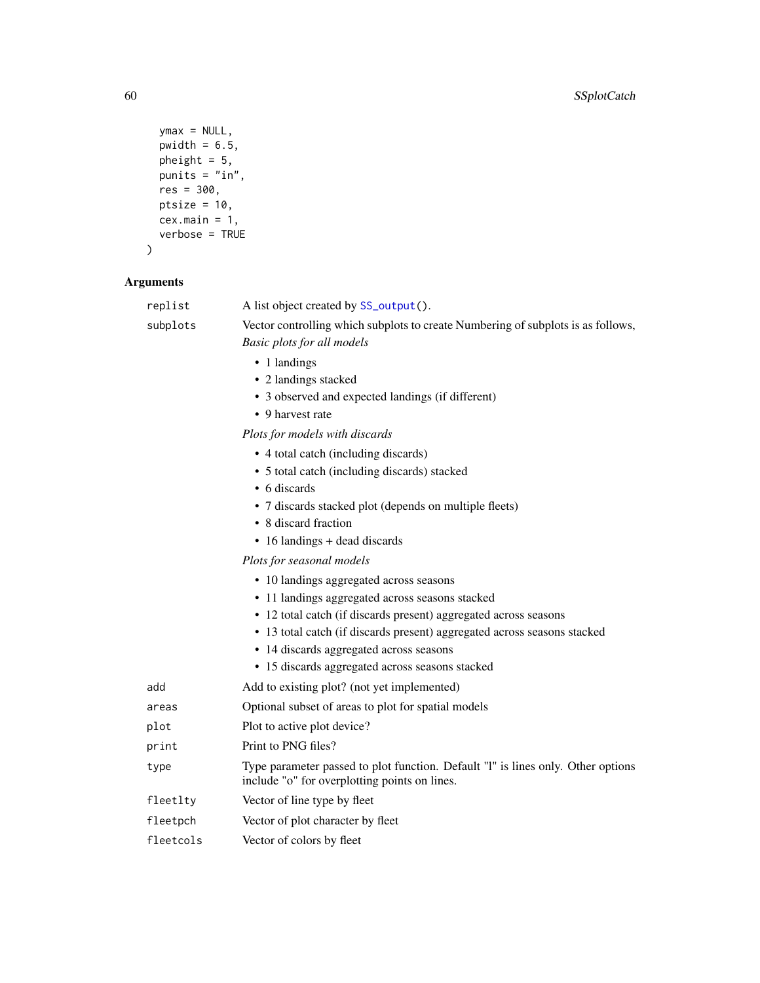```
ymax = NULL,pwidth = 6.5,
 pheight = 5,punits = "in",
 res = 300,ptsize = 10,
 cex.main = 1,verbose = TRUE\mathcal{L}
```

| replist   | A list object created by SS_output().                                                                                             |
|-----------|-----------------------------------------------------------------------------------------------------------------------------------|
| subplots  | Vector controlling which subplots to create Numbering of subplots is as follows,                                                  |
|           | <b>Basic plots for all models</b>                                                                                                 |
|           | • 1 landings                                                                                                                      |
|           | • 2 landings stacked                                                                                                              |
|           | • 3 observed and expected landings (if different)                                                                                 |
|           | • 9 harvest rate                                                                                                                  |
|           | Plots for models with discards                                                                                                    |
|           | • 4 total catch (including discards)                                                                                              |
|           | • 5 total catch (including discards) stacked                                                                                      |
|           | • 6 discards                                                                                                                      |
|           | • 7 discards stacked plot (depends on multiple fleets)                                                                            |
|           | • 8 discard fraction                                                                                                              |
|           | • 16 landings + dead discards                                                                                                     |
|           | Plots for seasonal models                                                                                                         |
|           | • 10 landings aggregated across seasons                                                                                           |
|           | • 11 landings aggregated across seasons stacked                                                                                   |
|           | • 12 total catch (if discards present) aggregated across seasons                                                                  |
|           | • 13 total catch (if discards present) aggregated across seasons stacked                                                          |
|           | • 14 discards aggregated across seasons                                                                                           |
|           | • 15 discards aggregated across seasons stacked                                                                                   |
| add       | Add to existing plot? (not yet implemented)                                                                                       |
| areas     | Optional subset of areas to plot for spatial models                                                                               |
| plot      | Plot to active plot device?                                                                                                       |
| print     | Print to PNG files?                                                                                                               |
| type      | Type parameter passed to plot function. Default "1" is lines only. Other options<br>include "o" for overplotting points on lines. |
| fleetlty  | Vector of line type by fleet                                                                                                      |
| fleetpch  | Vector of plot character by fleet                                                                                                 |
| fleetcols | Vector of colors by fleet                                                                                                         |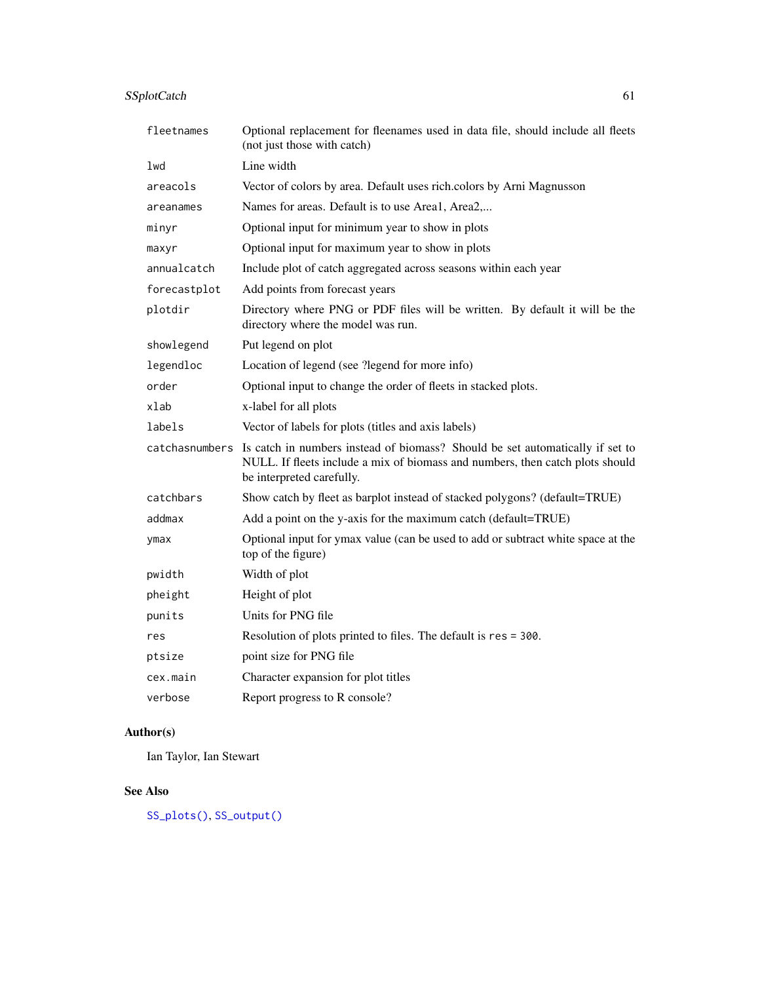# SSplotCatch 61

| fleetnames     | Optional replacement for fleenames used in data file, should include all fleets<br>(not just those with catch)                                                                              |
|----------------|---------------------------------------------------------------------------------------------------------------------------------------------------------------------------------------------|
| lwd            | Line width                                                                                                                                                                                  |
| areacols       | Vector of colors by area. Default uses rich.colors by Arni Magnusson                                                                                                                        |
| areanames      | Names for areas. Default is to use Area1, Area2,                                                                                                                                            |
| minyr          | Optional input for minimum year to show in plots                                                                                                                                            |
| maxyr          | Optional input for maximum year to show in plots                                                                                                                                            |
| annualcatch    | Include plot of catch aggregated across seasons within each year                                                                                                                            |
| forecastplot   | Add points from forecast years                                                                                                                                                              |
| plotdir        | Directory where PNG or PDF files will be written. By default it will be the<br>directory where the model was run.                                                                           |
| showlegend     | Put legend on plot                                                                                                                                                                          |
| legendloc      | Location of legend (see ?legend for more info)                                                                                                                                              |
| order          | Optional input to change the order of fleets in stacked plots.                                                                                                                              |
| xlab           | x-label for all plots                                                                                                                                                                       |
| labels         | Vector of labels for plots (titles and axis labels)                                                                                                                                         |
| catchasnumbers | Is catch in numbers instead of biomass? Should be set automatically if set to<br>NULL. If fleets include a mix of biomass and numbers, then catch plots should<br>be interpreted carefully. |
| catchbars      | Show catch by fleet as barplot instead of stacked polygons? (default=TRUE)                                                                                                                  |
| addmax         | Add a point on the y-axis for the maximum catch (default=TRUE)                                                                                                                              |
| ymax           | Optional input for ymax value (can be used to add or subtract white space at the<br>top of the figure)                                                                                      |
| pwidth         | Width of plot                                                                                                                                                                               |
| pheight        | Height of plot                                                                                                                                                                              |
| punits         | Units for PNG file                                                                                                                                                                          |
| res            | Resolution of plots printed to files. The default is res = 300.                                                                                                                             |
| ptsize         | point size for PNG file                                                                                                                                                                     |
| cex.main       | Character expansion for plot titles                                                                                                                                                         |
| verbose        | Report progress to R console?                                                                                                                                                               |

# Author(s)

Ian Taylor, Ian Stewart

# See Also

[SS\\_plots\(\)](#page-135-0), [SS\\_output\(\)](#page-131-0)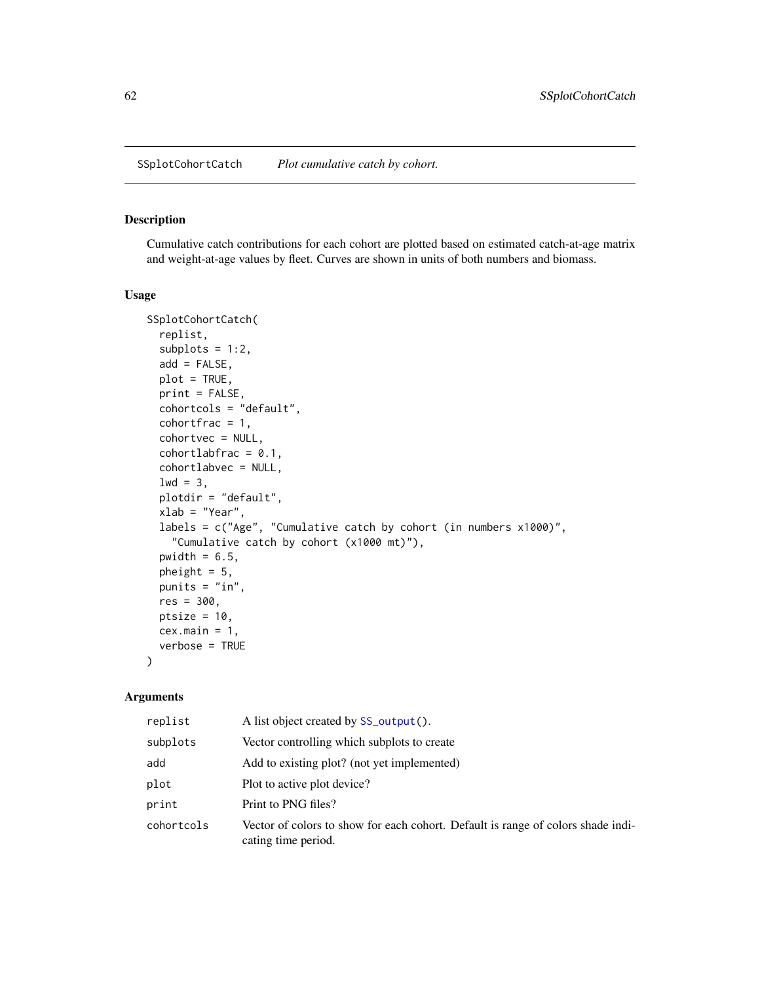SSplotCohortCatch *Plot cumulative catch by cohort.*

## Description

Cumulative catch contributions for each cohort are plotted based on estimated catch-at-age matrix and weight-at-age values by fleet. Curves are shown in units of both numbers and biomass.

#### Usage

```
SSplotCohortCatch(
  replist,
  subplots = 1:2,
  add = FALSE,plot = TRUE,
 print = FALSE,
  cohortcols = "default",
  cohortfrac = 1,
  cohortvec = NULL,
  cohortlabfrac = 0.1,
  cohortlabvec = NULL,
  1wd = 3,plotdir = "default",
  xlab = "Year",
  labels = c("Age", "Cumulative catch by cohort (in numbers x1000)",
    "Cumulative catch by cohort (x1000 mt)"),
  pwidth = 6.5,
 pheight = 5,
 punits = "in",
  res = 300,
 ptsize = 10,
 cex.main = 1,
  verbose = TRUE
)
```

| replist    | A list object created by SS_output().                                                                   |
|------------|---------------------------------------------------------------------------------------------------------|
| subplots   | Vector controlling which subplots to create                                                             |
| add        | Add to existing plot? (not yet implemented)                                                             |
| plot       | Plot to active plot device?                                                                             |
| print      | Print to PNG files?                                                                                     |
| cohortcols | Vector of colors to show for each cohort. Default is range of colors shade indi-<br>cating time period. |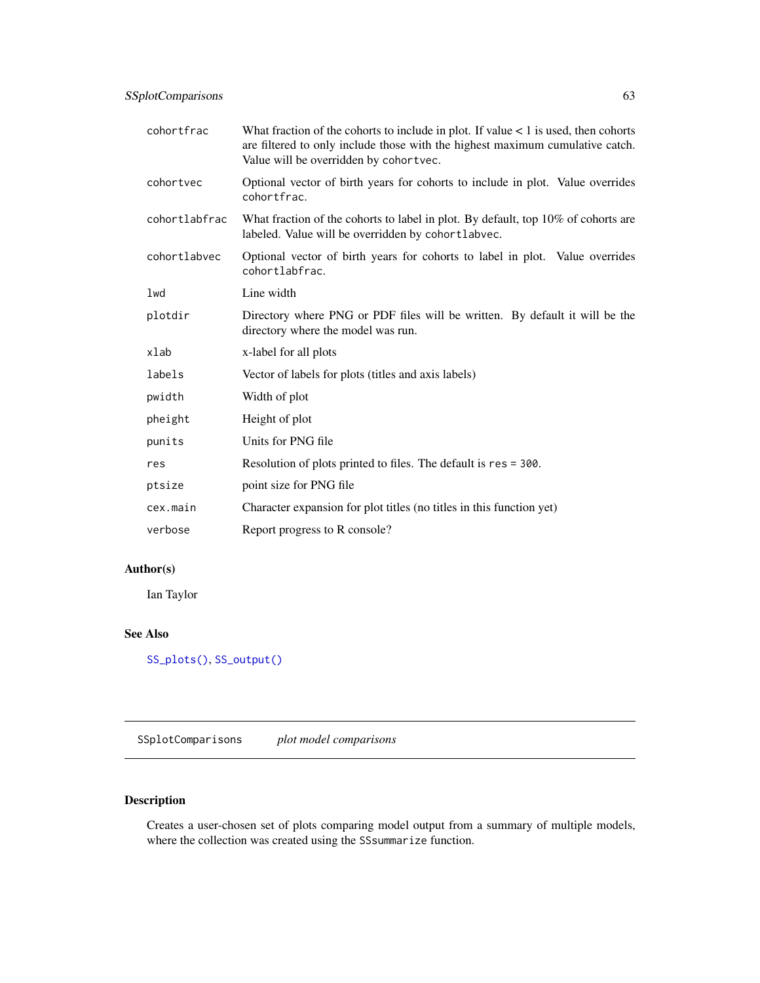| cohortfrac    | What fraction of the cohorts to include in plot. If value $\lt 1$ is used, then cohorts<br>are filtered to only include those with the highest maximum cumulative catch.<br>Value will be overridden by cohortvec. |
|---------------|--------------------------------------------------------------------------------------------------------------------------------------------------------------------------------------------------------------------|
| cohortvec     | Optional vector of birth years for cohorts to include in plot. Value overrides<br>cohortfrac.                                                                                                                      |
| cohortlabfrac | What fraction of the cohorts to label in plot. By default, top 10% of cohorts are<br>labeled. Value will be overridden by cohortlabvec.                                                                            |
| cohortlabvec  | Optional vector of birth years for cohorts to label in plot. Value overrides<br>cohortlabfrac.                                                                                                                     |
| lwd           | Line width                                                                                                                                                                                                         |
| plotdir       | Directory where PNG or PDF files will be written. By default it will be the<br>directory where the model was run.                                                                                                  |
| xlab          | x-label for all plots                                                                                                                                                                                              |
| labels        | Vector of labels for plots (titles and axis labels)                                                                                                                                                                |
| pwidth        | Width of plot                                                                                                                                                                                                      |
| pheight       | Height of plot                                                                                                                                                                                                     |
| punits        | Units for PNG file                                                                                                                                                                                                 |
| res           | Resolution of plots printed to files. The default is res = 300.                                                                                                                                                    |
| ptsize        | point size for PNG file                                                                                                                                                                                            |
| cex.main      | Character expansion for plot titles (no titles in this function yet)                                                                                                                                               |
| verbose       | Report progress to R console?                                                                                                                                                                                      |

# Author(s)

Ian Taylor

# See Also

[SS\\_plots\(\)](#page-135-0), [SS\\_output\(\)](#page-131-0)

SSplotComparisons *plot model comparisons*

# Description

Creates a user-chosen set of plots comparing model output from a summary of multiple models, where the collection was created using the SSsummarize function.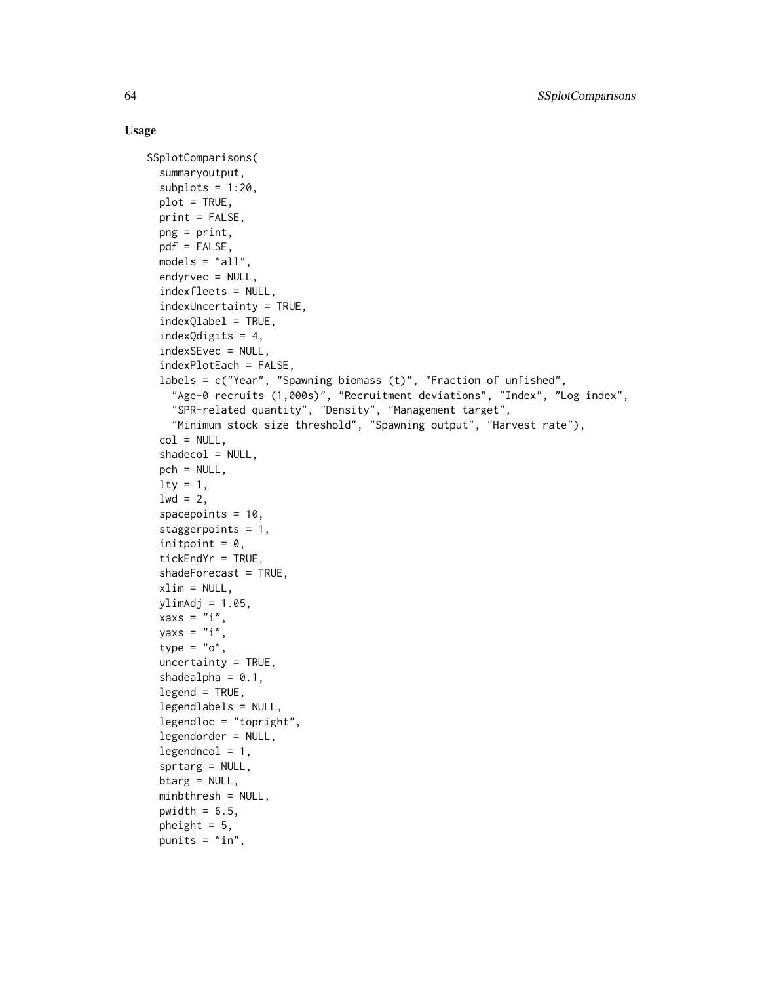## Usage

```
SSplotComparisons(
  summaryoutput,
  subplots = 1:20,plot = TRUE,
  print = FALSE,
  png = print,
  pdf = FALSE,
  models = "all",
  endyrvec = NULL,
  indexfleets = NULL,
  indexUncertainty = TRUE,
  indexQlabel = TRUE,
  indexQdigits = 4,
  indexSEvec = NULL,
  indexPlotEach = FALSE,
  labels = c("Year", "Spawning biomass (t)", "Fraction of unfished",
    "Age-0 recruits (1,000s)", "Recruitment deviations", "Index", "Log index",
    "SPR-related quantity", "Density", "Management target",
    "Minimum stock size threshold", "Spawning output", "Harvest rate"),
  col = NULL,shadedcol = NULL,pch = NULL,
  lty = 1,1wd = 2,
  spacepoints = 10,
  staggerpoints = 1,
  initpoint = 0,
  tickEndYr = TRUE,
  shadeForecast = TRUE,
  xlim = NULL,vlimAdj = 1.05,
  xaxs = "i",yaxs = "i",
  type = "o",uncertainty = TRUE,
  shadealpha = 0.1,
  legend = TRUE,legendlabels = NULL,
  legendloc = "topright",
  legendorder = NULL,
  legendncol = 1,sprtarg = NULL,
  btarg = NULL,
  minbthresh = NULL,
  pwidth = 6.5,
  pheight = 5,
  punits = "in",
```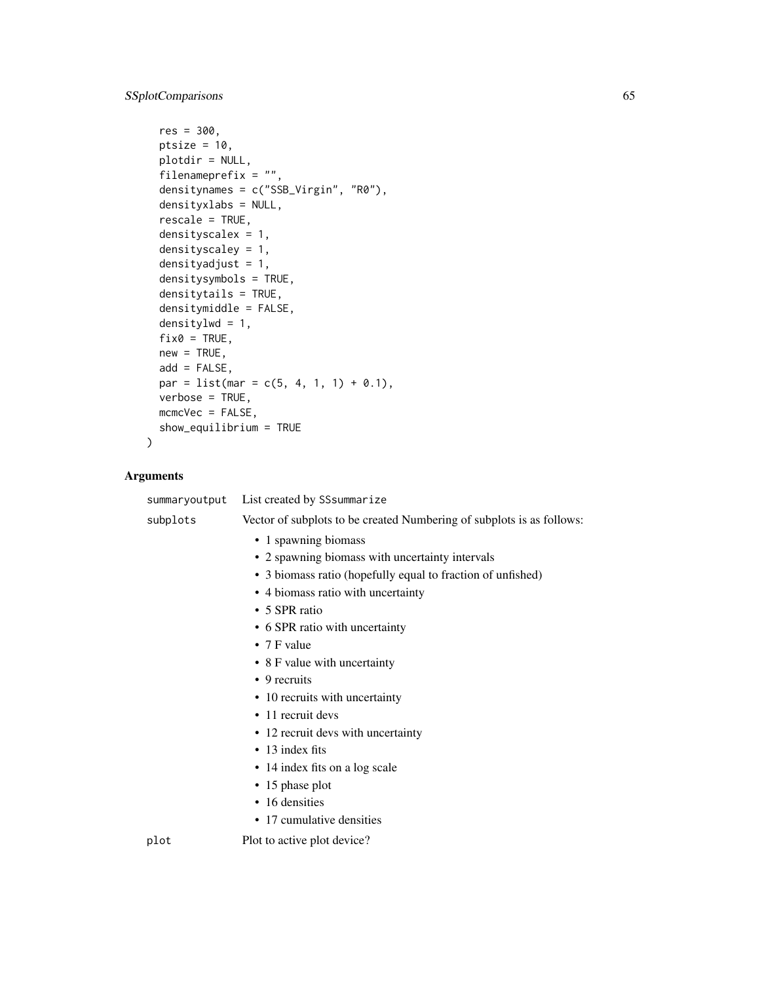```
res = 300,
 ptsize = 10,
 plotdir = NULL,
 filenameprefix = "",
  densitynames = c("SSB_Virgin", "R0"),
 densityxlabs = NULL,
 rescale = TRUE,
 densityscalex = 1,
 densityscaley = 1,
 densityadjust = 1,
  densitysymbols = TRUE,
  densitytails = TRUE,
 densitymiddle = FALSE,
 densitylwd = 1,
 fix0 = TRUE,new = TRUE,add = FALSE,
 par = list(mar = c(5, 4, 1, 1) + 0.1),
 verbose = TRUE,
 mcmcVec = FALSE,
 show_equilibrium = TRUE
)
```

| summaryoutput | List created by SSsummarize                                           |
|---------------|-----------------------------------------------------------------------|
| subplots      | Vector of subplots to be created Numbering of subplots is as follows: |
|               | • 1 spawning biomass                                                  |
|               | • 2 spawning biomass with uncertainty intervals                       |
|               | • 3 biomass ratio (hopefully equal to fraction of unfished)           |
|               | • 4 biomass ratio with uncertainty                                    |
|               | • 5 SPR ratio                                                         |
|               | • 6 SPR ratio with uncertainty                                        |
|               | • $7$ F value                                                         |
|               | • 8 F value with uncertainty                                          |
|               | $\bullet$ 9 recruits                                                  |
|               | • 10 recruits with uncertainty                                        |
|               | • 11 recruit devs                                                     |
|               | • 12 recruit devs with uncertainty                                    |
|               | $\cdot$ 13 index fits                                                 |
|               | • 14 index fits on a log scale                                        |
|               | $\cdot$ 15 phase plot                                                 |
|               | • 16 densities                                                        |
|               | • 17 cumulative densities                                             |
| plot          | Plot to active plot device?                                           |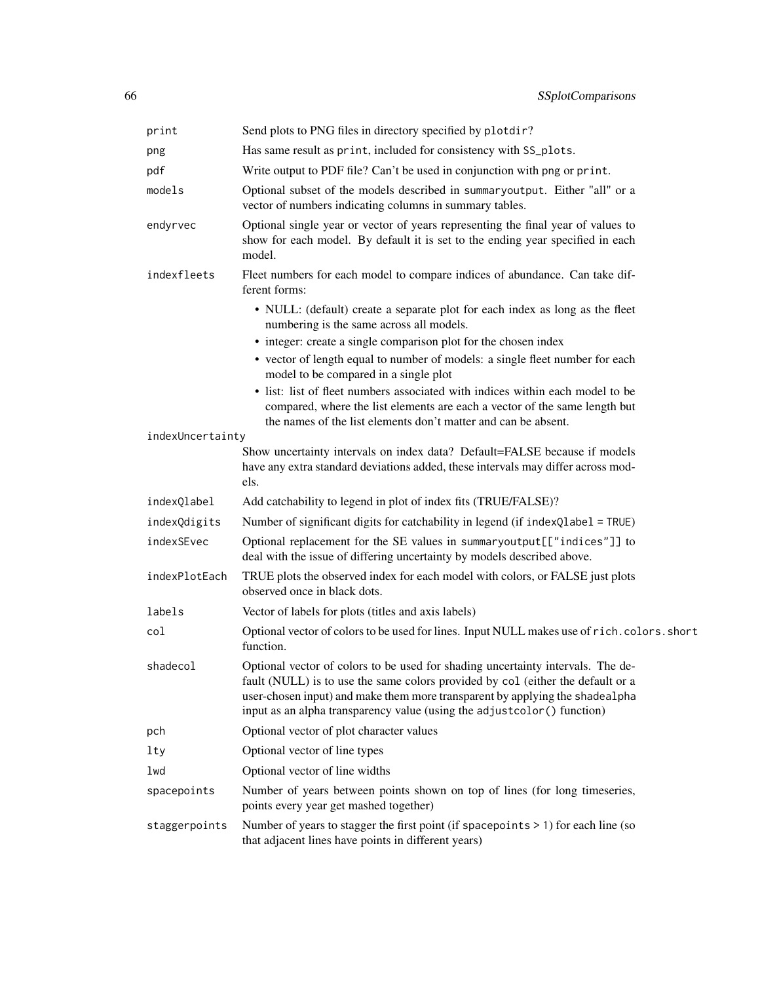| print            | Send plots to PNG files in directory specified by plotdir?                                                                                                                                                                                                                                                                    |
|------------------|-------------------------------------------------------------------------------------------------------------------------------------------------------------------------------------------------------------------------------------------------------------------------------------------------------------------------------|
| png              | Has same result as print, included for consistency with SS_plots.                                                                                                                                                                                                                                                             |
| pdf              | Write output to PDF file? Can't be used in conjunction with png or print.                                                                                                                                                                                                                                                     |
| models           | Optional subset of the models described in summaryoutput. Either "all" or a<br>vector of numbers indicating columns in summary tables.                                                                                                                                                                                        |
| endyrvec         | Optional single year or vector of years representing the final year of values to<br>show for each model. By default it is set to the ending year specified in each<br>model.                                                                                                                                                  |
| indexfleets      | Fleet numbers for each model to compare indices of abundance. Can take dif-<br>ferent forms:                                                                                                                                                                                                                                  |
|                  | • NULL: (default) create a separate plot for each index as long as the fleet<br>numbering is the same across all models.                                                                                                                                                                                                      |
|                  | • integer: create a single comparison plot for the chosen index                                                                                                                                                                                                                                                               |
|                  | • vector of length equal to number of models: a single fleet number for each<br>model to be compared in a single plot                                                                                                                                                                                                         |
|                  | • list: list of fleet numbers associated with indices within each model to be<br>compared, where the list elements are each a vector of the same length but<br>the names of the list elements don't matter and can be absent.                                                                                                 |
| indexUncertainty |                                                                                                                                                                                                                                                                                                                               |
|                  | Show uncertainty intervals on index data? Default=FALSE because if models<br>have any extra standard deviations added, these intervals may differ across mod-<br>els.                                                                                                                                                         |
| indexQlabel      | Add catchability to legend in plot of index fits (TRUE/FALSE)?                                                                                                                                                                                                                                                                |
| indexQdigits     | Number of significant digits for catchability in legend (if indexQlabel = TRUE)                                                                                                                                                                                                                                               |
| indexSEvec       | Optional replacement for the SE values in summaryoutput[["indices"]] to<br>deal with the issue of differing uncertainty by models described above.                                                                                                                                                                            |
| indexPlotEach    | TRUE plots the observed index for each model with colors, or FALSE just plots<br>observed once in black dots.                                                                                                                                                                                                                 |
| labels           | Vector of labels for plots (titles and axis labels)                                                                                                                                                                                                                                                                           |
| col              | Optional vector of colors to be used for lines. Input NULL makes use of rich.colors.short<br>function.                                                                                                                                                                                                                        |
| shadecol         | Optional vector of colors to be used for shading uncertainty intervals. The de-<br>fault (NULL) is to use the same colors provided by col (either the default or a<br>user-chosen input) and make them more transparent by applying the shadealpha<br>input as an alpha transparency value (using the adjustcolor() function) |
| pch              | Optional vector of plot character values                                                                                                                                                                                                                                                                                      |
| lty              | Optional vector of line types                                                                                                                                                                                                                                                                                                 |
| lwd              | Optional vector of line widths                                                                                                                                                                                                                                                                                                |
| spacepoints      | Number of years between points shown on top of lines (for long timeseries,<br>points every year get mashed together)                                                                                                                                                                                                          |
| staggerpoints    | Number of years to stagger the first point (if spacepoints $> 1$ ) for each line (so<br>that adjacent lines have points in different years)                                                                                                                                                                                   |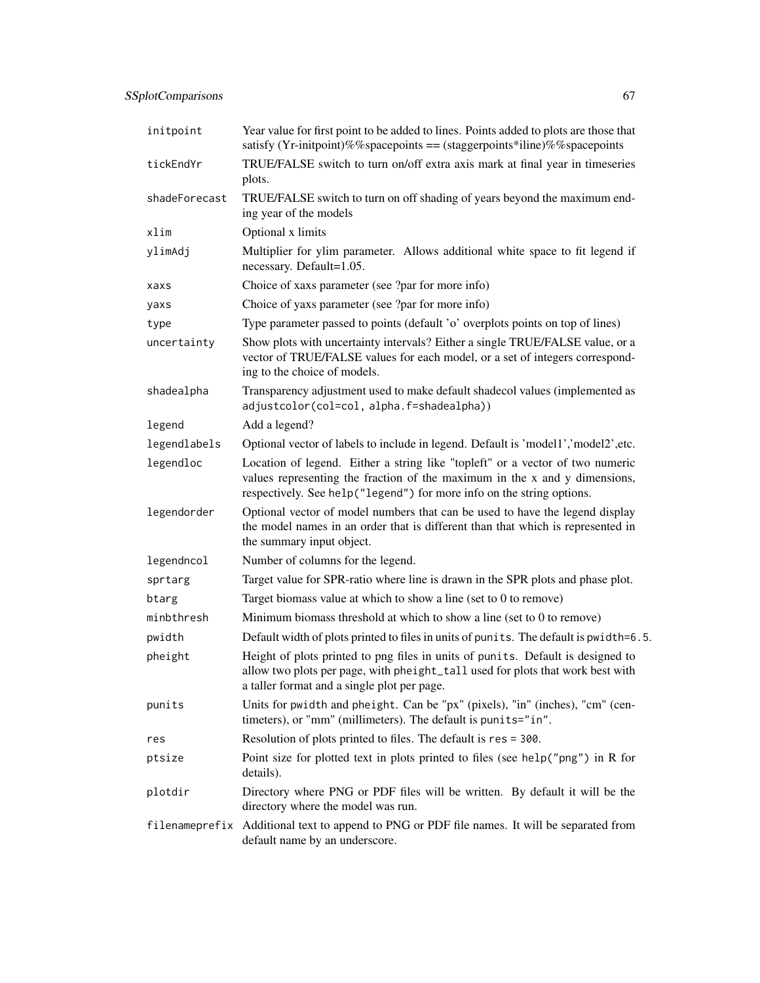| initpoint     | Year value for first point to be added to lines. Points added to plots are those that<br>satisfy (Yr-initpoint)%%spacepoints == (staggerpoints*iline)%%spacepoints                                                                   |
|---------------|--------------------------------------------------------------------------------------------------------------------------------------------------------------------------------------------------------------------------------------|
| tickEndYr     | TRUE/FALSE switch to turn on/off extra axis mark at final year in timeseries<br>plots.                                                                                                                                               |
| shadeForecast | TRUE/FALSE switch to turn on off shading of years beyond the maximum end-<br>ing year of the models                                                                                                                                  |
| xlim          | Optional x limits                                                                                                                                                                                                                    |
| ylimAdj       | Multiplier for ylim parameter. Allows additional white space to fit legend if<br>necessary. Default=1.05.                                                                                                                            |
| xaxs          | Choice of xaxs parameter (see ?par for more info)                                                                                                                                                                                    |
| yaxs          | Choice of yaxs parameter (see ?par for more info)                                                                                                                                                                                    |
| type          | Type parameter passed to points (default 'o' overplots points on top of lines)                                                                                                                                                       |
| uncertainty   | Show plots with uncertainty intervals? Either a single TRUE/FALSE value, or a<br>vector of TRUE/FALSE values for each model, or a set of integers correspond-<br>ing to the choice of models.                                        |
| shadealpha    | Transparency adjustment used to make default shadecol values (implemented as<br>adjustcolor(col=col, alpha.f=shadealpha))                                                                                                            |
| legend        | Add a legend?                                                                                                                                                                                                                        |
| legendlabels  | Optional vector of labels to include in legend. Default is 'model1','model2',etc.                                                                                                                                                    |
| legendloc     | Location of legend. Either a string like "topleft" or a vector of two numeric<br>values representing the fraction of the maximum in the x and y dimensions,<br>respectively. See help("legend") for more info on the string options. |
| legendorder   | Optional vector of model numbers that can be used to have the legend display<br>the model names in an order that is different than that which is represented in<br>the summary input object.                                         |
| legendncol    | Number of columns for the legend.                                                                                                                                                                                                    |
| sprtarg       | Target value for SPR-ratio where line is drawn in the SPR plots and phase plot.                                                                                                                                                      |
| btarg         | Target biomass value at which to show a line (set to 0 to remove)                                                                                                                                                                    |
| minbthresh    | Minimum biomass threshold at which to show a line (set to 0 to remove)                                                                                                                                                               |
| pwidth        | Default width of plots printed to files in units of punits. The default is pwidth=6.5.                                                                                                                                               |
| pheight       | Height of plots printed to png files in units of punits. Default is designed to<br>allow two plots per page, with pheight_tall used for plots that work best with<br>a taller format and a single plot per page.                     |
| punits        | Units for pwidth and pheight. Can be "px" (pixels), "in" (inches), "cm" (cen-<br>timeters), or "mm" (millimeters). The default is punits="in".                                                                                       |
| res           | Resolution of plots printed to files. The default is res = 300.                                                                                                                                                                      |
| ptsize        | Point size for plotted text in plots printed to files (see help("png") in R for<br>details).                                                                                                                                         |
| plotdir       | Directory where PNG or PDF files will be written. By default it will be the<br>directory where the model was run.                                                                                                                    |
|               | filename prefix Additional text to append to PNG or PDF filenames. It will be separated from<br>default name by an underscore.                                                                                                       |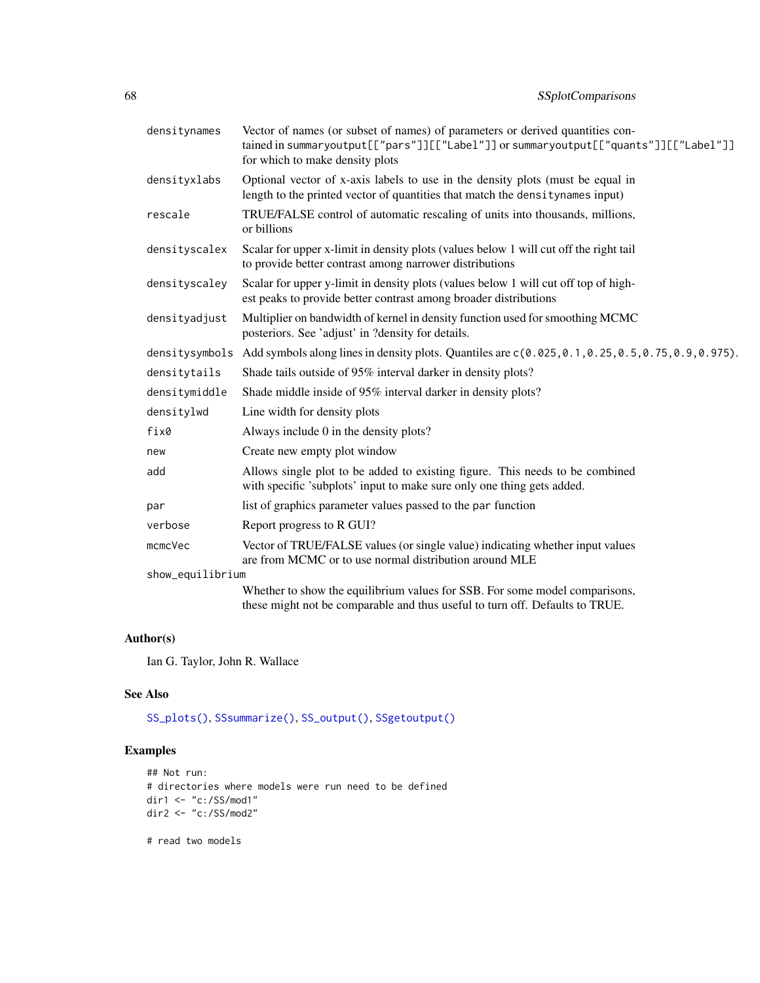| densitynames     | Vector of names (or subset of names) of parameters or derived quantities con-<br>tained in summaryoutput[["pars"]][["Label"]] or summaryoutput[["quants"]][["Label"]]<br>for which to make density plots |
|------------------|----------------------------------------------------------------------------------------------------------------------------------------------------------------------------------------------------------|
| densityxlabs     | Optional vector of x-axis labels to use in the density plots (must be equal in<br>length to the printed vector of quantities that match the densitynames input)                                          |
| rescale          | TRUE/FALSE control of automatic rescaling of units into thousands, millions,<br>or billions                                                                                                              |
| densityscalex    | Scalar for upper x-limit in density plots (values below 1 will cut off the right tail<br>to provide better contrast among narrower distributions                                                         |
| densityscaley    | Scalar for upper y-limit in density plots (values below 1 will cut off top of high-<br>est peaks to provide better contrast among broader distributions                                                  |
| densityadjust    | Multiplier on bandwidth of kernel in density function used for smoothing MCMC<br>posteriors. See 'adjust' in ?density for details.                                                                       |
|                  | densitysymbols Add symbols along lines in density plots. Quantiles are $c(0.025, 0.1, 0.25, 0.5, 0.75, 0.9, 0.975)$ .                                                                                    |
| densitytails     | Shade tails outside of 95% interval darker in density plots?                                                                                                                                             |
| densitymiddle    | Shade middle inside of 95% interval darker in density plots?                                                                                                                                             |
| densitylwd       | Line width for density plots                                                                                                                                                                             |
| fix0             | Always include 0 in the density plots?                                                                                                                                                                   |
| new              | Create new empty plot window                                                                                                                                                                             |
| add              | Allows single plot to be added to existing figure. This needs to be combined<br>with specific 'subplots' input to make sure only one thing gets added.                                                   |
| par              | list of graphics parameter values passed to the par function                                                                                                                                             |
| verbose          | Report progress to R GUI?                                                                                                                                                                                |
| mcmcVec          | Vector of TRUE/FALSE values (or single value) indicating whether input values<br>are from MCMC or to use normal distribution around MLE                                                                  |
| show_equilibrium |                                                                                                                                                                                                          |
|                  | Whether to show the equilibrium values for SSB. For some model comparisons,<br>these might not be comparable and thus useful to turn off. Defaults to TRUE.                                              |

# Author(s)

Ian G. Taylor, John R. Wallace

## See Also

[SS\\_plots\(\)](#page-135-0), [SSsummarize\(\)](#page-117-0), [SS\\_output\(\)](#page-131-0), [SSgetoutput\(\)](#page-46-0)

# Examples

```
## Not run:
# directories where models were run need to be defined
dir1 <- "c:/SS/mod1"
dir2 <- "c:/SS/mod2"
```
# read two models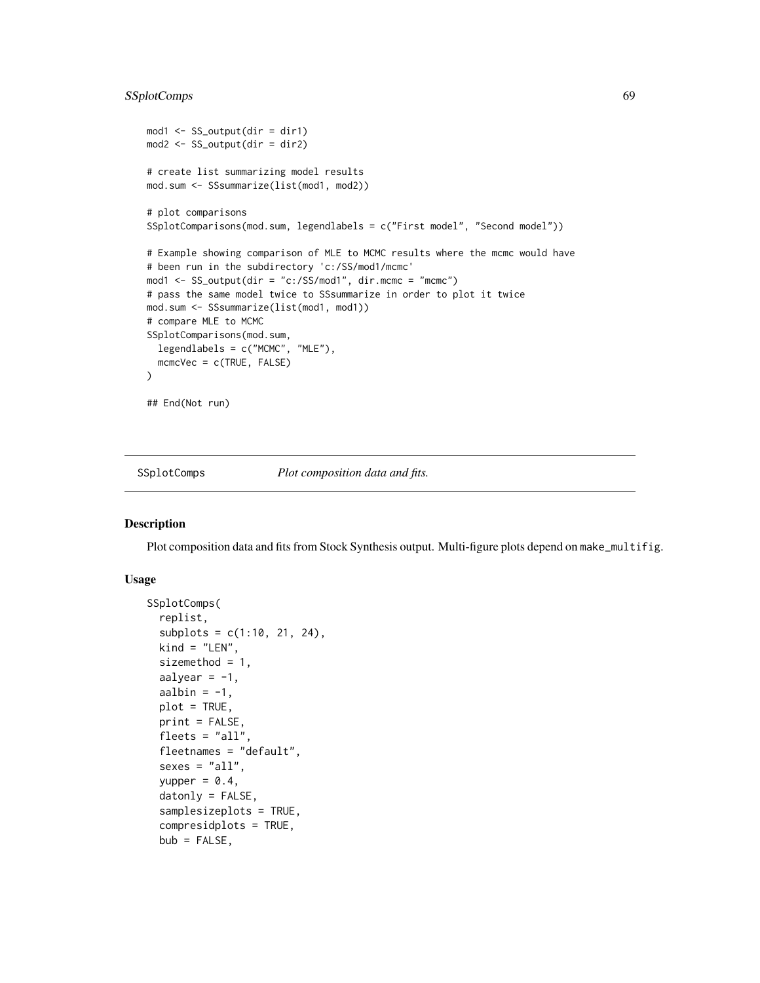# SSplotComps 69

```
mod1 <- SS_output(dir = dir1)
mod2 <- SS_output(dir = dir2)
# create list summarizing model results
mod.sum <- SSsummarize(list(mod1, mod2))
# plot comparisons
SSplotComparisons(mod.sum, legendlabels = c("First model", "Second model"))
# Example showing comparison of MLE to MCMC results where the mcmc would have
# been run in the subdirectory 'c:/SS/mod1/mcmc'
mod1 <- SS_output(dir = "c:/SS/mod1", dir.mcmc = "mcmc")
# pass the same model twice to SSsummarize in order to plot it twice
mod.sum <- SSsummarize(list(mod1, mod1))
# compare MLE to MCMC
SSplotComparisons(mod.sum,
  legendlabels = c("MCMC", "MLE"),
  mcmcVec = c(TRUE, FALSE)
)
## End(Not run)
```
SSplotComps *Plot composition data and fits.*

## Description

Plot composition data and fits from Stock Synthesis output. Multi-figure plots depend on make\_multifig.

## Usage

```
SSplotComps(
  replist,
  subplots = c(1:10, 21, 24),
  kind = "LEN",sizemethod = 1,
  aalyear = -1,
  aalbin = -1,
 plot = TRUE,
 print = FALSE,
  flects = "all",fleetnames = "default",
  sexes = "all",yupper = 0.4,
  datonly = FALSE,samplesizeplots = TRUE,
  compresidplots = TRUE,
  bub = FALSE,
```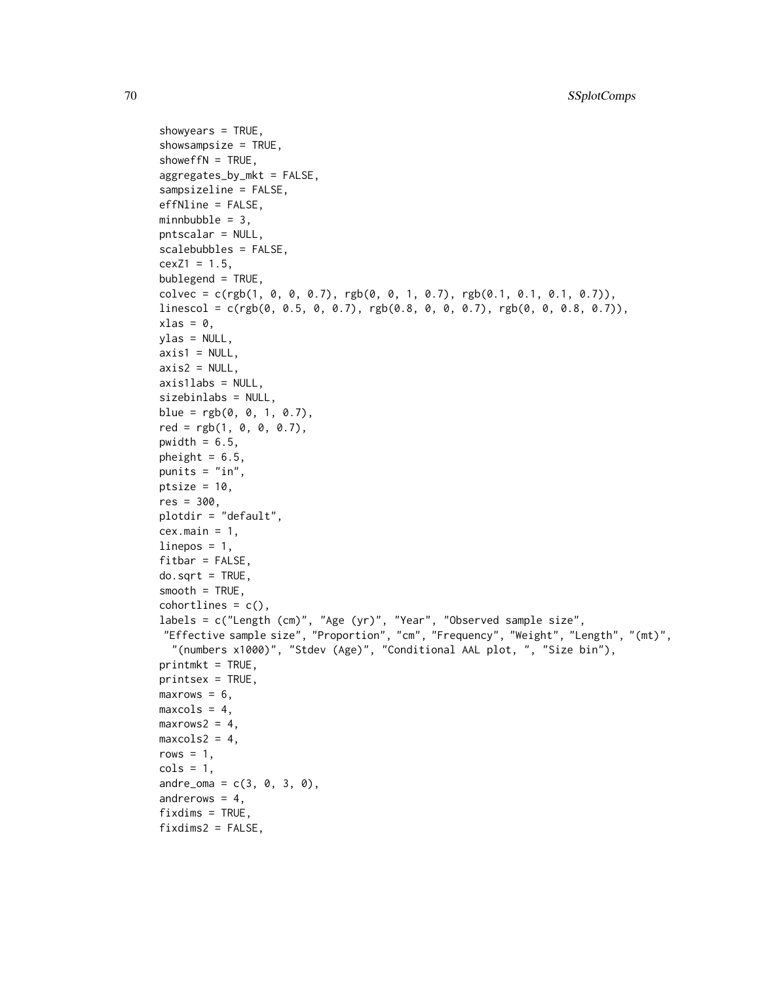```
showyears = TRUE,
showsampsize = TRUE,
showeffN = TRUE,
aggregates_by_mkt = FALSE,
sampsizeline = FALSE,
effNline = FALSE,
minnbubble = 3,
pntscalar = NULL,
scalebubbles = FALSE,
cexZ1 = 1.5,
bublegend = TRUE,
colvec = c(rgb(1, 0, 0, 0.7), rgb(0, 0, 1, 0.7), rgb(0.1, 0.1, 0.1, 0.7)),linescol = c(rgb(0, 0.5, 0, 0.7), rgb(0.8, 0, 0.7), rgb(0, 0.7), rgb(0, 0.7), rgb(0.0, 0.7)),xlas = 0,
ylas = NULL,
axis1 = NULL,axis2 = NULL,axis1labs = NULL,
sizebinlabs = NULL,
blue = rgb(0, 0, 1, 0.7),
red = rgb(1, 0, 0, 0.7),
pwidth = 6.5,
pheight = 6.5,
punits = "in",ptsize = 10,
res = 300,plotdir = "default",
cex.main = 1,
linepos = 1,
fitbar = FALSE,do.sqrt = TRUE,smooth = TRUE,cohortlines = c(),
labels = c("Length (cm)", "Age (yr)", "Year", "Observed sample size",
"Effective sample size", "Proportion", "cm", "Frequency", "Weight", "Length", "(mt)",
  "(numbers x1000)", "Stdev (Age)", "Conditional AAL plot, ", "Size bin"),
printmkt = TRUE,printsex = TRUE,
maxrows = 6,
maxcols = 4,
maxrows2 = 4,
maxcols2 = 4,
rows = 1,
cols = 1,
andre_{1} = c(3, 0, 3, 0),andrerows = 4,
fixdims = TRUE,
fixdims2 = FALSE,
```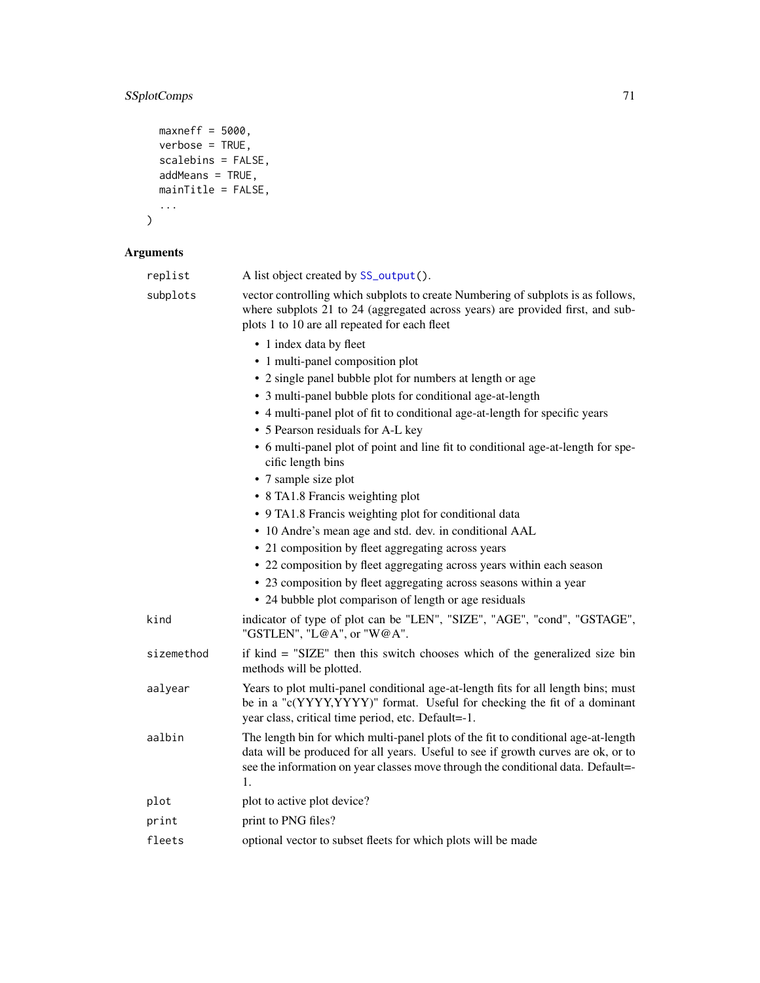# SSplotComps 71

```
maxneff = 5000,
  verbose = TRUE,
 scalebins = FALSE,
  addMeans = TRUE,
 mainTitle = FALSE,
  ...
)
```

| replist    | A list object created by SS_output().                                                                                                                                                                                                                             |
|------------|-------------------------------------------------------------------------------------------------------------------------------------------------------------------------------------------------------------------------------------------------------------------|
| subplots   | vector controlling which subplots to create Numbering of subplots is as follows,<br>where subplots 21 to 24 (aggregated across years) are provided first, and sub-<br>plots 1 to 10 are all repeated for each fleet                                               |
|            | • 1 index data by fleet                                                                                                                                                                                                                                           |
|            | • 1 multi-panel composition plot                                                                                                                                                                                                                                  |
|            | • 2 single panel bubble plot for numbers at length or age                                                                                                                                                                                                         |
|            | • 3 multi-panel bubble plots for conditional age-at-length                                                                                                                                                                                                        |
|            | • 4 multi-panel plot of fit to conditional age-at-length for specific years                                                                                                                                                                                       |
|            | • 5 Pearson residuals for A-L key                                                                                                                                                                                                                                 |
|            | • 6 multi-panel plot of point and line fit to conditional age-at-length for spe-<br>cific length bins                                                                                                                                                             |
|            | • 7 sample size plot                                                                                                                                                                                                                                              |
|            | • 8 TA1.8 Francis weighting plot                                                                                                                                                                                                                                  |
|            | • 9 TA1.8 Francis weighting plot for conditional data                                                                                                                                                                                                             |
|            | • 10 Andre's mean age and std. dev. in conditional AAL                                                                                                                                                                                                            |
|            | • 21 composition by fleet aggregating across years                                                                                                                                                                                                                |
|            | • 22 composition by fleet aggregating across years within each season                                                                                                                                                                                             |
|            | • 23 composition by fleet aggregating across seasons within a year                                                                                                                                                                                                |
|            | • 24 bubble plot comparison of length or age residuals                                                                                                                                                                                                            |
| kind       | indicator of type of plot can be "LEN", "SIZE", "AGE", "cond", "GSTAGE",<br>"GSTLEN", "L@A", or "W@A".                                                                                                                                                            |
| sizemethod | if kind = "SIZE" then this switch chooses which of the generalized size bin<br>methods will be plotted.                                                                                                                                                           |
| aalyear    | Years to plot multi-panel conditional age-at-length fits for all length bins; must<br>be in a "c(YYYY,YYYY)" format. Useful for checking the fit of a dominant<br>year class, critical time period, etc. Default=-1.                                              |
| aalbin     | The length bin for which multi-panel plots of the fit to conditional age-at-length<br>data will be produced for all years. Useful to see if growth curves are ok, or to<br>see the information on year classes move through the conditional data. Default=-<br>1. |
| plot       | plot to active plot device?                                                                                                                                                                                                                                       |
| print      | print to PNG files?                                                                                                                                                                                                                                               |
| fleets     | optional vector to subset fleets for which plots will be made                                                                                                                                                                                                     |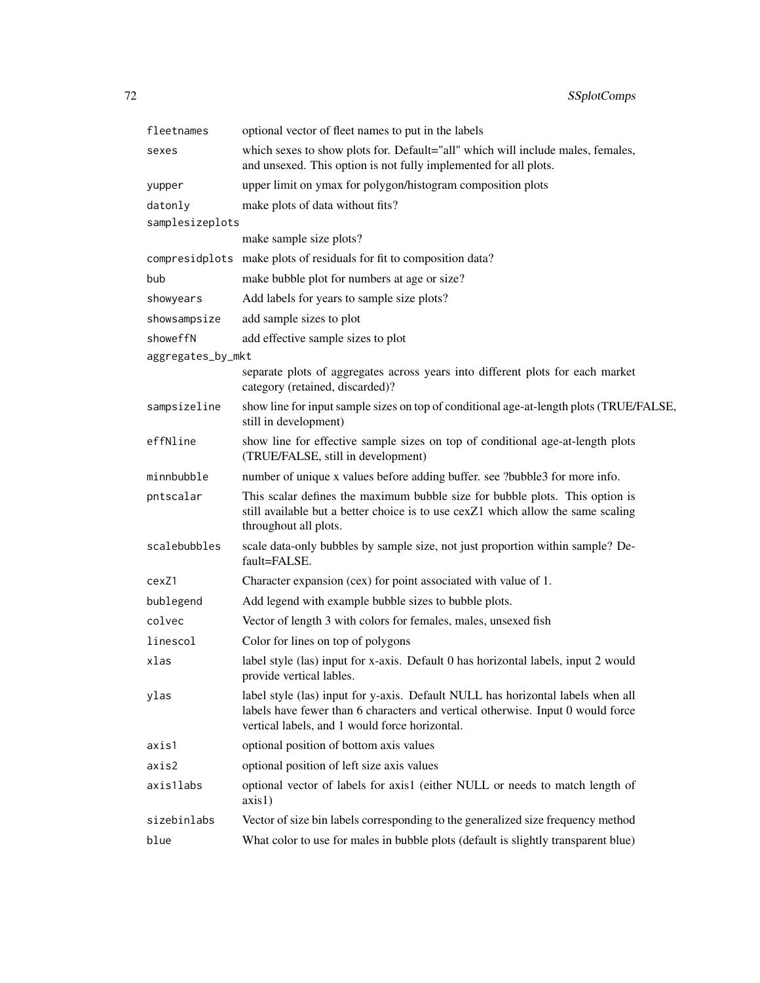| fleetnames        | optional vector of fleet names to put in the labels                                                                                                                                                                  |
|-------------------|----------------------------------------------------------------------------------------------------------------------------------------------------------------------------------------------------------------------|
| sexes             | which sexes to show plots for. Default="all" which will include males, females,<br>and unsexed. This option is not fully implemented for all plots.                                                                  |
| yupper            | upper limit on ymax for polygon/histogram composition plots                                                                                                                                                          |
| datonly           | make plots of data without fits?                                                                                                                                                                                     |
| samplesizeplots   |                                                                                                                                                                                                                      |
|                   | make sample size plots?                                                                                                                                                                                              |
|                   | compresidplots make plots of residuals for fit to composition data?                                                                                                                                                  |
| bub               | make bubble plot for numbers at age or size?                                                                                                                                                                         |
| showyears         | Add labels for years to sample size plots?                                                                                                                                                                           |
| showsampsize      | add sample sizes to plot                                                                                                                                                                                             |
| showeffN          | add effective sample sizes to plot                                                                                                                                                                                   |
| aggregates_by_mkt |                                                                                                                                                                                                                      |
|                   | separate plots of aggregates across years into different plots for each market<br>category (retained, discarded)?                                                                                                    |
| sampsizeline      | show line for input sample sizes on top of conditional age-at-length plots (TRUE/FALSE,<br>still in development)                                                                                                     |
| effNline          | show line for effective sample sizes on top of conditional age-at-length plots<br>(TRUE/FALSE, still in development)                                                                                                 |
| minnbubble        | number of unique x values before adding buffer. see ?bubble3 for more info.                                                                                                                                          |
| pntscalar         | This scalar defines the maximum bubble size for bubble plots. This option is<br>still available but a better choice is to use cexZ1 which allow the same scaling<br>throughout all plots.                            |
| scalebubbles      | scale data-only bubbles by sample size, not just proportion within sample? De-<br>fault=FALSE.                                                                                                                       |
| cexZ1             | Character expansion (cex) for point associated with value of 1.                                                                                                                                                      |
| bublegend         | Add legend with example bubble sizes to bubble plots.                                                                                                                                                                |
| colvec            | Vector of length 3 with colors for females, males, unsexed fish                                                                                                                                                      |
| linescol          | Color for lines on top of polygons                                                                                                                                                                                   |
| xlas              | label style (las) input for x-axis. Default 0 has horizontal labels, input 2 would<br>provide vertical lables.                                                                                                       |
| ylas              | label style (las) input for y-axis. Default NULL has horizontal labels when all<br>labels have fewer than 6 characters and vertical otherwise. Input 0 would force<br>vertical labels, and 1 would force horizontal. |
| axis1             | optional position of bottom axis values                                                                                                                                                                              |
| axis2             | optional position of left size axis values                                                                                                                                                                           |
| axis1labs         | optional vector of labels for axis1 (either NULL or needs to match length of<br>axis1)                                                                                                                               |
| sizebinlabs       | Vector of size bin labels corresponding to the generalized size frequency method                                                                                                                                     |
| blue              | What color to use for males in bubble plots (default is slightly transparent blue)                                                                                                                                   |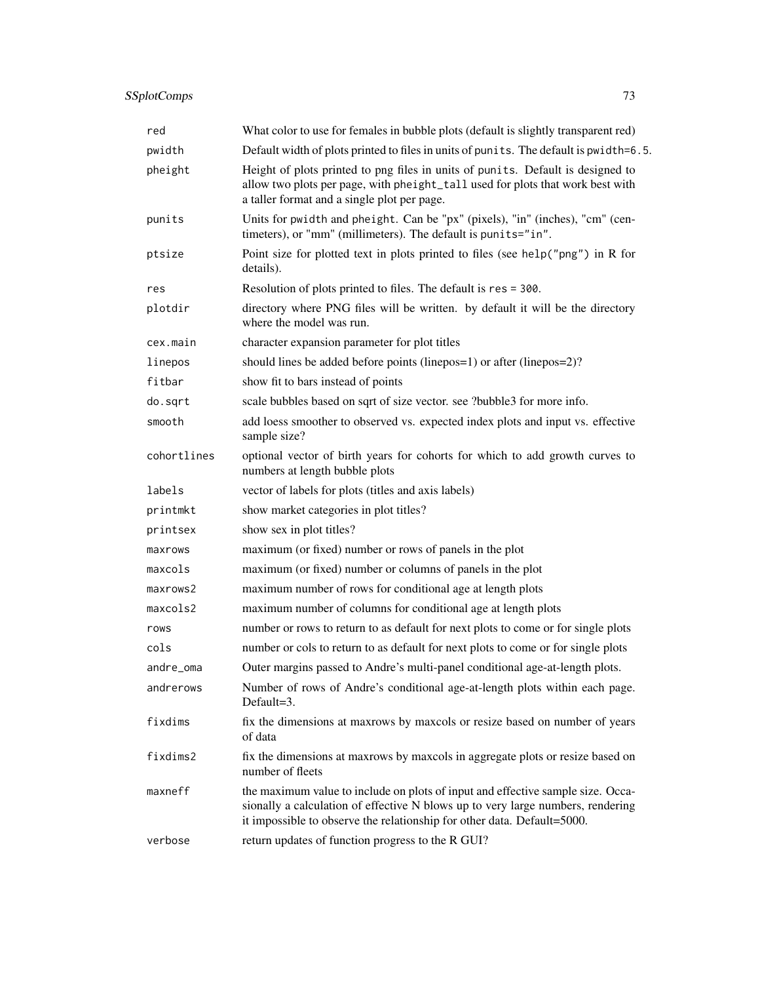# SSplotComps 73

| red         | What color to use for females in bubble plots (default is slightly transparent red)                                                                                                                                                           |
|-------------|-----------------------------------------------------------------------------------------------------------------------------------------------------------------------------------------------------------------------------------------------|
| pwidth      | Default width of plots printed to files in units of punits. The default is pwidth=6.5.                                                                                                                                                        |
| pheight     | Height of plots printed to png files in units of punits. Default is designed to<br>allow two plots per page, with pheight_tall used for plots that work best with<br>a taller format and a single plot per page.                              |
| punits      | Units for pwidth and pheight. Can be "px" (pixels), "in" (inches), "cm" (cen-<br>timeters), or "mm" (millimeters). The default is punits="in".                                                                                                |
| ptsize      | Point size for plotted text in plots printed to files (see help("png") in R for<br>details).                                                                                                                                                  |
| res         | Resolution of plots printed to files. The default is res = 300.                                                                                                                                                                               |
| plotdir     | directory where PNG files will be written. by default it will be the directory<br>where the model was run.                                                                                                                                    |
| cex.main    | character expansion parameter for plot titles                                                                                                                                                                                                 |
| linepos     | should lines be added before points (linepos=1) or after (linepos=2)?                                                                                                                                                                         |
| fitbar      | show fit to bars instead of points                                                                                                                                                                                                            |
| do.sqrt     | scale bubbles based on sqrt of size vector. see ?bubble3 for more info.                                                                                                                                                                       |
| smooth      | add loess smoother to observed vs. expected index plots and input vs. effective<br>sample size?                                                                                                                                               |
| cohortlines | optional vector of birth years for cohorts for which to add growth curves to<br>numbers at length bubble plots                                                                                                                                |
| labels      | vector of labels for plots (titles and axis labels)                                                                                                                                                                                           |
| printmkt    | show market categories in plot titles?                                                                                                                                                                                                        |
| printsex    | show sex in plot titles?                                                                                                                                                                                                                      |
| maxrows     | maximum (or fixed) number or rows of panels in the plot                                                                                                                                                                                       |
| maxcols     | maximum (or fixed) number or columns of panels in the plot                                                                                                                                                                                    |
| maxrows2    | maximum number of rows for conditional age at length plots                                                                                                                                                                                    |
| maxcols2    | maximum number of columns for conditional age at length plots                                                                                                                                                                                 |
| rows        | number or rows to return to as default for next plots to come or for single plots                                                                                                                                                             |
| cols        | number or cols to return to as default for next plots to come or for single plots                                                                                                                                                             |
| andre_oma   | Outer margins passed to Andre's multi-panel conditional age-at-length plots.                                                                                                                                                                  |
| andrerows   | Number of rows of Andre's conditional age-at-length plots within each page.<br>Default=3.                                                                                                                                                     |
| fixdims     | fix the dimensions at maxrows by maxcols or resize based on number of years<br>of data                                                                                                                                                        |
| fixdims2    | fix the dimensions at maxrows by maxcols in aggregate plots or resize based on<br>number of fleets                                                                                                                                            |
| maxneff     | the maximum value to include on plots of input and effective sample size. Occa-<br>sionally a calculation of effective N blows up to very large numbers, rendering<br>it impossible to observe the relationship for other data. Default=5000. |
| verbose     | return updates of function progress to the R GUI?                                                                                                                                                                                             |
|             |                                                                                                                                                                                                                                               |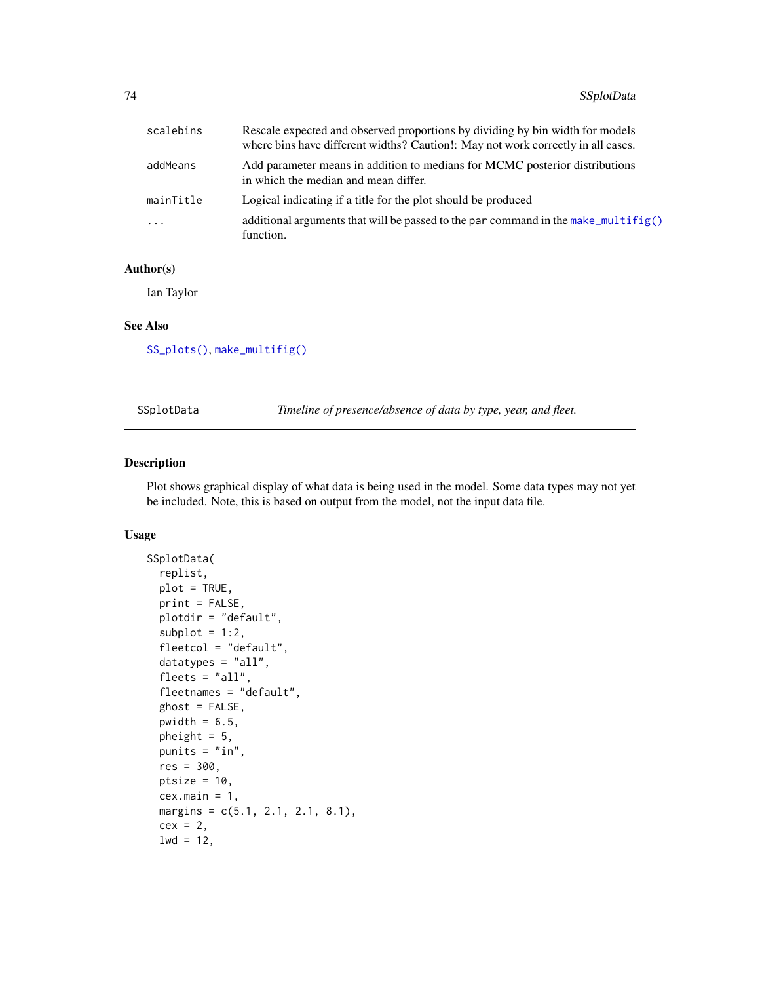| scalebins | Rescale expected and observed proportions by dividing by bin width for models<br>where bins have different widths? Caution!: May not work correctly in all cases. |
|-----------|-------------------------------------------------------------------------------------------------------------------------------------------------------------------|
| addMeans  | Add parameter means in addition to medians for MCMC posterior distributions<br>in which the median and mean differ.                                               |
| mainTitle | Logical indicating if a title for the plot should be produced                                                                                                     |
| $\ddots$  | additional arguments that will be passed to the par command in the make multifig()<br>function.                                                                   |

Ian Taylor

#### See Also

[SS\\_plots\(\)](#page-135-0), [make\\_multifig\(\)](#page-17-0)

SSplotData *Timeline of presence/absence of data by type, year, and fleet.*

## Description

Plot shows graphical display of what data is being used in the model. Some data types may not yet be included. Note, this is based on output from the model, not the input data file.

```
SSplotData(
  replist,
  plot = TRUE,
  print = FALSE,
  plotdir = "default",
  subplot = 1:2,fleetcol = "default",
  datatypes = "all",fleets = "all",fleetnames = "default",
  ghost = FALSE,pwidth = 6.5,
  pheight = 5,
 punits = "in",
  res = 300.
 ptsize = 10,
  cex.mainloop = 1,
  margins = c(5.1, 2.1, 2.1, 8.1),
  cex = 2,
  1wd = 12,
```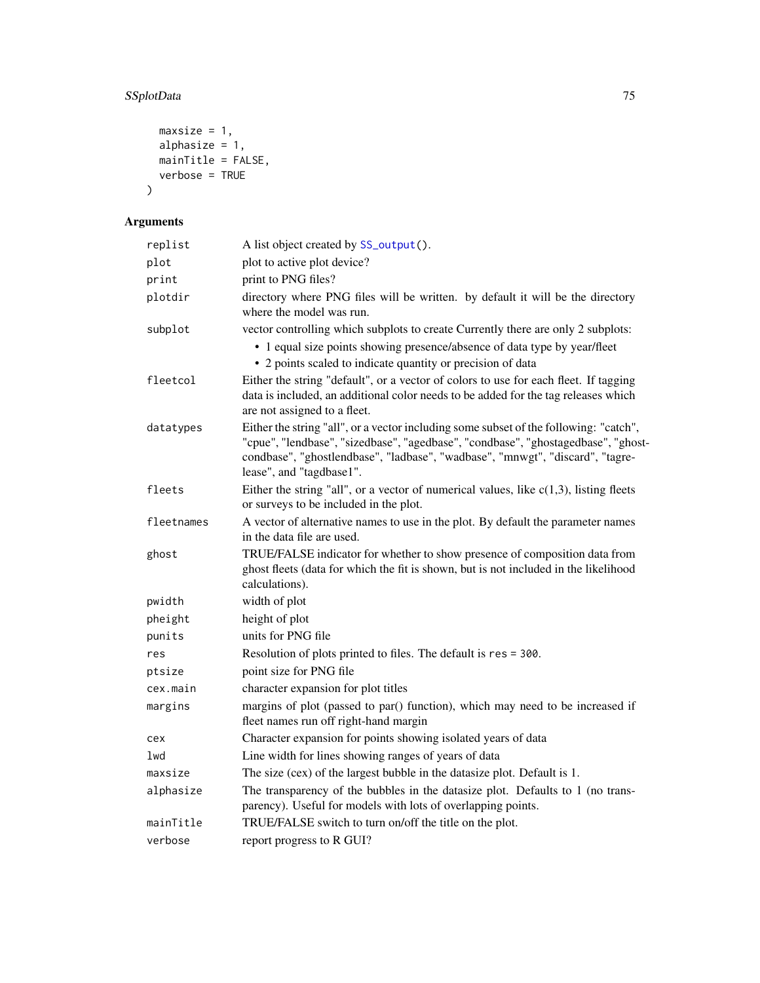# SSplotData 75

```
maxsize = 1,alphasize = 1,mainTitle = FALSE,verbose = TRUE
)
```

| replist    | A list object created by SS_output().                                                                                                                                                                                                                                                   |
|------------|-----------------------------------------------------------------------------------------------------------------------------------------------------------------------------------------------------------------------------------------------------------------------------------------|
| plot       | plot to active plot device?                                                                                                                                                                                                                                                             |
| print      | print to PNG files?                                                                                                                                                                                                                                                                     |
| plotdir    | directory where PNG files will be written. by default it will be the directory<br>where the model was run.                                                                                                                                                                              |
| subplot    | vector controlling which subplots to create Currently there are only 2 subplots:<br>• 1 equal size points showing presence/absence of data type by year/fleet<br>• 2 points scaled to indicate quantity or precision of data                                                            |
| fleetcol   | Either the string "default", or a vector of colors to use for each fleet. If tagging<br>data is included, an additional color needs to be added for the tag releases which<br>are not assigned to a fleet.                                                                              |
| datatypes  | Either the string "all", or a vector including some subset of the following: "catch",<br>"cpue", "lendbase", "sizedbase", "agedbase", "condbase", "ghostagedbase", "ghost-<br>condbase", "ghostlendbase", "ladbase", "wadbase", "mnwgt", "discard", "tagre-<br>lease", and "tagdbase1". |
| fleets     | Either the string "all", or a vector of numerical values, like $c(1,3)$ , listing fleets<br>or surveys to be included in the plot.                                                                                                                                                      |
| fleetnames | A vector of alternative names to use in the plot. By default the parameter names<br>in the data file are used.                                                                                                                                                                          |
| ghost      | TRUE/FALSE indicator for whether to show presence of composition data from<br>ghost fleets (data for which the fit is shown, but is not included in the likelihood<br>calculations).                                                                                                    |
| pwidth     | width of plot                                                                                                                                                                                                                                                                           |
| pheight    | height of plot                                                                                                                                                                                                                                                                          |
| punits     | units for PNG file                                                                                                                                                                                                                                                                      |
| res        | Resolution of plots printed to files. The default is res = 300.                                                                                                                                                                                                                         |
| ptsize     | point size for PNG file                                                                                                                                                                                                                                                                 |
| cex.main   | character expansion for plot titles                                                                                                                                                                                                                                                     |
| margins    | margins of plot (passed to par() function), which may need to be increased if<br>fleet names run off right-hand margin                                                                                                                                                                  |
| cex        | Character expansion for points showing isolated years of data                                                                                                                                                                                                                           |
| lwd        | Line width for lines showing ranges of years of data                                                                                                                                                                                                                                    |
| maxsize    | The size (cex) of the largest bubble in the datasize plot. Default is 1.                                                                                                                                                                                                                |
| alphasize  | The transparency of the bubbles in the datasize plot. Defaults to 1 (no trans-<br>parency). Useful for models with lots of overlapping points.                                                                                                                                          |
| mainTitle  | TRUE/FALSE switch to turn on/off the title on the plot.                                                                                                                                                                                                                                 |
| verbose    | report progress to R GUI?                                                                                                                                                                                                                                                               |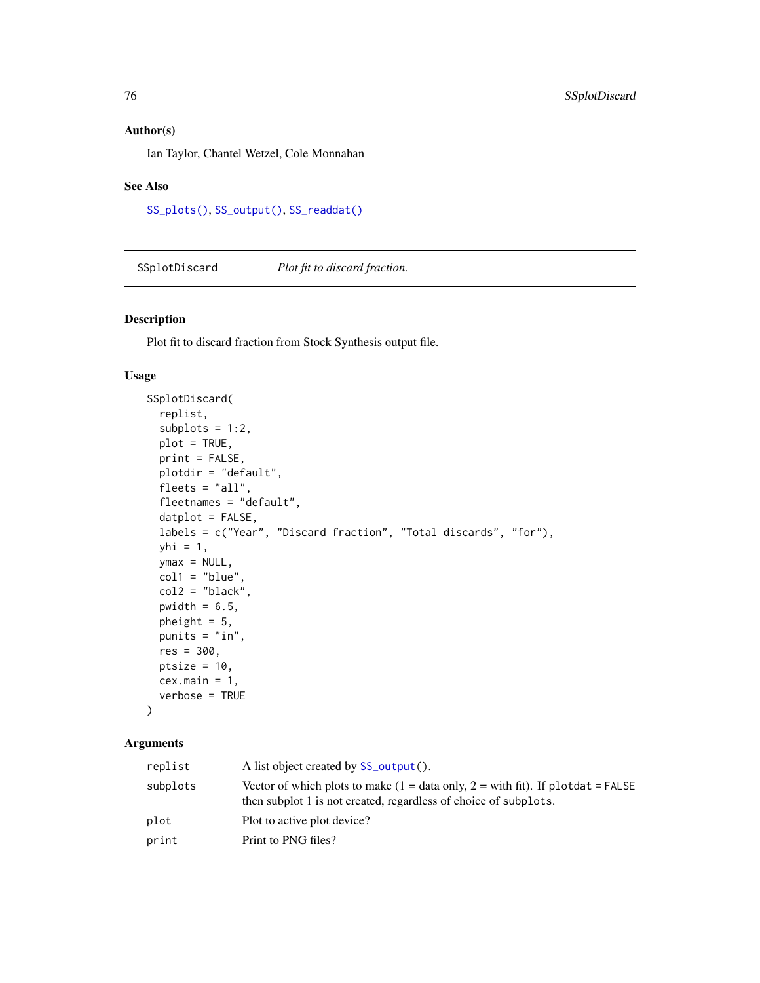Ian Taylor, Chantel Wetzel, Cole Monnahan

#### See Also

[SS\\_plots\(\)](#page-135-0), [SS\\_output\(\)](#page-131-0), [SS\\_readdat\(\)](#page-155-0)

SSplotDiscard *Plot fit to discard fraction.*

#### Description

Plot fit to discard fraction from Stock Synthesis output file.

## Usage

```
SSplotDiscard(
  replist,
  subplots = 1:2,
 plot = TRUE,
 print = FALSE,
 plotdir = "default",
  fleets = "all",fleetnames = "default",
  datplot = FALSE,
  labels = c("Year", "Discard fraction", "Total discards", "for"),
 yhi = 1,
 ymax = NULL,
  col1 = "blue",col2 = "black",pwidth = 6.5,
 pheight = 5,
 punits = "in",res = 300,
 ptsize = 10,
 cex.mainloop = 1,
  verbose = TRUE
)
```

| replist  | A list object created by SS_output().                                                                                                                          |
|----------|----------------------------------------------------------------------------------------------------------------------------------------------------------------|
| subplots | Vector of which plots to make $(1 = data \text{ only}, 2 = with fit)$ . If plotdat = FALSE<br>then subplot 1 is not created, regardless of choice of subplots. |
| plot     | Plot to active plot device?                                                                                                                                    |
| print    | Print to PNG files?                                                                                                                                            |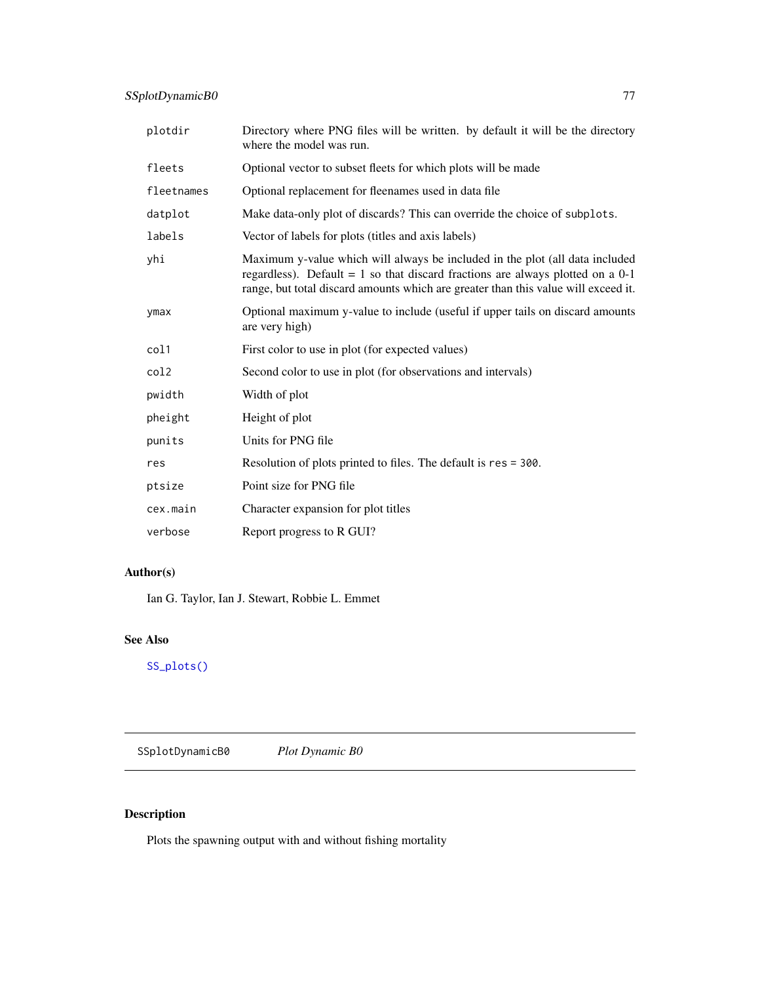| plotdir    | Directory where PNG files will be written. by default it will be the directory<br>where the model was run.                                                                                                                                               |
|------------|----------------------------------------------------------------------------------------------------------------------------------------------------------------------------------------------------------------------------------------------------------|
| fleets     | Optional vector to subset fleets for which plots will be made                                                                                                                                                                                            |
| fleetnames | Optional replacement for fleenames used in data file                                                                                                                                                                                                     |
| datplot    | Make data-only plot of discards? This can override the choice of subplots.                                                                                                                                                                               |
| labels     | Vector of labels for plots (titles and axis labels)                                                                                                                                                                                                      |
| yhi        | Maximum y-value which will always be included in the plot (all data included<br>regardless). Default = $1$ so that discard fractions are always plotted on a $0-1$<br>range, but total discard amounts which are greater than this value will exceed it. |
| ymax       | Optional maximum y-value to include (useful if upper tails on discard amounts<br>are very high)                                                                                                                                                          |
| col1       | First color to use in plot (for expected values)                                                                                                                                                                                                         |
| col2       | Second color to use in plot (for observations and intervals)                                                                                                                                                                                             |
| pwidth     | Width of plot                                                                                                                                                                                                                                            |
| pheight    | Height of plot                                                                                                                                                                                                                                           |
| punits     | Units for PNG file                                                                                                                                                                                                                                       |
| res        | Resolution of plots printed to files. The default is res = 300.                                                                                                                                                                                          |
| ptsize     | Point size for PNG file                                                                                                                                                                                                                                  |
| cex.main   | Character expansion for plot titles                                                                                                                                                                                                                      |
| verbose    | Report progress to R GUI?                                                                                                                                                                                                                                |

Ian G. Taylor, Ian J. Stewart, Robbie L. Emmet

# See Also

[SS\\_plots\(\)](#page-135-0)

SSplotDynamicB0 *Plot Dynamic B0*

# Description

Plots the spawning output with and without fishing mortality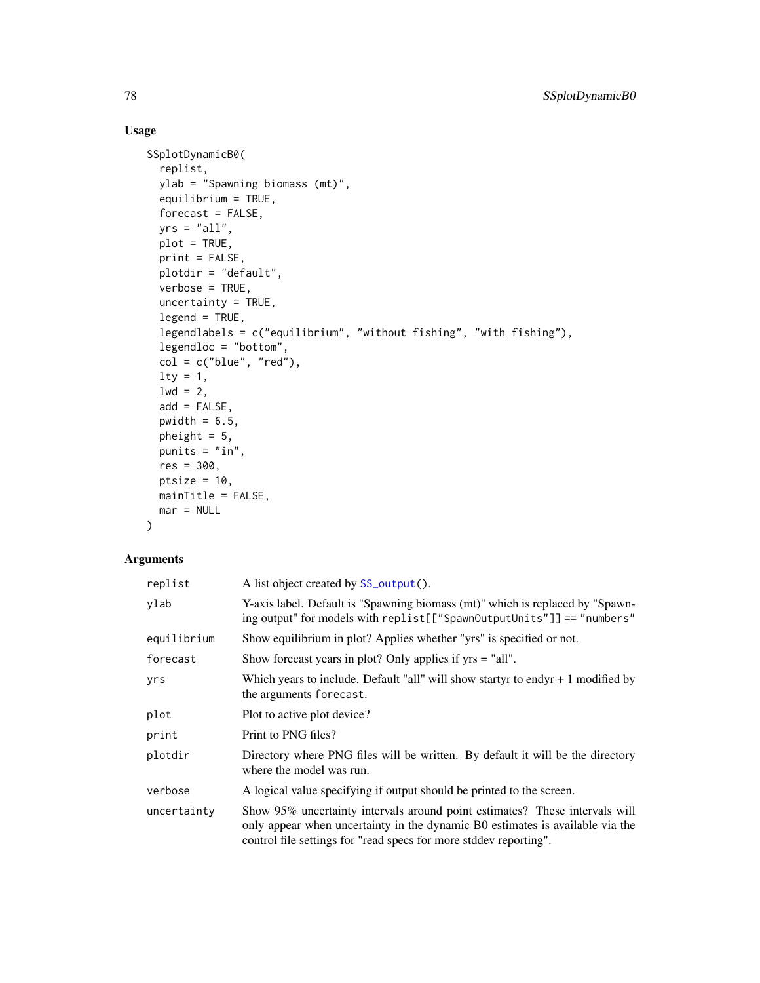## Usage

```
SSplotDynamicB0(
  replist,
 ylab = "Spawning biomass (mt)",
  equilibrium = TRUE,
  forecast = FALSE,
  yrs = "all",plot = TRUE,
 print = FALSE,
 plotdir = "default",
  verbose = TRUE,
 uncertainty = TRUE,
  legend = TRUE,legendlabels = c("equilibrium", "without fishing", "with fishing"),
  legendloc = "bottom",
  col = c("blue", "red"),lty = 1,
  1wd = 2,
  add = FALSE,
 pwidth = 6.5,
 pheight = 5,
 punits = "in",
 res = 300,
 ptsize = 10,
 mainTitle = FALSE,
 mar = NULL
\mathcal{L}
```

| replist     | A list object created by SS_output().                                                                                                                                                                                             |
|-------------|-----------------------------------------------------------------------------------------------------------------------------------------------------------------------------------------------------------------------------------|
| ylab        | Y-axis label. Default is "Spawning biomass (mt)" which is replaced by "Spawn-<br>ing output" for models with replist[["SpawnOutputUnits"]] == "numbers"                                                                           |
| equilibrium | Show equilibrium in plot? Applies whether "yrs" is specified or not.                                                                                                                                                              |
| forecast    | Show forecast years in plot? Only applies if $yrs = "all".$                                                                                                                                                                       |
| yrs         | Which years to include. Default "all" will show startyr to endyr $+1$ modified by<br>the arguments forecast.                                                                                                                      |
| plot        | Plot to active plot device?                                                                                                                                                                                                       |
| print       | Print to PNG files?                                                                                                                                                                                                               |
| plotdir     | Directory where PNG files will be written. By default it will be the directory<br>where the model was run.                                                                                                                        |
| verbose     | A logical value specifying if output should be printed to the screen.                                                                                                                                                             |
| uncertainty | Show 95% uncertainty intervals around point estimates? These intervals will<br>only appear when uncertainty in the dynamic B0 estimates is available via the<br>control file settings for "read specs for more stddev reporting". |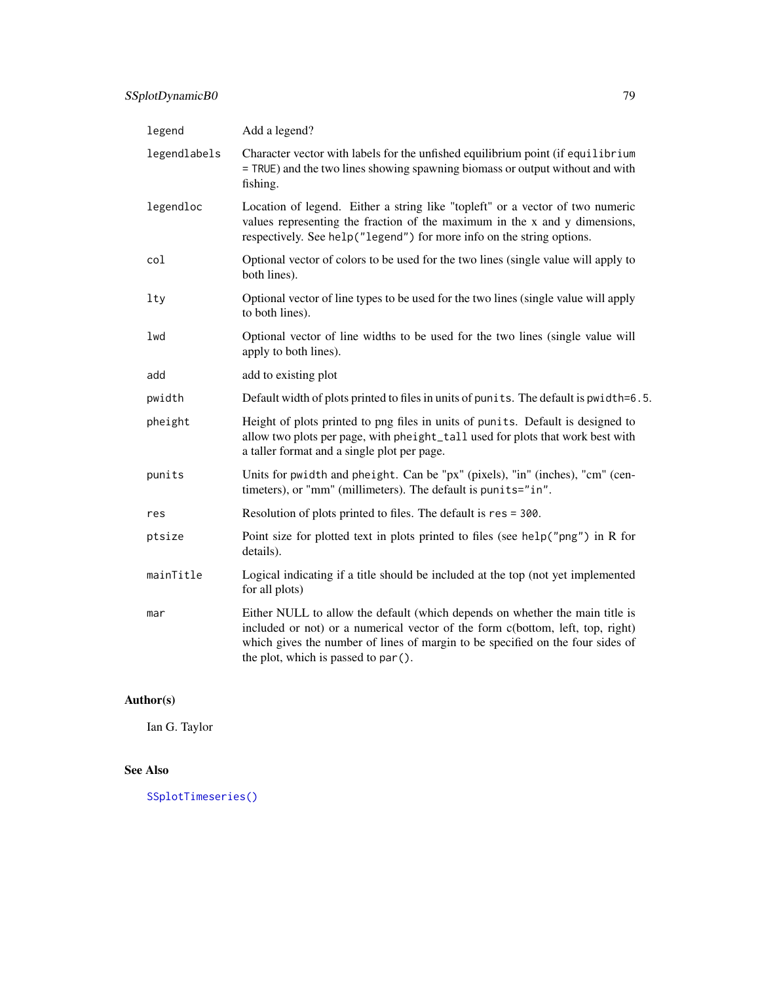| legend       | Add a legend?                                                                                                                                                                                                                                                                            |
|--------------|------------------------------------------------------------------------------------------------------------------------------------------------------------------------------------------------------------------------------------------------------------------------------------------|
| legendlabels | Character vector with labels for the unfished equilibrium point (if equilibrium<br>= TRUE) and the two lines showing spawning biomass or output without and with<br>fishing.                                                                                                             |
| legendloc    | Location of legend. Either a string like "topleft" or a vector of two numeric<br>values representing the fraction of the maximum in the $x$ and $y$ dimensions,<br>respectively. See help("legend") for more info on the string options.                                                 |
| col          | Optional vector of colors to be used for the two lines (single value will apply to<br>both lines).                                                                                                                                                                                       |
| lty          | Optional vector of line types to be used for the two lines (single value will apply<br>to both lines).                                                                                                                                                                                   |
| lwd          | Optional vector of line widths to be used for the two lines (single value will<br>apply to both lines).                                                                                                                                                                                  |
| add          | add to existing plot                                                                                                                                                                                                                                                                     |
| pwidth       | Default width of plots printed to files in units of punits. The default is pwidth=6.5.                                                                                                                                                                                                   |
| pheight      | Height of plots printed to png files in units of punits. Default is designed to<br>allow two plots per page, with pheight_tall used for plots that work best with<br>a taller format and a single plot per page.                                                                         |
| punits       | Units for pwidth and pheight. Can be "px" (pixels), "in" (inches), "cm" (cen-<br>timeters), or "mm" (millimeters). The default is punits="in".                                                                                                                                           |
| res          | Resolution of plots printed to files. The default is res = 300.                                                                                                                                                                                                                          |
| ptsize       | Point size for plotted text in plots printed to files (see help("png") in R for<br>details).                                                                                                                                                                                             |
| mainTitle    | Logical indicating if a title should be included at the top (not yet implemented<br>for all plots)                                                                                                                                                                                       |
| mar          | Either NULL to allow the default (which depends on whether the main title is<br>included or not) or a numerical vector of the form c(bottom, left, top, right)<br>which gives the number of lines of margin to be specified on the four sides of<br>the plot, which is passed to par (). |

Ian G. Taylor

# See Also

[SSplotTimeseries\(\)](#page-113-0)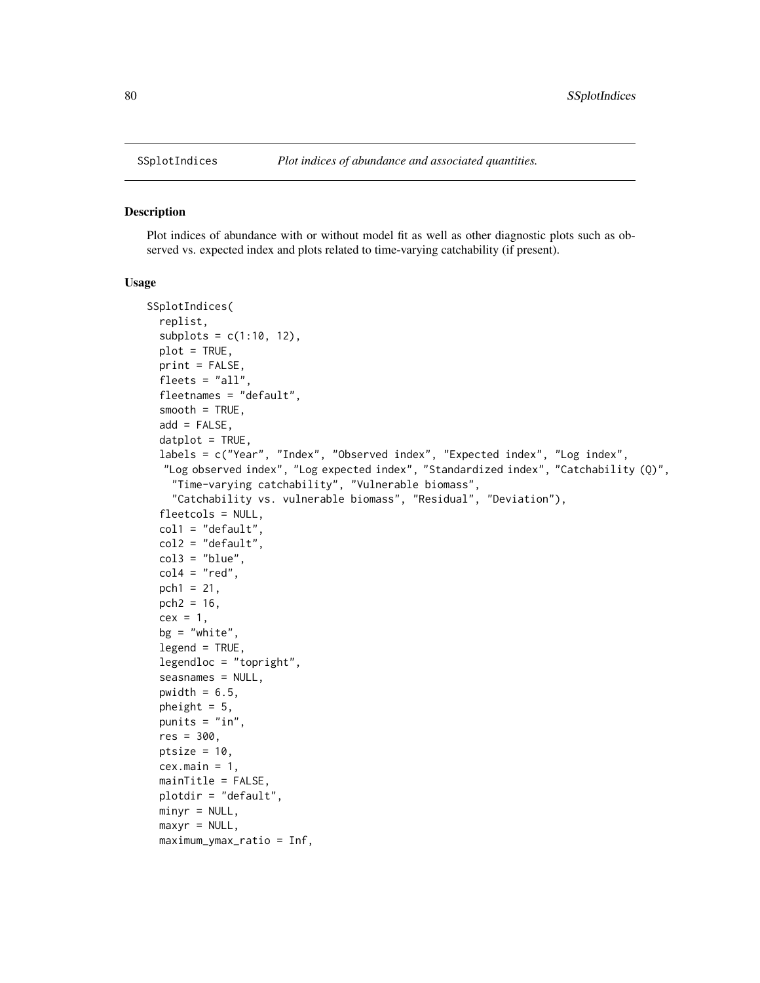#### Description

Plot indices of abundance with or without model fit as well as other diagnostic plots such as observed vs. expected index and plots related to time-varying catchability (if present).

```
SSplotIndices(
  replist,
  subplots = c(1:10, 12),
 plot = TRUE,
 print = FALSE,
  fleets = "all",
  fleetnames = "default",
  smooth = TRUE,
  add = FALSE,dot = TRUE,labels = c("Year", "Index", "Observed index", "Expected index", "Log index",
  "Log observed index", "Log expected index", "Standardized index", "Catchability (Q)",
    "Time-varying catchability", "Vulnerable biomass",
    "Catchability vs. vulnerable biomass", "Residual", "Deviation"),
  fleetcols = NULL,
  coll = "default",col2 = "default".col3 = "blue",col4 = "red",pch1 = 21,
  pch2 = 16,
  cex = 1,
  bg = "white",legend = TRUE,legendloc = "topright",
  seasnames = NULL,
  pwidth = 6.5,
  pheight = 5,
  punits = "in",res = 300,ptsize = 10,
  cex.mainloop = 1,
 mainTitle = FALSE,
 plotdir = "default",
 minyr = NULL,maxyr = NULL,maximum_ymax_ratio = Inf,
```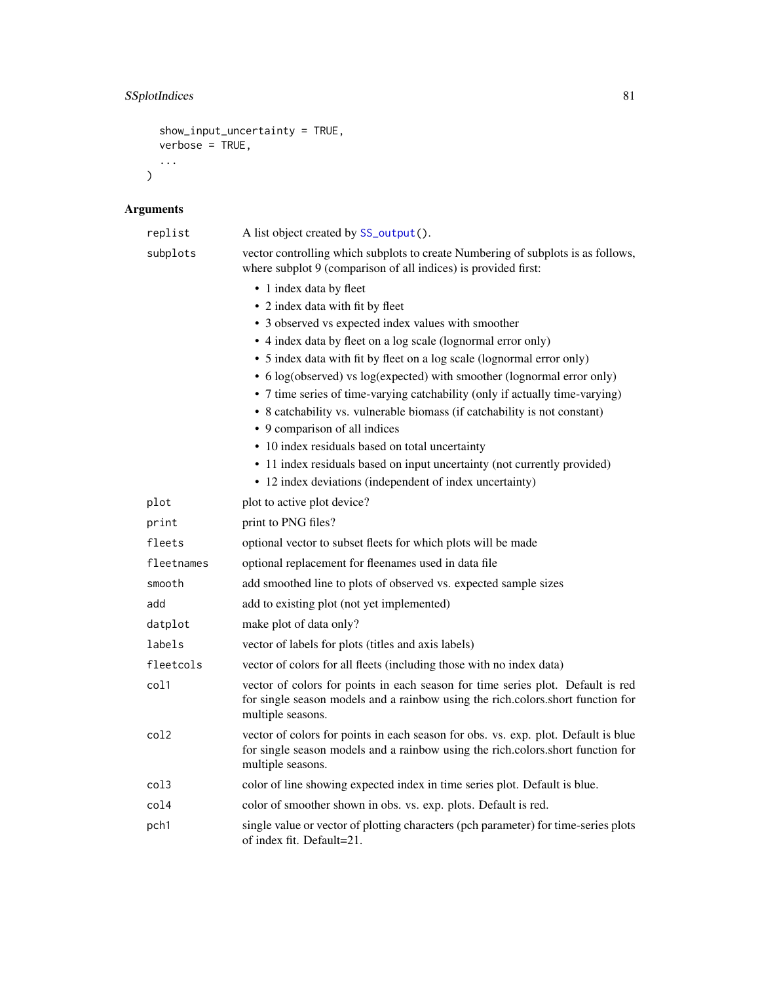```
show_input_uncertainty = TRUE,
verbose = TRUE,
...
```
 $\mathcal{L}$ 

| replist    | A list object created by SS_output().                                                                                                                                                      |
|------------|--------------------------------------------------------------------------------------------------------------------------------------------------------------------------------------------|
| subplots   | vector controlling which subplots to create Numbering of subplots is as follows,<br>where subplot 9 (comparison of all indices) is provided first:                                         |
|            | • 1 index data by fleet                                                                                                                                                                    |
|            | • 2 index data with fit by fleet                                                                                                                                                           |
|            | • 3 observed vs expected index values with smoother                                                                                                                                        |
|            | • 4 index data by fleet on a log scale (lognormal error only)                                                                                                                              |
|            | • 5 index data with fit by fleet on a log scale (lognormal error only)                                                                                                                     |
|            | • 6 log(observed) vs log(expected) with smoother (lognormal error only)                                                                                                                    |
|            | • 7 time series of time-varying catchability (only if actually time-varying)                                                                                                               |
|            | • 8 catchability vs. vulnerable biomass (if catchability is not constant)                                                                                                                  |
|            | • 9 comparison of all indices                                                                                                                                                              |
|            | • 10 index residuals based on total uncertainty                                                                                                                                            |
|            | • 11 index residuals based on input uncertainty (not currently provided)<br>• 12 index deviations (independent of index uncertainty)                                                       |
|            |                                                                                                                                                                                            |
| plot       | plot to active plot device?                                                                                                                                                                |
| print      | print to PNG files?                                                                                                                                                                        |
| fleets     | optional vector to subset fleets for which plots will be made                                                                                                                              |
| fleetnames | optional replacement for fleenames used in data file                                                                                                                                       |
| smooth     | add smoothed line to plots of observed vs. expected sample sizes                                                                                                                           |
| add        | add to existing plot (not yet implemented)                                                                                                                                                 |
| datplot    | make plot of data only?                                                                                                                                                                    |
| labels     | vector of labels for plots (titles and axis labels)                                                                                                                                        |
| fleetcols  | vector of colors for all fleets (including those with no index data)                                                                                                                       |
| col1       | vector of colors for points in each season for time series plot. Default is red<br>for single season models and a rainbow using the rich.colors.short function for<br>multiple seasons.    |
| col2       | vector of colors for points in each season for obs. vs. exp. plot. Default is blue<br>for single season models and a rainbow using the rich.colors.short function for<br>multiple seasons. |
| col3       | color of line showing expected index in time series plot. Default is blue.                                                                                                                 |
| col4       | color of smoother shown in obs. vs. exp. plots. Default is red.                                                                                                                            |
| pch1       | single value or vector of plotting characters (pch parameter) for time-series plots<br>of index fit. Default=21.                                                                           |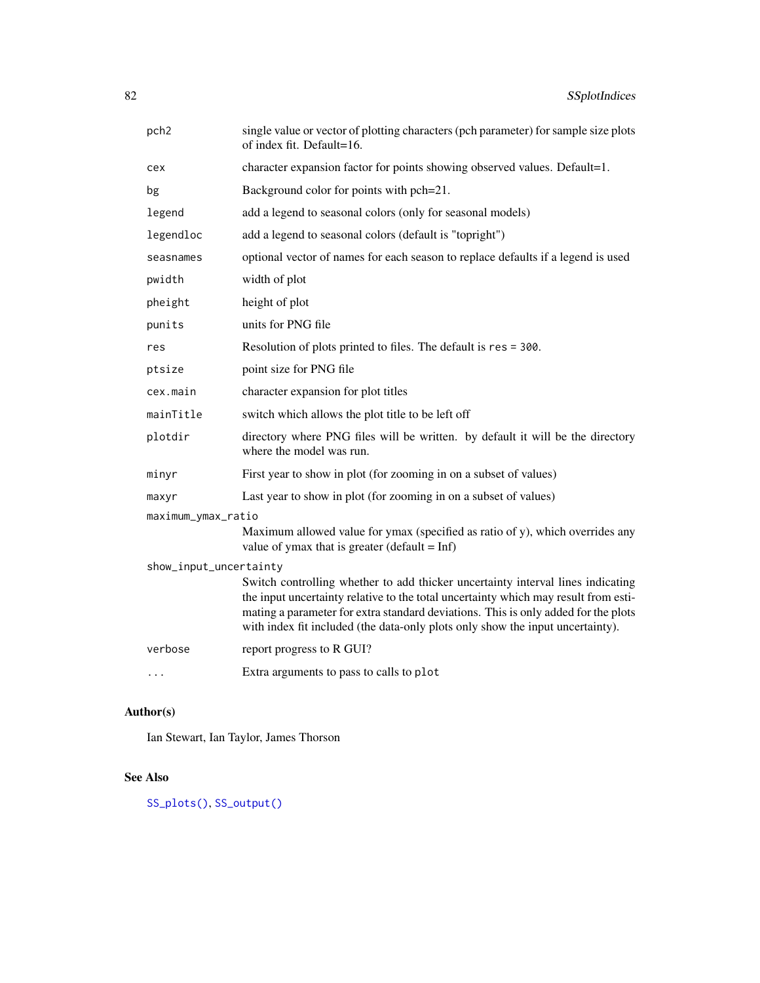| pch <sub>2</sub>       | single value or vector of plotting characters (pch parameter) for sample size plots<br>of index fit. Default=16.                                                                                                                                                                                                                               |  |
|------------------------|------------------------------------------------------------------------------------------------------------------------------------------------------------------------------------------------------------------------------------------------------------------------------------------------------------------------------------------------|--|
| cex                    | character expansion factor for points showing observed values. Default=1.                                                                                                                                                                                                                                                                      |  |
| bg                     | Background color for points with pch=21.                                                                                                                                                                                                                                                                                                       |  |
| legend                 | add a legend to seasonal colors (only for seasonal models)                                                                                                                                                                                                                                                                                     |  |
| legendloc              | add a legend to seasonal colors (default is "topright")                                                                                                                                                                                                                                                                                        |  |
| seasnames              | optional vector of names for each season to replace defaults if a legend is used                                                                                                                                                                                                                                                               |  |
| pwidth                 | width of plot                                                                                                                                                                                                                                                                                                                                  |  |
| pheight                | height of plot                                                                                                                                                                                                                                                                                                                                 |  |
| punits                 | units for PNG file                                                                                                                                                                                                                                                                                                                             |  |
| res                    | Resolution of plots printed to files. The default is res = 300.                                                                                                                                                                                                                                                                                |  |
| ptsize                 | point size for PNG file                                                                                                                                                                                                                                                                                                                        |  |
| cex.main               | character expansion for plot titles                                                                                                                                                                                                                                                                                                            |  |
| mainTitle              | switch which allows the plot title to be left off                                                                                                                                                                                                                                                                                              |  |
| plotdir                | directory where PNG files will be written. by default it will be the directory<br>where the model was run.                                                                                                                                                                                                                                     |  |
| minyr                  | First year to show in plot (for zooming in on a subset of values)                                                                                                                                                                                                                                                                              |  |
| maxyr                  | Last year to show in plot (for zooming in on a subset of values)                                                                                                                                                                                                                                                                               |  |
| maximum_ymax_ratio     |                                                                                                                                                                                                                                                                                                                                                |  |
|                        | Maximum allowed value for ymax (specified as ratio of y), which overrides any<br>value of ymax that is greater (default = $Inf$ )                                                                                                                                                                                                              |  |
| show_input_uncertainty |                                                                                                                                                                                                                                                                                                                                                |  |
|                        | Switch controlling whether to add thicker uncertainty interval lines indicating<br>the input uncertainty relative to the total uncertainty which may result from esti-<br>mating a parameter for extra standard deviations. This is only added for the plots<br>with index fit included (the data-only plots only show the input uncertainty). |  |
| verbose                | report progress to R GUI?                                                                                                                                                                                                                                                                                                                      |  |
| .                      | Extra arguments to pass to calls to plot                                                                                                                                                                                                                                                                                                       |  |

Ian Stewart, Ian Taylor, James Thorson

# See Also

[SS\\_plots\(\)](#page-135-0), [SS\\_output\(\)](#page-131-0)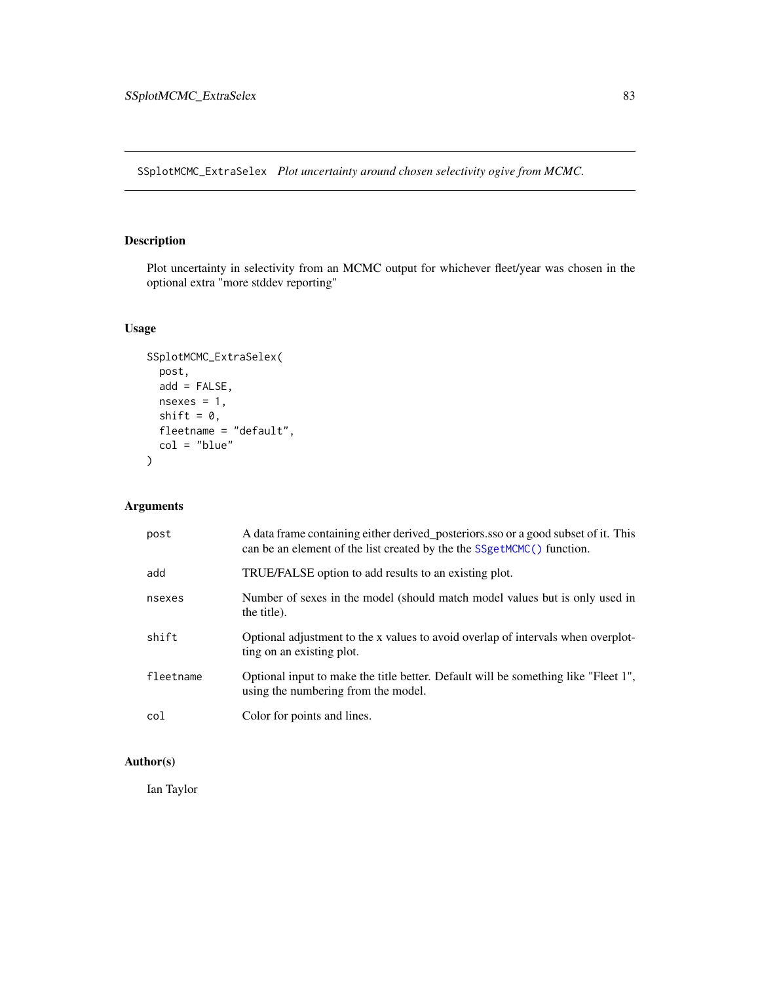SSplotMCMC\_ExtraSelex *Plot uncertainty around chosen selectivity ogive from MCMC.*

# Description

Plot uncertainty in selectivity from an MCMC output for whichever fleet/year was chosen in the optional extra "more stddev reporting"

# Usage

```
SSplotMCMC_ExtraSelex(
 post,
 add = FALSE,nsexes = 1,
 shift = 0,fleetname = "default",
  col = "blue"\mathcal{L}
```
# Arguments

| post      | A data frame containing either derived posteriors sso or a good subset of it. This<br>can be an element of the list created by the the SSgetMCMC() function. |
|-----------|--------------------------------------------------------------------------------------------------------------------------------------------------------------|
| add       | TRUE/FALSE option to add results to an existing plot.                                                                                                        |
| nsexes    | Number of sexes in the model (should match model values but is only used in<br>the title).                                                                   |
| shift     | Optional adjustment to the x values to avoid overlap of intervals when overplot-<br>ting on an existing plot.                                                |
| fleetname | Optional input to make the title better. Default will be something like "Fleet 1",<br>using the numbering from the model.                                    |
| col       | Color for points and lines.                                                                                                                                  |

## Author(s)

Ian Taylor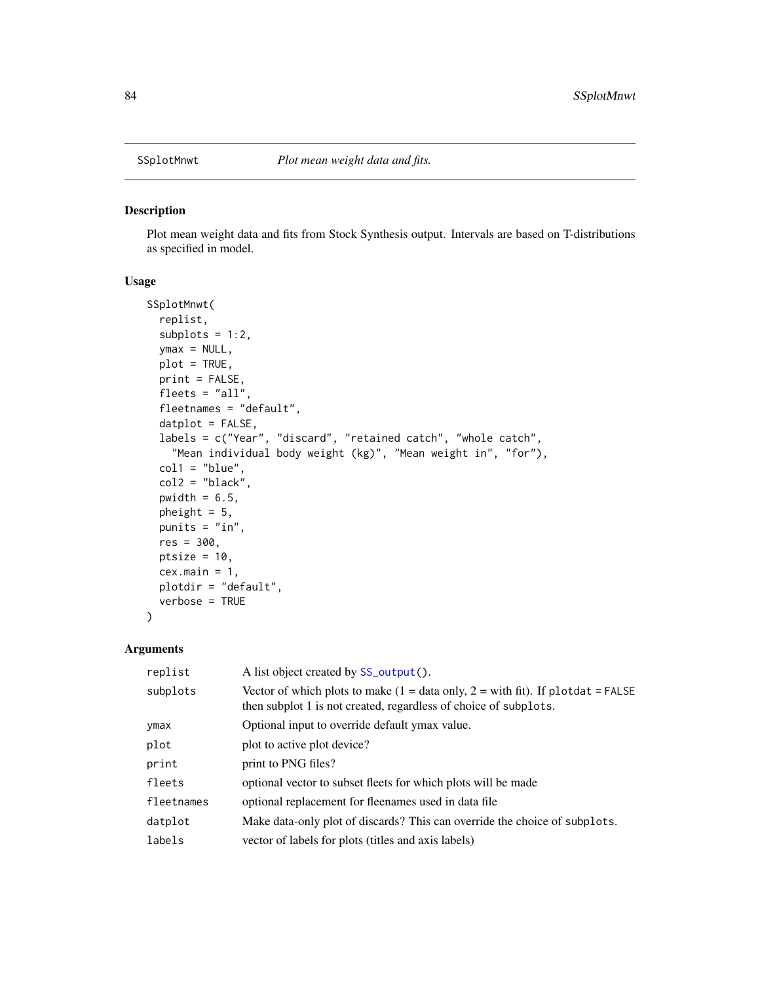## Description

Plot mean weight data and fits from Stock Synthesis output. Intervals are based on T-distributions as specified in model.

#### Usage

```
SSplotMnwt(
  replist,
  subplots = 1:2,ymax = NULL,
 plot = TRUE,
 print = FALSE,
  fleets = "all",
  fleetnames = "default",
  datplot = FALSE,
  labels = c("Year", "discard", "retained catch", "whole catch",
    "Mean individual body weight (kg)", "Mean weight in", "for"),
  coll = "blue",col2 = "black",pwidth = 6.5,
 pheight = 5,
 punits = "in",
 res = 300,
 ptsize = 10,
 cex.mainloop = 1,
 plotdir = "default",
  verbose = TRUE
)
```

| replist    | A list object created by SS_output().                                                                                                                                  |
|------------|------------------------------------------------------------------------------------------------------------------------------------------------------------------------|
| subplots   | Vector of which plots to make $(1 = data \text{ only}, 2 = with \text{ fit})$ . If plotdat = FALSE<br>then subplot 1 is not created, regardless of choice of subplots. |
| ymax       | Optional input to override default ymax value.                                                                                                                         |
| plot       | plot to active plot device?                                                                                                                                            |
| print      | print to PNG files?                                                                                                                                                    |
| fleets     | optional vector to subset fleets for which plots will be made                                                                                                          |
| fleetnames | optional replacement for fleenames used in data file                                                                                                                   |
| datplot    | Make data-only plot of discards? This can override the choice of subplots.                                                                                             |
| labels     | vector of labels for plots (titles and axis labels)                                                                                                                    |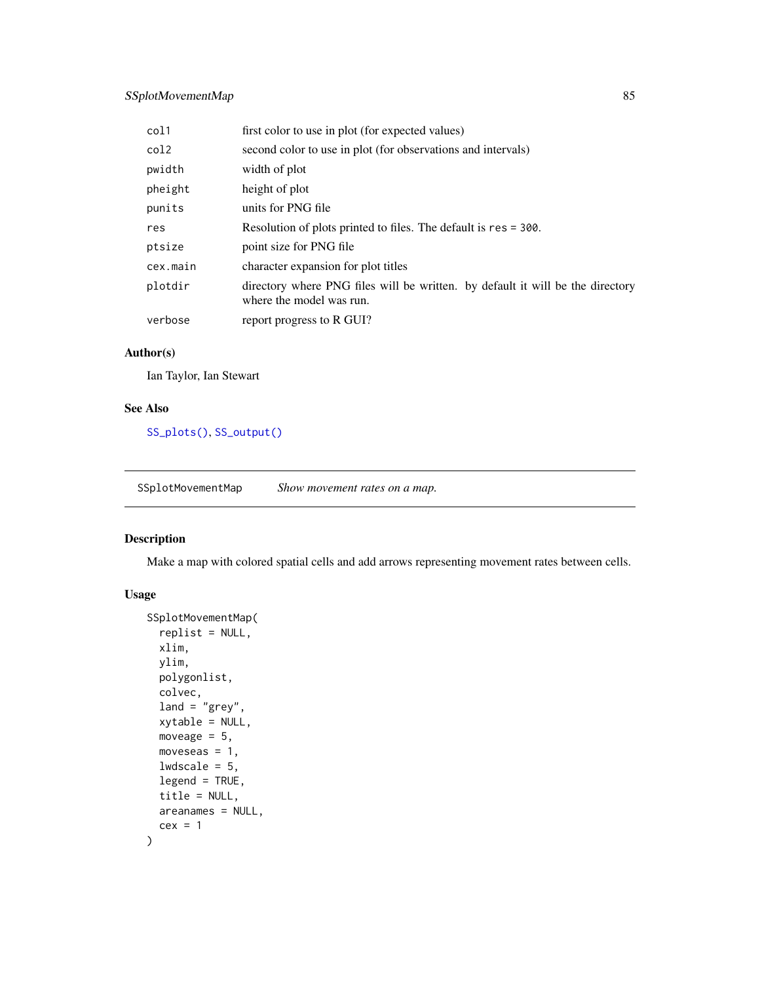## SSplotMovementMap 85

| col1     | first color to use in plot (for expected values)                                                           |
|----------|------------------------------------------------------------------------------------------------------------|
| col2     | second color to use in plot (for observations and intervals)                                               |
| pwidth   | width of plot                                                                                              |
| pheight  | height of plot                                                                                             |
| punits   | units for PNG file                                                                                         |
| res      | Resolution of plots printed to files. The default is res = 300.                                            |
| ptsize   | point size for PNG file                                                                                    |
| cex.main | character expansion for plot titles                                                                        |
| plotdir  | directory where PNG files will be written. by default it will be the directory<br>where the model was run. |
| verbose  | report progress to R GUI?                                                                                  |

## Author(s)

Ian Taylor, Ian Stewart

#### See Also

[SS\\_plots\(\)](#page-135-0), [SS\\_output\(\)](#page-131-0)

SSplotMovementMap *Show movement rates on a map.*

## Description

Make a map with colored spatial cells and add arrows representing movement rates between cells.

```
SSplotMovementMap(
  replist = NULL,
  xlim,
 ylim,
 polygonlist,
 colvec,
  land = "grey",
  xytable = NULL,
 moveage = 5,
 moveseas = 1,
 lwdscale = 5,
  legend = TRUE,
  title = NULL,
 areanames = NULL,
  cex = 1\mathcal{E}
```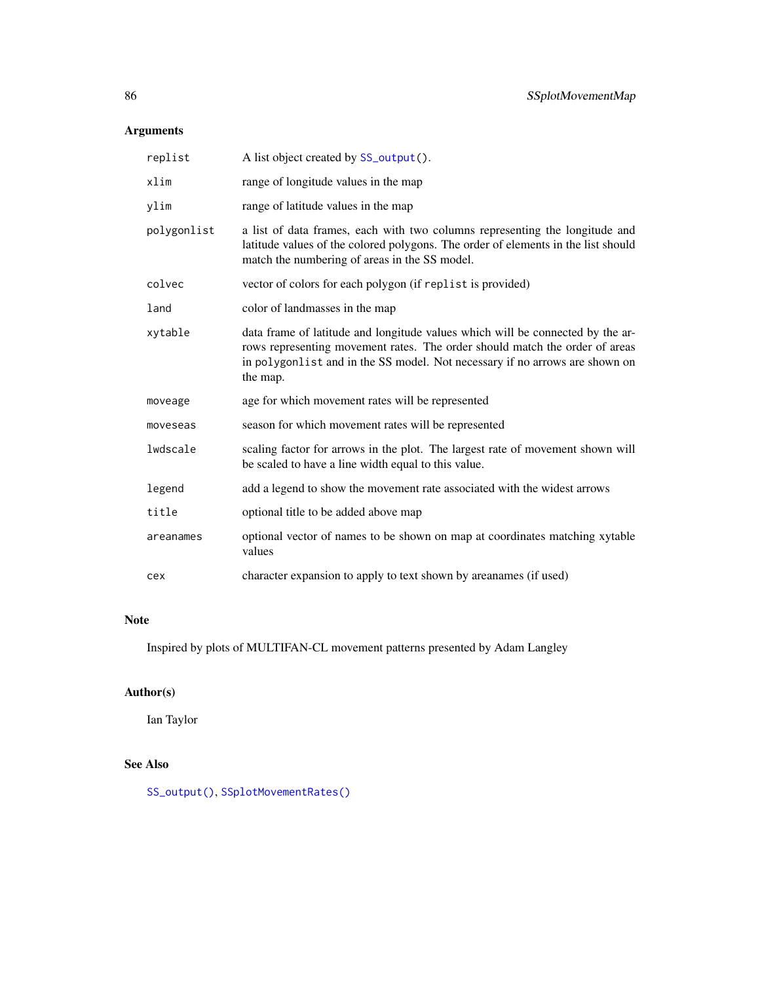| replist     | A list object created by SS_output().                                                                                                                                                                                                                    |
|-------------|----------------------------------------------------------------------------------------------------------------------------------------------------------------------------------------------------------------------------------------------------------|
| xlim        | range of longitude values in the map                                                                                                                                                                                                                     |
| ylim        | range of latitude values in the map                                                                                                                                                                                                                      |
| polygonlist | a list of data frames, each with two columns representing the longitude and<br>latitude values of the colored polygons. The order of elements in the list should<br>match the numbering of areas in the SS model.                                        |
| colvec      | vector of colors for each polygon (if replist is provided)                                                                                                                                                                                               |
| land        | color of landmasses in the map                                                                                                                                                                                                                           |
| xytable     | data frame of latitude and longitude values which will be connected by the ar-<br>rows representing movement rates. The order should match the order of areas<br>in polygonlist and in the SS model. Not necessary if no arrows are shown on<br>the map. |
| moveage     | age for which movement rates will be represented                                                                                                                                                                                                         |
| moveseas    | season for which movement rates will be represented                                                                                                                                                                                                      |
| lwdscale    | scaling factor for arrows in the plot. The largest rate of movement shown will<br>be scaled to have a line width equal to this value.                                                                                                                    |
| legend      | add a legend to show the movement rate associated with the widest arrows                                                                                                                                                                                 |
| title       | optional title to be added above map                                                                                                                                                                                                                     |
| areanames   | optional vector of names to be shown on map at coordinates matching xytable<br>values                                                                                                                                                                    |
| cex         | character expansion to apply to text shown by areanames (if used)                                                                                                                                                                                        |

## Note

Inspired by plots of MULTIFAN-CL movement patterns presented by Adam Langley

# Author(s)

Ian Taylor

# See Also

[SS\\_output\(\)](#page-131-0), [SSplotMovementRates\(\)](#page-86-0)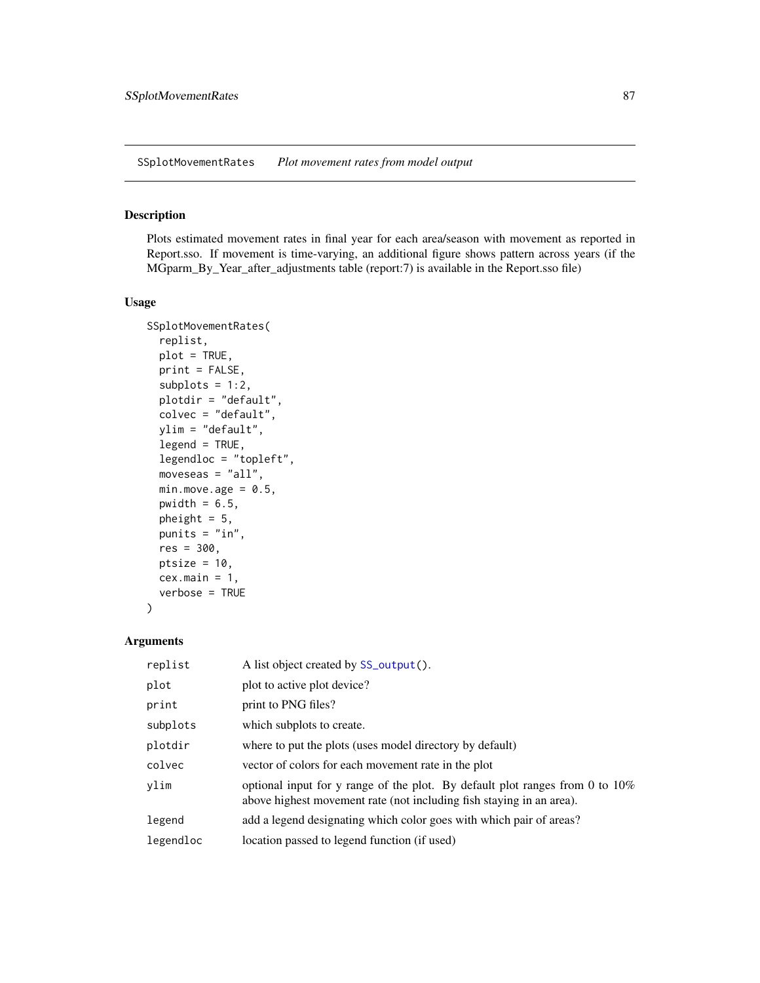<span id="page-86-0"></span>SSplotMovementRates *Plot movement rates from model output*

#### Description

Plots estimated movement rates in final year for each area/season with movement as reported in Report.sso. If movement is time-varying, an additional figure shows pattern across years (if the MGparm\_By\_Year\_after\_adjustments table (report:7) is available in the Report.sso file)

#### Usage

```
SSplotMovementRates(
  replist,
 plot = TRUE,
 print = FALSE,
  subplots = 1:2,
 plotdir = "default",
  colvec = "default",
 ylim = "default",
  legend = TRUE,legendloc = "topleft",
 moveseas = "all",min.move.age = 0.5,
 pwidth = 6.5,
 pheight = 5,
 punits = "in",
 res = 300,
 ptsize = 10,
 cex.main = 1,
  verbose = TRUE
\mathcal{E}
```

| replist   | A list object created by SS_output().                                                                                                                   |
|-----------|---------------------------------------------------------------------------------------------------------------------------------------------------------|
| plot      | plot to active plot device?                                                                                                                             |
| print     | print to PNG files?                                                                                                                                     |
| subplots  | which subplots to create.                                                                                                                               |
| plotdir   | where to put the plots (uses model directory by default)                                                                                                |
| colvec    | vector of colors for each movement rate in the plot                                                                                                     |
| ylim      | optional input for y range of the plot. By default plot ranges from 0 to $10\%$<br>above highest movement rate (not including fish staying in an area). |
| legend    | add a legend designating which color goes with which pair of areas?                                                                                     |
| legendloc | location passed to legend function (if used)                                                                                                            |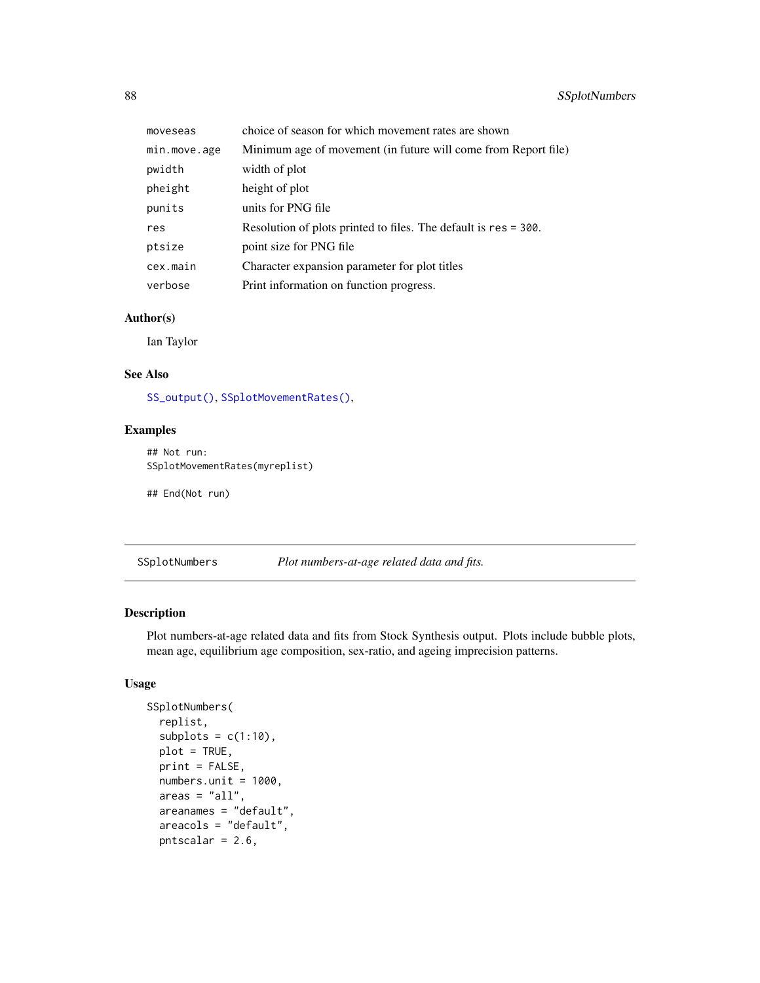| moveseas     | choice of season for which movement rates are shown             |
|--------------|-----------------------------------------------------------------|
| min.move.age | Minimum age of movement (in future will come from Report file)  |
| pwidth       | width of plot                                                   |
| pheight      | height of plot                                                  |
| punits       | units for PNG file                                              |
| res          | Resolution of plots printed to files. The default is res = 300. |
| ptsize       | point size for PNG file                                         |
| cex.main     | Character expansion parameter for plot titles                   |
| verbose      | Print information on function progress.                         |

Ian Taylor

#### See Also

[SS\\_output\(\)](#page-131-0), [SSplotMovementRates\(\)](#page-86-0),

## Examples

```
## Not run:
SSplotMovementRates(myreplist)
```
## End(Not run)

SSplotNumbers *Plot numbers-at-age related data and fits.*

## Description

Plot numbers-at-age related data and fits from Stock Synthesis output. Plots include bubble plots, mean age, equilibrium age composition, sex-ratio, and ageing imprecision patterns.

```
SSplotNumbers(
  replist,
  subplots = c(1:10),
 plot = TRUE,
 print = FALSE,
  numbers. unit = 1000,areas = "all",areanames = "default",
 areacols = "default",
  pntscalar = 2.6,
```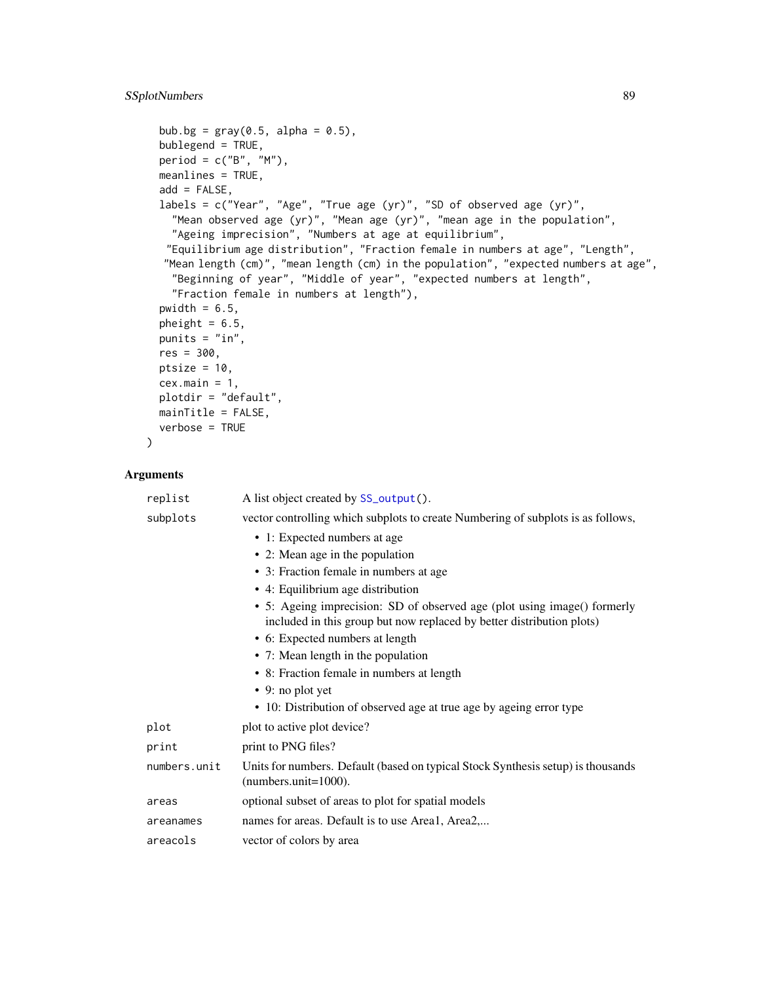```
bub.bg = gray(0.5, alpha = 0.5),
bublegend = TRUE,
period = c("B", "M"),
meanlines = TRUE,
add = FALSE,labels = c("Year", "Age", "True age (yr)", "SD of observed age (yr)",
  "Mean observed age (yr)", "Mean age (yr)", "mean age in the population",
  "Ageing imprecision", "Numbers at age at equilibrium",
 "Equilibrium age distribution", "Fraction female in numbers at age", "Length",
 "Mean length (cm)", "mean length (cm) in the population", "expected numbers at age",
  "Beginning of year", "Middle of year", "expected numbers at length",
  "Fraction female in numbers at length"),
pwidth = 6.5,
pheight = 6.5,
punits = "in",res = 300,
ptsize = 10,
cex.mainloop = 1,
plotdir = "default",
mainTitle = FALSE,
verbose = TRUE
```
 $\mathcal{L}$ 

| replist      | A list object created by SS_output().                                                                                                             |
|--------------|---------------------------------------------------------------------------------------------------------------------------------------------------|
| subplots     | vector controlling which subplots to create Numbering of subplots is as follows,                                                                  |
|              | • 1: Expected numbers at age                                                                                                                      |
|              | • 2: Mean age in the population                                                                                                                   |
|              | • 3: Fraction female in numbers at age                                                                                                            |
|              | • 4: Equilibrium age distribution                                                                                                                 |
|              | • 5: Ageing imprecision: SD of observed age (plot using image() formerly<br>included in this group but now replaced by better distribution plots) |
|              | • 6: Expected numbers at length                                                                                                                   |
|              | • 7: Mean length in the population                                                                                                                |
|              | • 8: Fraction female in numbers at length                                                                                                         |
|              | $\bullet$ 9: no plot yet                                                                                                                          |
|              | • 10: Distribution of observed age at true age by ageing error type                                                                               |
| plot         | plot to active plot device?                                                                                                                       |
| print        | print to PNG files?                                                                                                                               |
| numbers.unit | Units for numbers. Default (based on typical Stock Synthesis setup) is thousands<br>$(numbers.unit=1000).$                                        |
| areas        | optional subset of areas to plot for spatial models                                                                                               |
| areanames    | names for areas. Default is to use Area1, Area2,                                                                                                  |
| areacols     | vector of colors by area                                                                                                                          |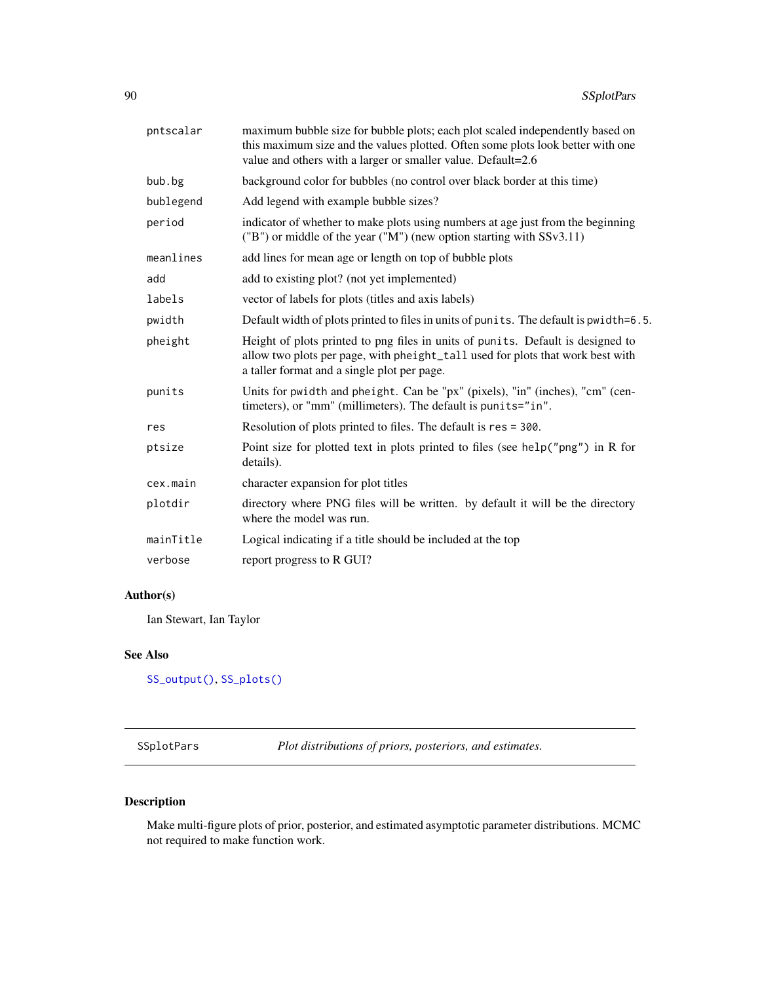| pntscalar | maximum bubble size for bubble plots; each plot scaled independently based on<br>this maximum size and the values plotted. Often some plots look better with one<br>value and others with a larger or smaller value. Default=2.6 |
|-----------|----------------------------------------------------------------------------------------------------------------------------------------------------------------------------------------------------------------------------------|
| bub.bg    | background color for bubbles (no control over black border at this time)                                                                                                                                                         |
| bublegend | Add legend with example bubble sizes?                                                                                                                                                                                            |
| period    | indicator of whether to make plots using numbers at age just from the beginning<br>("B") or middle of the year ("M") (new option starting with SSv3.11)                                                                          |
| meanlines | add lines for mean age or length on top of bubble plots                                                                                                                                                                          |
| add       | add to existing plot? (not yet implemented)                                                                                                                                                                                      |
| labels    | vector of labels for plots (titles and axis labels)                                                                                                                                                                              |
| pwidth    | Default width of plots printed to files in units of punits. The default is pwidth=6.5.                                                                                                                                           |
| pheight   | Height of plots printed to png files in units of punits. Default is designed to<br>allow two plots per page, with pheight_tall used for plots that work best with<br>a taller format and a single plot per page.                 |
| punits    | Units for pwidth and pheight. Can be "px" (pixels), "in" (inches), "cm" (cen-<br>timeters), or "mm" (millimeters). The default is punits="in".                                                                                   |
| res       | Resolution of plots printed to files. The default is res = 300.                                                                                                                                                                  |
| ptsize    | Point size for plotted text in plots printed to files (see help("png") in R for<br>details).                                                                                                                                     |
| cex.main  | character expansion for plot titles                                                                                                                                                                                              |
| plotdir   | directory where PNG files will be written. by default it will be the directory<br>where the model was run.                                                                                                                       |
| mainTitle | Logical indicating if a title should be included at the top                                                                                                                                                                      |
| verbose   | report progress to R GUI?                                                                                                                                                                                                        |
|           |                                                                                                                                                                                                                                  |

Ian Stewart, Ian Taylor

## See Also

[SS\\_output\(\)](#page-131-0), [SS\\_plots\(\)](#page-135-0)

SSplotPars *Plot distributions of priors, posteriors, and estimates.*

# Description

Make multi-figure plots of prior, posterior, and estimated asymptotic parameter distributions. MCMC not required to make function work.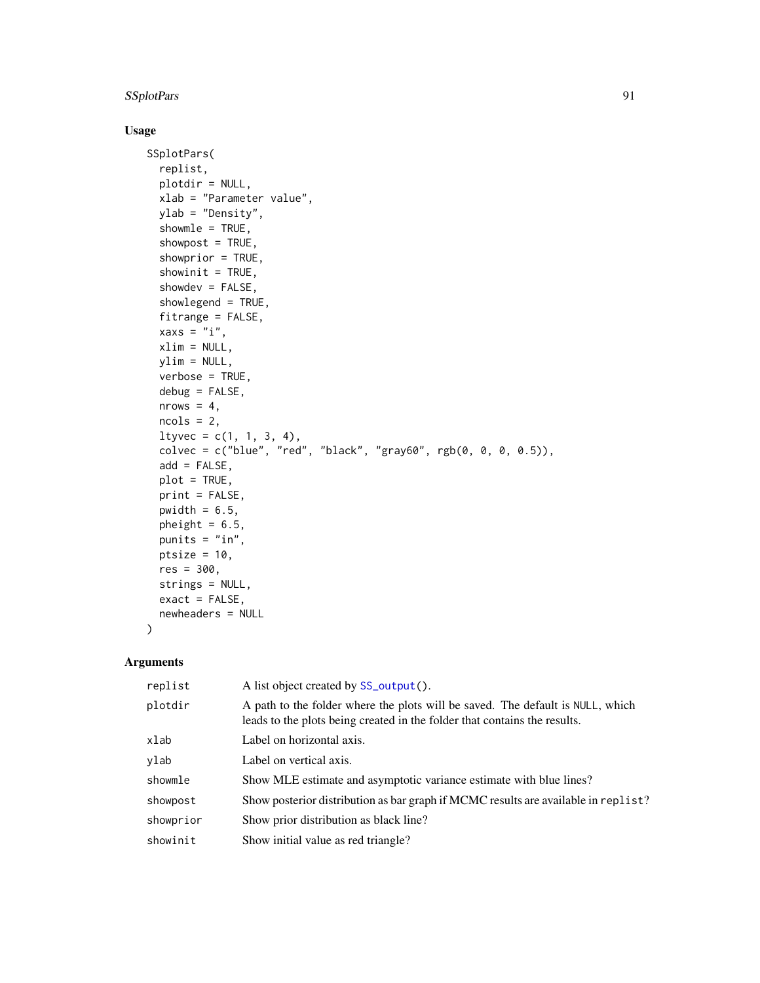# SSplotPars 91

#### Usage

```
SSplotPars(
 replist,
 plotdir = NULL,
 xlab = "Parameter value",
 ylab = "Density",
  showmle = TRUE,
  showpost = TRUE,showprior = TRUE,
  showinit = TRUE,showdev = FALSE,showlegend = TRUE,
 fitrange = FALSE,
 xaxs = "i",xlim = NULL,
 ylim = NULL,
 verbose = TRUE,
 debug = FALSE,
 nrows = 4,
 ncols = 2,
 ltyvec = c(1, 1, 3, 4),
 colvec = c("blue", "red", "black", "gray60", rgb(0, 0, 0, 0.5)),
  add = FALSE,
 plot = TRUE,
 print = FALSE,
 pwidth = 6.5,
 pheight = 6.5,
 punits = "in",
 ptsize = 10,
 res = 300,
 strings = NULL,
 exact = FALSE,newheaders = NULL
```
#### Arguments

 $\mathcal{L}$ 

| replist   | A list object created by SS_output().                                                                                                                       |
|-----------|-------------------------------------------------------------------------------------------------------------------------------------------------------------|
| plotdir   | A path to the folder where the plots will be saved. The default is NULL, which<br>leads to the plots being created in the folder that contains the results. |
| xlab      | Label on horizontal axis.                                                                                                                                   |
| ylab      | Label on vertical axis.                                                                                                                                     |
| showmle   | Show MLE estimate and asymptotic variance estimate with blue lines?                                                                                         |
| showpost  | Show posterior distribution as bar graph if MCMC results are available in replist?                                                                          |
| showprior | Show prior distribution as black line?                                                                                                                      |
| showinit  | Show initial value as red triangle?                                                                                                                         |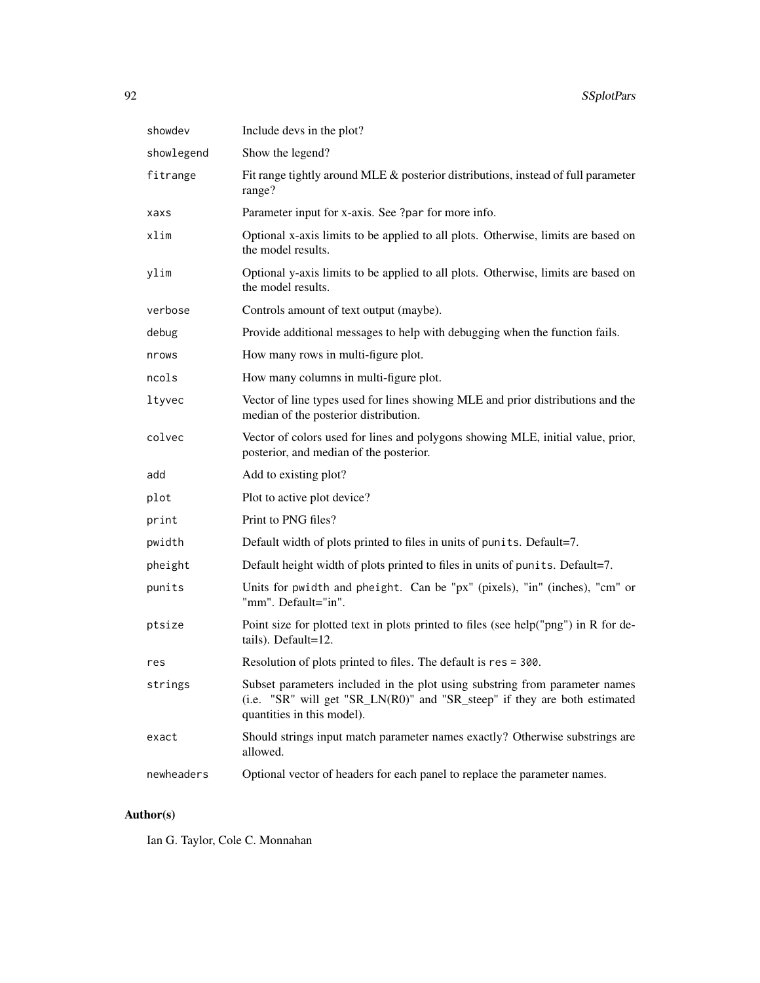| showdev    | Include devs in the plot?                                                                                                                                                              |
|------------|----------------------------------------------------------------------------------------------------------------------------------------------------------------------------------------|
| showlegend | Show the legend?                                                                                                                                                                       |
| fitrange   | Fit range tightly around MLE & posterior distributions, instead of full parameter<br>range?                                                                                            |
| xaxs       | Parameter input for x-axis. See ?par for more info.                                                                                                                                    |
| xlim       | Optional x-axis limits to be applied to all plots. Otherwise, limits are based on<br>the model results.                                                                                |
| ylim       | Optional y-axis limits to be applied to all plots. Otherwise, limits are based on<br>the model results.                                                                                |
| verbose    | Controls amount of text output (maybe).                                                                                                                                                |
| debug      | Provide additional messages to help with debugging when the function fails.                                                                                                            |
| nrows      | How many rows in multi-figure plot.                                                                                                                                                    |
| ncols      | How many columns in multi-figure plot.                                                                                                                                                 |
| ltyvec     | Vector of line types used for lines showing MLE and prior distributions and the<br>median of the posterior distribution.                                                               |
| colvec     | Vector of colors used for lines and polygons showing MLE, initial value, prior,<br>posterior, and median of the posterior.                                                             |
| add        | Add to existing plot?                                                                                                                                                                  |
| plot       | Plot to active plot device?                                                                                                                                                            |
| print      | Print to PNG files?                                                                                                                                                                    |
| pwidth     | Default width of plots printed to files in units of punits. Default=7.                                                                                                                 |
| pheight    | Default height width of plots printed to files in units of punits. Default=7.                                                                                                          |
| punits     | Units for pwidth and pheight. Can be "px" (pixels), "in" (inches), "cm" or<br>"mm". Default="in".                                                                                      |
| ptsize     | Point size for plotted text in plots printed to files (see help("png") in R for de-<br>tails). Default=12.                                                                             |
| res        | Resolution of plots printed to files. The default is res = 300.                                                                                                                        |
| strings    | Subset parameters included in the plot using substring from parameter names<br>(i.e. "SR" will get "SR_LN(R0)" and "SR_steep" if they are both estimated<br>quantities in this model). |
| exact      | Should strings input match parameter names exactly? Otherwise substrings are<br>allowed.                                                                                               |
| newheaders | Optional vector of headers for each panel to replace the parameter names.                                                                                                              |

Ian G. Taylor, Cole C. Monnahan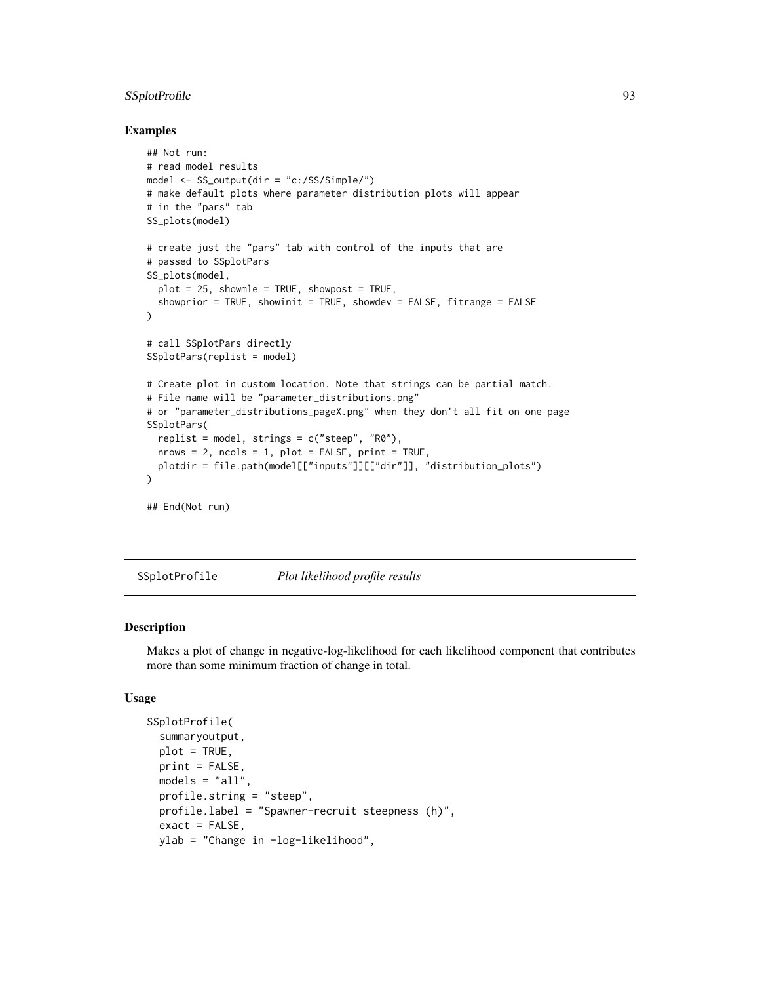## SSplotProfile 93

#### Examples

```
## Not run:
# read model results
model <- SS_output(dir = "c:/SS/Simple/")
# make default plots where parameter distribution plots will appear
# in the "pars" tab
SS_plots(model)
# create just the "pars" tab with control of the inputs that are
# passed to SSplotPars
SS_plots(model,
  plot = 25, showmle = TRUE, showpost = TRUE,
  showprior = TRUE, showinit = TRUE, showdev = FALSE, fitrange = FALSE
)
# call SSplotPars directly
SSplotPars(replist = model)
# Create plot in custom location. Note that strings can be partial match.
# File name will be "parameter_distributions.png"
# or "parameter_distributions_pageX.png" when they don't all fit on one page
SSplotPars(
  replist = model, strings = c("steep", "R0"),
  nrows = 2, ncols = 1, plot = FALSE, print = TRUE,
  plotdir = file.path(model[["inputs"]][["dir"]], "distribution_plots")
)
## End(Not run)
```
SSplotProfile *Plot likelihood profile results*

#### Description

Makes a plot of change in negative-log-likelihood for each likelihood component that contributes more than some minimum fraction of change in total.

```
SSplotProfile(
  summaryoutput,
 plot = TRUE,
 print = FALSE,
 models = "all",profile.string = "steep",
 profile.label = "Spawner-recruit steepness (h)",
  exact = FALSE,ylab = "Change in -log-likelihood",
```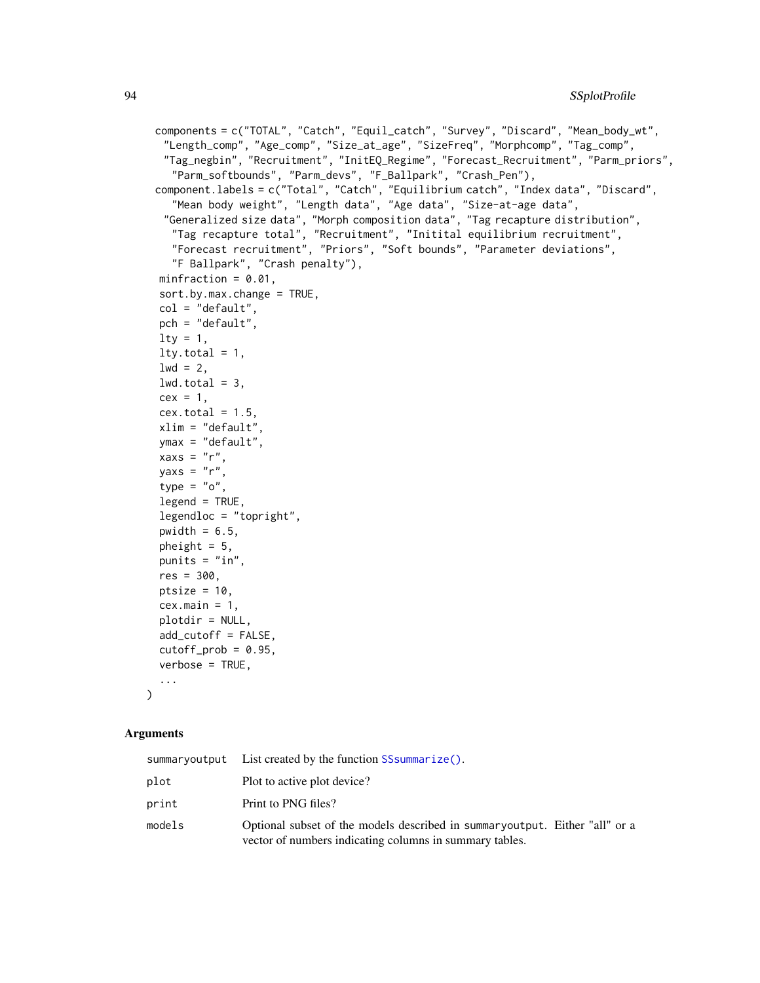```
components = c("TOTAL", "Catch", "Equil_catch", "Survey", "Discard", "Mean_body_wt",
 "Length_comp", "Age_comp", "Size_at_age", "SizeFreq", "Morphcomp", "Tag_comp",
 "Tag_negbin", "Recruitment", "InitEQ_Regime", "Forecast_Recruitment", "Parm_priors",
  "Parm_softbounds", "Parm_devs", "F_Ballpark", "Crash_Pen"),
component.labels = c("Total", "Catch", "Equilibrium catch", "Index data", "Discard",
  "Mean body weight", "Length data", "Age data", "Size-at-age data",
 "Generalized size data", "Morph composition data", "Tag recapture distribution",
  "Tag recapture total", "Recruitment", "Initital equilibrium recruitment",
  "Forecast recruitment", "Priors", "Soft bounds", "Parameter deviations",
  "F Ballpark", "Crash penalty"),
minfraction = 0.01,
sort.by.max.change = TRUE,
col = "default",
pch = "default",
lty = 1,lty.total = 1,
1wd = 2,
lwd.total = 3,
cex = 1,
cex.total = 1.5,
xlim = "default",
ymax = "default",
xaxs = "r",yaxs = "r",type = "o",legend = TRUE,legendloc = "topright",
pwidth = 6.5,
pheight = 5,
punits = "in",
res = 300,ptsize = 10,
cex.mainloop = 1,
plotdir = NULL,
add_cutoff = FALSE,
cutoff\_prob = 0.95,
verbose = TRUE,
...
```
 $\lambda$ 

|        | summaryoutput List created by the function SS summarize().                                                                             |
|--------|----------------------------------------------------------------------------------------------------------------------------------------|
| plot   | Plot to active plot device?                                                                                                            |
| print  | Print to PNG files?                                                                                                                    |
| models | Optional subset of the models described in summaryoutput. Either "all" or a<br>vector of numbers indicating columns in summary tables. |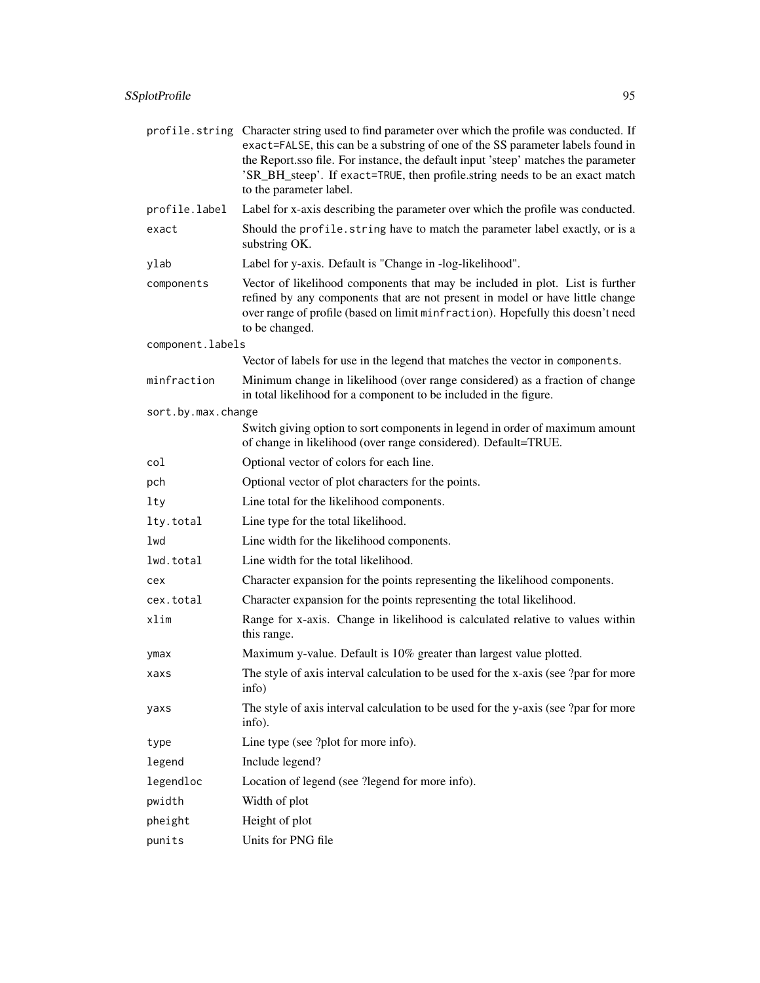|                    | profile. string Character string used to find parameter over which the profile was conducted. If<br>exact=FALSE, this can be a substring of one of the SS parameter labels found in<br>the Report.sso file. For instance, the default input 'steep' matches the parameter<br>'SR_BH_steep'. If exact=TRUE, then profile.string needs to be an exact match<br>to the parameter label. |
|--------------------|--------------------------------------------------------------------------------------------------------------------------------------------------------------------------------------------------------------------------------------------------------------------------------------------------------------------------------------------------------------------------------------|
| profile.label      | Label for x-axis describing the parameter over which the profile was conducted.                                                                                                                                                                                                                                                                                                      |
| exact              | Should the profile. string have to match the parameter label exactly, or is a<br>substring OK.                                                                                                                                                                                                                                                                                       |
| ylab               | Label for y-axis. Default is "Change in -log-likelihood".                                                                                                                                                                                                                                                                                                                            |
| components         | Vector of likelihood components that may be included in plot. List is further<br>refined by any components that are not present in model or have little change<br>over range of profile (based on limit minfraction). Hopefully this doesn't need<br>to be changed.                                                                                                                  |
| component.labels   |                                                                                                                                                                                                                                                                                                                                                                                      |
|                    | Vector of labels for use in the legend that matches the vector in components.                                                                                                                                                                                                                                                                                                        |
| minfraction        | Minimum change in likelihood (over range considered) as a fraction of change<br>in total likelihood for a component to be included in the figure.                                                                                                                                                                                                                                    |
| sort.by.max.change |                                                                                                                                                                                                                                                                                                                                                                                      |
|                    | Switch giving option to sort components in legend in order of maximum amount<br>of change in likelihood (over range considered). Default=TRUE.                                                                                                                                                                                                                                       |
| col                | Optional vector of colors for each line.                                                                                                                                                                                                                                                                                                                                             |
| pch                | Optional vector of plot characters for the points.                                                                                                                                                                                                                                                                                                                                   |
| lty                | Line total for the likelihood components.                                                                                                                                                                                                                                                                                                                                            |
| lty.total          | Line type for the total likelihood.                                                                                                                                                                                                                                                                                                                                                  |
| lwd                | Line width for the likelihood components.                                                                                                                                                                                                                                                                                                                                            |
| lwd.total          | Line width for the total likelihood.                                                                                                                                                                                                                                                                                                                                                 |
| cex                | Character expansion for the points representing the likelihood components.                                                                                                                                                                                                                                                                                                           |
| cex.total          | Character expansion for the points representing the total likelihood.                                                                                                                                                                                                                                                                                                                |
| xlim               | Range for x-axis. Change in likelihood is calculated relative to values within<br>this range.                                                                                                                                                                                                                                                                                        |
| ymax               | Maximum y-value. Default is 10% greater than largest value plotted.                                                                                                                                                                                                                                                                                                                  |
| xaxs               | The style of axis interval calculation to be used for the x-axis (see ?par for more<br>info)                                                                                                                                                                                                                                                                                         |
| yaxs               | The style of axis interval calculation to be used for the y-axis (see ?par for more<br>info).                                                                                                                                                                                                                                                                                        |
| type               | Line type (see ?plot for more info).                                                                                                                                                                                                                                                                                                                                                 |
| legend             | Include legend?                                                                                                                                                                                                                                                                                                                                                                      |
| legendloc          | Location of legend (see ?legend for more info).                                                                                                                                                                                                                                                                                                                                      |
| pwidth             | Width of plot                                                                                                                                                                                                                                                                                                                                                                        |
| pheight            | Height of plot                                                                                                                                                                                                                                                                                                                                                                       |
| punits             | Units for PNG file                                                                                                                                                                                                                                                                                                                                                                   |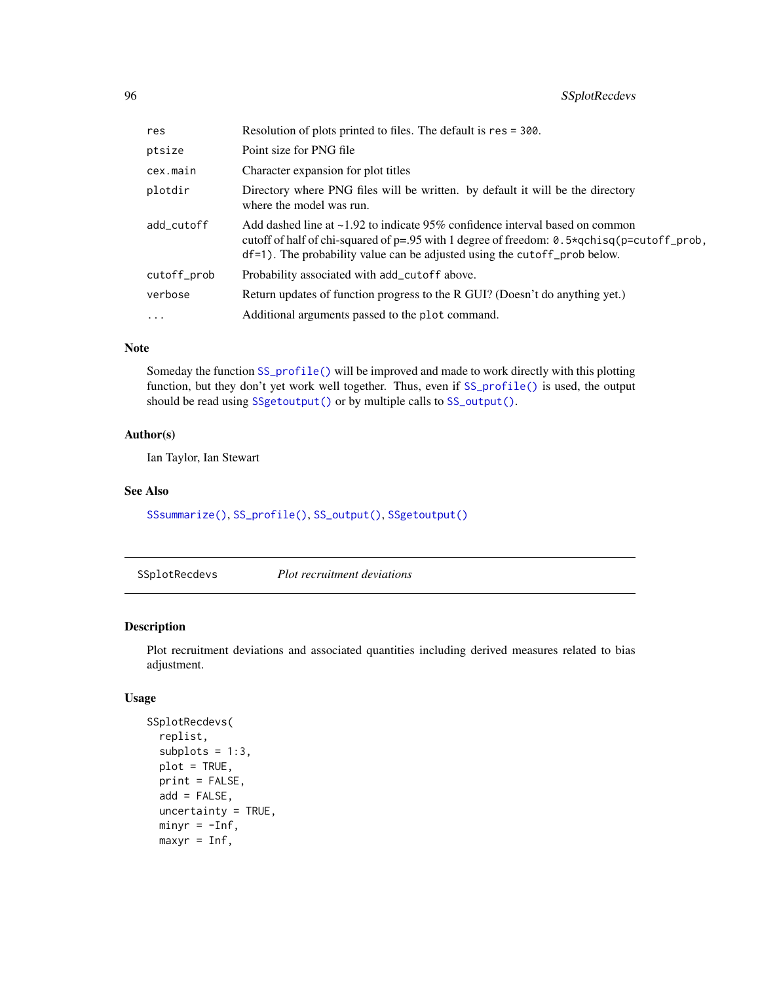| res         | Resolution of plots printed to files. The default is res = 300.                                                                                                                                                                                                         |
|-------------|-------------------------------------------------------------------------------------------------------------------------------------------------------------------------------------------------------------------------------------------------------------------------|
| ptsize      | Point size for PNG file                                                                                                                                                                                                                                                 |
| cex.main    | Character expansion for plot titles                                                                                                                                                                                                                                     |
| plotdir     | Directory where PNG files will be written. by default it will be the directory<br>where the model was run.                                                                                                                                                              |
| add_cutoff  | Add dashed line at $\sim$ 1.92 to indicate 95% confidence interval based on common<br>cutoff of half of chi-squared of $p=0.95$ with 1 degree of freedom: 0.5*qchisq( $p=$ cutoff_prob,<br>$df=1$ ). The probability value can be adjusted using the cutoff prob below. |
| cutoff_prob | Probability associated with add_cutoff above.                                                                                                                                                                                                                           |
| verbose     | Return updates of function progress to the R GUI? (Doesn't do anything yet.)                                                                                                                                                                                            |
| $\cdots$    | Additional arguments passed to the plot command.                                                                                                                                                                                                                        |

#### Note

Someday the function [SS\\_profile\(\)](#page-142-0) will be improved and made to work directly with this plotting function, but they don't yet work well together. Thus, even if [SS\\_profile\(\)](#page-142-0) is used, the output should be read using [SSgetoutput\(\)](#page-46-0) or by multiple calls to [SS\\_output\(\)](#page-131-0).

#### Author(s)

Ian Taylor, Ian Stewart

#### See Also

[SSsummarize\(\)](#page-117-0), [SS\\_profile\(\)](#page-142-0), [SS\\_output\(\)](#page-131-0), [SSgetoutput\(\)](#page-46-0)

<span id="page-95-0"></span>SSplotRecdevs *Plot recruitment deviations*

## Description

Plot recruitment deviations and associated quantities including derived measures related to bias adjustment.

```
SSplotRecdevs(
  replist,
  subplots = 1:3,plot = TRUE,
 print = FALSE,
  add = FALSE,uncertainty = TRUE,
 minyr = -Inf,maxyr = Inf,
```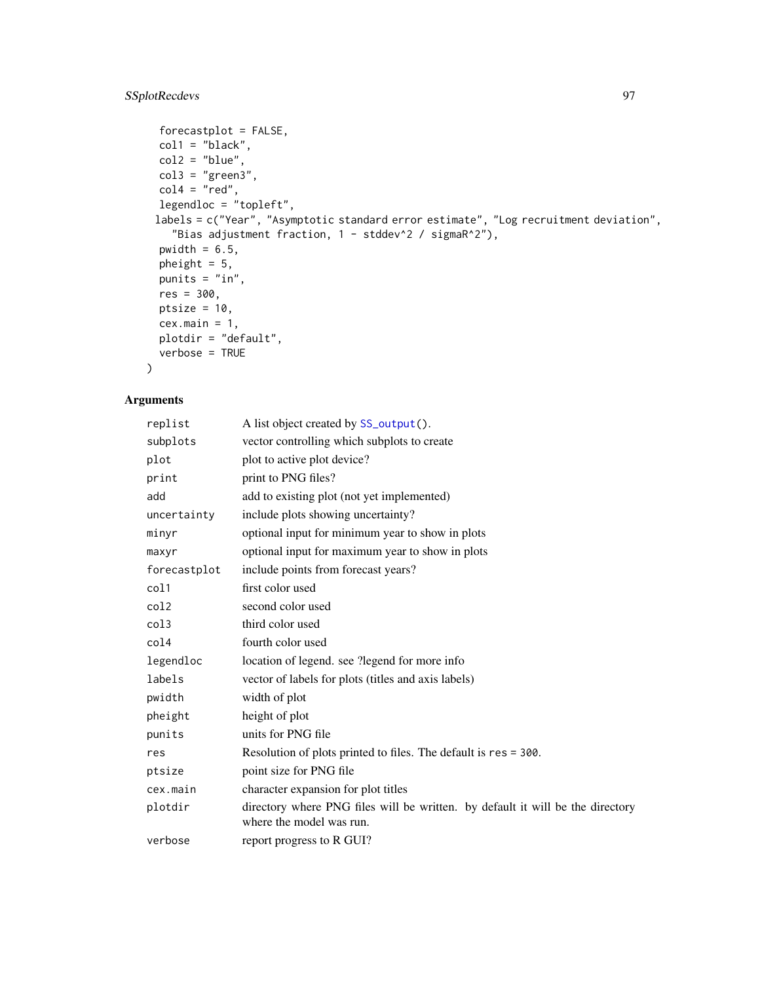# SSplotRecdevs 97

```
forecastplot = FALSE,
 coll = "black",col2 = "blue",col3 = "green3",col4 = "red",legendloc = "topleft",
 labels = c("Year", "Asymptotic standard error estimate", "Log recruitment deviation",
    "Bias adjustment fraction, 1 - stddev^2 / sigmaR^2"),
 pwidth = 6.5,
 pheight = 5,
 punits = "in",
 res = 300,
 ptsize = 10,
 cex.main = 1,
 plotdir = "default",
 verbose = TRUE
\mathcal{L}
```

| replist      | A list object created by SS_output().                                                                      |
|--------------|------------------------------------------------------------------------------------------------------------|
| subplots     | vector controlling which subplots to create                                                                |
| plot         | plot to active plot device?                                                                                |
| print        | print to PNG files?                                                                                        |
| add          | add to existing plot (not yet implemented)                                                                 |
| uncertainty  | include plots showing uncertainty?                                                                         |
| minyr        | optional input for minimum year to show in plots                                                           |
| maxyr        | optional input for maximum year to show in plots                                                           |
| forecastplot | include points from forecast years?                                                                        |
| col1         | first color used                                                                                           |
| col2         | second color used                                                                                          |
| col3         | third color used                                                                                           |
| col4         | fourth color used                                                                                          |
| legendloc    | location of legend. see ? legend for more info                                                             |
| labels       | vector of labels for plots (titles and axis labels)                                                        |
| pwidth       | width of plot                                                                                              |
| pheight      | height of plot                                                                                             |
| punits       | units for PNG file                                                                                         |
| res          | Resolution of plots printed to files. The default is res = 300.                                            |
| ptsize       | point size for PNG file                                                                                    |
| cex.main     | character expansion for plot titles                                                                        |
| plotdir      | directory where PNG files will be written. by default it will be the directory<br>where the model was run. |
| verbose      | report progress to R GUI?                                                                                  |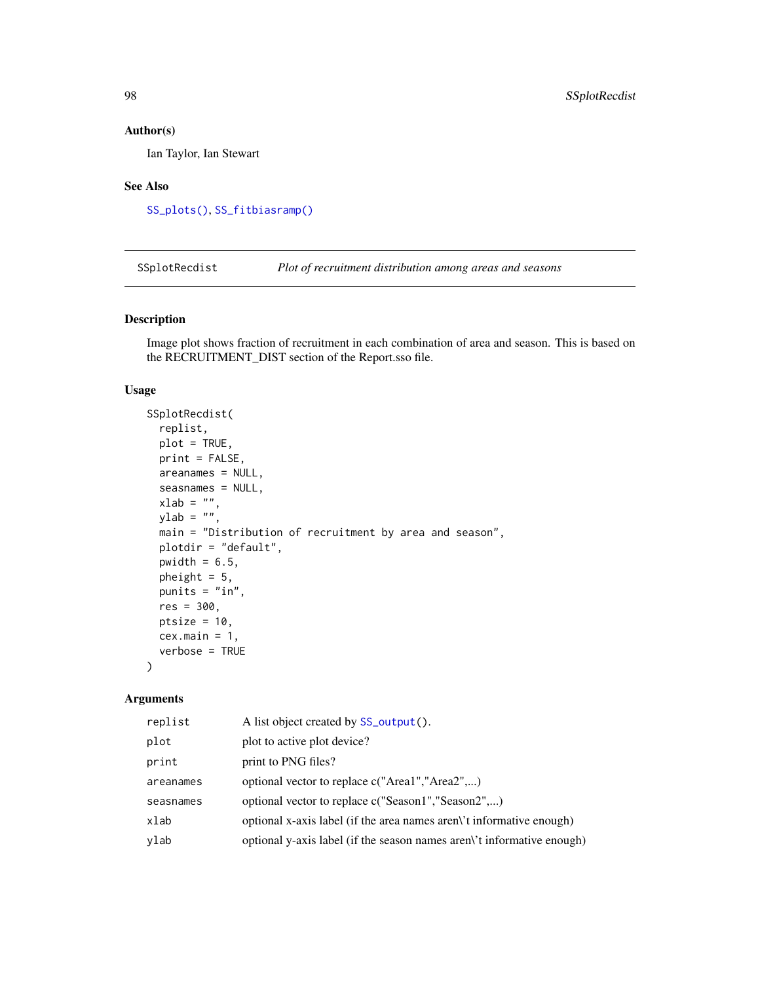Ian Taylor, Ian Stewart

#### See Also

[SS\\_plots\(\)](#page-135-0), [SS\\_fitbiasramp\(\)](#page-126-0)

SSplotRecdist *Plot of recruitment distribution among areas and seasons*

## Description

Image plot shows fraction of recruitment in each combination of area and season. This is based on the RECRUITMENT\_DIST section of the Report.sso file.

## Usage

```
SSplotRecdist(
  replist,
  plot = TRUE,
 print = FALSE,
  areanames = NULL,
  seasnames = NULL,
 xlab = "",
 ylab = "",
  main = "Distribution of recruitment by area and season",
 plotdir = "default",
 pwidth = 6.5,
  pheight = 5,
 punits = "in",
  res = 300,
 ptsize = 10,
  cex.main = 1,
  verbose = TRUE
)
```

| replist   | A list object created by SS_output().                                  |
|-----------|------------------------------------------------------------------------|
| plot      | plot to active plot device?                                            |
| print     | print to PNG files?                                                    |
| areanames | optional vector to replace c("Area1","Area2",)                         |
| seasnames | optional vector to replace c("Season1","Season2")                      |
| xlab      | optional x-axis label (if the area names aren't informative enough)    |
| ylab      | optional y-axis label (if the season names aren)'t informative enough) |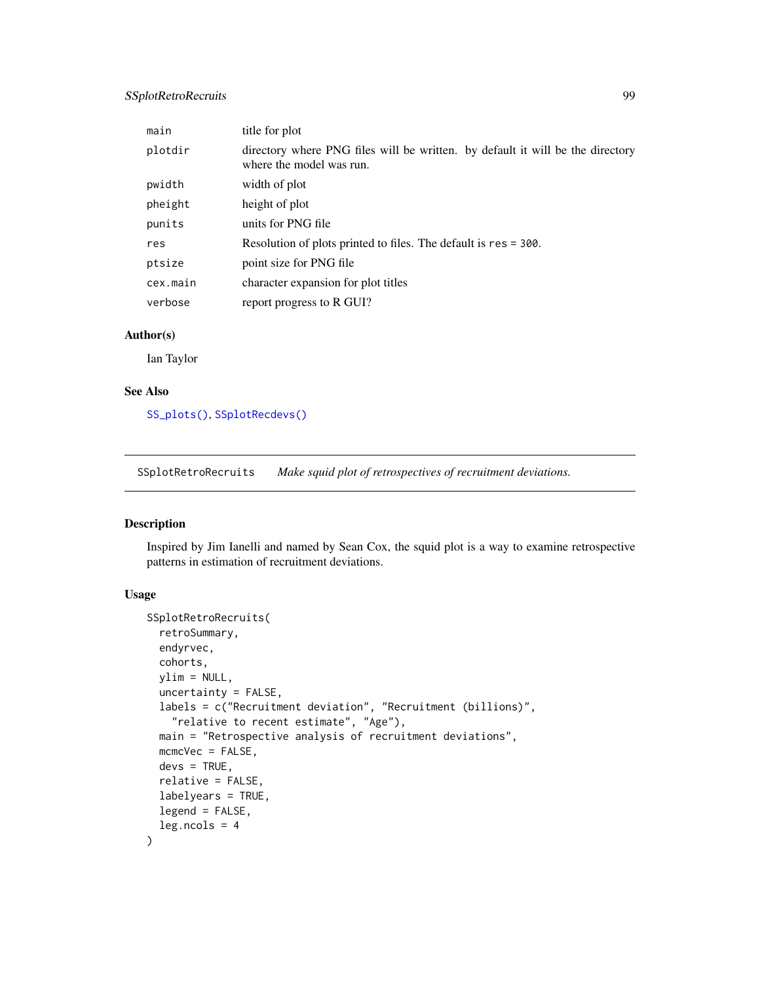## SSplotRetroRecruits 99

| main     | title for plot                                                                                             |
|----------|------------------------------------------------------------------------------------------------------------|
| plotdir  | directory where PNG files will be written. by default it will be the directory<br>where the model was run. |
| pwidth   | width of plot                                                                                              |
| pheight  | height of plot                                                                                             |
| punits   | units for PNG file                                                                                         |
| res      | Resolution of plots printed to files. The default is res = 300.                                            |
| ptsize   | point size for PNG file                                                                                    |
| cex.main | character expansion for plot titles                                                                        |
| verbose  | report progress to R GUI?                                                                                  |

## Author(s)

Ian Taylor

#### See Also

[SS\\_plots\(\)](#page-135-0), [SSplotRecdevs\(\)](#page-95-0)

SSplotRetroRecruits *Make squid plot of retrospectives of recruitment deviations.*

#### Description

Inspired by Jim Ianelli and named by Sean Cox, the squid plot is a way to examine retrospective patterns in estimation of recruitment deviations.

```
SSplotRetroRecruits(
  retroSummary,
  endyrvec,
  cohorts,
 ylim = NULL,uncertainty = FALSE,
  labels = c("Recruitment deviation", "Recruitment (billions)",
    "relative to recent estimate", "Age"),
 main = "Retrospective analysis of recruitment deviations",
 mcmcVec = FALSE,
 devs = TRUE,
  relative = FALSE,
  labelyears = TRUE,
  legend = FALSE,
  leg.ncols = 4\mathcal{E}
```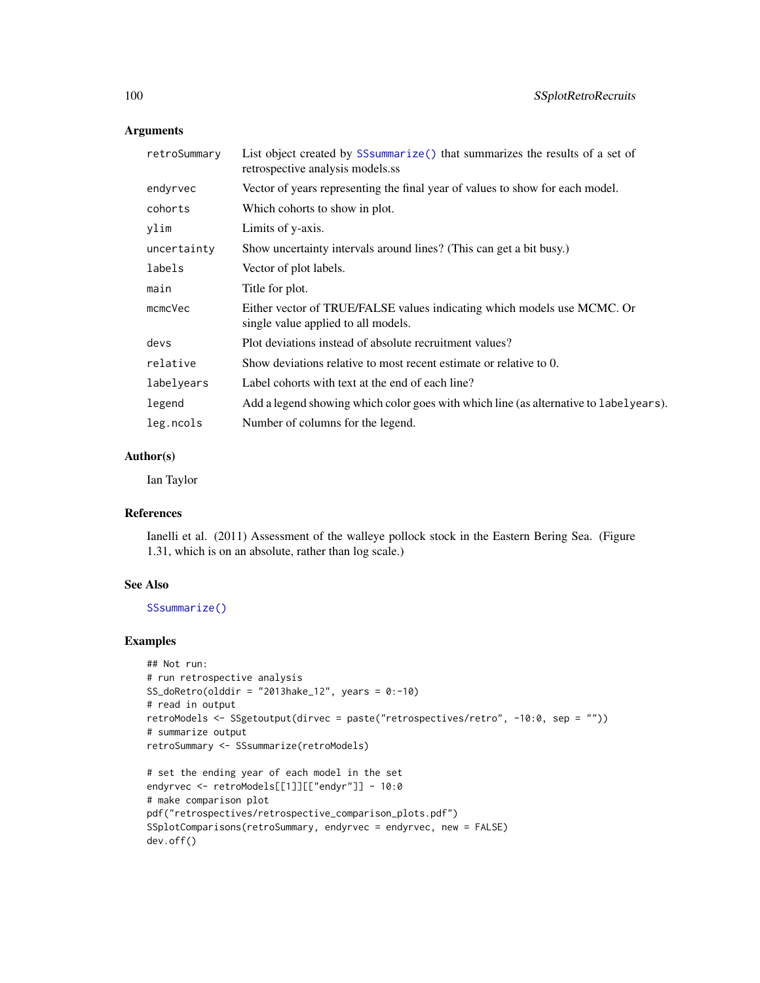| retroSummary       | List object created by SSsummarize () that summarizes the results of a set of<br>retrospective analysis models.ss |
|--------------------|-------------------------------------------------------------------------------------------------------------------|
| endyrvec           | Vector of years representing the final year of values to show for each model.                                     |
| cohorts            | Which cohorts to show in plot.                                                                                    |
| ylim               | Limits of y-axis.                                                                                                 |
| uncertainty        | Show uncertainty intervals around lines? (This can get a bit busy.)                                               |
| labels             | Vector of plot labels.                                                                                            |
| main               | Title for plot.                                                                                                   |
| $m$ c $m$ c $V$ ec | Either vector of TRUE/FALSE values indicating which models use MCMC. Or<br>single value applied to all models.    |
| devs               | Plot deviations instead of absolute recruitment values?                                                           |
| relative           | Show deviations relative to most recent estimate or relative to 0.                                                |
| labelyears         | Label cohorts with text at the end of each line?                                                                  |
| legend             | Add a legend showing which color goes with which line (as alternative to labelyears).                             |
| leg.ncols          | Number of columns for the legend.                                                                                 |

# Author(s)

Ian Taylor

#### References

Ianelli et al. (2011) Assessment of the walleye pollock stock in the Eastern Bering Sea. (Figure 1.31, which is on an absolute, rather than log scale.)

## See Also

[SSsummarize\(\)](#page-117-0)

dev.off()

#### Examples

```
## Not run:
# run retrospective analysis
SS_doRetro(olddir = "2013hake_12", years = 0:-10)
# read in output
retroModels <- SSgetoutput(dirvec = paste("retrospectives/retro", -10:0, sep = ""))
# summarize output
retroSummary <- SSsummarize(retroModels)
# set the ending year of each model in the set
endyrvec <- retroModels[[1]][["endyr"]] - 10:0
# make comparison plot
pdf("retrospectives/retrospective_comparison_plots.pdf")
SSplotComparisons(retroSummary, endyrvec = endyrvec, new = FALSE)
```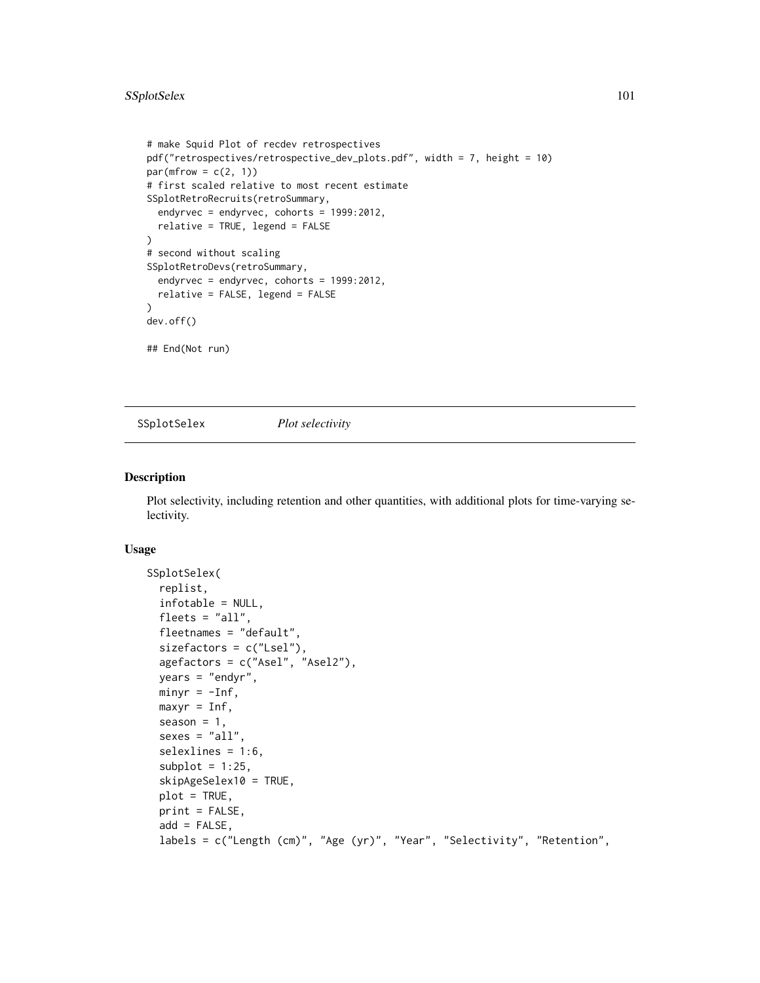```
# make Squid Plot of recdev retrospectives
pdf("retrospectives/retrospective_dev_plots.pdf", width = 7, height = 10)
par(mfrow = c(2, 1))# first scaled relative to most recent estimate
SSplotRetroRecruits(retroSummary,
 endyrvec = endyrvec, cohorts = 1999:2012,
 relative = TRUE, legend = FALSE
\lambda# second without scaling
SSplotRetroDevs(retroSummary,
 endyrvec = endyrvec, cohorts = 1999:2012,
 relative = FALSE, legend = FALSE
\lambdadev.off()
## End(Not run)
```
SSplotSelex *Plot selectivity*

#### Description

Plot selectivity, including retention and other quantities, with additional plots for time-varying selectivity.

```
SSplotSelex(
  replist,
  infotable = NULL,
  fleets = "all",fleetnames = "default",
  sizefactors = c("Lsel"),
  agefactors = c("Asel", "Asel2"),
  years = "endyr",minyr = -Inf,maxyr = Inf,season = 1,
  sexes = "all",selexlines = 1:6,
  subplot = 1:25,
  skipAgeSelex10 = TRUE,
  plot = TRUE,
 print = FALSE,
  add = FALSE,labels = c("Length (cm)", "Age (yr)", "Year", "Selectivity", "Retention",
```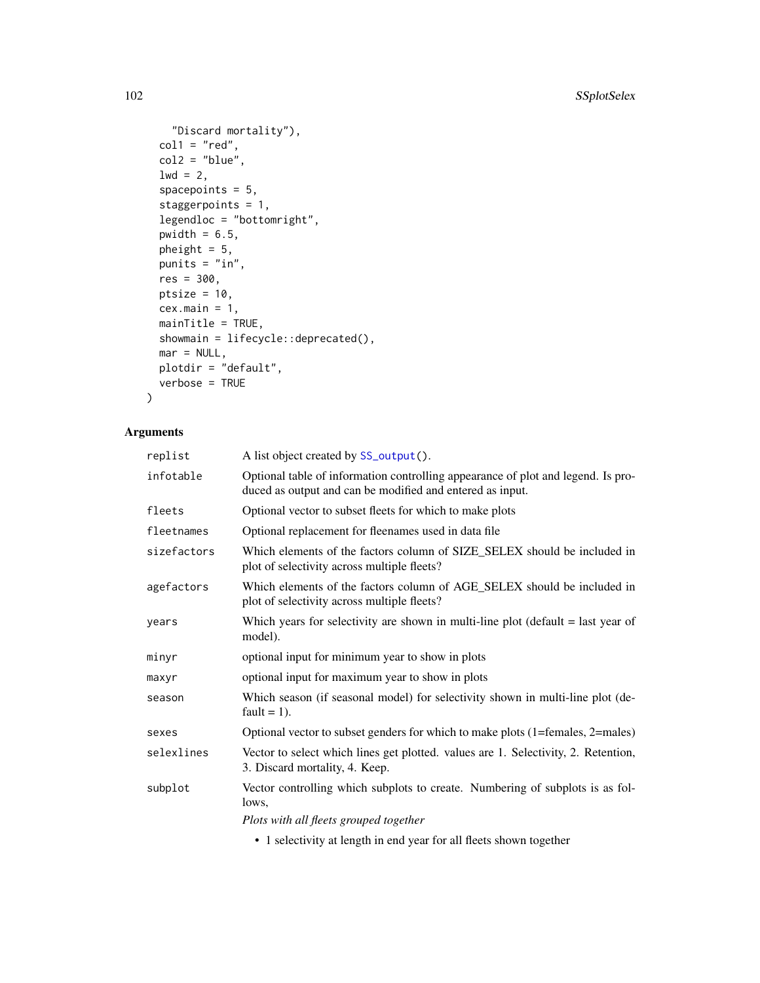```
"Discard mortality"),
 col1 = "red",col2 = "blue",1wd = 2,spacepoints = 5,
  staggerpoints = 1,
 legendloc = "bottomright",
 pwidth = 6.5,
 pheight = 5,
 punits = "in",
 res = 300,
 ptsize = 10,
 cex.mainloop = 1,
 mainTitle = TRUE,
 showmain = lifecycle::deprecated(),
 mar = NULL,plotdir = "default",
 verbose = TRUE
\lambda
```

| replist     | A list object created by SS_output().                                                                                                                                                                                                                                                                                              |
|-------------|------------------------------------------------------------------------------------------------------------------------------------------------------------------------------------------------------------------------------------------------------------------------------------------------------------------------------------|
| infotable   | Optional table of information controlling appearance of plot and legend. Is pro-<br>duced as output and can be modified and entered as input.                                                                                                                                                                                      |
| fleets      | Optional vector to subset fleets for which to make plots                                                                                                                                                                                                                                                                           |
| fleetnames  | Optional replacement for fleenames used in data file                                                                                                                                                                                                                                                                               |
| sizefactors | Which elements of the factors column of SIZE_SELEX should be included in<br>plot of selectivity across multiple fleets?                                                                                                                                                                                                            |
| agefactors  | Which elements of the factors column of AGE_SELEX should be included in<br>plot of selectivity across multiple fleets?                                                                                                                                                                                                             |
| vears       | Which years for selectivity are shown in multi-line plot ( $default = last year$ of<br>model).                                                                                                                                                                                                                                     |
| minvr       | optional input for minimum year to show in plots                                                                                                                                                                                                                                                                                   |
| maxyr       | optional input for maximum year to show in plots                                                                                                                                                                                                                                                                                   |
| season      | Which season (if seasonal model) for selectivity shown in multi-line plot (de-<br>fault = $1$ ).                                                                                                                                                                                                                                   |
| sexes       | Optional vector to subset genders for which to make plots (1=females, 2=males)                                                                                                                                                                                                                                                     |
| selexlines  | Vector to select which lines get plotted. values are 1. Selectivity, 2. Retention,<br>3. Discard mortality, 4. Keep.                                                                                                                                                                                                               |
| subplot     | Vector controlling which subplots to create. Numbering of subplots is as fol-<br>lows.                                                                                                                                                                                                                                             |
|             | Plots with all fleets grouped together                                                                                                                                                                                                                                                                                             |
|             | $\mathbf{1}$ $\mathbf{1}$ $\mathbf{1}$ $\mathbf{1}$ $\mathbf{1}$ $\mathbf{1}$ $\mathbf{1}$ $\mathbf{1}$ $\mathbf{1}$ $\mathbf{1}$ $\mathbf{1}$ $\mathbf{1}$ $\mathbf{1}$ $\mathbf{1}$ $\mathbf{1}$ $\mathbf{1}$ $\mathbf{1}$ $\mathbf{1}$ $\mathbf{1}$ $\mathbf{1}$ $\mathbf{1}$ $\mathbf{1}$ $\mathbf{1}$ $\mathbf{1}$ $\mathbf{$ |

• 1 selectivity at length in end year for all fleets shown together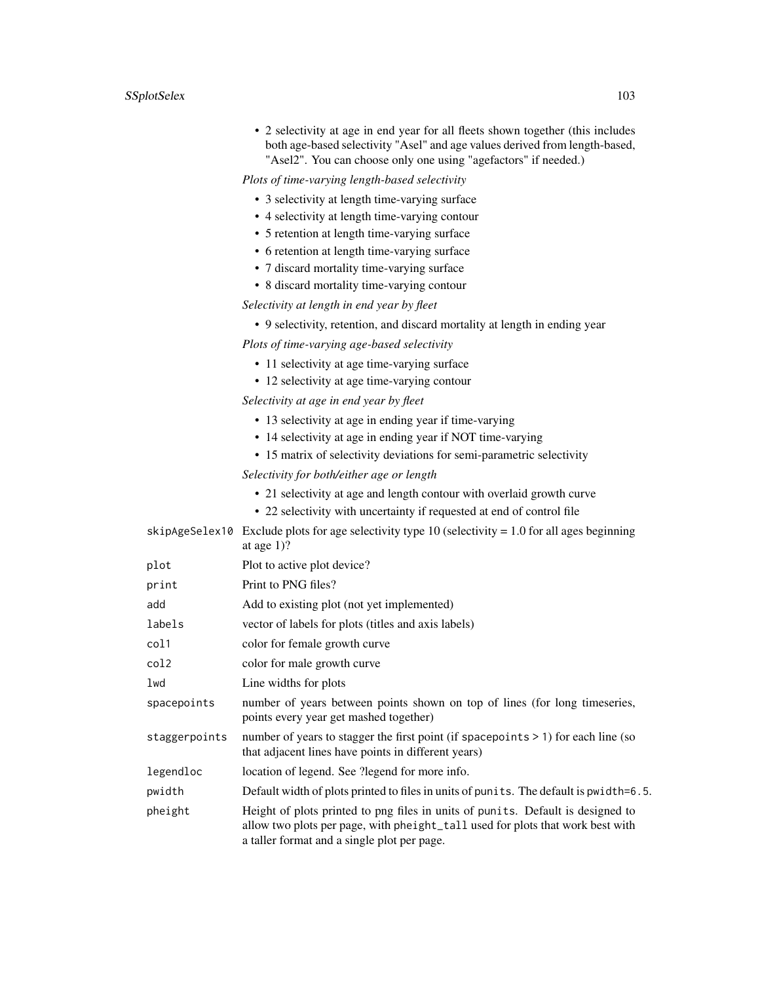• 2 selectivity at age in end year for all fleets shown together (this includes both age-based selectivity "Asel" and age values derived from length-based, "Asel2". You can choose only one using "agefactors" if needed.)

*Plots of time-varying length-based selectivity*

- 3 selectivity at length time-varying surface
- 4 selectivity at length time-varying contour
- 5 retention at length time-varying surface
- 6 retention at length time-varying surface
- 7 discard mortality time-varying surface
- 8 discard mortality time-varying contour

*Selectivity at length in end year by fleet*

• 9 selectivity, retention, and discard mortality at length in ending year

*Plots of time-varying age-based selectivity*

- 11 selectivity at age time-varying surface
- 12 selectivity at age time-varying contour

*Selectivity at age in end year by fleet*

- 13 selectivity at age in ending year if time-varying
- 14 selectivity at age in ending year if NOT time-varying
- 15 matrix of selectivity deviations for semi-parametric selectivity

*Selectivity for both/either age or length*

- 21 selectivity at age and length contour with overlaid growth curve
- 22 selectivity with uncertainty if requested at end of control file

|               | skipAgeSelex10 Exclude plots for age selectivity type 10 (selectivity = 1.0 for all ages beginning<br>at age $1$ ?                                                                                               |
|---------------|------------------------------------------------------------------------------------------------------------------------------------------------------------------------------------------------------------------|
| plot          | Plot to active plot device?                                                                                                                                                                                      |
| print         | Print to PNG files?                                                                                                                                                                                              |
| add           | Add to existing plot (not yet implemented)                                                                                                                                                                       |
| labels        | vector of labels for plots (titles and axis labels)                                                                                                                                                              |
| col1          | color for female growth curve                                                                                                                                                                                    |
| col2          | color for male growth curve                                                                                                                                                                                      |
| lwd           | Line widths for plots                                                                                                                                                                                            |
| spacepoints   | number of years between points shown on top of lines (for long timeseries,<br>points every year get mashed together)                                                                                             |
| staggerpoints | number of years to stagger the first point (if spacepoints $> 1$ ) for each line (so<br>that adjacent lines have points in different years)                                                                      |
| legendloc     | location of legend. See ?legend for more info.                                                                                                                                                                   |
| pwidth        | Default width of plots printed to files in units of punits. The default is pwidth=6.5.                                                                                                                           |
| pheight       | Height of plots printed to png files in units of punits. Default is designed to<br>allow two plots per page, with pheight_tall used for plots that work best with<br>a taller format and a single plot per page. |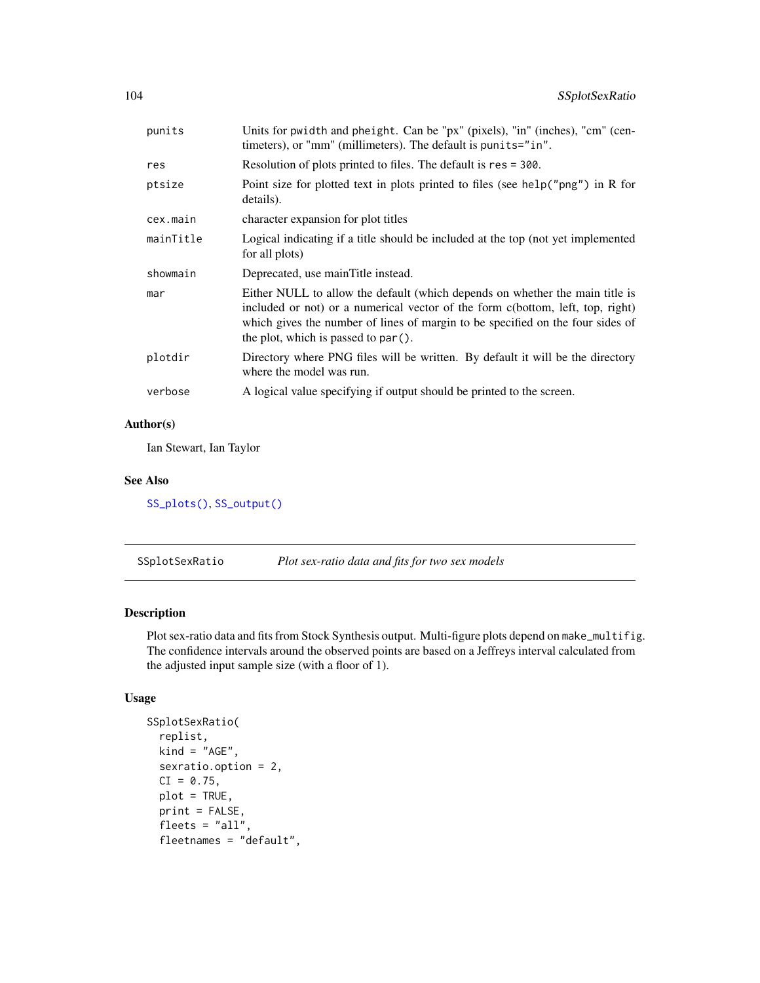| punits    | Units for pwidth and pheight. Can be "px" (pixels), "in" (inches), "cm" (cen-<br>timeters), or "mm" (millimeters). The default is punits="in".                                                                                                                                             |
|-----------|--------------------------------------------------------------------------------------------------------------------------------------------------------------------------------------------------------------------------------------------------------------------------------------------|
| res       | Resolution of plots printed to files. The default is res = 300.                                                                                                                                                                                                                            |
| ptsize    | Point size for plotted text in plots printed to files (see help("png") in R for<br>details).                                                                                                                                                                                               |
| cex.main  | character expansion for plot titles                                                                                                                                                                                                                                                        |
| mainTitle | Logical indicating if a title should be included at the top (not yet implemented<br>for all plots)                                                                                                                                                                                         |
| showmain  | Deprecated, use main Title instead.                                                                                                                                                                                                                                                        |
| mar       | Either NULL to allow the default (which depends on whether the main title is<br>included or not) or a numerical vector of the form c(bottom, left, top, right)<br>which gives the number of lines of margin to be specified on the four sides of<br>the plot, which is passed to $par()$ . |
| plotdir   | Directory where PNG files will be written. By default it will be the directory<br>where the model was run.                                                                                                                                                                                 |
| verbose   | A logical value specifying if output should be printed to the screen.                                                                                                                                                                                                                      |

Ian Stewart, Ian Taylor

## See Also

[SS\\_plots\(\)](#page-135-0), [SS\\_output\(\)](#page-131-0)

SSplotSexRatio *Plot sex-ratio data and fits for two sex models*

## Description

Plot sex-ratio data and fits from Stock Synthesis output. Multi-figure plots depend on make\_multifig. The confidence intervals around the observed points are based on a Jeffreys interval calculated from the adjusted input sample size (with a floor of 1).

```
SSplotSexRatio(
  replist,
 kind = "AGE",sexratio.option = 2,
 CI = 0.75,
 plot = TRUE,
 print = FALSE,
 fleets = "all",
  fleetnames = "default",
```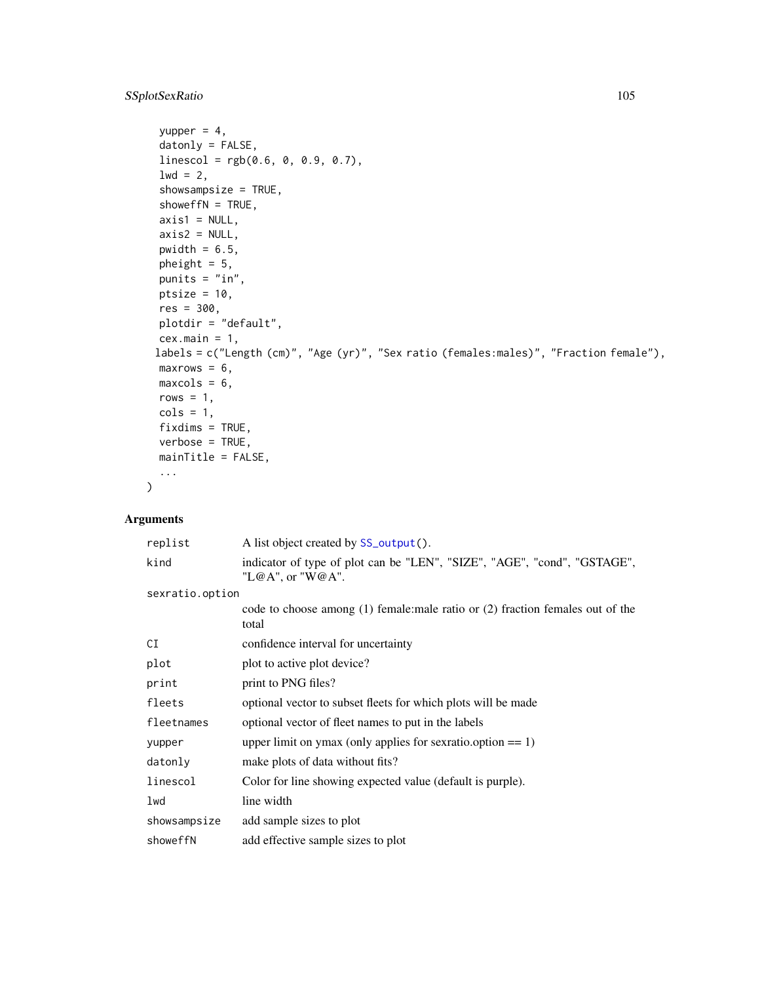## SSplotSexRatio 105

```
yupper = 4,
 datonly = FALSE,
 linescol = rgb(0.6, 0, 0.9, 0.7),
  1wd = 2,showsampsize = TRUE,
  showeffN = TRUE,
 axis1 = NULL,axis2 = NULL,pwidth = 6.5,
 pheight = 5,
 punits = "in",
 ptsize = 10,
 res = 300,
 plotdir = "default",
 cex.mainloop = 1,
 labels = c("Length (cm)", "Age (yr)", "Sex ratio (females:males)", "Fraction female"),
 maxrows = 6,
 maxcols = 6,
 rows = 1,
 cols = 1,
 fixdims = TRUE,
 verbose = TRUE,
 mainTitle = FALSE,
  ...
\mathcal{L}
```

| replist         | A list object created by SS_output().                                                        |
|-----------------|----------------------------------------------------------------------------------------------|
| kind            | indicator of type of plot can be "LEN", "SIZE", "AGE", "cond", "GSTAGE",<br>"L@A", or "W@A". |
| sexratio.option |                                                                                              |
|                 | code to choose among (1) female: male ratio or (2) fraction females out of the<br>total      |
| CI              | confidence interval for uncertainty                                                          |
| plot            | plot to active plot device?                                                                  |
| print           | print to PNG files?                                                                          |
| fleets          | optional vector to subset fleets for which plots will be made                                |
| fleetnames      | optional vector of fleet names to put in the labels                                          |
| yupper          | upper limit on ymax (only applies for sex ratio.option $== 1$ )                              |
| datonly         | make plots of data without fits?                                                             |
| linescol        | Color for line showing expected value (default is purple).                                   |
| lwd             | line width                                                                                   |
| showsampsize    | add sample sizes to plot                                                                     |
| showeffN        | add effective sample sizes to plot                                                           |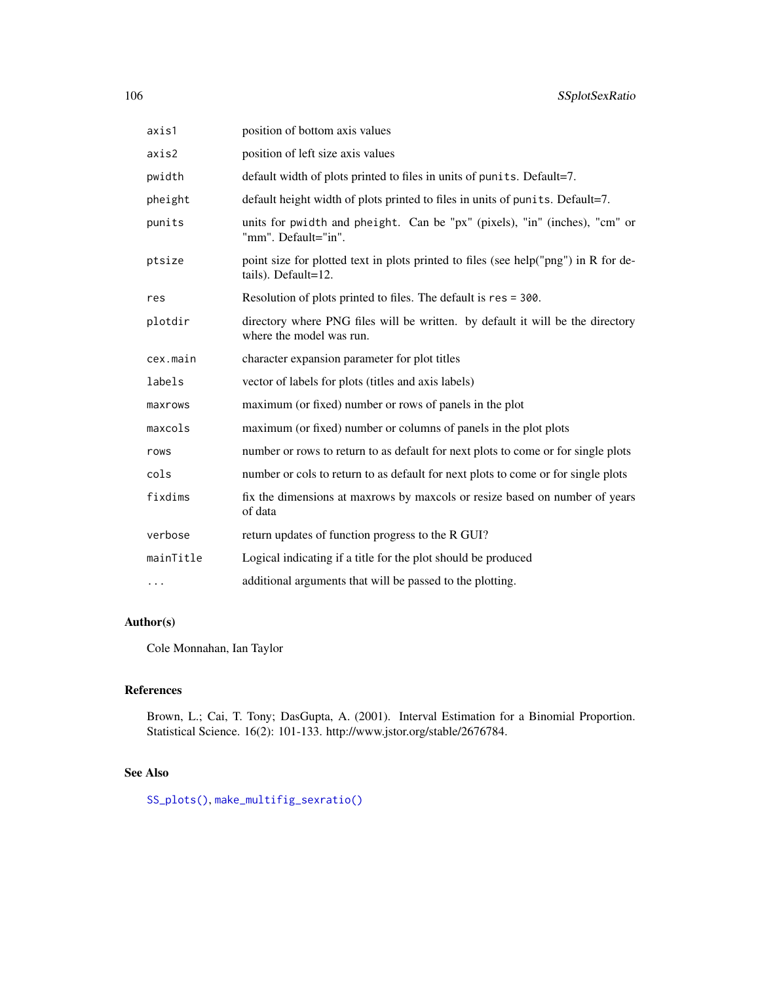| axis1     | position of bottom axis values                                                                             |
|-----------|------------------------------------------------------------------------------------------------------------|
| axis2     | position of left size axis values                                                                          |
| pwidth    | default width of plots printed to files in units of punits. Default=7.                                     |
| pheight   | default height width of plots printed to files in units of punits. Default=7.                              |
| punits    | units for pwidth and pheight. Can be "px" (pixels), "in" (inches), "cm" or<br>"mm". Default="in".          |
| ptsize    | point size for plotted text in plots printed to files (see help("png") in R for de-<br>tails). Default=12. |
| res       | Resolution of plots printed to files. The default is res = 300.                                            |
| plotdir   | directory where PNG files will be written. by default it will be the directory<br>where the model was run. |
| cex.main  | character expansion parameter for plot titles                                                              |
| labels    | vector of labels for plots (titles and axis labels)                                                        |
| maxrows   | maximum (or fixed) number or rows of panels in the plot                                                    |
| maxcols   | maximum (or fixed) number or columns of panels in the plot plots                                           |
| rows      | number or rows to return to as default for next plots to come or for single plots                          |
| cols      | number or cols to return to as default for next plots to come or for single plots                          |
| fixdims   | fix the dimensions at maxrows by maxcols or resize based on number of years<br>of data                     |
| verbose   | return updates of function progress to the R GUI?                                                          |
| mainTitle | Logical indicating if a title for the plot should be produced                                              |
| .         | additional arguments that will be passed to the plotting.                                                  |

Cole Monnahan, Ian Taylor

# References

Brown, L.; Cai, T. Tony; DasGupta, A. (2001). Interval Estimation for a Binomial Proportion. Statistical Science. 16(2): 101-133. http://www.jstor.org/stable/2676784.

## See Also

[SS\\_plots\(\)](#page-135-0), [make\\_multifig\\_sexratio\(\)](#page-21-0)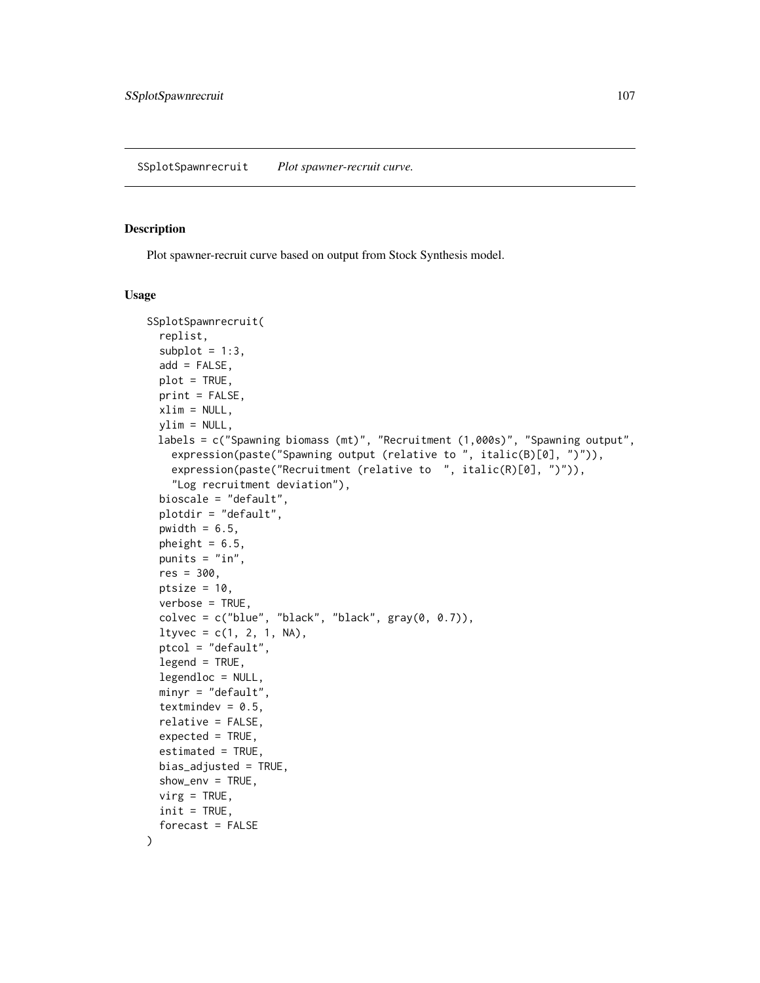#### Description

Plot spawner-recruit curve based on output from Stock Synthesis model.

```
SSplotSpawnrecruit(
  replist,
  subplot = 1:3,add = FALSE,plot = TRUE,
 print = FALSE,
 xlim = NULL,ylim = NULL,
 labels = c("Spawning biomass (mt)", "Recruitment (1,000s)", "Spawning output",
    expression(paste("Spawning output (relative to ", italic(B)[0], ")")),
    expression(paste("Recruitment (relative to ", italic(R)[0], ")")),
    "Log recruitment deviation"),
 bioscale = "default",
 plotdir = "default",
 pwidth = 6.5,
 pheight = 6.5,
 punits = "in",res = 300,ptsize = 10,
  verbose = TRUE,
  colvec = c("blue", "black", "black", "black", gray(0, 0.7)),ltyvec = c(1, 2, 1, NA),
 ptcol = "default",
  legend = TRUE,
  legendloc = NULL,
 minyr = "default",
  textmindev = 0.5,
  relative = FALSE,
  expected = TRUE,estimated = TRUE,
 bias\_adjusted = TRUE,
  show_env = TRUE,
 vire = TRUE,
  init = TRUE,forceast = FALSE)
```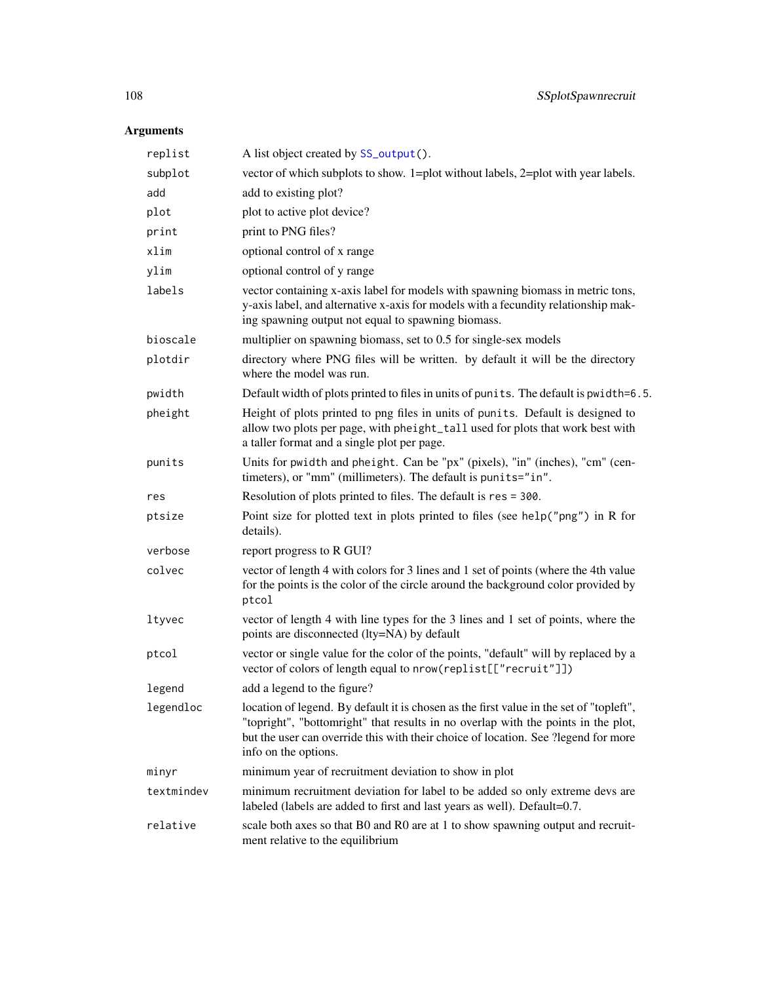| replist    | A list object created by SS_output().                                                                                                                                                                                                                                                      |
|------------|--------------------------------------------------------------------------------------------------------------------------------------------------------------------------------------------------------------------------------------------------------------------------------------------|
| subplot    | vector of which subplots to show. 1=plot without labels, 2=plot with year labels.                                                                                                                                                                                                          |
| add        | add to existing plot?                                                                                                                                                                                                                                                                      |
| plot       | plot to active plot device?                                                                                                                                                                                                                                                                |
| print      | print to PNG files?                                                                                                                                                                                                                                                                        |
| xlim       | optional control of x range                                                                                                                                                                                                                                                                |
| ylim       | optional control of y range                                                                                                                                                                                                                                                                |
| labels     | vector containing x-axis label for models with spawning biomass in metric tons,<br>y-axis label, and alternative x-axis for models with a fecundity relationship mak-<br>ing spawning output not equal to spawning biomass.                                                                |
| bioscale   | multiplier on spawning biomass, set to 0.5 for single-sex models                                                                                                                                                                                                                           |
| plotdir    | directory where PNG files will be written. by default it will be the directory<br>where the model was run.                                                                                                                                                                                 |
| pwidth     | Default width of plots printed to files in units of punits. The default is pwidth=6.5.                                                                                                                                                                                                     |
| pheight    | Height of plots printed to png files in units of punits. Default is designed to<br>allow two plots per page, with pheight_tall used for plots that work best with<br>a taller format and a single plot per page.                                                                           |
| punits     | Units for pwidth and pheight. Can be "px" (pixels), "in" (inches), "cm" (cen-<br>timeters), or "mm" (millimeters). The default is punits="in".                                                                                                                                             |
| res        | Resolution of plots printed to files. The default is res = 300.                                                                                                                                                                                                                            |
| ptsize     | Point size for plotted text in plots printed to files (see help("png") in R for<br>details).                                                                                                                                                                                               |
| verbose    | report progress to R GUI?                                                                                                                                                                                                                                                                  |
| colvec     | vector of length 4 with colors for 3 lines and 1 set of points (where the 4th value<br>for the points is the color of the circle around the background color provided by<br>ptcol                                                                                                          |
| ltyvec     | vector of length 4 with line types for the 3 lines and 1 set of points, where the<br>points are disconnected (lty=NA) by default                                                                                                                                                           |
| ptcol      | vector or single value for the color of the points, "default" will by replaced by a<br>vector of colors of length equal to nrow(replist[["recruit"]])                                                                                                                                      |
| legend     | add a legend to the figure?                                                                                                                                                                                                                                                                |
| legendloc  | location of legend. By default it is chosen as the first value in the set of "topleft",<br>"topright", "bottomright" that results in no overlap with the points in the plot,<br>but the user can override this with their choice of location. See ?legend for more<br>info on the options. |
| minyr      | minimum year of recruitment deviation to show in plot                                                                                                                                                                                                                                      |
| textmindev | minimum recruitment deviation for label to be added so only extreme devs are<br>labeled (labels are added to first and last years as well). Default=0.7.                                                                                                                                   |
| relative   | scale both axes so that B0 and R0 are at 1 to show spawning output and recruit-<br>ment relative to the equilibrium                                                                                                                                                                        |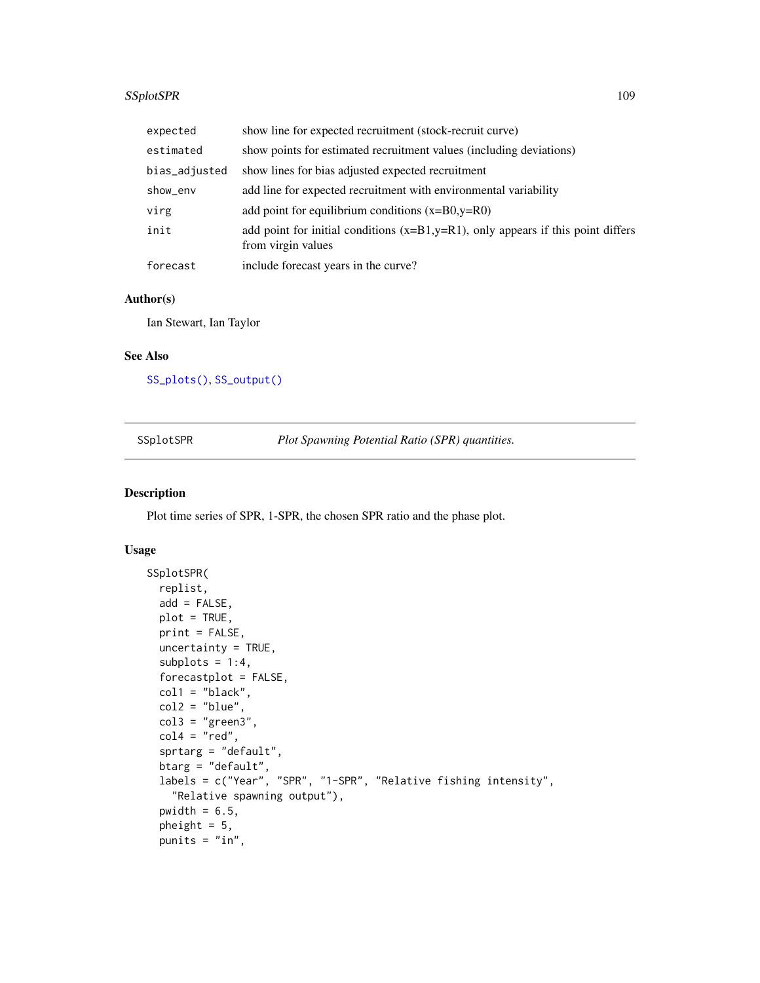# SSplotSPR 109

| expected      | show line for expected recruitment (stock-recruit curve)                                                  |
|---------------|-----------------------------------------------------------------------------------------------------------|
| estimated     | show points for estimated recruitment values (including deviations)                                       |
| bias_adjusted | show lines for bias adjusted expected recruitment                                                         |
| show_env      | add line for expected recruitment with environmental variability                                          |
| virg          | add point for equilibrium conditions $(x=BO, y=RO)$                                                       |
| init          | add point for initial conditions $(x=B1,y=R1)$ , only appears if this point differs<br>from virgin values |
| forecast      | include forecast years in the curve?                                                                      |

# Author(s)

Ian Stewart, Ian Taylor

# See Also

[SS\\_plots\(\)](#page-135-0), [SS\\_output\(\)](#page-131-0)

<span id="page-108-0"></span>SSplotSPR *Plot Spawning Potential Ratio (SPR) quantities.*

## Description

Plot time series of SPR, 1-SPR, the chosen SPR ratio and the phase plot.

## Usage

```
SSplotSPR(
 replist,
 add = FALSE,plot = TRUE,
 print = FALSE,
 uncertainty = TRUE,
  subplots = 1:4,
 forecastplot = FALSE,
 col1 = "black",
 col2 = "blue",col3 = "green3",col4 = "red",sprtarg = "default",
  btarg = "default",
  labels = c("Year", "SPR", "1-SPR", "Relative fishing intensity",
    "Relative spawning output"),
 pwidth = 6.5,
 pheight = 5,
 punits = "in",
```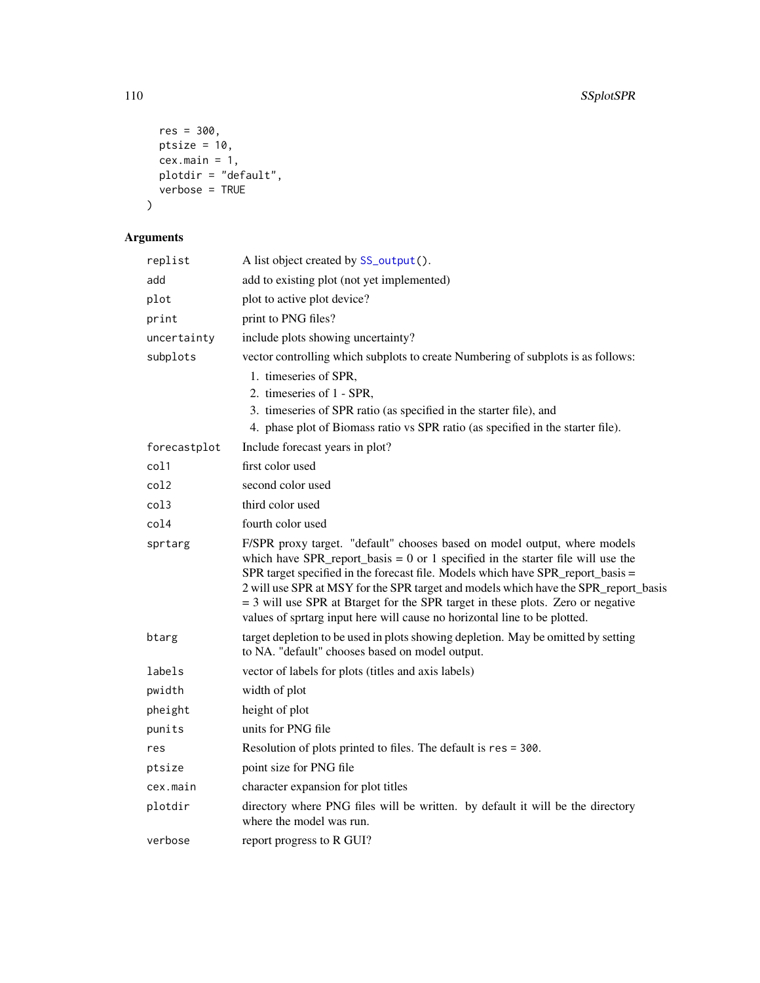```
res = 300,
 ptsize = 10,
  cex.main = 1,plotdir = "default",
  verbose = TRUE
\lambda
```

| replist      | A list object created by SS_output().                                                                                                                                                                                                                                                                                                                                                                                                                                                                    |
|--------------|----------------------------------------------------------------------------------------------------------------------------------------------------------------------------------------------------------------------------------------------------------------------------------------------------------------------------------------------------------------------------------------------------------------------------------------------------------------------------------------------------------|
| add          | add to existing plot (not yet implemented)                                                                                                                                                                                                                                                                                                                                                                                                                                                               |
| plot         | plot to active plot device?                                                                                                                                                                                                                                                                                                                                                                                                                                                                              |
| print        | print to PNG files?                                                                                                                                                                                                                                                                                                                                                                                                                                                                                      |
| uncertainty  | include plots showing uncertainty?                                                                                                                                                                                                                                                                                                                                                                                                                                                                       |
| subplots     | vector controlling which subplots to create Numbering of subplots is as follows:                                                                                                                                                                                                                                                                                                                                                                                                                         |
|              | 1. timeseries of SPR,                                                                                                                                                                                                                                                                                                                                                                                                                                                                                    |
|              | 2. timeseries of 1 - SPR,                                                                                                                                                                                                                                                                                                                                                                                                                                                                                |
|              | 3. timeseries of SPR ratio (as specified in the starter file), and                                                                                                                                                                                                                                                                                                                                                                                                                                       |
|              | 4. phase plot of Biomass ratio vs SPR ratio (as specified in the starter file).                                                                                                                                                                                                                                                                                                                                                                                                                          |
| forecastplot | Include forecast years in plot?                                                                                                                                                                                                                                                                                                                                                                                                                                                                          |
| col1         | first color used                                                                                                                                                                                                                                                                                                                                                                                                                                                                                         |
| col2         | second color used                                                                                                                                                                                                                                                                                                                                                                                                                                                                                        |
| col3         | third color used                                                                                                                                                                                                                                                                                                                                                                                                                                                                                         |
| col4         | fourth color used                                                                                                                                                                                                                                                                                                                                                                                                                                                                                        |
| sprtarg      | F/SPR proxy target. "default" chooses based on model output, where models<br>which have SPR_report_basis = $0$ or 1 specified in the starter file will use the<br>SPR target specified in the forecast file. Models which have SPR_report_basis =<br>2 will use SPR at MSY for the SPR target and models which have the SPR_report_basis<br>= 3 will use SPR at Btarget for the SPR target in these plots. Zero or negative<br>values of sprtarg input here will cause no horizontal line to be plotted. |
| btarg        | target depletion to be used in plots showing depletion. May be omitted by setting<br>to NA. "default" chooses based on model output.                                                                                                                                                                                                                                                                                                                                                                     |
| labels       | vector of labels for plots (titles and axis labels)                                                                                                                                                                                                                                                                                                                                                                                                                                                      |
| pwidth       | width of plot                                                                                                                                                                                                                                                                                                                                                                                                                                                                                            |
| pheight      | height of plot                                                                                                                                                                                                                                                                                                                                                                                                                                                                                           |
| punits       | units for PNG file                                                                                                                                                                                                                                                                                                                                                                                                                                                                                       |
| res          | Resolution of plots printed to files. The default is res = 300.                                                                                                                                                                                                                                                                                                                                                                                                                                          |
| ptsize       | point size for PNG file                                                                                                                                                                                                                                                                                                                                                                                                                                                                                  |
| cex.main     | character expansion for plot titles                                                                                                                                                                                                                                                                                                                                                                                                                                                                      |
| plotdir      | directory where PNG files will be written. by default it will be the directory<br>where the model was run.                                                                                                                                                                                                                                                                                                                                                                                               |
| verbose      | report progress to R GUI?                                                                                                                                                                                                                                                                                                                                                                                                                                                                                |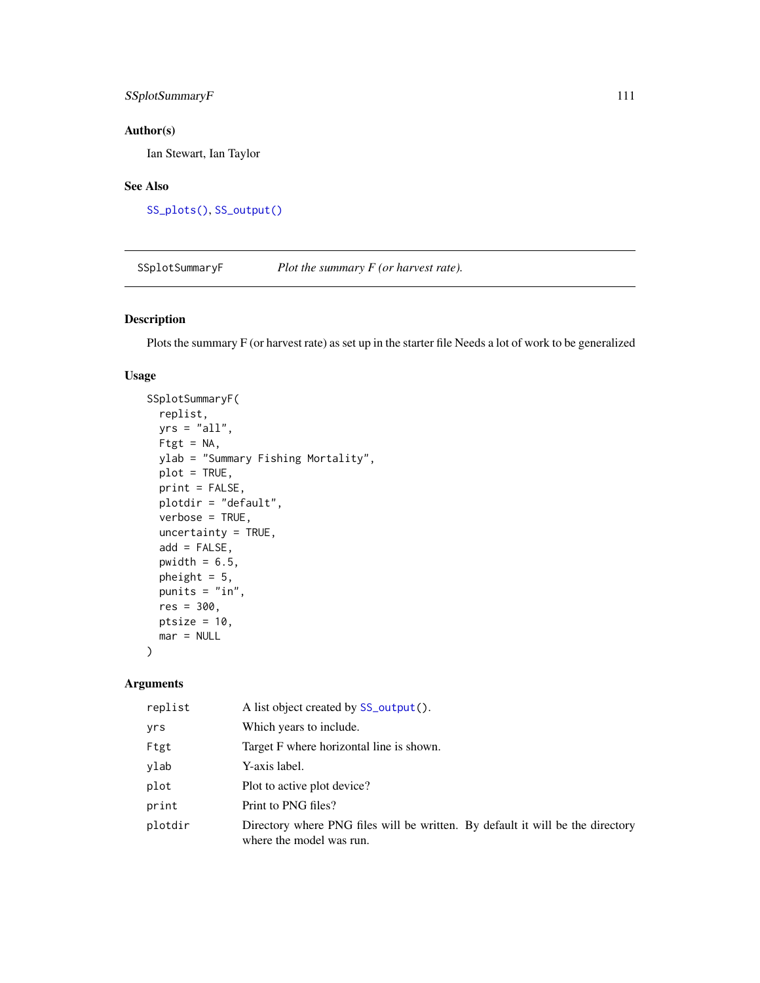# SSplotSummaryF 111

# Author(s)

Ian Stewart, Ian Taylor

# See Also

[SS\\_plots\(\)](#page-135-0), [SS\\_output\(\)](#page-131-0)

SSplotSummaryF *Plot the summary F (or harvest rate).*

# Description

Plots the summary F (or harvest rate) as set up in the starter file Needs a lot of work to be generalized

# Usage

```
SSplotSummaryF(
  replist,
 yrs = "all",Ftgt = NA,
 ylab = "Summary Fishing Mortality",
 plot = TRUE,
 print = FALSE,
 plotdir = "default",
  verbose = TRUE,
  uncertainty = TRUE,
  add = FALSE,pwidth = 6.5,
 pheight = 5,
 punits = "in",
 res = 300,
 ptsize = 10,
 mar = NULL
)
```

| replist | A list object created by SS_output().                                                                      |
|---------|------------------------------------------------------------------------------------------------------------|
| yrs     | Which years to include.                                                                                    |
| Ftgt    | Target F where horizontal line is shown.                                                                   |
| ylab    | Y-axis label.                                                                                              |
| plot    | Plot to active plot device?                                                                                |
| print   | Print to PNG files?                                                                                        |
| plotdir | Directory where PNG files will be written. By default it will be the directory<br>where the model was run. |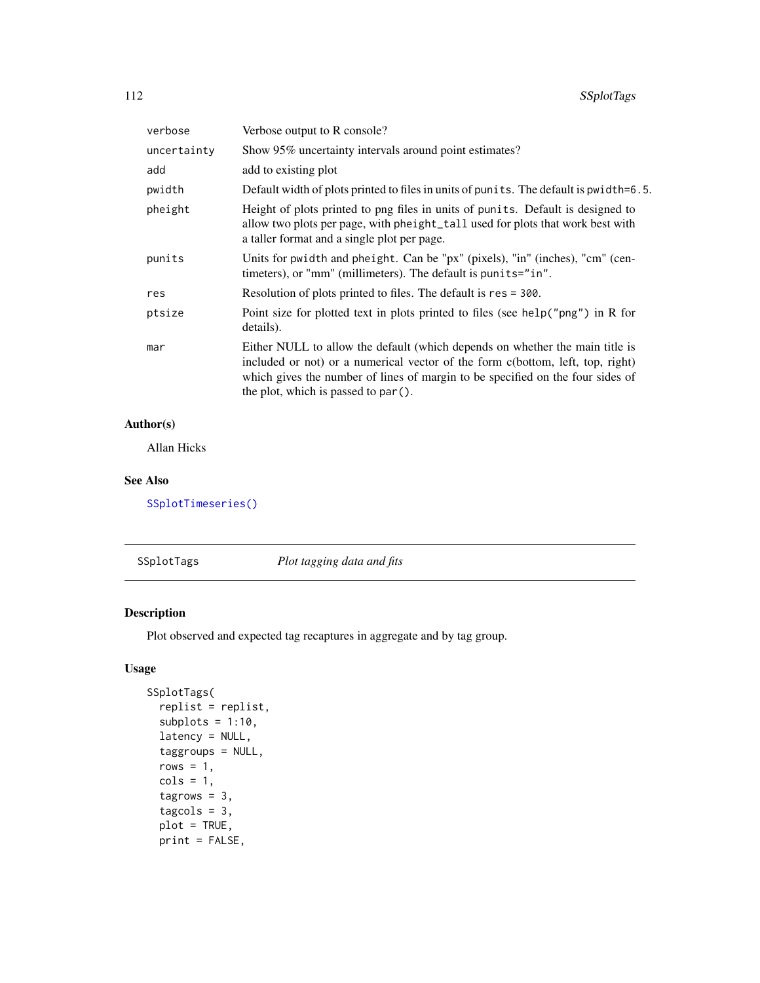| Show 95% uncertainty intervals around point estimates?<br>add to existing plot<br>Default width of plots printed to files in units of punits. The default is pwidth=6.5.<br>Height of plots printed to png files in units of punits. Default is designed to                              |
|------------------------------------------------------------------------------------------------------------------------------------------------------------------------------------------------------------------------------------------------------------------------------------------|
|                                                                                                                                                                                                                                                                                          |
|                                                                                                                                                                                                                                                                                          |
|                                                                                                                                                                                                                                                                                          |
| allow two plots per page, with pheight_tall used for plots that work best with<br>a taller format and a single plot per page.                                                                                                                                                            |
| Units for pwidth and pheight. Can be "px" (pixels), "in" (inches), "cm" (cen-<br>timeters), or "mm" (millimeters). The default is punits="in".                                                                                                                                           |
| Resolution of plots printed to files. The default is res = 300.                                                                                                                                                                                                                          |
| Point size for plotted text in plots printed to files (see help("png") in R for<br>details).                                                                                                                                                                                             |
| Either NULL to allow the default (which depends on whether the main title is<br>included or not) or a numerical vector of the form c(bottom, left, top, right)<br>which gives the number of lines of margin to be specified on the four sides of<br>the plot, which is passed to par (). |
|                                                                                                                                                                                                                                                                                          |

Allan Hicks

# See Also

[SSplotTimeseries\(\)](#page-113-0)

<span id="page-111-0"></span>SSplotTags *Plot tagging data and fits*

# Description

Plot observed and expected tag recaptures in aggregate and by tag group.

# Usage

```
SSplotTags(
 replist = replist,
 subplots = 1:10,latency = NULL,
 taggroups = NULL,
 rows = 1,
 cols = 1,
  tagrows = 3,
  tagcols = 3,
 plot = TRUE,
 print = FALSE,
```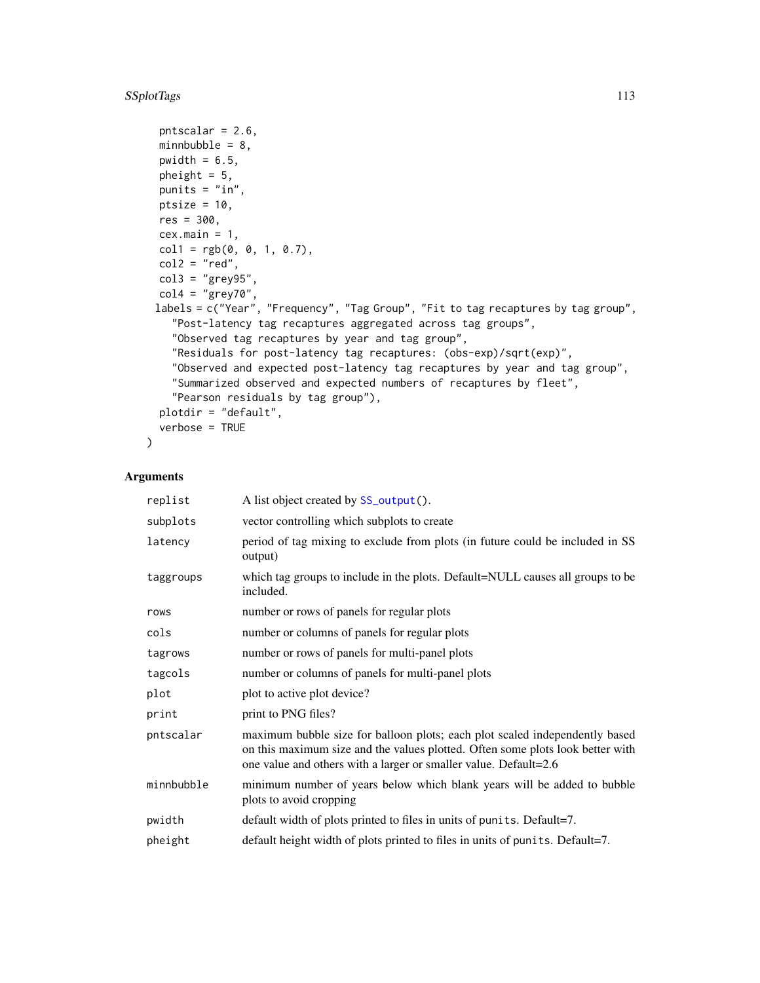# SSplotTags 113

```
pntscalar = 2.6,
minnbubble = 8,
pwidth = 6.5,
pheight = 5,
punits = "in",
ptsize = 10,
res = 300,cex.mainloop = 1,
coll = rgb(0, 0, 1, 0.7),col2 = "red",col3 = "grey95",col4 = "grey70",labels = c("Year", "Frequency", "Tag Group", "Fit to tag recaptures by tag group",
  "Post-latency tag recaptures aggregated across tag groups",
  "Observed tag recaptures by year and tag group",
  "Residuals for post-latency tag recaptures: (obs-exp)/sqrt(exp)",
  "Observed and expected post-latency tag recaptures by year and tag group",
  "Summarized observed and expected numbers of recaptures by fleet",
  "Pearson residuals by tag group"),
plotdir = "default",
verbose = TRUE
```
## Arguments

 $\mathcal{L}$ 

| replist    | A list object created by SS_output().                                                                                                                                                                                             |
|------------|-----------------------------------------------------------------------------------------------------------------------------------------------------------------------------------------------------------------------------------|
| subplots   | vector controlling which subplots to create                                                                                                                                                                                       |
| latency    | period of tag mixing to exclude from plots (in future could be included in SS<br>output)                                                                                                                                          |
| taggroups  | which tag groups to include in the plots. Default=NULL causes all groups to be<br>included.                                                                                                                                       |
| rows       | number or rows of panels for regular plots                                                                                                                                                                                        |
| cols       | number or columns of panels for regular plots                                                                                                                                                                                     |
| tagrows    | number or rows of panels for multi-panel plots                                                                                                                                                                                    |
| tagcols    | number or columns of panels for multi-panel plots                                                                                                                                                                                 |
| plot       | plot to active plot device?                                                                                                                                                                                                       |
| print      | print to PNG files?                                                                                                                                                                                                               |
| pntscalar  | maximum bubble size for balloon plots; each plot scaled independently based<br>on this maximum size and the values plotted. Often some plots look better with<br>one value and others with a larger or smaller value. Default=2.6 |
| minnbubble | minimum number of years below which blank years will be added to bubble<br>plots to avoid cropping                                                                                                                                |
| pwidth     | default width of plots printed to files in units of punits. Default=7.                                                                                                                                                            |
| pheight    | default height width of plots printed to files in units of punits. Default=7.                                                                                                                                                     |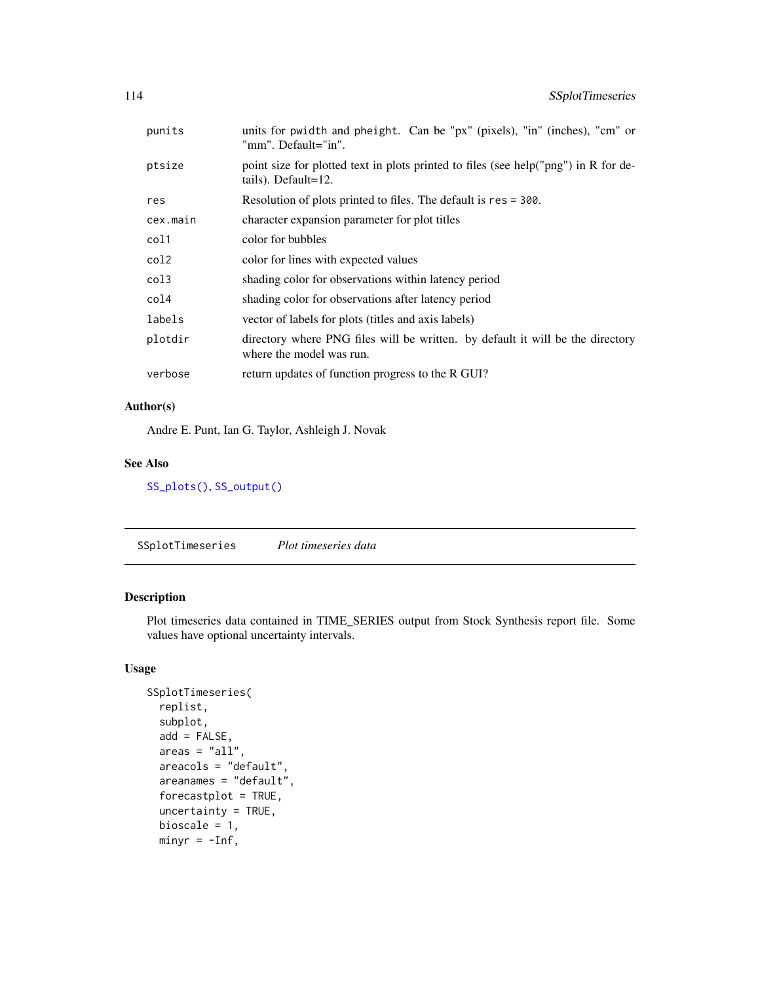| punits   | units for pwidth and pheight. Can be "px" (pixels), "in" (inches), "cm" or<br>"mm". Default="in".          |
|----------|------------------------------------------------------------------------------------------------------------|
| ptsize   | point size for plotted text in plots printed to files (see help("png") in R for de-<br>tails). Default=12. |
| res      | Resolution of plots printed to files. The default is res = 300.                                            |
| cex.main | character expansion parameter for plot titles                                                              |
| col1     | color for bubbles                                                                                          |
| col2     | color for lines with expected values                                                                       |
| col3     | shading color for observations within latency period                                                       |
| col4     | shading color for observations after latency period                                                        |
| labels   | vector of labels for plots (titles and axis labels)                                                        |
| plotdir  | directory where PNG files will be written. by default it will be the directory<br>where the model was run. |
| verbose  | return updates of function progress to the R GUI?                                                          |
|          |                                                                                                            |

Andre E. Punt, Ian G. Taylor, Ashleigh J. Novak

## See Also

[SS\\_plots\(\)](#page-135-0), [SS\\_output\(\)](#page-131-0)

<span id="page-113-0"></span>SSplotTimeseries *Plot timeseries data*

# Description

Plot timeseries data contained in TIME\_SERIES output from Stock Synthesis report file. Some values have optional uncertainty intervals.

# Usage

```
SSplotTimeseries(
  replist,
  subplot,
  add = FALSE,area = "all",areacols = "default",
 areanames = "default",
  forecastplot = TRUE,
  uncertainty = TRUE,
 bioscale = 1,
 minyr = -Inf,
```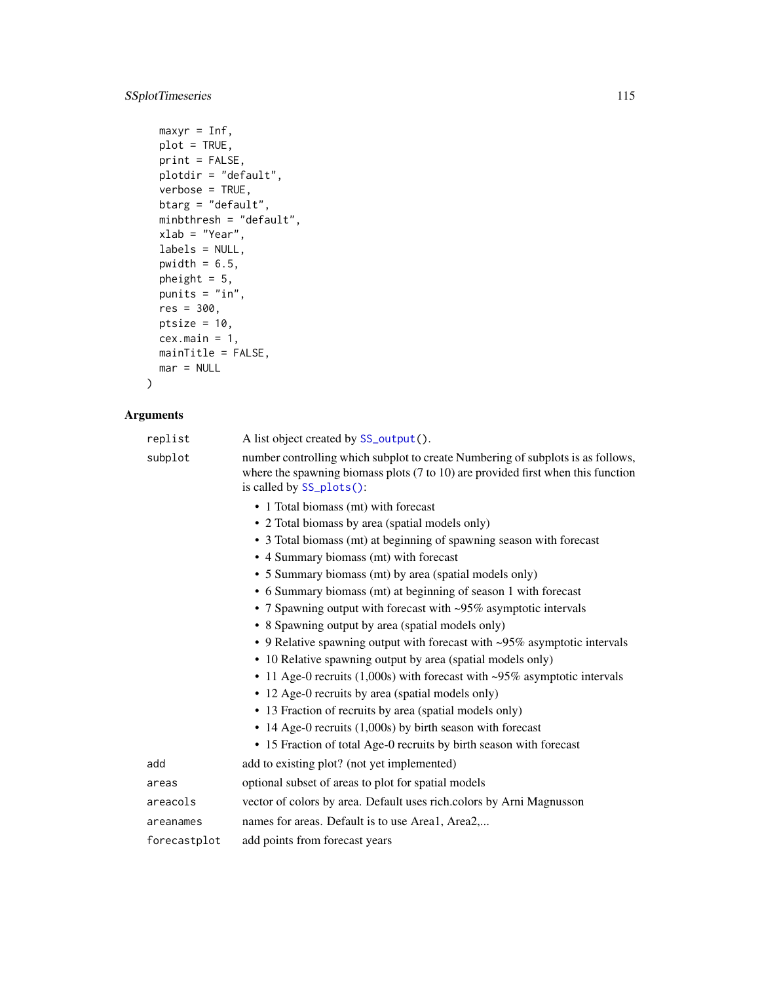# SSplotTimeseries 115

```
maxyr = Inf,plot = TRUE,
print = FALSE,
plotdir = "default",
verbose = TRUE,
btarg = "default",
minbthresh = "default",
xlab = "Year",
labels = NULL,
pwidth = 6.5,
pheight = 5,
punits = "in",
res = 300,
ptsize = 10,
cex.mainloop = 1,
mainTitle = FALSE,
mar = NULL
```
# Arguments

 $\mathcal{L}$ 

| replist      | A list object created by SS_output().                                                                                                                                                                      |
|--------------|------------------------------------------------------------------------------------------------------------------------------------------------------------------------------------------------------------|
| subplot      | number controlling which subplot to create Numbering of subplots is as follows,<br>where the spawning biomass plots $(7 \text{ to } 10)$ are provided first when this function<br>is called by SS_plots(): |
|              | • 1 Total biomass (mt) with forecast                                                                                                                                                                       |
|              | • 2 Total biomass by area (spatial models only)                                                                                                                                                            |
|              | • 3 Total biomass (mt) at beginning of spawning season with forecast                                                                                                                                       |
|              | • 4 Summary biomass (mt) with forecast                                                                                                                                                                     |
|              | • 5 Summary biomass (mt) by area (spatial models only)                                                                                                                                                     |
|              | • 6 Summary biomass (mt) at beginning of season 1 with forecast                                                                                                                                            |
|              | • 7 Spawning output with forecast with ~95% asymptotic intervals                                                                                                                                           |
|              | • 8 Spawning output by area (spatial models only)                                                                                                                                                          |
|              | • 9 Relative spawning output with forecast with ~95% asymptotic intervals                                                                                                                                  |
|              | • 10 Relative spawning output by area (spatial models only)                                                                                                                                                |
|              | • 11 Age-0 recruits $(1,000s)$ with forecast with ~95% asymptotic intervals                                                                                                                                |
|              | • 12 Age-0 recruits by area (spatial models only)                                                                                                                                                          |
|              | • 13 Fraction of recruits by area (spatial models only)                                                                                                                                                    |
|              | • 14 Age-0 recruits $(1,000s)$ by birth season with forecast                                                                                                                                               |
|              | • 15 Fraction of total Age-0 recruits by birth season with forecast                                                                                                                                        |
| add          | add to existing plot? (not yet implemented)                                                                                                                                                                |
| areas        | optional subset of areas to plot for spatial models                                                                                                                                                        |
| areacols     | vector of colors by area. Default uses rich.colors by Arni Magnusson                                                                                                                                       |
| areanames    | names for areas. Default is to use Areal, Area2                                                                                                                                                            |
| forecastplot | add points from forecast years                                                                                                                                                                             |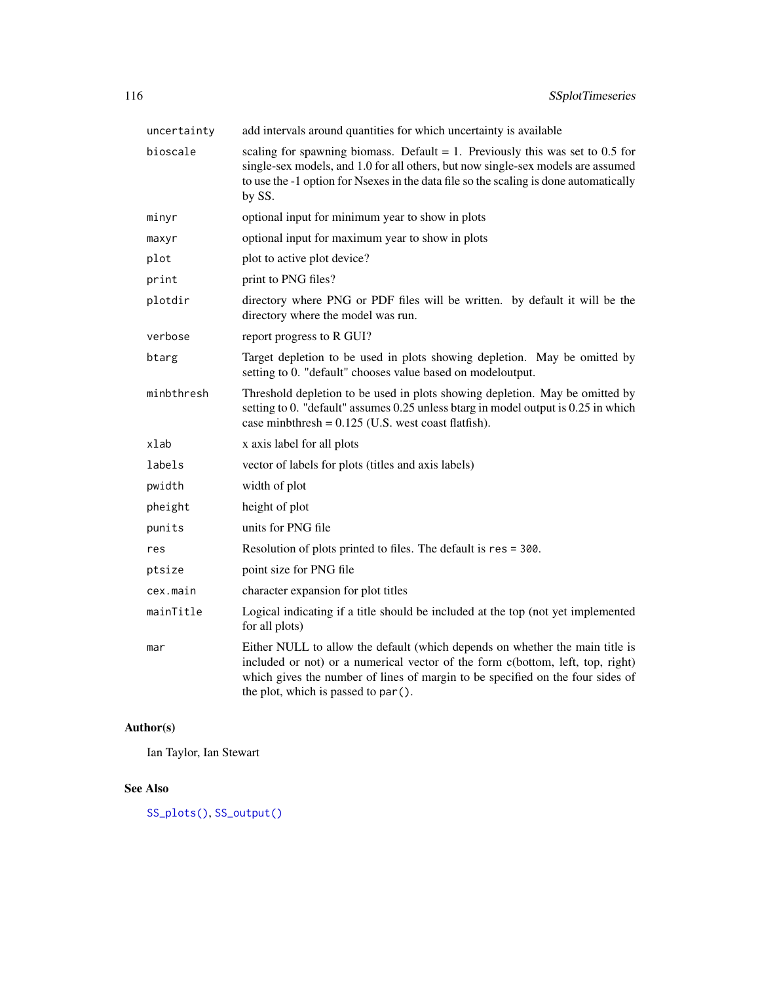| uncertainty | add intervals around quantities for which uncertainty is available                                                                                                                                                                                                                       |
|-------------|------------------------------------------------------------------------------------------------------------------------------------------------------------------------------------------------------------------------------------------------------------------------------------------|
| bioscale    | scaling for spawning biomass. Default = 1. Previously this was set to $0.5$ for<br>single-sex models, and 1.0 for all others, but now single-sex models are assumed<br>to use the -1 option for Nsexes in the data file so the scaling is done automatically<br>by SS.                   |
| minyr       | optional input for minimum year to show in plots                                                                                                                                                                                                                                         |
| maxyr       | optional input for maximum year to show in plots                                                                                                                                                                                                                                         |
| plot        | plot to active plot device?                                                                                                                                                                                                                                                              |
| print       | print to PNG files?                                                                                                                                                                                                                                                                      |
| plotdir     | directory where PNG or PDF files will be written. by default it will be the<br>directory where the model was run.                                                                                                                                                                        |
| verbose     | report progress to R GUI?                                                                                                                                                                                                                                                                |
| btarg       | Target depletion to be used in plots showing depletion. May be omitted by<br>setting to 0. "default" chooses value based on modeloutput.                                                                                                                                                 |
| minbthresh  | Threshold depletion to be used in plots showing depletion. May be omitted by<br>setting to 0. "default" assumes 0.25 unless btarg in model output is 0.25 in which<br>case minbthresh = $0.125$ (U.S. west coast flatfish).                                                              |
| xlab        | x axis label for all plots                                                                                                                                                                                                                                                               |
| labels      | vector of labels for plots (titles and axis labels)                                                                                                                                                                                                                                      |
| pwidth      | width of plot                                                                                                                                                                                                                                                                            |
| pheight     | height of plot                                                                                                                                                                                                                                                                           |
| punits      | units for PNG file                                                                                                                                                                                                                                                                       |
| res         | Resolution of plots printed to files. The default is res = 300.                                                                                                                                                                                                                          |
| ptsize      | point size for PNG file                                                                                                                                                                                                                                                                  |
| cex.main    | character expansion for plot titles                                                                                                                                                                                                                                                      |
| mainTitle   | Logical indicating if a title should be included at the top (not yet implemented<br>for all plots)                                                                                                                                                                                       |
| mar         | Either NULL to allow the default (which depends on whether the main title is<br>included or not) or a numerical vector of the form c(bottom, left, top, right)<br>which gives the number of lines of margin to be specified on the four sides of<br>the plot, which is passed to par (). |

Ian Taylor, Ian Stewart

# See Also

[SS\\_plots\(\)](#page-135-0), [SS\\_output\(\)](#page-131-0)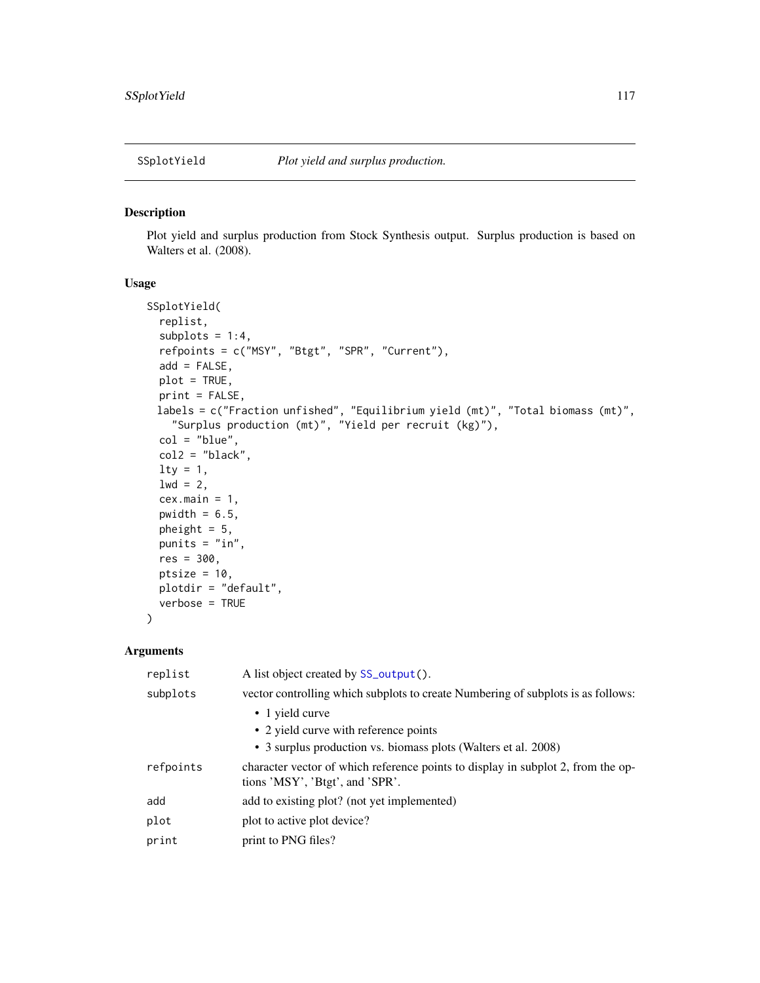<span id="page-116-0"></span>

## Description

Plot yield and surplus production from Stock Synthesis output. Surplus production is based on Walters et al. (2008).

### Usage

```
SSplotYield(
  replist,
  subplots = 1:4,
  refpoints = c("MSY", "Btgt", "SPR", "Current"),
 add = FALSE,
 plot = TRUE,
 print = FALSE,
 labels = c("Fraction unfished", "Equilibrium yield (mt)", "Total biomass (mt)",
    "Surplus production (mt)", "Yield per recruit (kg)"),
 col = "blue",col2 = "black",lty = 1,1wd = 2,cex.main = 1,
 pwidth = 6.5,
 pheight = 5,
 punits = "in",
 res = 300,
 ptsize = 10,
 plotdir = "default",
  verbose = TRUE
)
```

| replist   | A list object created by SS_output().                                                                               |
|-----------|---------------------------------------------------------------------------------------------------------------------|
| subplots  | vector controlling which subplots to create Numbering of subplots is as follows:                                    |
|           | • 1 yield curve                                                                                                     |
|           | • 2 yield curve with reference points                                                                               |
|           | • 3 surplus production vs. biomass plots (Walters et al. 2008)                                                      |
| refpoints | character vector of which reference points to display in subplot 2, from the op-<br>tions 'MSY', 'Btgt', and 'SPR'. |
| add       | add to existing plot? (not yet implemented)                                                                         |
| plot      | plot to active plot device?                                                                                         |
| print     | print to PNG files?                                                                                                 |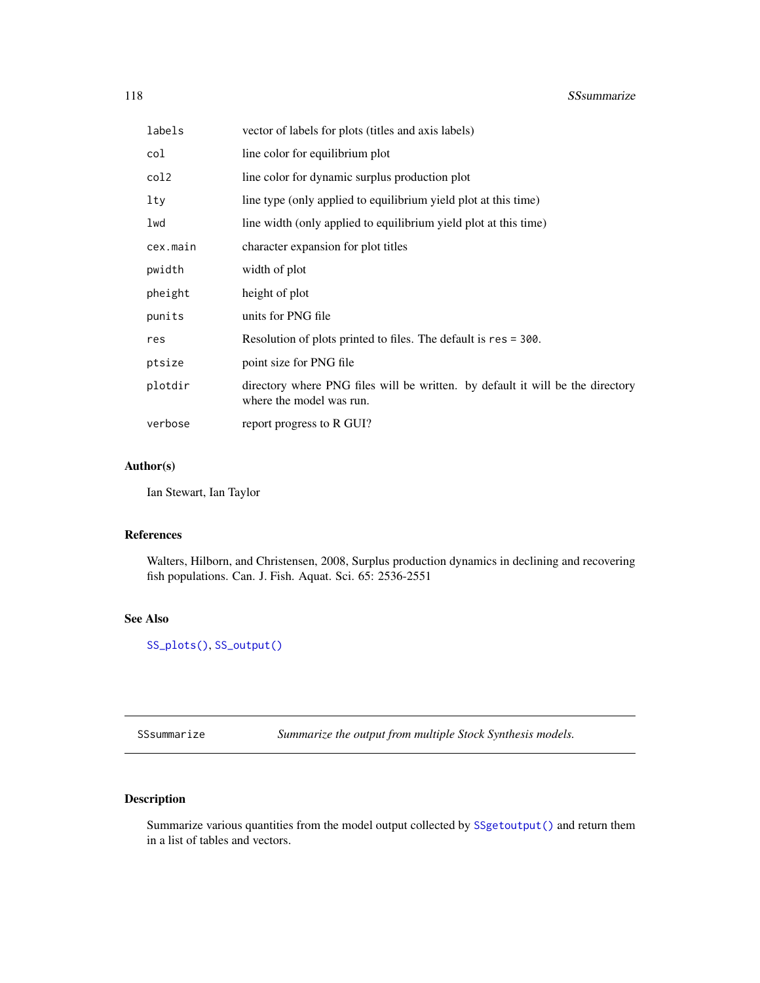| labels   | vector of labels for plots (titles and axis labels)                                                        |
|----------|------------------------------------------------------------------------------------------------------------|
| col      | line color for equilibrium plot                                                                            |
| col2     | line color for dynamic surplus production plot                                                             |
| lty      | line type (only applied to equilibrium yield plot at this time)                                            |
| lwd      | line width (only applied to equilibrium yield plot at this time)                                           |
| cex.main | character expansion for plot titles                                                                        |
| pwidth   | width of plot                                                                                              |
| pheight  | height of plot                                                                                             |
| punits   | units for PNG file                                                                                         |
| res      | Resolution of plots printed to files. The default is res = 300.                                            |
| ptsize   | point size for PNG file                                                                                    |
| plotdir  | directory where PNG files will be written. by default it will be the directory<br>where the model was run. |
| verbose  | report progress to R GUI?                                                                                  |

Ian Stewart, Ian Taylor

#### References

Walters, Hilborn, and Christensen, 2008, Surplus production dynamics in declining and recovering fish populations. Can. J. Fish. Aquat. Sci. 65: 2536-2551

#### See Also

[SS\\_plots\(\)](#page-135-0), [SS\\_output\(\)](#page-131-0)

<span id="page-117-0"></span>SSsummarize *Summarize the output from multiple Stock Synthesis models.*

# Description

Summarize various quantities from the model output collected by [SSgetoutput\(\)](#page-46-0) and return them in a list of tables and vectors.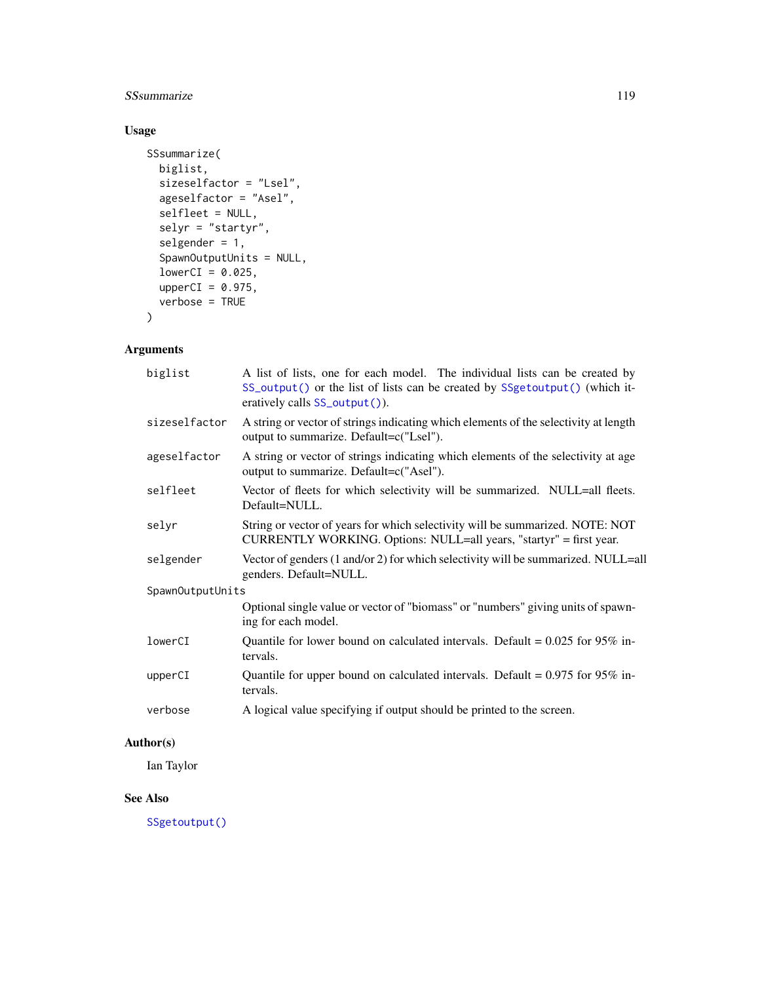# SSsummarize 119

# Usage

```
SSsummarize(
 biglist,
  sizeselfactor = "Lsel",
 ageselfactor = "Asel",
 selfleet = NULL,
 selyr = "startyr",selgender = 1,
  SpawnOutputUnits = NULL,
 lowerCI = 0.025,upperCI = 0.975,verbose = TRUE
\mathcal{L}
```
# Arguments

| biglist       | A list of lists, one for each model. The individual lists can be created by<br>SS_output() or the list of lists can be created by SSgetoutput() (which it-<br>eratively calls SS_output()). |  |  |
|---------------|---------------------------------------------------------------------------------------------------------------------------------------------------------------------------------------------|--|--|
| sizeselfactor | A string or vector of strings indicating which elements of the selectivity at length<br>output to summarize. Default=c("Lsel").                                                             |  |  |
| ageselfactor  | A string or vector of strings indicating which elements of the selectivity at age<br>output to summarize. Default=c("Asel").                                                                |  |  |
| selfleet      | Vector of fleets for which selectivity will be summarized. NULL=all fleets.<br>Default=NULL.                                                                                                |  |  |
| selyr         | String or vector of years for which selectivity will be summarized. NOTE: NOT<br>CURRENTLY WORKING. Options: NULL=all years, "startyr" = first year.                                        |  |  |
| selgender     | Vector of genders (1 and/or 2) for which selectivity will be summarized. NULL=all<br>genders. Default=NULL.                                                                                 |  |  |
|               | SpawnOutputUnits                                                                                                                                                                            |  |  |
|               | Optional single value or vector of "biomass" or "numbers" giving units of spawn-<br>ing for each model.                                                                                     |  |  |
| lowerCI       | Quantile for lower bound on calculated intervals. Default = $0.025$ for 95% in-<br>tervals.                                                                                                 |  |  |
| upperCI       | Quantile for upper bound on calculated intervals. Default = $0.975$ for 95% in-<br>tervals.                                                                                                 |  |  |
| verbose       | A logical value specifying if output should be printed to the screen.                                                                                                                       |  |  |
|               |                                                                                                                                                                                             |  |  |

# Author(s)

Ian Taylor

# See Also

[SSgetoutput\(\)](#page-46-0)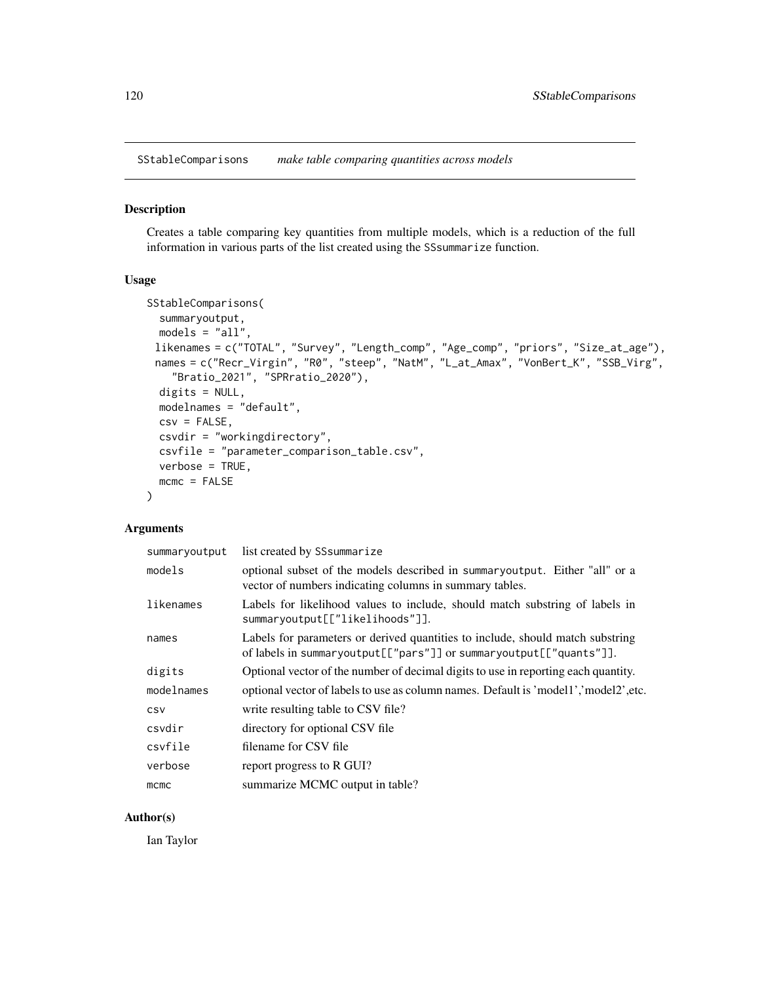SStableComparisons *make table comparing quantities across models*

#### Description

Creates a table comparing key quantities from multiple models, which is a reduction of the full information in various parts of the list created using the SSsummarize function.

## Usage

```
SStableComparisons(
  summaryoutput,
 models = "all",likenames = c("TOTAL", "Survey", "Length_comp", "Age_comp", "priors", "Size_at_age"),
 names = c("Recr_Virgin", "R0", "steep", "NatM", "L_at_Amax", "VonBert_K", "SSB_Virg",
    "Bratio_2021", "SPRratio_2020"),
 digits = NULL,
 modelnames = "default",
 csv = FALSE,csvdir = "workingdirectory",
 csvfile = "parameter_comparison_table.csv",
 verbose = TRUE,
 mcmc = FALSE
)
```
## Arguments

| summaryoutput | list created by SS summarize                                                                                                                         |
|---------------|------------------------------------------------------------------------------------------------------------------------------------------------------|
| models        | optional subset of the models described in summaryoutput. Either "all" or a<br>vector of numbers indicating columns in summary tables.               |
| likenames     | Labels for likelihood values to include, should match substring of labels in<br>summaryoutput[["likelihoods"]].                                      |
| names         | Labels for parameters or derived quantities to include, should match substring<br>of labels in summaryoutput[["pars"]] or summaryoutput[["quants"]]. |
| digits        | Optional vector of the number of decimal digits to use in reporting each quantity.                                                                   |
| modelnames    | optional vector of labels to use as column names. Default is 'model1','model2', etc.                                                                 |
| CSV           | write resulting table to CSV file?                                                                                                                   |
| csvdir        | directory for optional CSV file                                                                                                                      |
| csvfile       | filename for CSV file                                                                                                                                |
| verbose       | report progress to R GUI?                                                                                                                            |
| mcmc          | summarize MCMC output in table?                                                                                                                      |

## Author(s)

Ian Taylor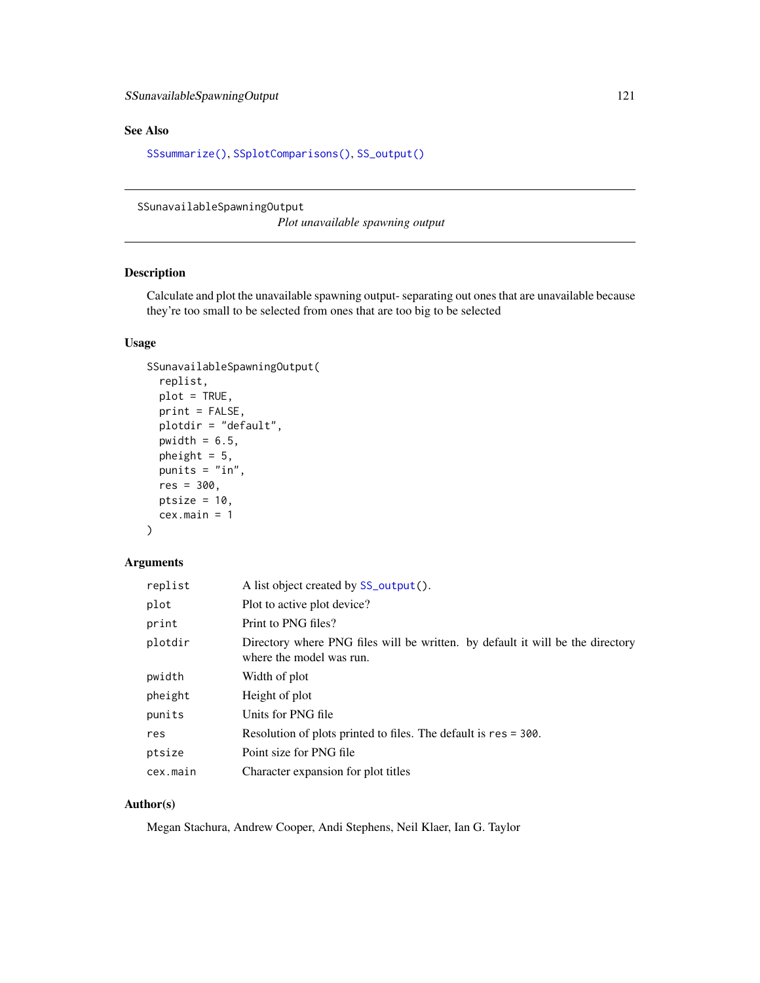# See Also

[SSsummarize\(\)](#page-117-0), [SSplotComparisons\(\)](#page-62-0), [SS\\_output\(\)](#page-131-0)

SSunavailableSpawningOutput

*Plot unavailable spawning output*

# Description

Calculate and plot the unavailable spawning output- separating out ones that are unavailable because they're too small to be selected from ones that are too big to be selected

## Usage

```
SSunavailableSpawningOutput(
  replist,
 plot = TRUE,
 print = FALSE,
 plotdir = "default",
  pwidth = 6.5,
 pheight = 5,
 punits = "in",res = 300,
 ptsize = 10,
  cex.main = 1\mathcal{L}
```
## Arguments

| replist  | A list object created by SS_output().                                                                      |
|----------|------------------------------------------------------------------------------------------------------------|
| plot     | Plot to active plot device?                                                                                |
| print    | Print to PNG files?                                                                                        |
| plotdir  | Directory where PNG files will be written. by default it will be the directory<br>where the model was run. |
| pwidth   | Width of plot                                                                                              |
| pheight  | Height of plot                                                                                             |
| punits   | Units for PNG file                                                                                         |
| res      | Resolution of plots printed to files. The default is res = 300.                                            |
| ptsize   | Point size for PNG file                                                                                    |
| cex.main | Character expansion for plot titles                                                                        |

# Author(s)

Megan Stachura, Andrew Cooper, Andi Stephens, Neil Klaer, Ian G. Taylor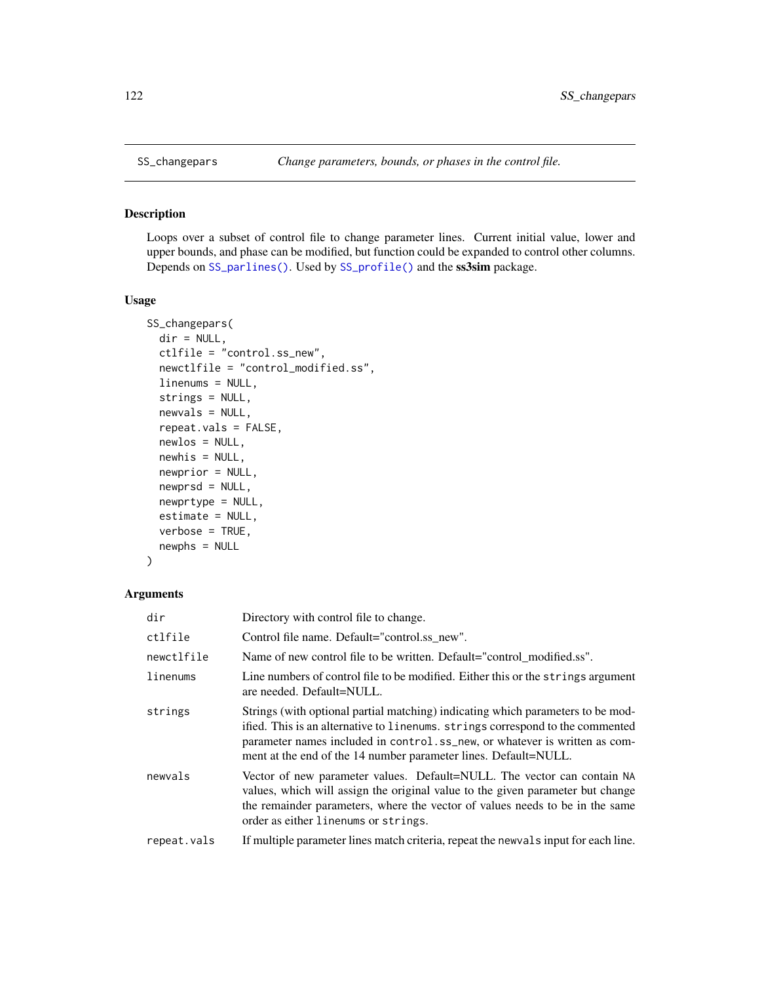## Description

Loops over a subset of control file to change parameter lines. Current initial value, lower and upper bounds, and phase can be modified, but function could be expanded to control other columns. Depends on [SS\\_parlines\(\)](#page-134-0). Used by [SS\\_profile\(\)](#page-142-0) and the ss3sim package.

# Usage

```
SS_changepars(
  dir = NULL,ctlfile = "control.ss_new",
  newctlfile = "control_modified.ss",
  linenums = NULL,
  strings = NULL,
  newvals = NULL,
  repeat.vals = FALSE,
  newlos = NULL,
  newhis = NULL,
  newprior = NULL,
  newprsd = NULL,
  newprtype = NULL,
  estimate = NULL,
  verbose = TRUE,
  newphs = NULL
)
```

| dir         | Directory with control file to change.                                                                                                                                                                                                                                                                             |
|-------------|--------------------------------------------------------------------------------------------------------------------------------------------------------------------------------------------------------------------------------------------------------------------------------------------------------------------|
| ctlfile     | Control file name. Default="control.ss new".                                                                                                                                                                                                                                                                       |
| newctlfile  | Name of new control file to be written. Default="control modified.ss".                                                                                                                                                                                                                                             |
| linenums    | Line numbers of control file to be modified. Either this or the strings argument<br>are needed. Default=NULL.                                                                                                                                                                                                      |
| strings     | Strings (with optional partial matching) indicating which parameters to be mod-<br>ified. This is an alternative to linenums. strings correspond to the commented<br>parameter names included in control.ss_new, or whatever is written as com-<br>ment at the end of the 14 number parameter lines. Default=NULL. |
| newvals     | Vector of new parameter values. Default=NULL. The vector can contain NA<br>values, which will assign the original value to the given parameter but change<br>the remainder parameters, where the vector of values needs to be in the same<br>order as either linenums or strings.                                  |
| repeat.vals | If multiple parameter lines match criteria, repeat the news also input for each line.                                                                                                                                                                                                                              |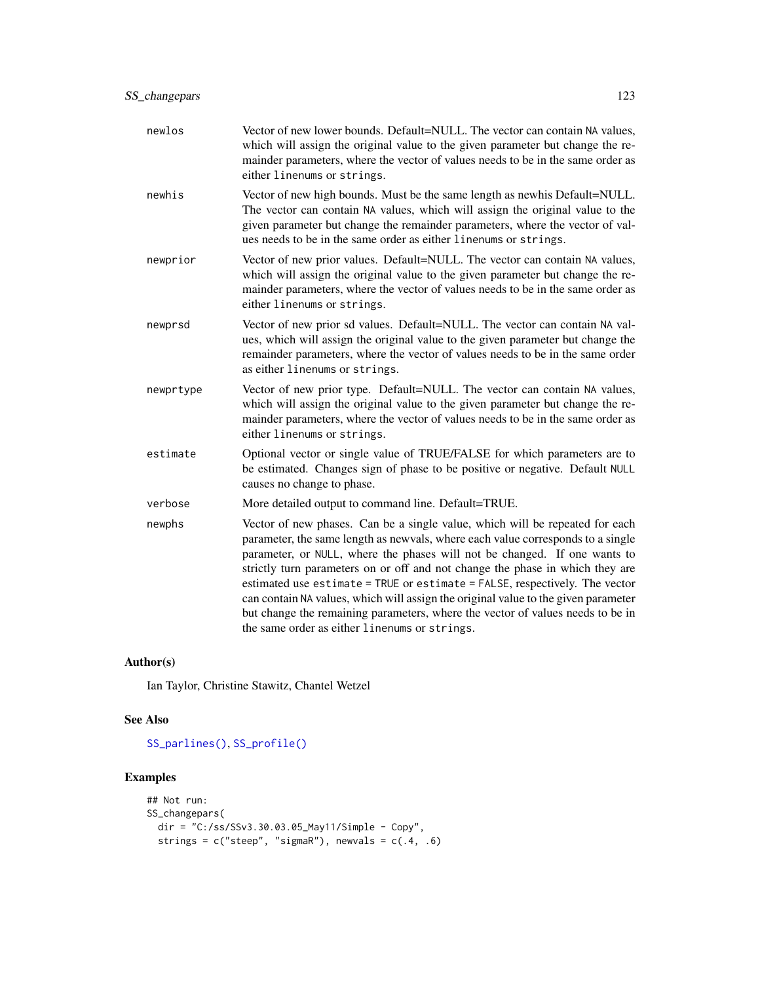| newlos    | Vector of new lower bounds. Default=NULL. The vector can contain NA values,<br>which will assign the original value to the given parameter but change the re-<br>mainder parameters, where the vector of values needs to be in the same order as<br>either linenums or strings.                                                                                                                                                                                                                                                                                                                                                       |
|-----------|---------------------------------------------------------------------------------------------------------------------------------------------------------------------------------------------------------------------------------------------------------------------------------------------------------------------------------------------------------------------------------------------------------------------------------------------------------------------------------------------------------------------------------------------------------------------------------------------------------------------------------------|
| newhis    | Vector of new high bounds. Must be the same length as newhis Default=NULL.<br>The vector can contain NA values, which will assign the original value to the<br>given parameter but change the remainder parameters, where the vector of val-<br>ues needs to be in the same order as either linenums or strings.                                                                                                                                                                                                                                                                                                                      |
| newprior  | Vector of new prior values. Default=NULL. The vector can contain NA values,<br>which will assign the original value to the given parameter but change the re-<br>mainder parameters, where the vector of values needs to be in the same order as<br>either linenums or strings.                                                                                                                                                                                                                                                                                                                                                       |
| newprsd   | Vector of new prior sd values. Default=NULL. The vector can contain NA val-<br>ues, which will assign the original value to the given parameter but change the<br>remainder parameters, where the vector of values needs to be in the same order<br>as either linenums or strings.                                                                                                                                                                                                                                                                                                                                                    |
| newprtype | Vector of new prior type. Default=NULL. The vector can contain NA values,<br>which will assign the original value to the given parameter but change the re-<br>mainder parameters, where the vector of values needs to be in the same order as<br>either linenums or strings.                                                                                                                                                                                                                                                                                                                                                         |
| estimate  | Optional vector or single value of TRUE/FALSE for which parameters are to<br>be estimated. Changes sign of phase to be positive or negative. Default NULL<br>causes no change to phase.                                                                                                                                                                                                                                                                                                                                                                                                                                               |
| verbose   | More detailed output to command line. Default=TRUE.                                                                                                                                                                                                                                                                                                                                                                                                                                                                                                                                                                                   |
| newphs    | Vector of new phases. Can be a single value, which will be repeated for each<br>parameter, the same length as newvals, where each value corresponds to a single<br>parameter, or NULL, where the phases will not be changed. If one wants to<br>strictly turn parameters on or off and not change the phase in which they are<br>estimated use estimate = TRUE or estimate = FALSE, respectively. The vector<br>can contain NA values, which will assign the original value to the given parameter<br>but change the remaining parameters, where the vector of values needs to be in<br>the same order as either linenums or strings. |

Ian Taylor, Christine Stawitz, Chantel Wetzel

# See Also

[SS\\_parlines\(\)](#page-134-0), [SS\\_profile\(\)](#page-142-0)

# Examples

```
## Not run:
SS_changepars(
  dir = "C:/ss/SSv3.30.03.05_May11/Simple - Copy",
  strings = c("steep", "sigmaR"), newvals = <math>c(.4, .6)</math>
```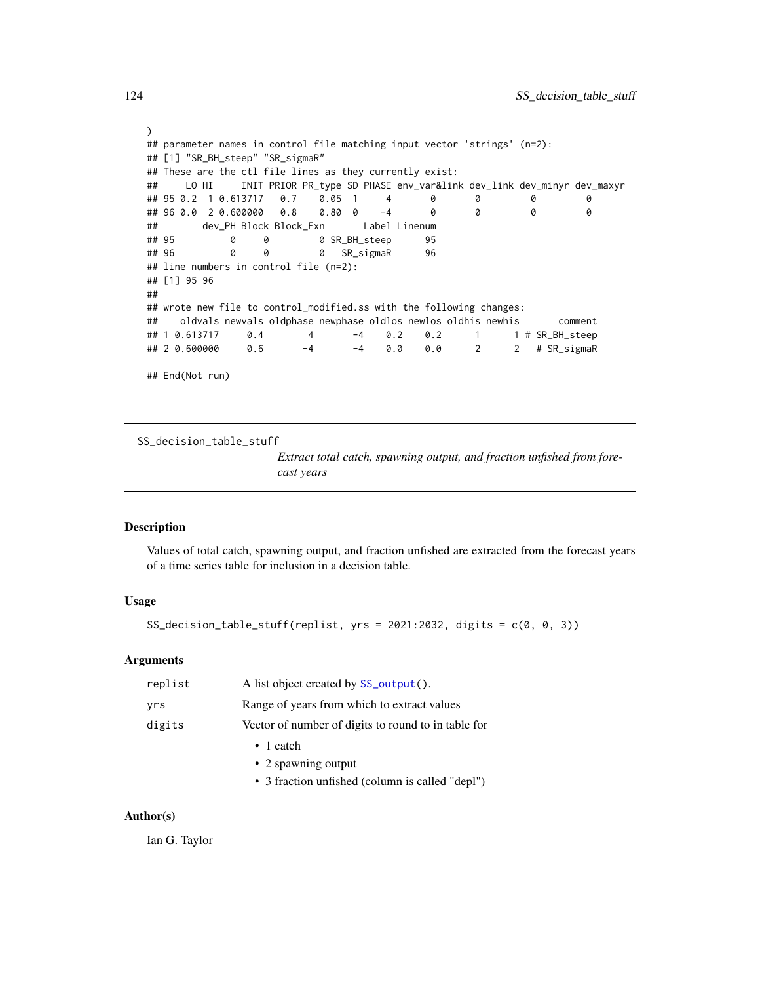```
)
## parameter names in control file matching input vector 'strings' (n=2):
## [1] "SR_BH_steep" "SR_sigmaR"
## These are the ctl file lines as they currently exist:
## LO HI INIT PRIOR PR_type SD PHASE env_var&link dev_link dev_minyr dev_maxyr
## 95 0.2 1 0.613717 0.7 0.05 1 4 0 0 0 0
## 96 0.0 2 0.600000 0.8 0.80 0 -4 0 0 0 0
## dev_PH Block Block_Fxn Label Linenum
## 95 0 0 0 SR_BH_steep 95
## 96 0 0 0 SR_sigmaR 96
## line numbers in control file (n=2):
## [1] 95 96
##
## wrote new file to control_modified.ss with the following changes:
## oldvals newvals oldphase newphase oldlos newlos oldhis newhis comment
## 1 0.613717 0.4 4 -4 0.2 0.2 1 1 # SR_BH_steep
             0.6 -4 -4 0.0 0.0 2 2 # SR_sigmaR
## End(Not run)
```
SS\_decision\_table\_stuff

*Extract total catch, spawning output, and fraction unfished from forecast years*

## Description

Values of total catch, spawning output, and fraction unfished are extracted from the forecast years of a time series table for inclusion in a decision table.

# Usage

SS\_decision\_table\_stuff(replist, yrs = 2021:2032, digits =  $c(0, 0, 3)$ )

### **Arguments**

| replist | A list object created by SS_output().               |
|---------|-----------------------------------------------------|
| yrs     | Range of years from which to extract values         |
| digits  | Vector of number of digits to round to in table for |
|         | $\bullet$ 1 catch                                   |
|         | • 2 spawning output                                 |
|         | • 3 fraction unfished (column is called "depl")     |

#### Author(s)

Ian G. Taylor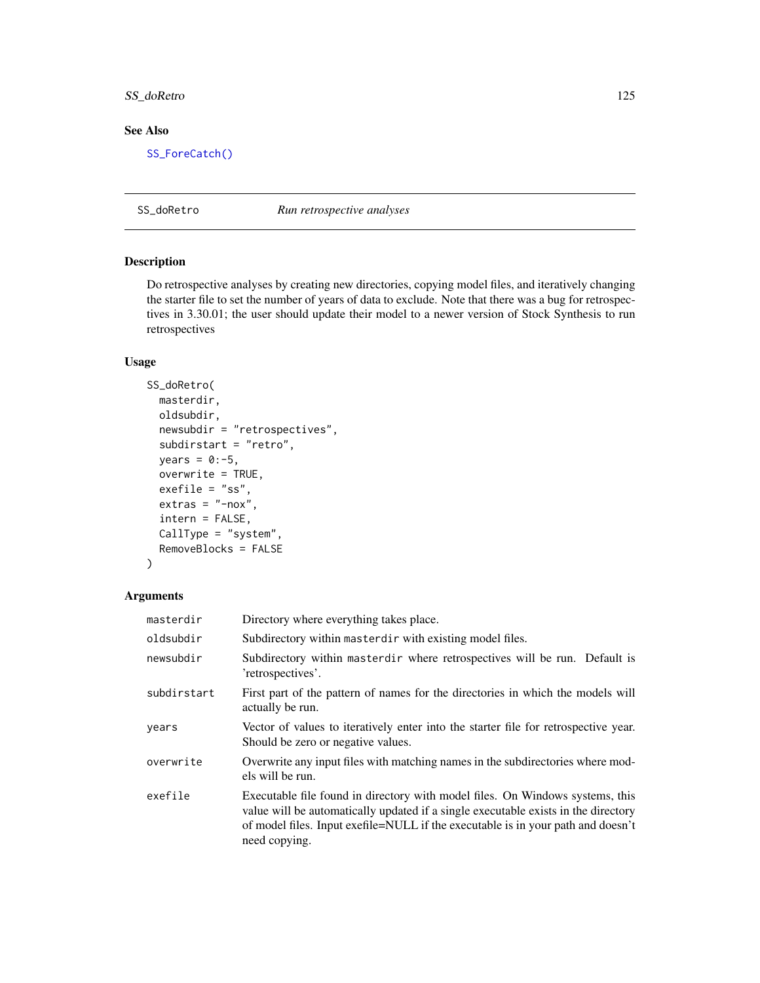# SS\_doRetro 125

# See Also

[SS\\_ForeCatch\(\)](#page-128-0)

SS\_doRetro *Run retrospective analyses*

#### Description

Do retrospective analyses by creating new directories, copying model files, and iteratively changing the starter file to set the number of years of data to exclude. Note that there was a bug for retrospectives in 3.30.01; the user should update their model to a newer version of Stock Synthesis to run retrospectives

# Usage

```
SS_doRetro(
 masterdir,
 oldsubdir,
 newsubdir = "retrospectives",
  subdirstart = "retro",
 years = 0:-5,
 overwrite = TRUE,
 exefile = "ss",
 extras = "-nox",intern = FALSE,
 CallType = "system",
 RemoveBlocks = FALSE
)
```

| masterdir   | Directory where everything takes place.                                                                                                                                                                                                                                  |
|-------------|--------------------------------------------------------------------------------------------------------------------------------------------------------------------------------------------------------------------------------------------------------------------------|
| oldsubdir   | Subdirectory within masterdir with existing model files.                                                                                                                                                                                                                 |
| newsubdir   | Subdirectory within masterdir where retrospectives will be run. Default is<br>'retrospectives'.                                                                                                                                                                          |
| subdirstart | First part of the pattern of names for the directories in which the models will<br>actually be run.                                                                                                                                                                      |
| vears       | Vector of values to iteratively enter into the starter file for retrospective year.<br>Should be zero or negative values.                                                                                                                                                |
| overwrite   | Overwrite any input files with matching names in the subdirectories where mod-<br>els will be run.                                                                                                                                                                       |
| exefile     | Executable file found in directory with model files. On Windows systems, this<br>value will be automatically updated if a single executable exists in the directory<br>of model files. Input exefile=NULL if the executable is in your path and doesn't<br>need copying. |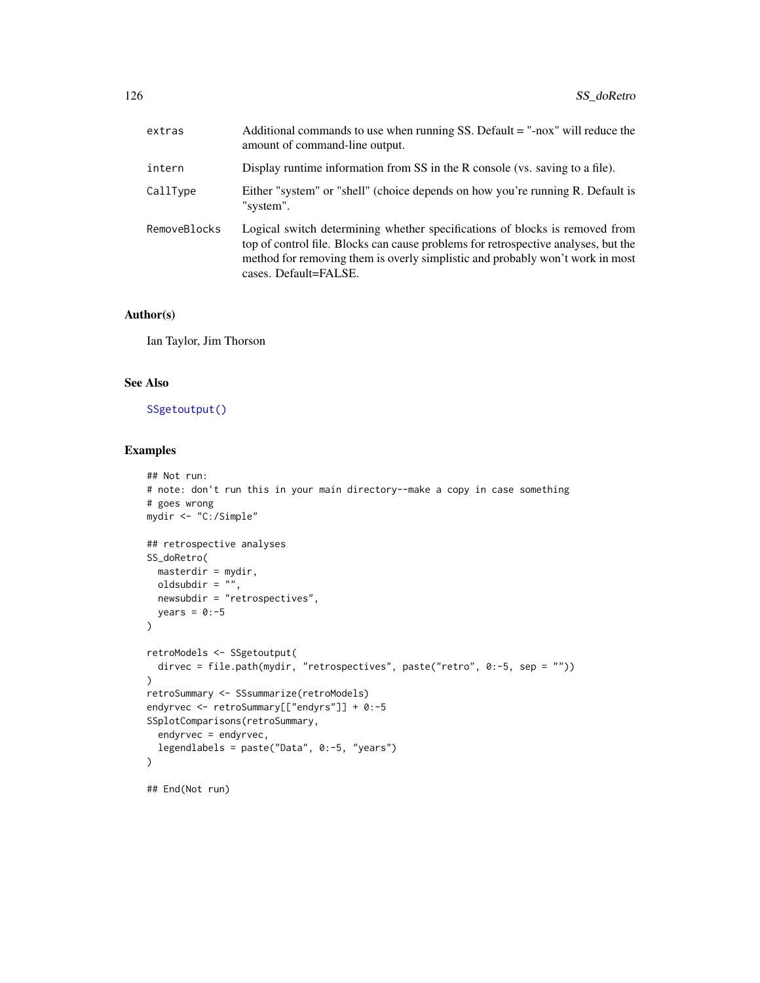| extras       | Additional commands to use when running SS. Default $=$ "-nox" will reduce the<br>amount of command-line output.                                                                                                                                                            |
|--------------|-----------------------------------------------------------------------------------------------------------------------------------------------------------------------------------------------------------------------------------------------------------------------------|
| intern       | Display runtime information from SS in the R console (vs. saving to a file).                                                                                                                                                                                                |
| CallType     | Either "system" or "shell" (choice depends on how you're running R. Default is<br>"system".                                                                                                                                                                                 |
| RemoveBlocks | Logical switch determining whether specifications of blocks is removed from<br>top of control file. Blocks can cause problems for retrospective analyses, but the<br>method for removing them is overly simplistic and probably won't work in most<br>cases. Default=FALSE. |

Ian Taylor, Jim Thorson

# See Also

[SSgetoutput\(\)](#page-46-0)

# Examples

```
## Not run:
# note: don't run this in your main directory--make a copy in case something
# goes wrong
mydir <- "C:/Simple"
## retrospective analyses
SS_doRetro(
 masterdir = mydir,
 oldsubdir = ",
 newsubdir = "retrospectives",
  years = 0:-5)
retroModels <- SSgetoutput(
  dirvec = file.path(mydir, "retrospectives", paste("retro", 0:-5, sep = ""))
\mathcal{L}retroSummary <- SSsummarize(retroModels)
endyrvec <- retroSummary[["endyrs"]] + 0:-5
SSplotComparisons(retroSummary,
  endyrvec = endyrvec,
  legendlabels = paste("Data", 0:-5, "years")
)
## End(Not run)
```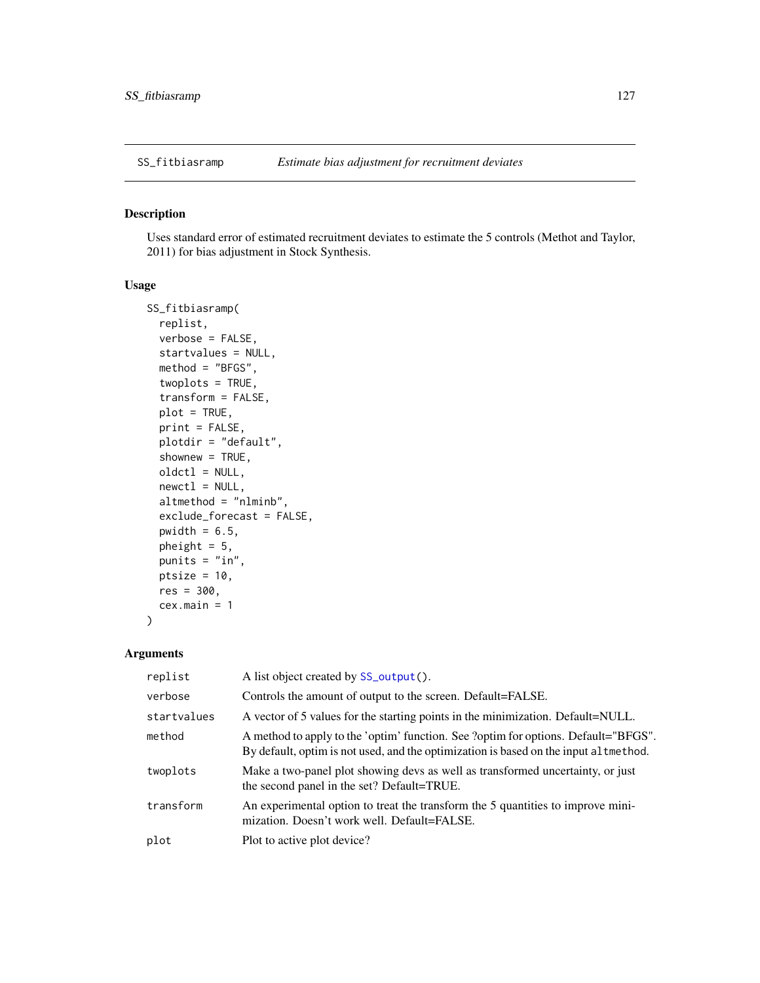# Description

Uses standard error of estimated recruitment deviates to estimate the 5 controls (Methot and Taylor, 2011) for bias adjustment in Stock Synthesis.

# Usage

```
SS_fitbiasramp(
  replist,
  verbose = FALSE,
  startvalues = NULL,
  method = "BFGS",
  twoplots = TRUE,
  transform = FALSE,
  plot = TRUE,
  print = FALSE,
  plotdir = "default",
  shownew = TRUE,
  oldctl = NULL,
  newctl = NULL,altmethod = "nlminb",
  exclude_forecast = FALSE,
  pwidth = 6.5,
 pheight = 5,
 punits = "in",ptsize = 10,
  res = 300,
  cex.main = 1
)
```

| replist     | A list object created by SS_output().                                                                                                                                       |
|-------------|-----------------------------------------------------------------------------------------------------------------------------------------------------------------------------|
| verbose     | Controls the amount of output to the screen. Default=FALSE.                                                                                                                 |
| startvalues | A vector of 5 values for the starting points in the minimization. Default=NULL.                                                                                             |
| method      | A method to apply to the 'optim' function. See 'optim for options. Default="BFGS".<br>By default, optim is not used, and the optimization is based on the input al tmethod. |
| twoplots    | Make a two-panel plot showing devs as well as transformed uncertainty, or just<br>the second panel in the set? Default=TRUE.                                                |
| transform   | An experimental option to treat the transform the 5 quantities to improve mini-<br>mization. Doesn't work well. Default=FALSE.                                              |
| plot        | Plot to active plot device?                                                                                                                                                 |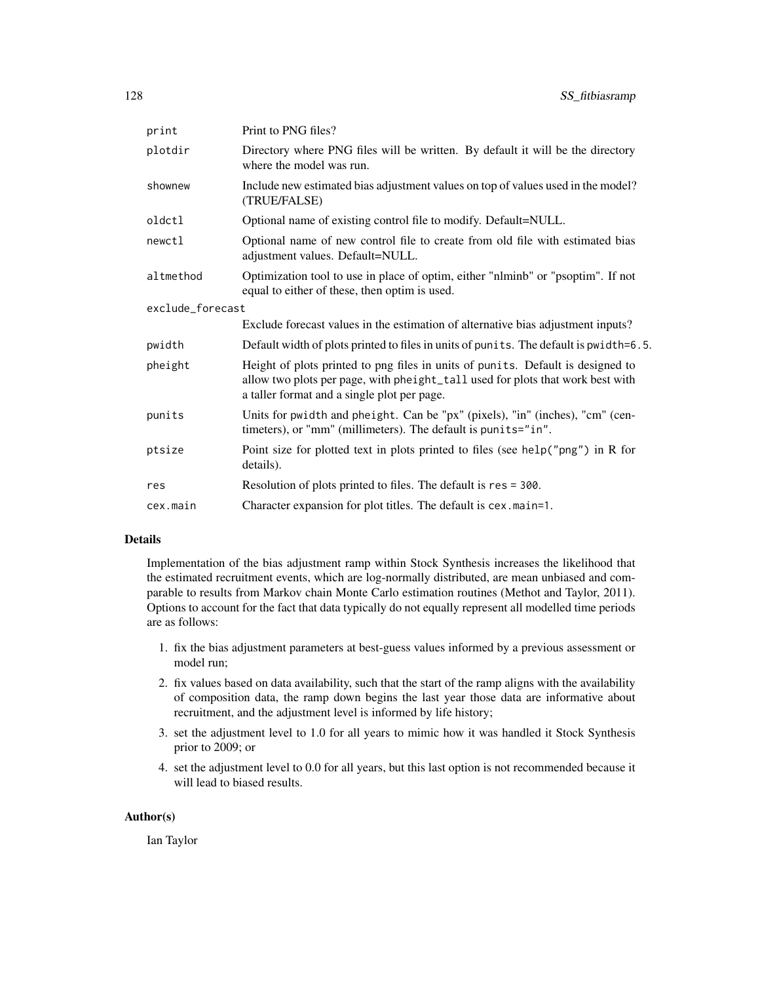| print            | Print to PNG files?                                                                                                                                                                                              |
|------------------|------------------------------------------------------------------------------------------------------------------------------------------------------------------------------------------------------------------|
| plotdir          | Directory where PNG files will be written. By default it will be the directory<br>where the model was run.                                                                                                       |
| shownew          | Include new estimated bias adjustment values on top of values used in the model?<br>(TRUE/FALSE)                                                                                                                 |
| oldctl           | Optional name of existing control file to modify. Default=NULL.                                                                                                                                                  |
| newctl           | Optional name of new control file to create from old file with estimated bias<br>adjustment values. Default=NULL.                                                                                                |
| altmethod        | Optimization tool to use in place of optim, either "nlminb" or "psoptim". If not<br>equal to either of these, then optim is used.                                                                                |
| exclude_forecast |                                                                                                                                                                                                                  |
|                  | Exclude forecast values in the estimation of alternative bias adjustment inputs?                                                                                                                                 |
| pwidth           | Default width of plots printed to files in units of punits. The default is pwidth=6.5.                                                                                                                           |
| pheight          | Height of plots printed to png files in units of punits. Default is designed to<br>allow two plots per page, with pheight_tall used for plots that work best with<br>a taller format and a single plot per page. |
| punits           | Units for pwidth and pheight. Can be "px" (pixels), "in" (inches), "cm" (cen-<br>timeters), or "mm" (millimeters). The default is punits="in".                                                                   |
| ptsize           | Point size for plotted text in plots printed to files (see help("png") in R for<br>details).                                                                                                                     |
| res              | Resolution of plots printed to files. The default is res = 300.                                                                                                                                                  |
| cex.main         | Character expansion for plot titles. The default is cex.main=1.                                                                                                                                                  |

## Details

Implementation of the bias adjustment ramp within Stock Synthesis increases the likelihood that the estimated recruitment events, which are log-normally distributed, are mean unbiased and comparable to results from Markov chain Monte Carlo estimation routines (Methot and Taylor, 2011). Options to account for the fact that data typically do not equally represent all modelled time periods are as follows:

- 1. fix the bias adjustment parameters at best-guess values informed by a previous assessment or model run;
- 2. fix values based on data availability, such that the start of the ramp aligns with the availability of composition data, the ramp down begins the last year those data are informative about recruitment, and the adjustment level is informed by life history;
- 3. set the adjustment level to 1.0 for all years to mimic how it was handled it Stock Synthesis prior to 2009; or
- 4. set the adjustment level to 0.0 for all years, but this last option is not recommended because it will lead to biased results.

## Author(s)

Ian Taylor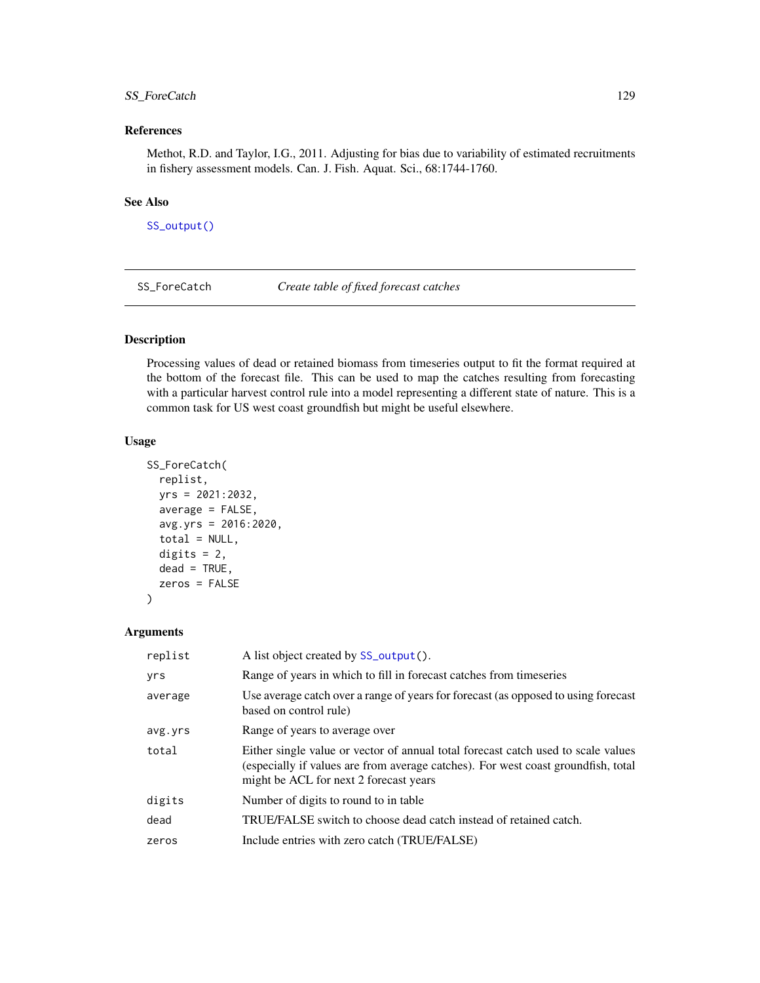# SS\_ForeCatch 129

## References

Methot, R.D. and Taylor, I.G., 2011. Adjusting for bias due to variability of estimated recruitments in fishery assessment models. Can. J. Fish. Aquat. Sci., 68:1744-1760.

#### See Also

[SS\\_output\(\)](#page-131-0)

<span id="page-128-0"></span>SS\_ForeCatch *Create table of fixed forecast catches*

## Description

Processing values of dead or retained biomass from timeseries output to fit the format required at the bottom of the forecast file. This can be used to map the catches resulting from forecasting with a particular harvest control rule into a model representing a different state of nature. This is a common task for US west coast groundfish but might be useful elsewhere.

#### Usage

```
SS_ForeCatch(
  replist,
  yrs = 2021:2032,
  average = FALSE,avg.yrs = 2016:2020,
  total = NULL,digits = 2,
  dead = TRUE,zeros = FALSE
)
```

| replist | A list object created by SS_output().                                                                                                                                                                            |
|---------|------------------------------------------------------------------------------------------------------------------------------------------------------------------------------------------------------------------|
| yrs     | Range of years in which to fill in forecast catches from timeseries                                                                                                                                              |
| average | Use average catch over a range of years for forecast (as opposed to using forecast<br>based on control rule)                                                                                                     |
| avg.yrs | Range of years to average over                                                                                                                                                                                   |
| total   | Either single value or vector of annual total forecast catch used to scale values<br>(especially if values are from average catches). For west coast groundfish, total<br>might be ACL for next 2 forecast years |
| digits  | Number of digits to round to in table                                                                                                                                                                            |
| dead    | TRUE/FALSE switch to choose dead catch instead of retained catch.                                                                                                                                                |
| zeros   | Include entries with zero catch (TRUE/FALSE)                                                                                                                                                                     |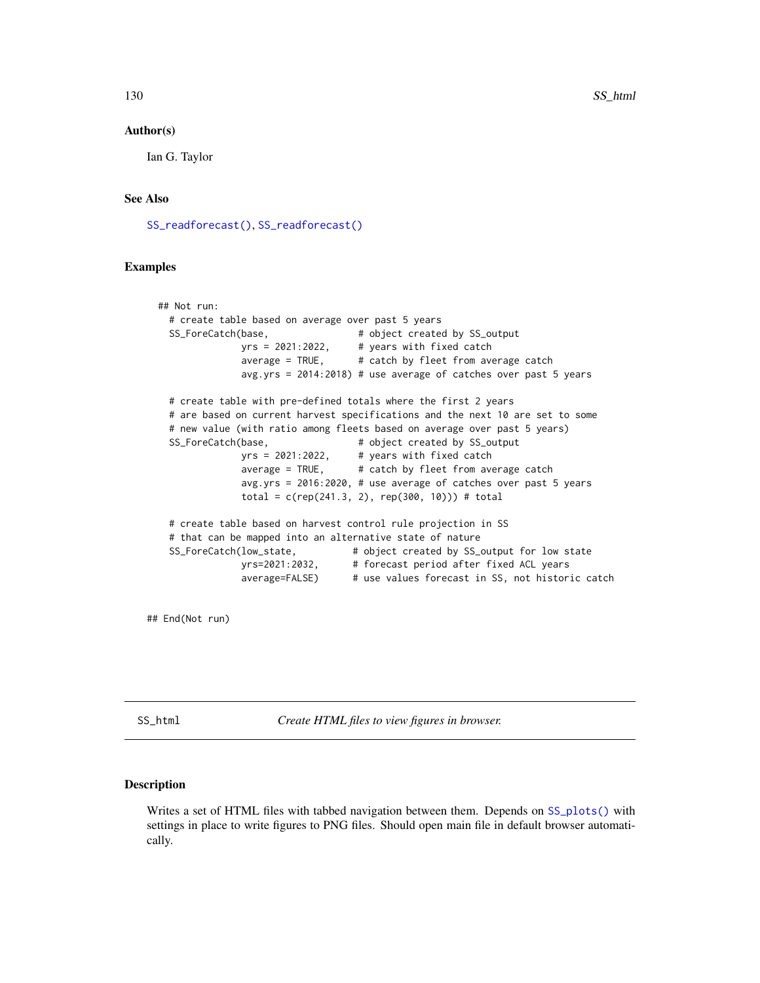Ian G. Taylor

## See Also

[SS\\_readforecast\(\)](#page-159-0), [SS\\_readforecast\(\)](#page-159-0)

## Examples

```
## Not run:
  # create table based on average over past 5 years
  SS_ForeCatch(base, \qquad \qquad # object created by SS_outputyrs = 2021:2022, # years with fixed catch
              average = TRUE, # catch by fleet from average catch
              avg.yrs = 2014:2018) # use average of catches over past 5 years
 # create table with pre-defined totals where the first 2 years
  # are based on current harvest specifications and the next 10 are set to some
  # new value (with ratio among fleets based on average over past 5 years)
  SS_ForeCatch(base, \qquad \qquad \qquad # object created by SS_outputyrs = 2021:2022, # years with fixed catch
              average = TRUE, # catch by fleet from average catch
              avg.yrs = 2016:2020, # use average of catches over past 5 years
              total = c(rep(241.3, 2), rep(300, 10))) # total# create table based on harvest control rule projection in SS
  # that can be mapped into an alternative state of nature
  SS_ForeCatch(low_state, \qquad # object created by SS_output for low state
              yrs=2021:2032, # forecast period after fixed ACL years
              average=FALSE) # use values forecast in SS, not historic catch
```
## End(Not run)

<span id="page-129-0"></span>SS\_html *Create HTML files to view figures in browser.*

#### Description

Writes a set of HTML files with tabbed navigation between them. Depends on [SS\\_plots\(\)](#page-135-0) with settings in place to write figures to PNG files. Should open main file in default browser automatically.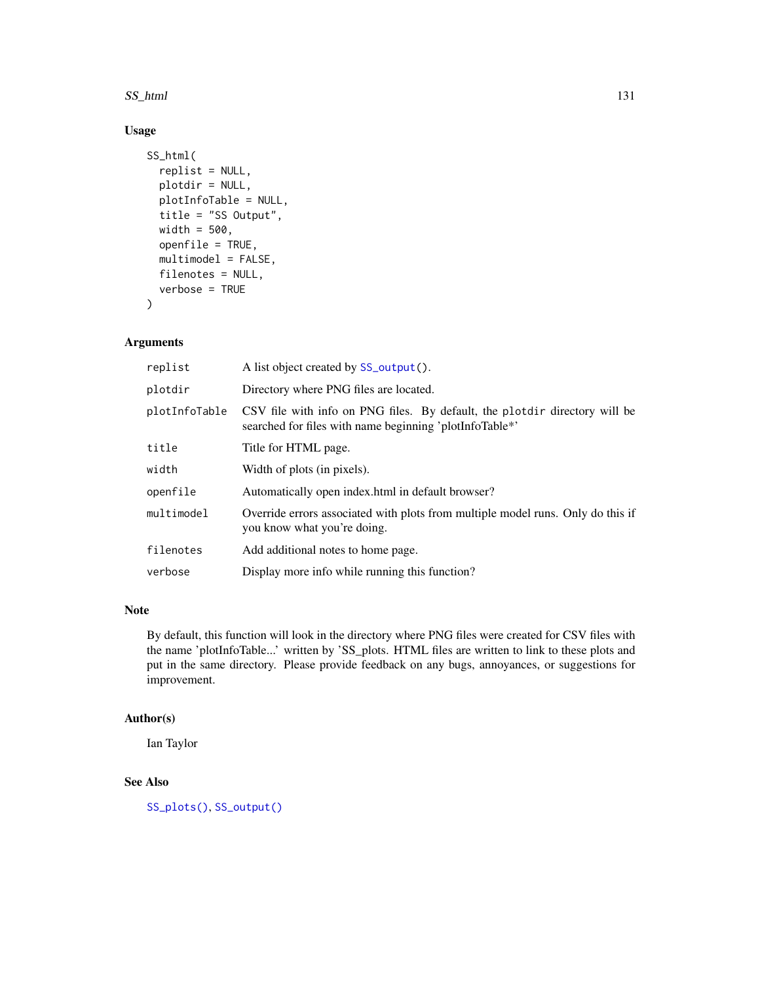SS\_html 131

# Usage

```
SS_html(
  replist = NULL,
 plotdir = NULL,
 plotInfoTable = NULL,
  title = "SS Output",
 width = 500,
  openfile = TRUE,
 multimodel = FALSE,
  filenotes = NULL,
  verbose = TRUE
)
```
# Arguments

| replist       | A list object created by SS_output().                                                                                                 |
|---------------|---------------------------------------------------------------------------------------------------------------------------------------|
| plotdir       | Directory where PNG files are located.                                                                                                |
| plotInfoTable | CSV file with info on PNG files. By default, the plotdir directory will be<br>searched for files with name beginning 'plotInfoTable*' |
| title         | Title for HTML page.                                                                                                                  |
| width         | Width of plots (in pixels).                                                                                                           |
| openfile      | Automatically open index.html in default browser?                                                                                     |
| multimodel    | Override errors associated with plots from multiple model runs. Only do this if<br>you know what you're doing.                        |
| filenotes     | Add additional notes to home page.                                                                                                    |
| verbose       | Display more info while running this function?                                                                                        |
|               |                                                                                                                                       |

## Note

By default, this function will look in the directory where PNG files were created for CSV files with the name 'plotInfoTable...' written by 'SS\_plots. HTML files are written to link to these plots and put in the same directory. Please provide feedback on any bugs, annoyances, or suggestions for improvement.

## Author(s)

Ian Taylor

## See Also

[SS\\_plots\(\)](#page-135-0), [SS\\_output\(\)](#page-131-0)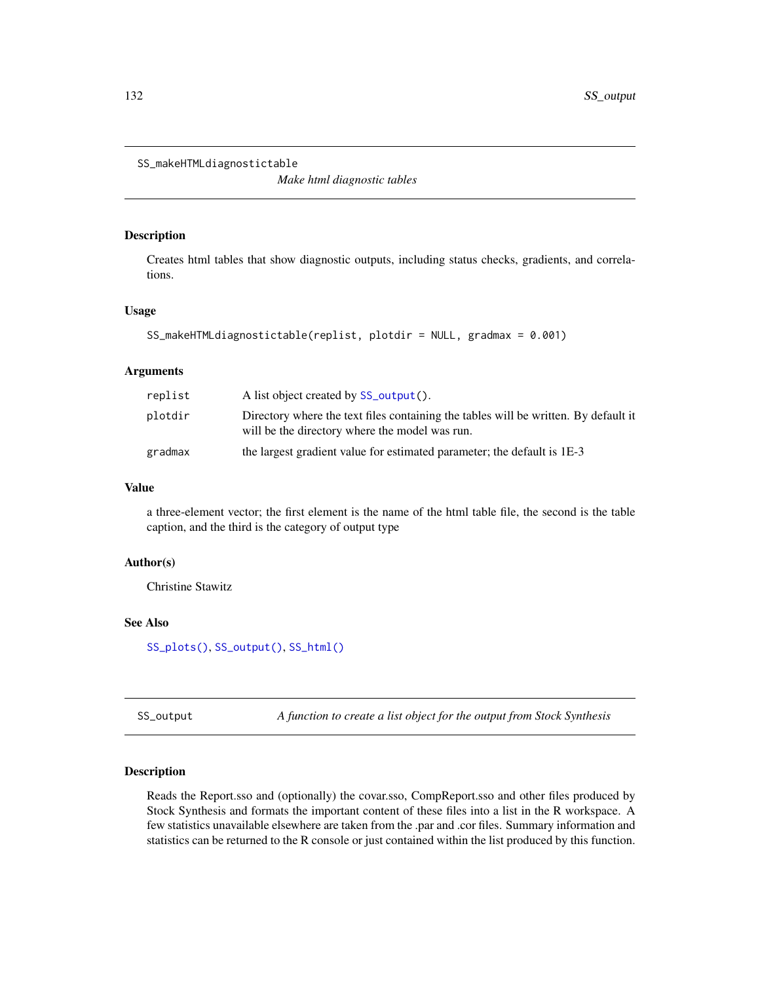```
SS_makeHTMLdiagnostictable
```
*Make html diagnostic tables*

## Description

Creates html tables that show diagnostic outputs, including status checks, gradients, and correlations.

#### Usage

```
SS_makeHTMLdiagnostictable(replist, plotdir = NULL, gradmax = 0.001)
```
#### Arguments

| replist | A list object created by SS_output().                                                                                                 |
|---------|---------------------------------------------------------------------------------------------------------------------------------------|
| plotdir | Directory where the text files containing the tables will be written. By default it<br>will be the directory where the model was run. |
| gradmax | the largest gradient value for estimated parameter; the default is 1E-3                                                               |

#### Value

a three-element vector; the first element is the name of the html table file, the second is the table caption, and the third is the category of output type

## Author(s)

Christine Stawitz

## See Also

[SS\\_plots\(\)](#page-135-0), [SS\\_output\(\)](#page-131-0), [SS\\_html\(\)](#page-129-0)

<span id="page-131-0"></span>SS\_output *A function to create a list object for the output from Stock Synthesis*

# Description

Reads the Report.sso and (optionally) the covar.sso, CompReport.sso and other files produced by Stock Synthesis and formats the important content of these files into a list in the R workspace. A few statistics unavailable elsewhere are taken from the .par and .cor files. Summary information and statistics can be returned to the R console or just contained within the list produced by this function.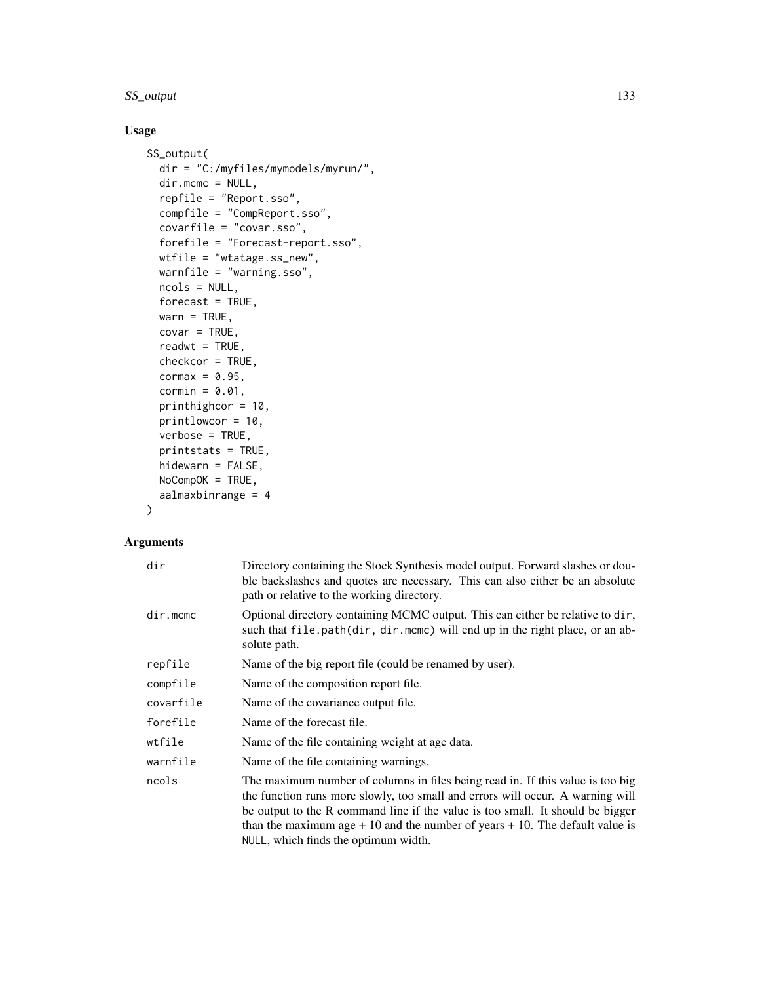# SS\_output 133

# Usage

```
SS_output(
 dir = "C:/myfiles/mymodels/myrun/",
 dir.mcmc = NULL,
 repfile = "Report.sso",
 compfile = "CompReport.sso",
 covarfile = "covar.sso",
  forefile = "Forecast-report.sso",
 wtfile = "wtatage.ss_new",
 warnfile = "warning.sso",
 ncols = NULL,
 forecast = TRUE,
 warn = TRUE,
 covar = TRUE,readwt = TRUE,checkcor = TRUE,
 cormax = 0.95,
 cormin = 0.01,
 printhighcor = 10,
 printlowcor = 10,
 verbose = TRUE,
 printstats = TRUE,
 hidewarn = FALSE,
 NoCompOK = TRUE,aalmaxbinrange = 4
```
# )

| dir       | Directory containing the Stock Synthesis model output. Forward slashes or dou-<br>ble backslashes and quotes are necessary. This can also either be an absolute<br>path or relative to the working directory.                                                                                                                                                                 |
|-----------|-------------------------------------------------------------------------------------------------------------------------------------------------------------------------------------------------------------------------------------------------------------------------------------------------------------------------------------------------------------------------------|
| dir.mcmc  | Optional directory containing MCMC output. This can either be relative to dir,<br>such that file.path(dir, dir.mcmc) will end up in the right place, or an ab-<br>solute path.                                                                                                                                                                                                |
| repfile   | Name of the big report file (could be renamed by user).                                                                                                                                                                                                                                                                                                                       |
| compfile  | Name of the composition report file.                                                                                                                                                                                                                                                                                                                                          |
| covarfile | Name of the covariance output file.                                                                                                                                                                                                                                                                                                                                           |
| forefile  | Name of the forecast file.                                                                                                                                                                                                                                                                                                                                                    |
| wtfile    | Name of the file containing weight at age data.                                                                                                                                                                                                                                                                                                                               |
| warnfile  | Name of the file containing warnings.                                                                                                                                                                                                                                                                                                                                         |
| ncols     | The maximum number of columns in files being read in. If this value is too big<br>the function runs more slowly, too small and errors will occur. A warning will<br>be output to the R command line if the value is too small. It should be bigger<br>than the maximum age $+10$ and the number of years $+10$ . The default value is<br>NULL, which finds the optimum width. |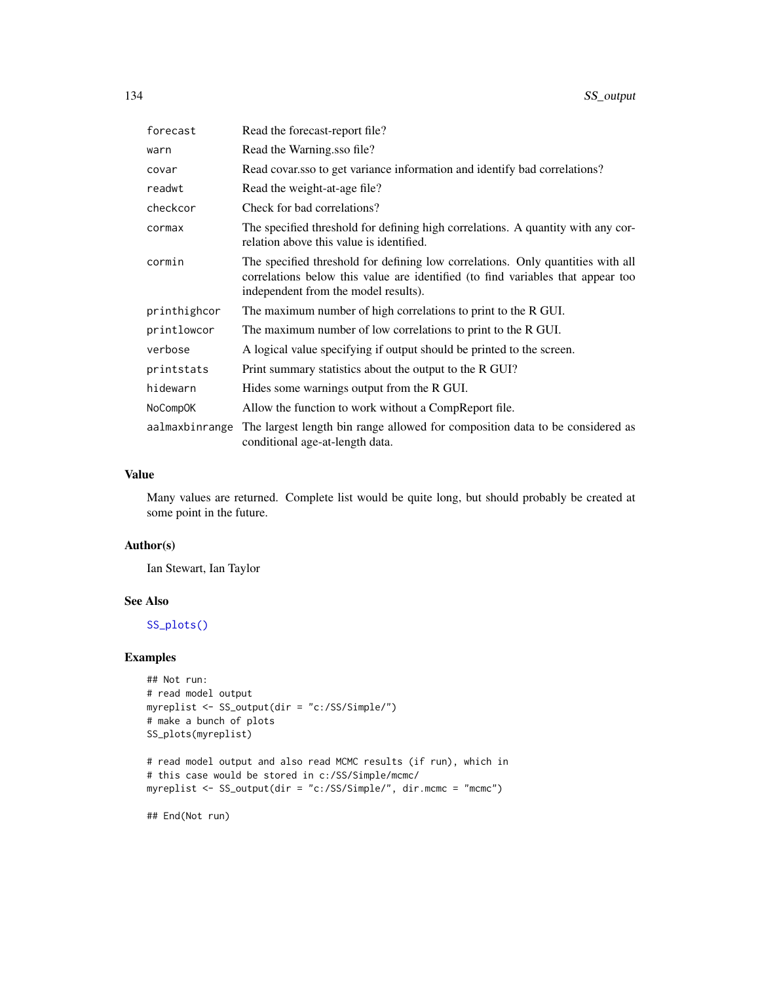| forecast        | Read the forecast-report file?                                                                                                                                                                             |
|-----------------|------------------------------------------------------------------------------------------------------------------------------------------------------------------------------------------------------------|
| warn            | Read the Warning sso file?                                                                                                                                                                                 |
| covar           | Read covarisso to get variance information and identify bad correlations?                                                                                                                                  |
| readwt          | Read the weight-at-age file?                                                                                                                                                                               |
| checkcor        | Check for bad correlations?                                                                                                                                                                                |
| cormax          | The specified threshold for defining high correlations. A quantity with any cor-<br>relation above this value is identified.                                                                               |
| cormin          | The specified threshold for defining low correlations. Only quantities with all<br>correlations below this value are identified (to find variables that appear too<br>independent from the model results). |
| printhighcor    | The maximum number of high correlations to print to the R GUI.                                                                                                                                             |
| printlowcor     | The maximum number of low correlations to print to the R GUI.                                                                                                                                              |
| verbose         | A logical value specifying if output should be printed to the screen.                                                                                                                                      |
| printstats      | Print summary statistics about the output to the R GUI?                                                                                                                                                    |
| hidewarn        | Hides some warnings output from the R GUI.                                                                                                                                                                 |
| <b>NoCompOK</b> | Allow the function to work without a CompReport file.                                                                                                                                                      |
| aalmaxbinrange  | The largest length bin range allowed for composition data to be considered as<br>conditional age-at-length data.                                                                                           |

## Value

Many values are returned. Complete list would be quite long, but should probably be created at some point in the future.

# Author(s)

Ian Stewart, Ian Taylor

# See Also

[SS\\_plots\(\)](#page-135-0)

## Examples

```
## Not run:
# read model output
myreplist <- SS_output(dir = "c:/SS/Simple/")
# make a bunch of plots
SS_plots(myreplist)
```

```
# read model output and also read MCMC results (if run), which in
# this case would be stored in c:/SS/Simple/mcmc/
myreplist <- SS_output(dir = "c:/SS/Simple/", dir.mcmc = "mcmc")
```
## End(Not run)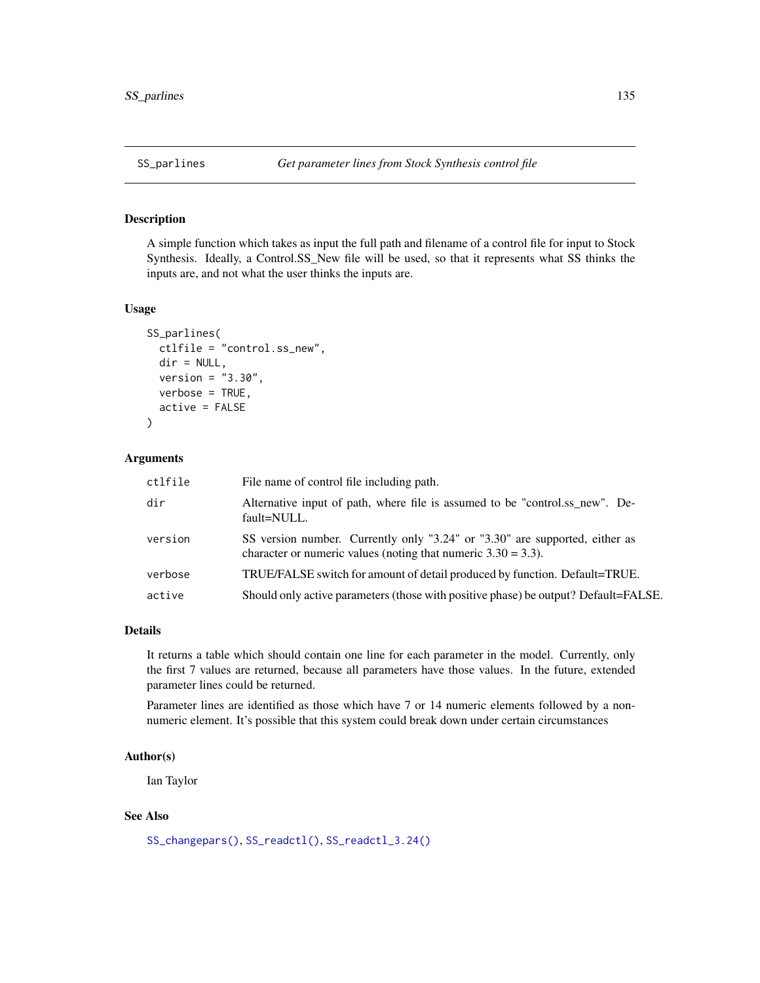# <span id="page-134-0"></span>Description

A simple function which takes as input the full path and filename of a control file for input to Stock Synthesis. Ideally, a Control.SS\_New file will be used, so that it represents what SS thinks the inputs are, and not what the user thinks the inputs are.

#### Usage

```
SS_parlines(
  ctlfile = "control.ss_new",
  dir = NULL,version = "3.30",
  verbose = TRUE,
  active = FALSE
)
```
# Arguments

| ctlfile | File name of control file including path.                                                                                                       |
|---------|-------------------------------------------------------------------------------------------------------------------------------------------------|
| dir     | Alternative input of path, where file is assumed to be "control.ss new". De-<br>fault=NULL.                                                     |
| version | SS version number. Currently only "3.24" or "3.30" are supported, either as<br>character or numeric values (noting that numeric $3.30 = 3.3$ ). |
| verbose | TRUE/FALSE switch for amount of detail produced by function. Default=TRUE.                                                                      |
| active  | Should only active parameters (those with positive phase) be output? Default=FALSE.                                                             |
|         |                                                                                                                                                 |

## Details

It returns a table which should contain one line for each parameter in the model. Currently, only the first 7 values are returned, because all parameters have those values. In the future, extended parameter lines could be returned.

Parameter lines are identified as those which have 7 or 14 numeric elements followed by a nonnumeric element. It's possible that this system could break down under certain circumstances

# Author(s)

Ian Taylor

## See Also

```
SS_changepars(), SS_readctl(), SS_readctl_3.24()
```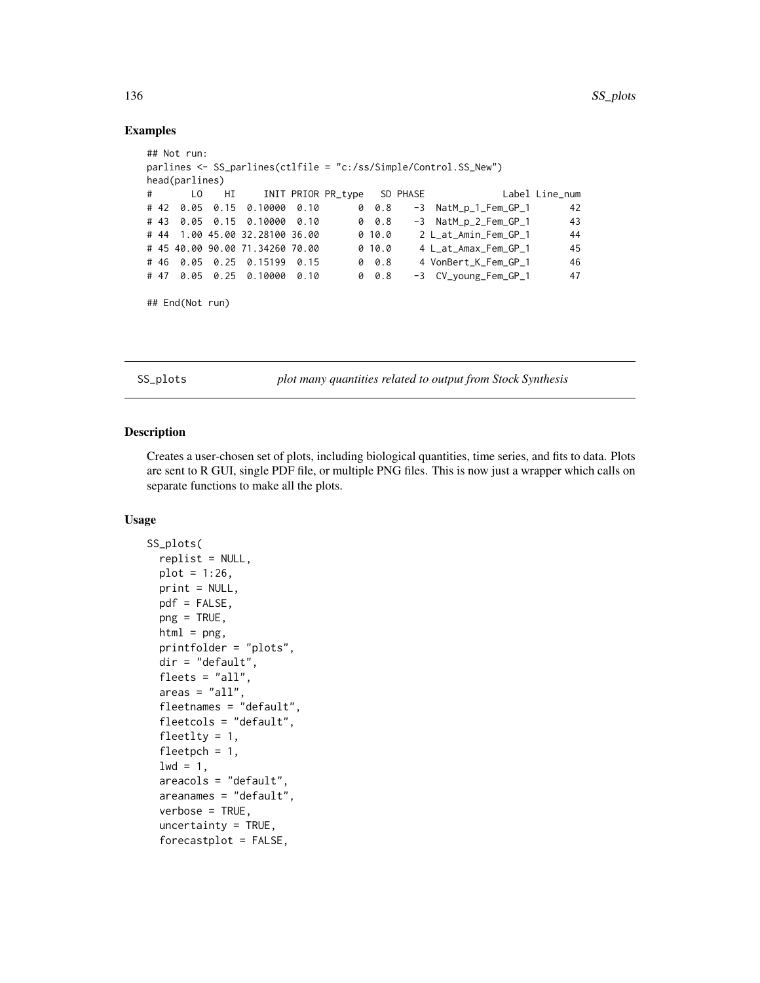## Examples

```
## Not run:
parlines <- SS_parlines(ctlfile = "c:/ss/Simple/Control.SS_New")
head(parlines)
# LO HI INIT PRIOR PR_type SD PHASE Label Line_num
# 42 0.05 0.15 0.10000 0.10 0 0.8 -3 NatM_p_1_Fem_GP_1 42
# 43 0.05 0.15 0.10000 0.10 0 0.8 -3 NatM_p_2_Fem_GP_1 43
# 44 1.00 45.00 32.28100 36.00 0 10.0 2 L_at_Amin_Fem_GP_1 44
# 45 40.00 90.00 71.34260 70.00 0 10.0 4 L_at_Amax_Fem_GP_1 45
# 46 0.05 0.25 0.15199 0.15 0 0.8 4 VonBert_K_Fem_GP_1 46
# 47 0.05 0.25 0.10000 0.10 0 0.8 -3 CV_young_Fem_GP_1 47
```
## End(Not run)

<span id="page-135-0"></span>SS\_plots *plot many quantities related to output from Stock Synthesis*

## Description

Creates a user-chosen set of plots, including biological quantities, time series, and fits to data. Plots are sent to R GUI, single PDF file, or multiple PNG files. This is now just a wrapper which calls on separate functions to make all the plots.

#### Usage

```
SS_plots(
  replist = NULL,
 plot = 1:26,
 print = NULL,
 pdf = FALSE,
 png = TRUE,html = png,printfolder = "plots",
  dir = "default",
  fleets = "all",area = "all",fleetnames = "default",
  fleetcols = "default",
  fleetlty = 1,
  fleetpch = 1,
  1wd = 1,
  areacols = "default",
  areanames = "default",
  verbose = TRUE,
  uncertainty = TRUE,
  forecastplot = FALSE,
```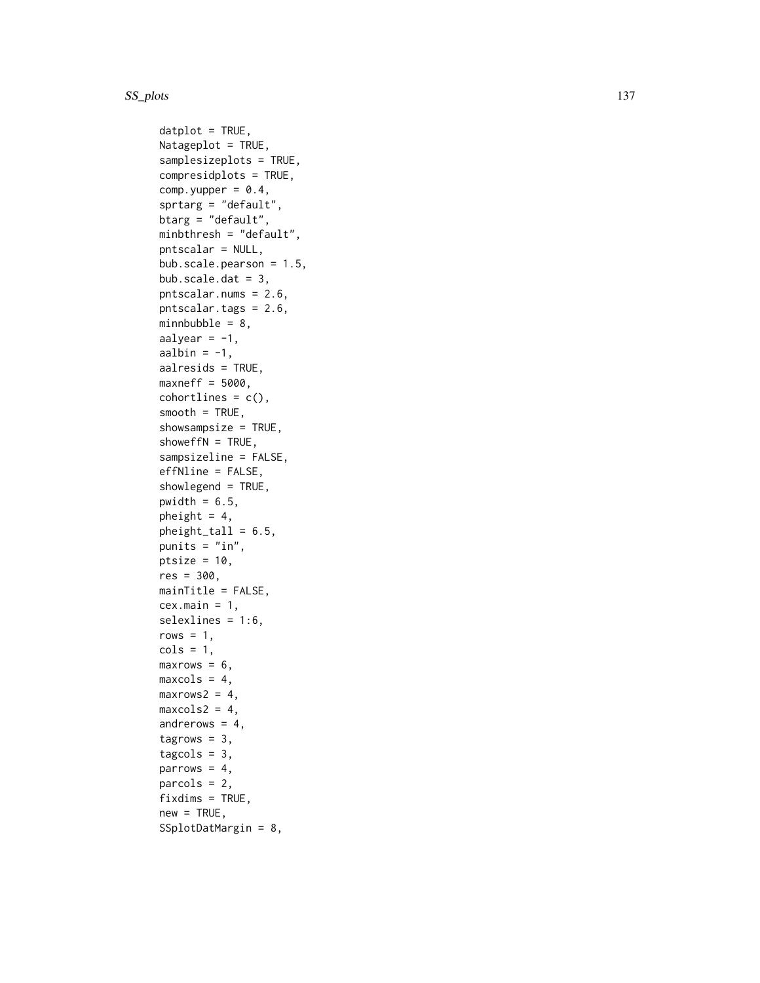$d$ atplot = TRUE, Natageplot = TRUE, samplesizeplots = TRUE, compresidplots = TRUE, comp.yupper =  $0.4$ , sprtarg = "default", btarg = "default", minbthresh = "default", pntscalar = NULL, bub.scale.pearson = 1.5, bub.scale.dat =  $3$ , pntscalar.nums = 2.6, pntscalar.tags = 2.6, minnbubble =  $8$ , aalyear  $= -1$ , aalbin =  $-1$ , aalresids = TRUE, maxneff =  $5000$ ,  $cohortlines = c()$ ,  $smooth = TRUE$ , showsampsize = TRUE, showeffN =  $TRUE$ , sampsizeline = FALSE, effNline = FALSE, showlegend = TRUE, pwidth =  $6.5$ , pheight =  $4$ ,  $pheight$ <sub>L</sub>tall =  $6.5$ , punits =  $"in",$ ptsize =  $10$ ,  $res = 300,$ mainTitle = FALSE,  $cex.main = 1$ , selexlines = 1:6, rows  $= 1$ ,  $\text{cols} = 1$ ,  $maxrows = 6$ ,  $maxcols = 4$ ,  $maxrows2 = 4$ ,  $maxcols2 = 4$ , andrerows  $= 4$ , tagrows =  $3$ ,  $tagcols = 3$ , parrows  $= 4$ , parcols = 2,  $fixdims = TRUE,$  $new = TRUE,$ SSplotDatMargin = 8,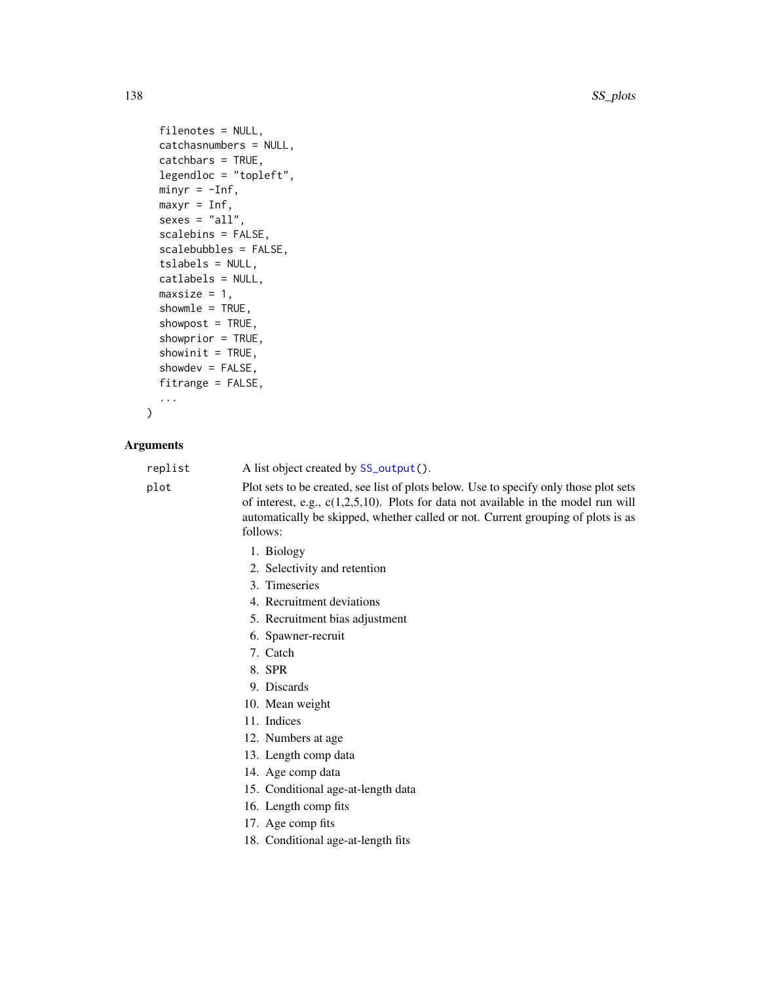```
filenotes = NULL,
catchasnumbers = NULL,
catchbars = TRUE,
legendloc = "topleft",
minyr = -Inf,maxyr = Inf,sexes = "all",scalebins = FALSE,
scalebubbles = FALSE,
tslabels = NULL,
catlabels = NULL,
maxsize = 1,
showmle = TRUE,
showpost = TRUE,showprior = TRUE,
showinit = TRUE,
showdev = FALSE,
fitrange = FALSE,
...
```

```
\mathcal{L}
```

| replist | A list object created by SS_output().                                                                                                                                                                                                                                          |
|---------|--------------------------------------------------------------------------------------------------------------------------------------------------------------------------------------------------------------------------------------------------------------------------------|
| plot    | Plot sets to be created, see list of plots below. Use to specify only those plot sets<br>of interest, e.g., $c(1,2,5,10)$ . Plots for data not available in the model run will<br>automatically be skipped, whether called or not. Current grouping of plots is as<br>follows: |
|         | 1. Biology                                                                                                                                                                                                                                                                     |
|         | 2. Selectivity and retention                                                                                                                                                                                                                                                   |
|         | 3. Timeseries                                                                                                                                                                                                                                                                  |
|         | 4. Recruitment deviations                                                                                                                                                                                                                                                      |
|         | 5. Recruitment bias adjustment                                                                                                                                                                                                                                                 |
|         | 6. Spawner-recruit                                                                                                                                                                                                                                                             |
|         | 7. Catch                                                                                                                                                                                                                                                                       |
|         | 8. SPR                                                                                                                                                                                                                                                                         |
|         | 9. Discards                                                                                                                                                                                                                                                                    |
|         | 10. Mean weight                                                                                                                                                                                                                                                                |
|         | 11. Indices                                                                                                                                                                                                                                                                    |
|         | 12. Numbers at age                                                                                                                                                                                                                                                             |
|         | 13. Length comp data                                                                                                                                                                                                                                                           |
|         | 14. Age comp data                                                                                                                                                                                                                                                              |
|         | 15. Conditional age-at-length data                                                                                                                                                                                                                                             |
|         | 16. Length comp fits                                                                                                                                                                                                                                                           |
|         | 17. Age comp fits                                                                                                                                                                                                                                                              |
|         | 18. Conditional age-at-length fits                                                                                                                                                                                                                                             |
|         |                                                                                                                                                                                                                                                                                |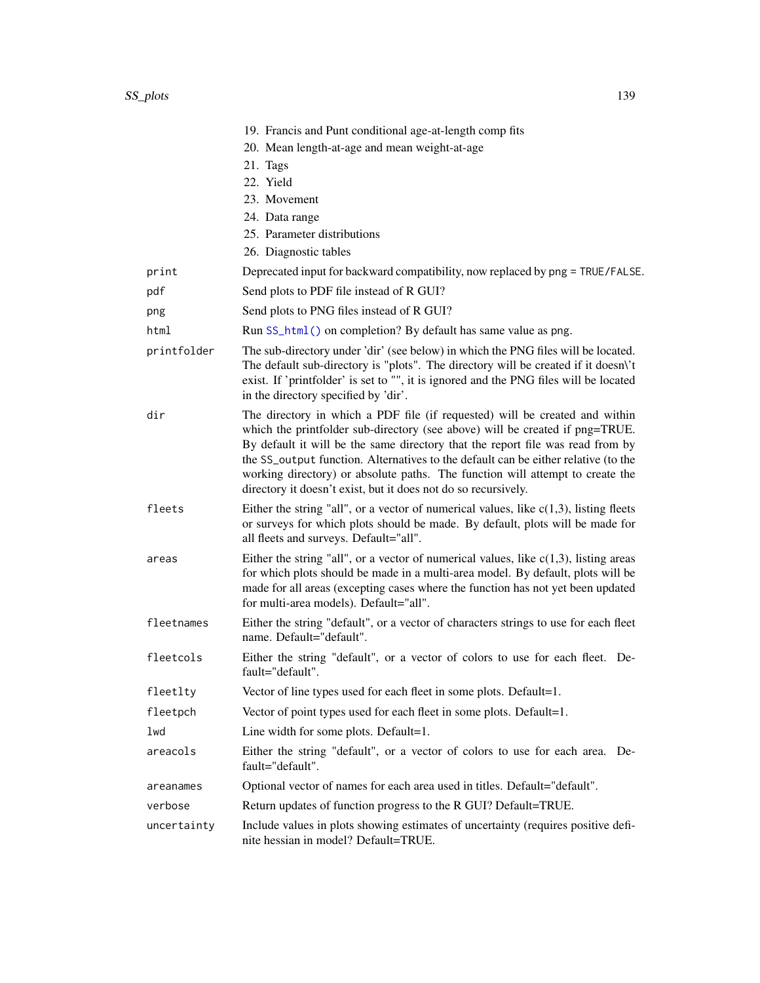|             | 19. Francis and Punt conditional age-at-length comp fits<br>20. Mean length-at-age and mean weight-at-age                                                                                                                                                                                                                                                                                                                                                                              |
|-------------|----------------------------------------------------------------------------------------------------------------------------------------------------------------------------------------------------------------------------------------------------------------------------------------------------------------------------------------------------------------------------------------------------------------------------------------------------------------------------------------|
|             | 21. Tags<br>22. Yield                                                                                                                                                                                                                                                                                                                                                                                                                                                                  |
|             | 23. Movement                                                                                                                                                                                                                                                                                                                                                                                                                                                                           |
|             | 24. Data range                                                                                                                                                                                                                                                                                                                                                                                                                                                                         |
|             | 25. Parameter distributions                                                                                                                                                                                                                                                                                                                                                                                                                                                            |
|             | 26. Diagnostic tables                                                                                                                                                                                                                                                                                                                                                                                                                                                                  |
| print       | Deprecated input for backward compatibility, now replaced by png = TRUE/FALSE.                                                                                                                                                                                                                                                                                                                                                                                                         |
| pdf         | Send plots to PDF file instead of R GUI?                                                                                                                                                                                                                                                                                                                                                                                                                                               |
| png         | Send plots to PNG files instead of R GUI?                                                                                                                                                                                                                                                                                                                                                                                                                                              |
| html        | Run SS_html() on completion? By default has same value as png.                                                                                                                                                                                                                                                                                                                                                                                                                         |
| printfolder | The sub-directory under 'dir' (see below) in which the PNG files will be located.<br>The default sub-directory is "plots". The directory will be created if it doesn't<br>exist. If 'printfolder' is set to "", it is ignored and the PNG files will be located<br>in the directory specified by 'dir'.                                                                                                                                                                                |
| dir         | The directory in which a PDF file (if requested) will be created and within<br>which the printfolder sub-directory (see above) will be created if png=TRUE.<br>By default it will be the same directory that the report file was read from by<br>the SS_output function. Alternatives to the default can be either relative (to the<br>working directory) or absolute paths. The function will attempt to create the<br>directory it doesn't exist, but it does not do so recursively. |
| fleets      | Either the string "all", or a vector of numerical values, like $c(1,3)$ , listing fleets<br>or surveys for which plots should be made. By default, plots will be made for<br>all fleets and surveys. Default="all".                                                                                                                                                                                                                                                                    |
| areas       | Either the string "all", or a vector of numerical values, like $c(1,3)$ , listing areas<br>for which plots should be made in a multi-area model. By default, plots will be<br>made for all areas (excepting cases where the function has not yet been updated<br>for multi-area models). Default="all".                                                                                                                                                                                |
| fleetnames  | Either the string "default", or a vector of characters strings to use for each fleet<br>name. Default="default".                                                                                                                                                                                                                                                                                                                                                                       |
| fleetcols   | Either the string "default", or a vector of colors to use for each fleet. De-<br>fault="default".                                                                                                                                                                                                                                                                                                                                                                                      |
| fleetlty    | Vector of line types used for each fleet in some plots. Default=1.                                                                                                                                                                                                                                                                                                                                                                                                                     |
| fleetpch    | Vector of point types used for each fleet in some plots. Default=1.                                                                                                                                                                                                                                                                                                                                                                                                                    |
| lwd         | Line width for some plots. Default=1.                                                                                                                                                                                                                                                                                                                                                                                                                                                  |
| areacols    | Either the string "default", or a vector of colors to use for each area. De-<br>fault="default".                                                                                                                                                                                                                                                                                                                                                                                       |
| areanames   | Optional vector of names for each area used in titles. Default="default".                                                                                                                                                                                                                                                                                                                                                                                                              |
| verbose     | Return updates of function progress to the R GUI? Default=TRUE.                                                                                                                                                                                                                                                                                                                                                                                                                        |
| uncertainty | Include values in plots showing estimates of uncertainty (requires positive defi-<br>nite hessian in model? Default=TRUE.                                                                                                                                                                                                                                                                                                                                                              |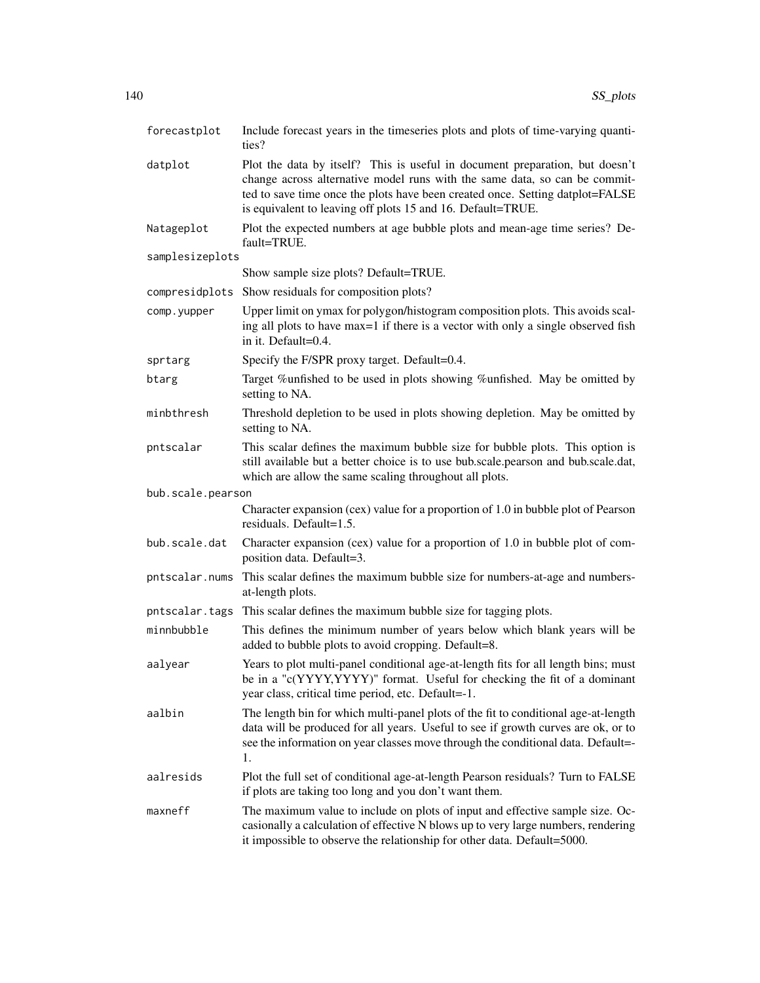| forecastplot      | Include forecast years in the timeseries plots and plots of time-varying quanti-<br>ties?                                                                                                                                                                                                                  |
|-------------------|------------------------------------------------------------------------------------------------------------------------------------------------------------------------------------------------------------------------------------------------------------------------------------------------------------|
| datplot           | Plot the data by itself? This is useful in document preparation, but doesn't<br>change across alternative model runs with the same data, so can be commit-<br>ted to save time once the plots have been created once. Setting datplot=FALSE<br>is equivalent to leaving off plots 15 and 16. Default=TRUE. |
| Natageplot        | Plot the expected numbers at age bubble plots and mean-age time series? De-<br>fault=TRUE.                                                                                                                                                                                                                 |
| samplesizeplots   |                                                                                                                                                                                                                                                                                                            |
|                   | Show sample size plots? Default=TRUE.                                                                                                                                                                                                                                                                      |
| compresidplots    | Show residuals for composition plots?                                                                                                                                                                                                                                                                      |
| comp.yupper       | Upper limit on ymax for polygon/histogram composition plots. This avoids scal-<br>ing all plots to have max=1 if there is a vector with only a single observed fish<br>in it. Default=0.4.                                                                                                                 |
| sprtarg           | Specify the F/SPR proxy target. Default=0.4.                                                                                                                                                                                                                                                               |
| btarg             | Target %unfished to be used in plots showing %unfished. May be omitted by<br>setting to NA.                                                                                                                                                                                                                |
| minbthresh        | Threshold depletion to be used in plots showing depletion. May be omitted by<br>setting to NA.                                                                                                                                                                                                             |
| pntscalar         | This scalar defines the maximum bubble size for bubble plots. This option is<br>still available but a better choice is to use bub.scale.pearson and bub.scale.dat,<br>which are allow the same scaling throughout all plots.                                                                               |
| bub.scale.pearson |                                                                                                                                                                                                                                                                                                            |
|                   | Character expansion (cex) value for a proportion of 1.0 in bubble plot of Pearson<br>residuals. Default=1.5.                                                                                                                                                                                               |
| bub.scale.dat     | Character expansion (cex) value for a proportion of 1.0 in bubble plot of com-<br>position data. Default=3.                                                                                                                                                                                                |
| pntscalar.nums    | This scalar defines the maximum bubble size for numbers-at-age and numbers-<br>at-length plots.                                                                                                                                                                                                            |
| pntscalar.tags    | This scalar defines the maximum bubble size for tagging plots.                                                                                                                                                                                                                                             |
| minnbubble        | This defines the minimum number of years below which blank years will be<br>added to bubble plots to avoid cropping. Default=8.                                                                                                                                                                            |
| aalyear           | Years to plot multi-panel conditional age-at-length fits for all length bins; must<br>be in a "c(YYYY,YYYY)" format. Useful for checking the fit of a dominant<br>year class, critical time period, etc. Default=-1.                                                                                       |
| aalbin            | The length bin for which multi-panel plots of the fit to conditional age-at-length<br>data will be produced for all years. Useful to see if growth curves are ok, or to<br>see the information on year classes move through the conditional data. Default=<br>1.                                           |
| aalresids         | Plot the full set of conditional age-at-length Pearson residuals? Turn to FALSE<br>if plots are taking too long and you don't want them.                                                                                                                                                                   |
| maxneff           | The maximum value to include on plots of input and effective sample size. Oc-<br>casionally a calculation of effective N blows up to very large numbers, rendering<br>it impossible to observe the relationship for other data. Default=5000.                                                              |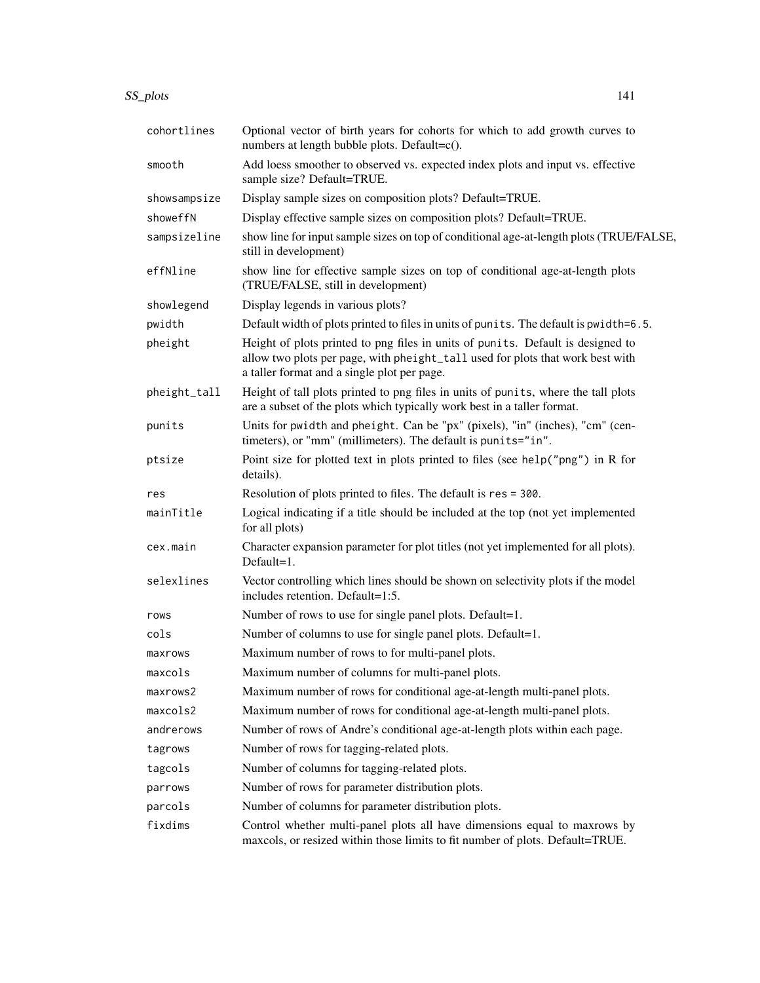| cohortlines  | Optional vector of birth years for cohorts for which to add growth curves to<br>numbers at length bubble plots. Default=c().                                                                                     |
|--------------|------------------------------------------------------------------------------------------------------------------------------------------------------------------------------------------------------------------|
| smooth       | Add loess smoother to observed vs. expected index plots and input vs. effective<br>sample size? Default=TRUE.                                                                                                    |
| showsampsize | Display sample sizes on composition plots? Default=TRUE.                                                                                                                                                         |
| showeffN     | Display effective sample sizes on composition plots? Default=TRUE.                                                                                                                                               |
| sampsizeline | show line for input sample sizes on top of conditional age-at-length plots (TRUE/FALSE,<br>still in development)                                                                                                 |
| effNline     | show line for effective sample sizes on top of conditional age-at-length plots<br>(TRUE/FALSE, still in development)                                                                                             |
| showlegend   | Display legends in various plots?                                                                                                                                                                                |
| pwidth       | Default width of plots printed to files in units of punits. The default is pwidth=6.5.                                                                                                                           |
| pheight      | Height of plots printed to png files in units of punits. Default is designed to<br>allow two plots per page, with pheight_tall used for plots that work best with<br>a taller format and a single plot per page. |
| pheight_tall | Height of tall plots printed to png files in units of punits, where the tall plots<br>are a subset of the plots which typically work best in a taller format.                                                    |
| punits       | Units for pwidth and pheight. Can be "px" (pixels), "in" (inches), "cm" (cen-<br>timeters), or "mm" (millimeters). The default is punits="in".                                                                   |
| ptsize       | Point size for plotted text in plots printed to files (see help("png") in R for<br>details).                                                                                                                     |
| res          | Resolution of plots printed to files. The default is res = 300.                                                                                                                                                  |
| mainTitle    | Logical indicating if a title should be included at the top (not yet implemented<br>for all plots)                                                                                                               |
| cex.main     | Character expansion parameter for plot titles (not yet implemented for all plots).<br>$Default=1.$                                                                                                               |
| selexlines   | Vector controlling which lines should be shown on selectivity plots if the model<br>includes retention. Default=1:5.                                                                                             |
| rows         | Number of rows to use for single panel plots. Default=1.                                                                                                                                                         |
| cols         | Number of columns to use for single panel plots. Default=1.                                                                                                                                                      |
| maxrows      | Maximum number of rows to for multi-panel plots.                                                                                                                                                                 |
| maxcols      | Maximum number of columns for multi-panel plots.                                                                                                                                                                 |
| maxrows2     | Maximum number of rows for conditional age-at-length multi-panel plots.                                                                                                                                          |
| maxcols2     | Maximum number of rows for conditional age-at-length multi-panel plots.                                                                                                                                          |
| andrerows    | Number of rows of Andre's conditional age-at-length plots within each page.                                                                                                                                      |
| tagrows      | Number of rows for tagging-related plots.                                                                                                                                                                        |
| tagcols      | Number of columns for tagging-related plots.                                                                                                                                                                     |
| parrows      | Number of rows for parameter distribution plots.                                                                                                                                                                 |
| parcols      | Number of columns for parameter distribution plots.                                                                                                                                                              |
| fixdims      | Control whether multi-panel plots all have dimensions equal to maxrows by<br>maxcols, or resized within those limits to fit number of plots. Default=TRUE.                                                       |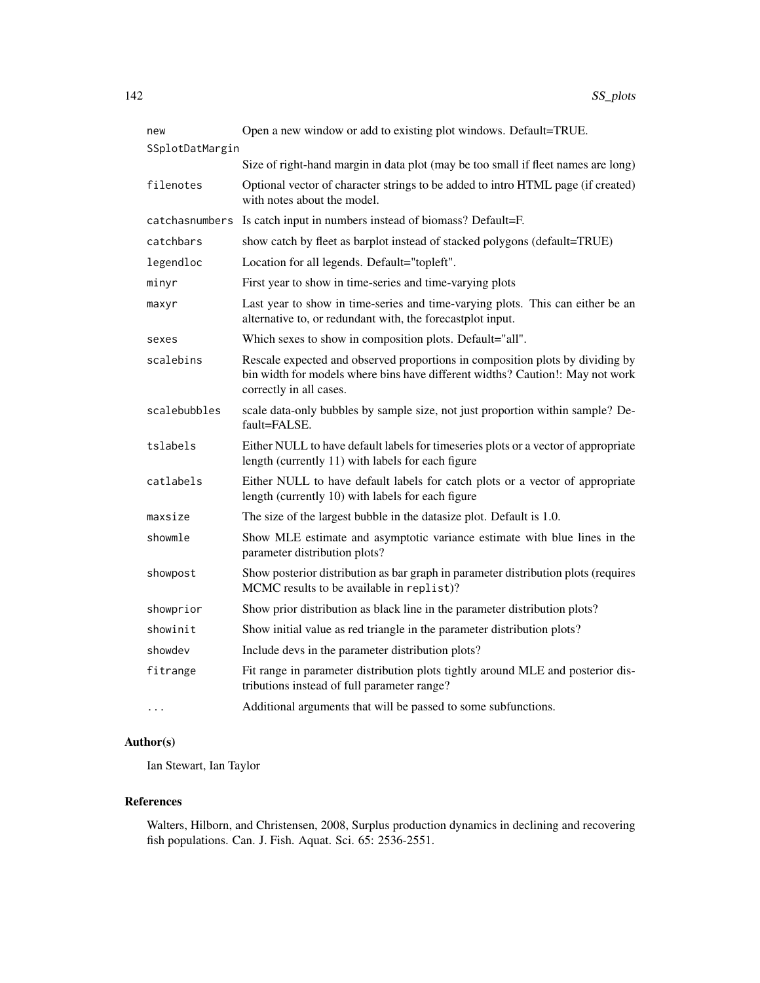| new             | Open a new window or add to existing plot windows. Default=TRUE.                                                                                                                          |
|-----------------|-------------------------------------------------------------------------------------------------------------------------------------------------------------------------------------------|
| SSplotDatMargin |                                                                                                                                                                                           |
|                 | Size of right-hand margin in data plot (may be too small if fleet names are long)                                                                                                         |
| filenotes       | Optional vector of character strings to be added to intro HTML page (if created)<br>with notes about the model.                                                                           |
| catchasnumbers  | Is catch input in numbers instead of biomass? Default=F.                                                                                                                                  |
| catchbars       | show catch by fleet as barplot instead of stacked polygons (default=TRUE)                                                                                                                 |
| legendloc       | Location for all legends. Default="topleft".                                                                                                                                              |
| minyr           | First year to show in time-series and time-varying plots                                                                                                                                  |
| maxyr           | Last year to show in time-series and time-varying plots. This can either be an<br>alternative to, or redundant with, the forecastplot input.                                              |
| sexes           | Which sexes to show in composition plots. Default="all".                                                                                                                                  |
| scalebins       | Rescale expected and observed proportions in composition plots by dividing by<br>bin width for models where bins have different widths? Caution!: May not work<br>correctly in all cases. |
| scalebubbles    | scale data-only bubbles by sample size, not just proportion within sample? De-<br>$fault = FALSE$ .                                                                                       |
| tslabels        | Either NULL to have default labels for timeseries plots or a vector of appropriate<br>length (currently 11) with labels for each figure                                                   |
| catlabels       | Either NULL to have default labels for catch plots or a vector of appropriate<br>length (currently 10) with labels for each figure                                                        |
| maxsize         | The size of the largest bubble in the datasize plot. Default is 1.0.                                                                                                                      |
| showmle         | Show MLE estimate and asymptotic variance estimate with blue lines in the<br>parameter distribution plots?                                                                                |
| showpost        | Show posterior distribution as bar graph in parameter distribution plots (requires<br>MCMC results to be available in replist)?                                                           |
| showprior       | Show prior distribution as black line in the parameter distribution plots?                                                                                                                |
| showinit        | Show initial value as red triangle in the parameter distribution plots?                                                                                                                   |
| showdev         | Include devs in the parameter distribution plots?                                                                                                                                         |
| fitrange        | Fit range in parameter distribution plots tightly around MLE and posterior dis-<br>tributions instead of full parameter range?                                                            |
| .               | Additional arguments that will be passed to some subfunctions.                                                                                                                            |

Ian Stewart, Ian Taylor

# References

Walters, Hilborn, and Christensen, 2008, Surplus production dynamics in declining and recovering fish populations. Can. J. Fish. Aquat. Sci. 65: 2536-2551.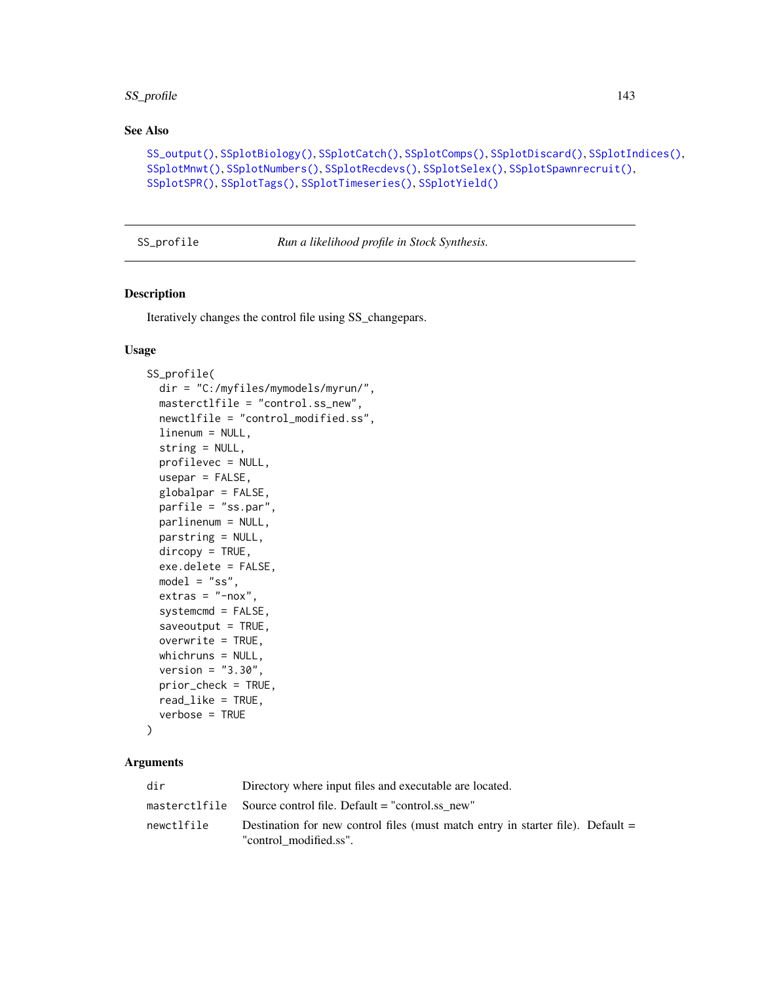# SS\_profile 143

# See Also

```
SS_output(), SSplotBiology(), SSplotCatch(), SSplotComps(), SSplotDiscard(), SSplotIndices(),
SSplotMnwt(), SSplotNumbers(), SSplotRecdevs(), SSplotSelex(), SSplotSpawnrecruit(),
SSplotSPR(), SSplotTags(), SSplotTimeseries(), SSplotYield()
```
<span id="page-142-0"></span>SS\_profile *Run a likelihood profile in Stock Synthesis.*

# Description

Iteratively changes the control file using SS\_changepars.

## Usage

```
SS_profile(
  dir = "C:/myfiles/mymodels/myrun/",
  masterctlfile = "control.ss_new",
  newctlfile = "control_modified.ss",
  linenum = NULL,
  string = NULL,
  profilevec = NULL,
  usepar = FALSE,globalpar = FALSE,
  parfile = "ss.par",
 parlinenum = NULL,
  parstring = NULL,
  dircopy = TRUE,
  exe.delete = FALSE,
  model = "ss",extras = "-nox",systemcmd = FALSE,
  saveoutput = TRUE,
  overwrite = TRUE,
  whichruns = NULL,
  version = "3.30",
  prior_check = TRUE,
  read_like = TRUE,
  verbose = TRUE
```

```
)
```

| dir        | Directory where input files and executable are located.                                                     |
|------------|-------------------------------------------------------------------------------------------------------------|
|            | masterctlfile Source control file. Default $=$ "control.ss new"                                             |
| newctlfile | Destination for new control files (must match entry in starter file). Default $=$<br>"control modified.ss". |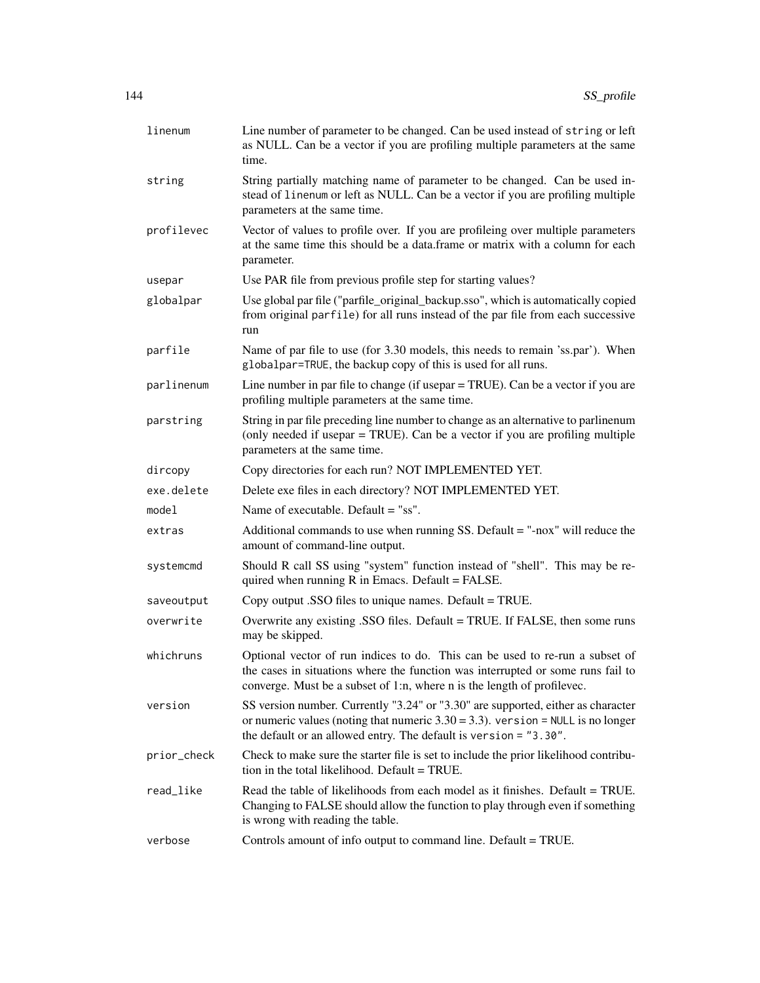| linenum     | Line number of parameter to be changed. Can be used instead of string or left<br>as NULL. Can be a vector if you are profiling multiple parameters at the same<br>time.                                                                     |
|-------------|---------------------------------------------------------------------------------------------------------------------------------------------------------------------------------------------------------------------------------------------|
| string      | String partially matching name of parameter to be changed. Can be used in-<br>stead of linenum or left as NULL. Can be a vector if you are profiling multiple<br>parameters at the same time.                                               |
| profilevec  | Vector of values to profile over. If you are profileing over multiple parameters<br>at the same time this should be a data.frame or matrix with a column for each<br>parameter.                                                             |
| usepar      | Use PAR file from previous profile step for starting values?                                                                                                                                                                                |
| globalpar   | Use global par file ("parfile_original_backup.sso", which is automatically copied<br>from original parfile) for all runs instead of the par file from each successive<br>run                                                                |
| parfile     | Name of par file to use (for 3.30 models, this needs to remain 'ss.par'). When<br>globalpar=TRUE, the backup copy of this is used for all runs.                                                                                             |
| parlinenum  | Line number in par file to change (if usepar = TRUE). Can be a vector if you are<br>profiling multiple parameters at the same time.                                                                                                         |
| parstring   | String in par file preceding line number to change as an alternative to parlinenum<br>(only needed if usepar = TRUE). Can be a vector if you are profiling multiple<br>parameters at the same time.                                         |
| dircopy     | Copy directories for each run? NOT IMPLEMENTED YET.                                                                                                                                                                                         |
| exe.delete  | Delete exe files in each directory? NOT IMPLEMENTED YET.                                                                                                                                                                                    |
| model       | Name of executable. Default = "ss".                                                                                                                                                                                                         |
| extras      | Additional commands to use when running SS. Default $=$ "-nox" will reduce the<br>amount of command-line output.                                                                                                                            |
| systemcmd   | Should R call SS using "system" function instead of "shell". This may be re-<br>quired when running $R$ in Emacs. Default = FALSE.                                                                                                          |
| saveoutput  | Copy output .SSO files to unique names. Default = TRUE.                                                                                                                                                                                     |
| overwrite   | Overwrite any existing .SSO files. Default = TRUE. If FALSE, then some runs<br>may be skipped.                                                                                                                                              |
| whichruns   | Optional vector of run indices to do. This can be used to re-run a subset of<br>the cases in situations where the function was interrupted or some runs fail to<br>converge. Must be a subset of 1:n, where n is the length of profilevec.  |
| version     | SS version number. Currently "3.24" or "3.30" are supported, either as character<br>or numeric values (noting that numeric $3.30 = 3.3$ ). version = NULL is no longer<br>the default or an allowed entry. The default is version = "3.30". |
| prior_check | Check to make sure the starter file is set to include the prior likelihood contribu-<br>tion in the total likelihood. Default = TRUE.                                                                                                       |
| read_like   | Read the table of likelihoods from each model as it finishes. Default = TRUE.<br>Changing to FALSE should allow the function to play through even if something<br>is wrong with reading the table.                                          |
| verbose     | Controls amount of info output to command line. Default = TRUE.                                                                                                                                                                             |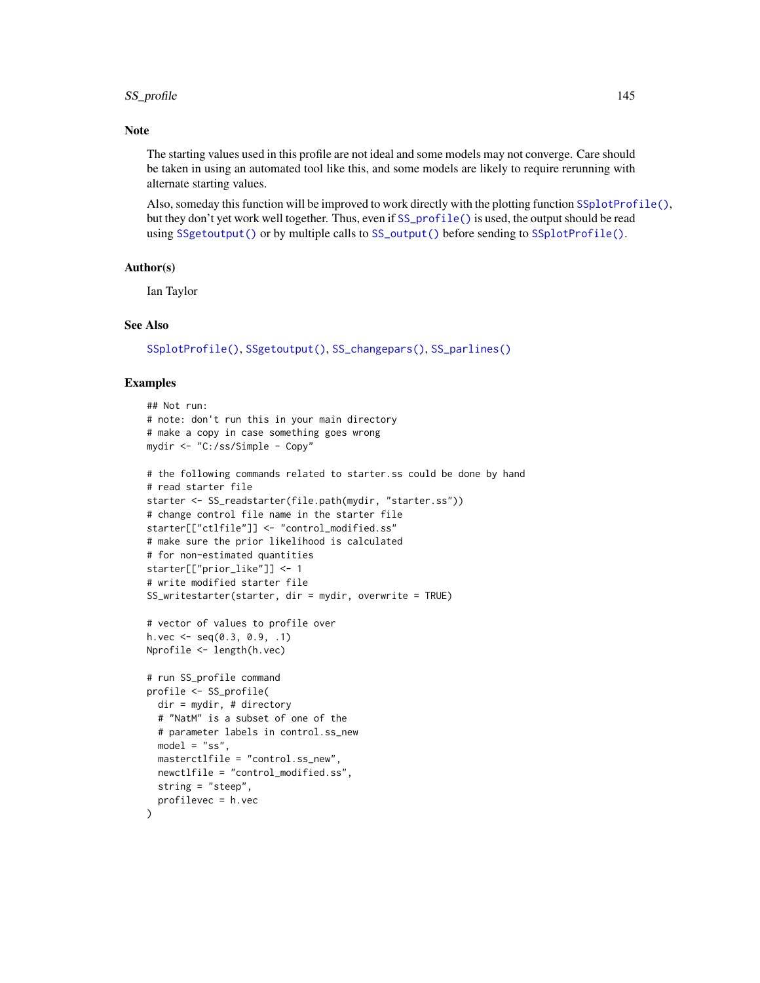#### SS\_profile that the contract of the contract of the contract of the contract of the contract of the contract of the contract of the contract of the contract of the contract of the contract of the contract of the contract o

### **Note**

The starting values used in this profile are not ideal and some models may not converge. Care should be taken in using an automated tool like this, and some models are likely to require rerunning with alternate starting values.

Also, someday this function will be improved to work directly with the plotting function [SSplotProfile\(\)](#page-92-0), but they don't yet work well together. Thus, even if [SS\\_profile\(\)](#page-142-0) is used, the output should be read using [SSgetoutput\(\)](#page-46-0) or by multiple calls to [SS\\_output\(\)](#page-131-0) before sending to [SSplotProfile\(\)](#page-92-0).

#### Author(s)

Ian Taylor

### See Also

[SSplotProfile\(\)](#page-92-0), [SSgetoutput\(\)](#page-46-0), [SS\\_changepars\(\)](#page-121-0), [SS\\_parlines\(\)](#page-134-0)

#### Examples

```
## Not run:
# note: don't run this in your main directory
# make a copy in case something goes wrong
mydir <- "C:/ss/Simple - Copy"
# the following commands related to starter.ss could be done by hand
# read starter file
starter <- SS_readstarter(file.path(mydir, "starter.ss"))
# change control file name in the starter file
starter[["ctlfile"]] <- "control_modified.ss"
# make sure the prior likelihood is calculated
# for non-estimated quantities
starter[["prior_like"]] <- 1
# write modified starter file
SS_writestarter(starter, dir = mydir, overwrite = TRUE)
# vector of values to profile over
h.vec \leq seq(0.3, 0.9, .1)
Nprofile <- length(h.vec)
# run SS_profile command
profile <- SS_profile(
  dir = mydir, # directory
  # "NatM" is a subset of one of the
  # parameter labels in control.ss_new
  model = "ss",masterctlfile = "control.ss_new",
  newctlfile = "control_modified.ss",
  string = "steep",
  profilevec = h.vec
)
```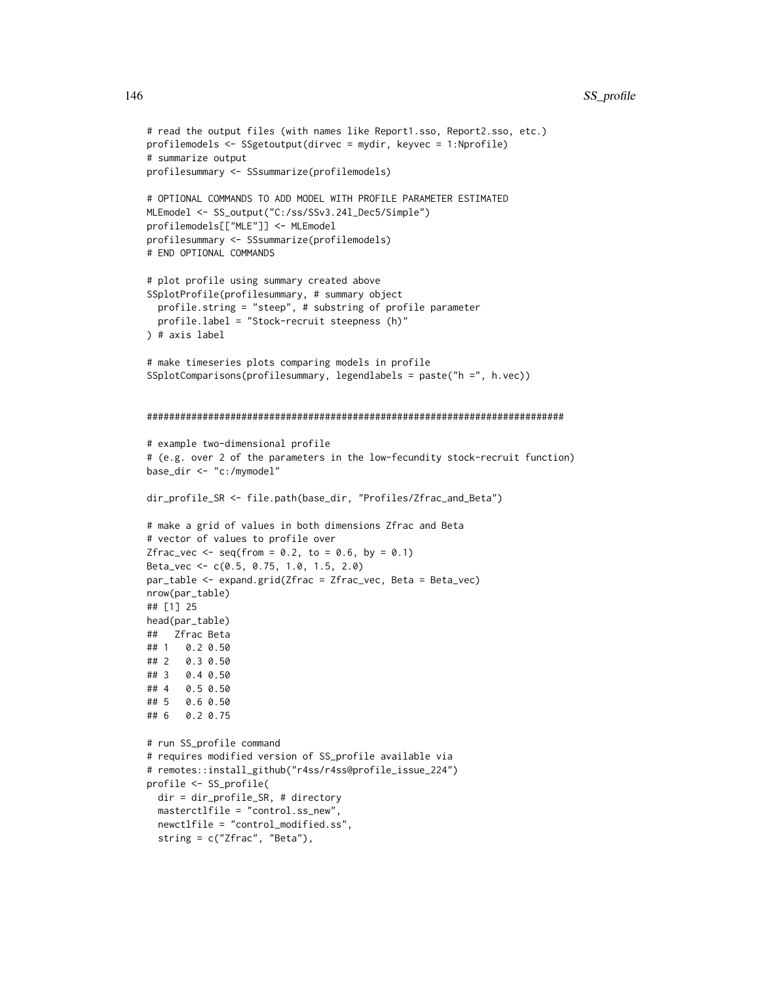```
# read the output files (with names like Report1.sso, Report2.sso, etc.)
profilemodels <- SSgetoutput(dirvec = mydir, keyvec = 1:Nprofile)
# summarize output
profilesummary <- SSsummarize(profilemodels)
# OPTIONAL COMMANDS TO ADD MODEL WITH PROFILE PARAMETER ESTIMATED
MLEmodel <- SS_output("C:/ss/SSv3.24l_Dec5/Simple")
profilemodels[["MLE"]] <- MLEmodel
profilesummary <- SSsummarize(profilemodels)
# END OPTIONAL COMMANDS
# plot profile using summary created above
SSplotProfile(profilesummary, # summary object
  profile.string = "steep", # substring of profile parameter
  profile.label = "Stock-recruit steepness (h)"
) # axis label
# make timeseries plots comparing models in profile
SSplotComparisons(profilesummary, legendlabels = paste("h =", h.vec))
###########################################################################
# example two-dimensional profile
# (e.g. over 2 of the parameters in the low-fecundity stock-recruit function)
base_dir <- "c:/mymodel"
dir_profile_SR <- file.path(base_dir, "Profiles/Zfrac_and_Beta")
# make a grid of values in both dimensions Zfrac and Beta
# vector of values to profile over
Zfrac\_vec \leftarrow seq(from = 0.2, to = 0.6, by = 0.1)Beta_vec <- c(0.5, 0.75, 1.0, 1.5, 2.0)
par_table <- expand.grid(Zfrac = Zfrac_vec, Beta = Beta_vec)
nrow(par_table)
## [1] 25
head(par_table)
## Zfrac Beta
## 1 0.2 0.50
## 2 0.3 0.50
## 3 0.4 0.50
## 4 0.5 0.50
## 5 0.6 0.50
## 6 0.2 0.75
# run SS_profile command
# requires modified version of SS_profile available via
# remotes::install_github("r4ss/r4ss@profile_issue_224")
profile <- SS_profile(
  dir = dir_profile_SR, # directory
  masterctlfile = "control.ss_new",
  newctlfile = "control_modified.ss",
  string = c("Zfrac", "Beta"),
```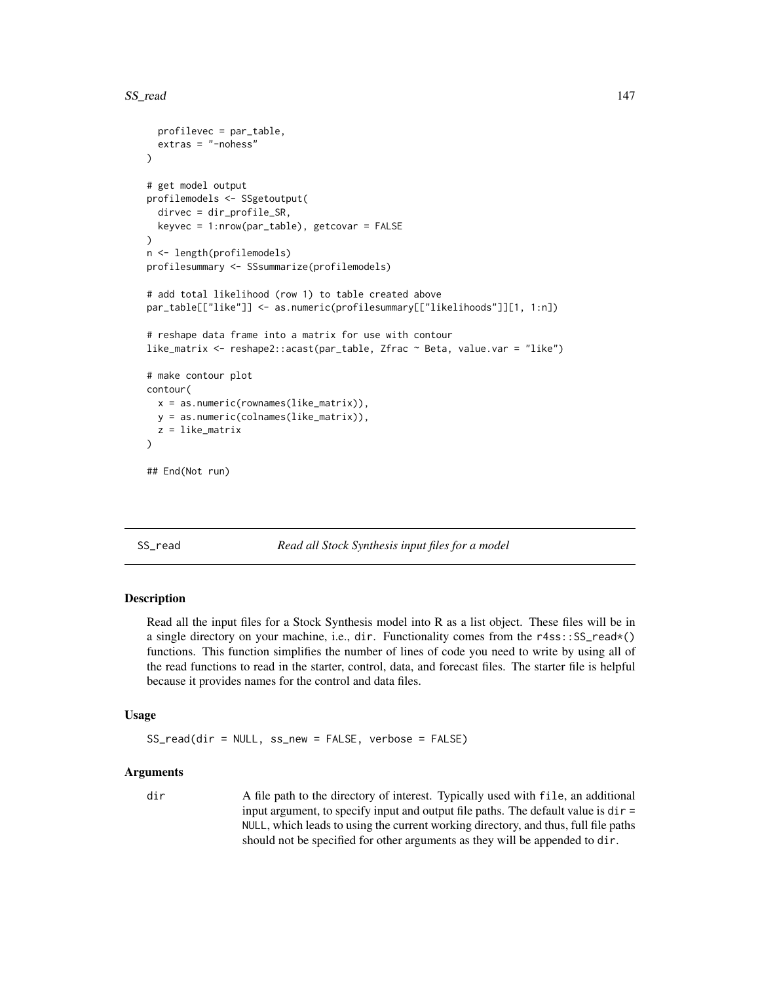```
profilevec = par_table,
 extras = "-nohess"
)
# get model output
profilemodels <- SSgetoutput(
 dirvec = dir_profile_SR,
 keyvec = 1:nrow(par_table), getcovar = FALSE
\lambdan <- length(profilemodels)
profilesummary <- SSsummarize(profilemodels)
# add total likelihood (row 1) to table created above
par_table[["like"]] <- as.numeric(profilesummary[["likelihoods"]][1, 1:n])
# reshape data frame into a matrix for use with contour
like_matrix <- reshape2::acast(par_table, Zfrac ~ Beta, value.var = "like")
# make contour plot
contour(
 x = as.numeric(rownames(like_matrix)),
 y = as.numeric(colnames(like_matrix)),
 z = like_matrix
)
## End(Not run)
```
<span id="page-146-0"></span>SS\_read *Read all Stock Synthesis input files for a model*

### Description

Read all the input files for a Stock Synthesis model into R as a list object. These files will be in a single directory on your machine, i.e., dir. Functionality comes from the r4ss::SS\_read\*() functions. This function simplifies the number of lines of code you need to write by using all of the read functions to read in the starter, control, data, and forecast files. The starter file is helpful because it provides names for the control and data files.

### Usage

SS\_read(dir = NULL, ss\_new = FALSE, verbose = FALSE)

### Arguments

dir A file path to the directory of interest. Typically used with file, an additional input argument, to specify input and output file paths. The default value is  $dir =$ NULL, which leads to using the current working directory, and thus, full file paths should not be specified for other arguments as they will be appended to dir.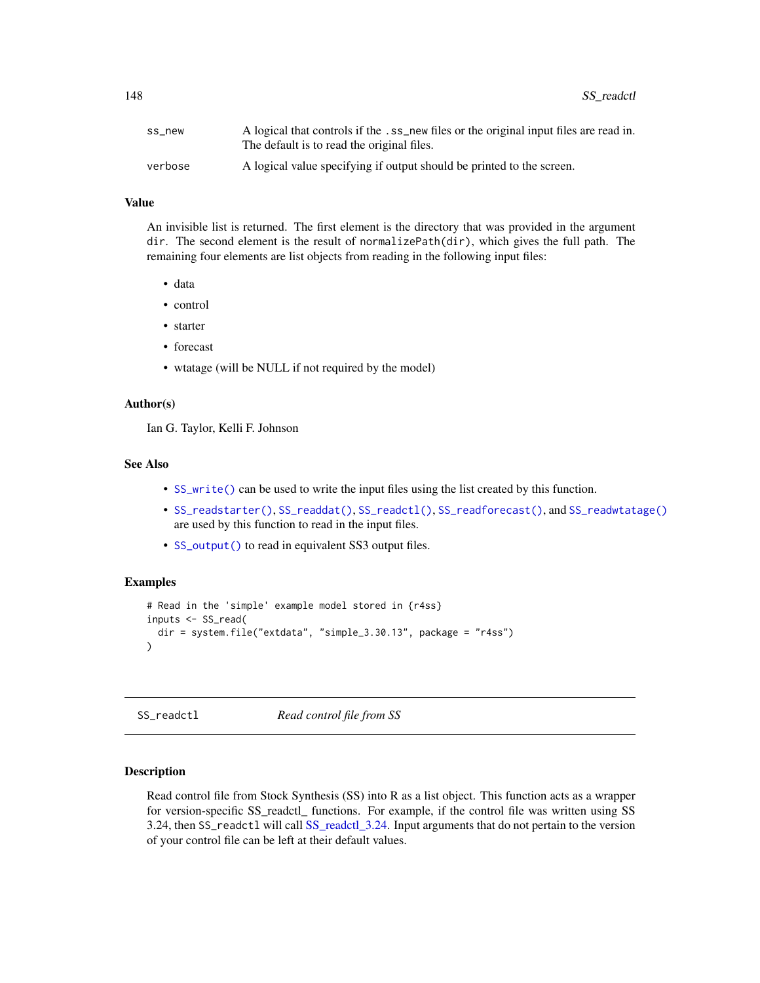| ss new  | A logical that controls if the .ss_new files or the original input files are read in. |
|---------|---------------------------------------------------------------------------------------|
|         | The default is to read the original files.                                            |
| verbose | A logical value specifying if output should be printed to the screen.                 |

#### Value

An invisible list is returned. The first element is the directory that was provided in the argument dir. The second element is the result of normalizePath(dir), which gives the full path. The remaining four elements are list objects from reading in the following input files:

- data
- control
- starter
- forecast
- wtatage (will be NULL if not required by the model)

# Author(s)

Ian G. Taylor, Kelli F. Johnson

### See Also

- [SS\\_write\(\)](#page-176-0) can be used to write the input files using the list created by this function.
- [SS\\_readstarter\(\)](#page-161-0), [SS\\_readdat\(\)](#page-155-0), [SS\\_readctl\(\)](#page-147-0), [SS\\_readforecast\(\)](#page-159-0), and [SS\\_readwtatage\(\)](#page-162-0) are used by this function to read in the input files.
- [SS\\_output\(\)](#page-131-0) to read in equivalent SS3 output files.

# Examples

```
# Read in the 'simple' example model stored in {r4ss}
inputs <- SS_read(
 dir = system.file("extdata", "simple_3.30.13", package = "r4ss")
\lambda
```
<span id="page-147-0"></span>SS\_readctl *Read control file from SS*

## Description

Read control file from Stock Synthesis (SS) into R as a list object. This function acts as a wrapper for version-specific SS\_readctl\_ functions. For example, if the control file was written using SS 3.24, then SS\_readctl will call [SS\\_readctl\\_3.24.](#page-150-0) Input arguments that do not pertain to the version of your control file can be left at their default values.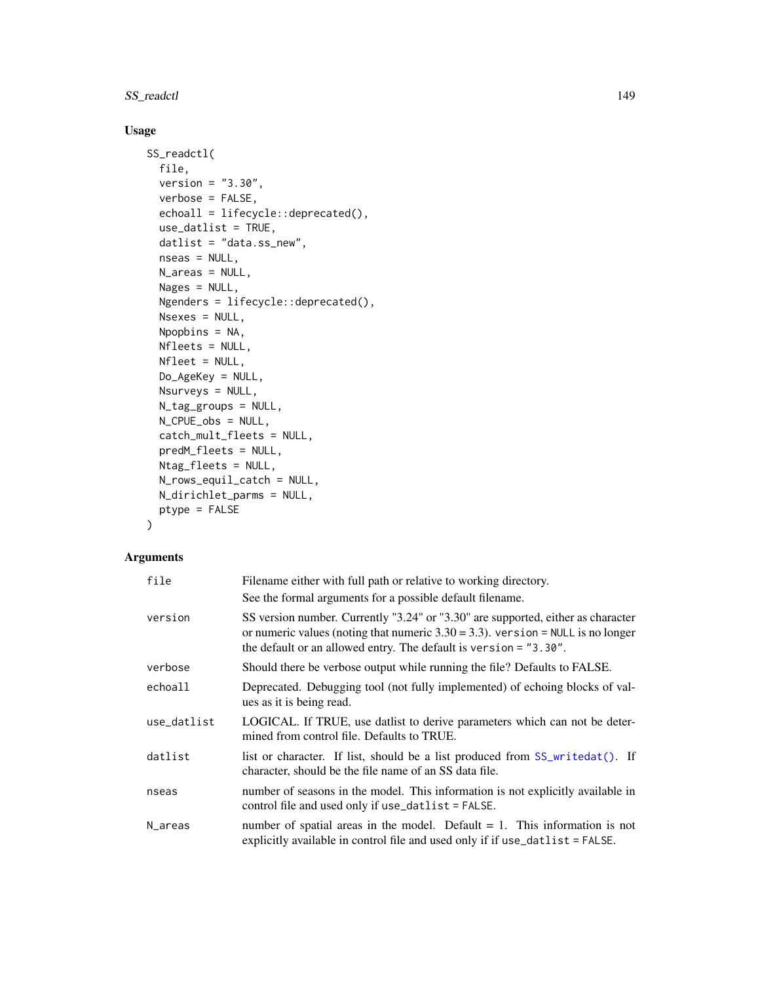# SS\_readctl 149

# Usage

```
SS_readctl(
 file,
  version = "3.30",
 verbose = FALSE,
  echoall = lifecycle::deprecated(),
 use_datlist = TRUE,
  datlist = "data.ss_new",
  nseas = NULL,N_areas = NULL,
 Nages = NULL,
 Ngenders = lifecycle::deprecated(),
 Nsexes = NULL,
 Npopbins = NA,
 Nfleets = NULL,
 Nfleet = NULL,
 Do_AgeKey = NULL,
 Nsurveys = NULL,
 N_tag_groups = NULL,
 N_CPUE_obs = NULL,
  catch_mult_fleets = NULL,
 predM_fleets = NULL,
 Ntag_fleets = NULL,
 N_rows_equil_catch = NULL,
 N_dirichlet_parms = NULL,
 ptype = FALSE
\mathcal{E}
```

| file        | Filename either with full path or relative to working directory.                                                                                                                                                                            |
|-------------|---------------------------------------------------------------------------------------------------------------------------------------------------------------------------------------------------------------------------------------------|
|             | See the formal arguments for a possible default filename.                                                                                                                                                                                   |
| version     | SS version number. Currently "3.24" or "3.30" are supported, either as character<br>or numeric values (noting that numeric $3.30 = 3.3$ ). version = NULL is no longer<br>the default or an allowed entry. The default is version = "3.30". |
| verbose     | Should there be verbose output while running the file? Defaults to FALSE.                                                                                                                                                                   |
| echoall     | Deprecated. Debugging tool (not fully implemented) of echoing blocks of val-<br>ues as it is being read.                                                                                                                                    |
| use_datlist | LOGICAL. If TRUE, use datlist to derive parameters which can not be deter-<br>mined from control file. Defaults to TRUE.                                                                                                                    |
| datlist     | list or character. If list, should be a list produced from SS_writedat(). If<br>character, should be the file name of an SS data file.                                                                                                      |
| nseas       | number of seasons in the model. This information is not explicitly available in<br>control file and used only if use_datlist = FALSE.                                                                                                       |
| N_areas     | number of spatial areas in the model. Default $= 1$ . This information is not<br>explicitly available in control file and used only if if use_datlist = FALSE.                                                                              |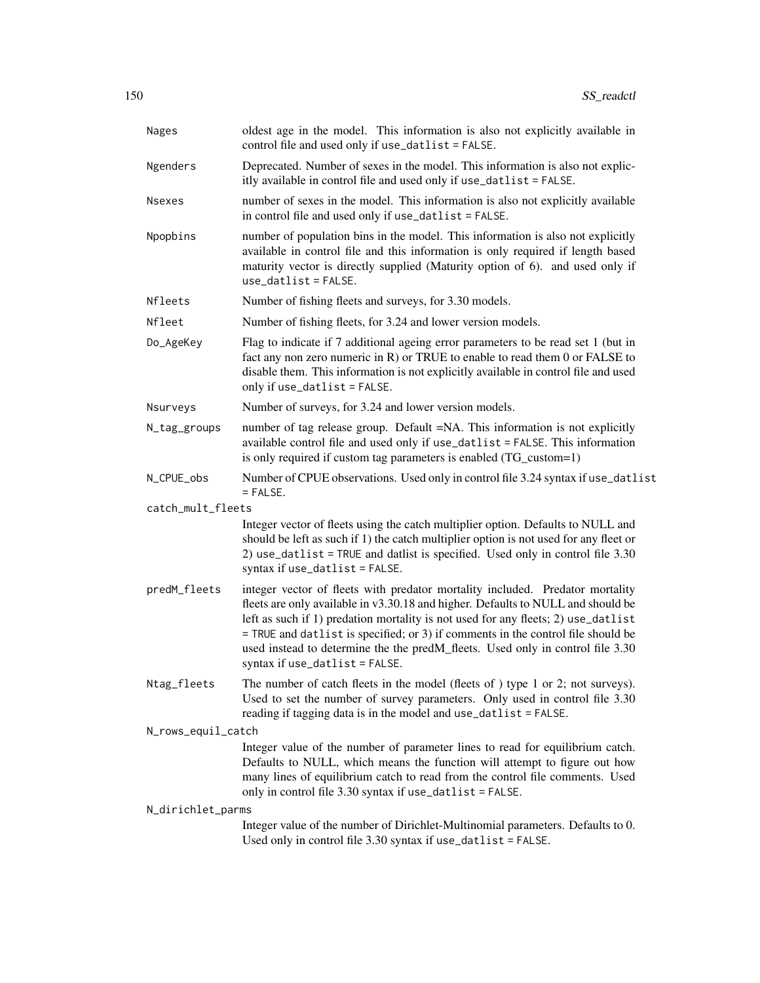| Nages              | oldest age in the model. This information is also not explicitly available in<br>control file and used only if use_datlist = FALSE.                                                                                                                                                                                                                                                                                                                                |
|--------------------|--------------------------------------------------------------------------------------------------------------------------------------------------------------------------------------------------------------------------------------------------------------------------------------------------------------------------------------------------------------------------------------------------------------------------------------------------------------------|
| Ngenders           | Deprecated. Number of sexes in the model. This information is also not explic-<br>itly available in control file and used only if use_datlist = FALSE.                                                                                                                                                                                                                                                                                                             |
| <b>Nsexes</b>      | number of sexes in the model. This information is also not explicitly available<br>in control file and used only if use_datlist = FALSE.                                                                                                                                                                                                                                                                                                                           |
| Npopbins           | number of population bins in the model. This information is also not explicitly<br>available in control file and this information is only required if length based<br>maturity vector is directly supplied (Maturity option of 6). and used only if<br>$use_datalist = FALSE.$                                                                                                                                                                                     |
| Nfleets            | Number of fishing fleets and surveys, for 3.30 models.                                                                                                                                                                                                                                                                                                                                                                                                             |
| Nfleet             | Number of fishing fleets, for 3.24 and lower version models.                                                                                                                                                                                                                                                                                                                                                                                                       |
| Do_AgeKey          | Flag to indicate if 7 additional ageing error parameters to be read set 1 (but in<br>fact any non zero numeric in R) or TRUE to enable to read them 0 or FALSE to<br>disable them. This information is not explicitly available in control file and used<br>only if use_datlist = FALSE.                                                                                                                                                                           |
| Nsurveys           | Number of surveys, for 3.24 and lower version models.                                                                                                                                                                                                                                                                                                                                                                                                              |
| N_tag_groups       | number of tag release group. Default =NA. This information is not explicitly<br>available control file and used only if use_datlist = FALSE. This information<br>is only required if custom tag parameters is enabled (TG_custom=1)                                                                                                                                                                                                                                |
| N_CPUE_obs         | Number of CPUE observations. Used only in control file 3.24 syntax if use_datlist<br>$=$ FALSE.                                                                                                                                                                                                                                                                                                                                                                    |
| catch_mult_fleets  |                                                                                                                                                                                                                                                                                                                                                                                                                                                                    |
|                    | Integer vector of fleets using the catch multiplier option. Defaults to NULL and<br>should be left as such if 1) the catch multiplier option is not used for any fleet or<br>2) use_datlist = TRUE and datlist is specified. Used only in control file 3.30<br>syntax if $use_datalist = FALSE$ .                                                                                                                                                                  |
| predM_fleets       | integer vector of fleets with predator mortality included. Predator mortality<br>fleets are only available in v3.30.18 and higher. Defaults to NULL and should be<br>left as such if 1) predation mortality is not used for any fleets; 2) use_datlist<br>= TRUE and datlist is specified; or 3) if comments in the control file should be<br>used instead to determine the the predM_fleets. Used only in control file 3.30<br>syntax if $use_datalist = FALSE$ . |
| Ntag_fleets        | The number of catch fleets in the model (fleets of ) type 1 or 2; not surveys).<br>Used to set the number of survey parameters. Only used in control file 3.30<br>reading if tagging data is in the model and use_datlist = FALSE.                                                                                                                                                                                                                                 |
| N_rows_equil_catch |                                                                                                                                                                                                                                                                                                                                                                                                                                                                    |
|                    | Integer value of the number of parameter lines to read for equilibrium catch.<br>Defaults to NULL, which means the function will attempt to figure out how<br>many lines of equilibrium catch to read from the control file comments. Used<br>only in control file 3.30 syntax if use_datlist = FALSE.                                                                                                                                                             |
| N_dirichlet_parms  |                                                                                                                                                                                                                                                                                                                                                                                                                                                                    |
|                    | Integer value of the number of Dirichlet-Multinomial parameters. Defaults to 0.<br>Used only in control file 3.30 syntax if use_datlist = FALSE.                                                                                                                                                                                                                                                                                                                   |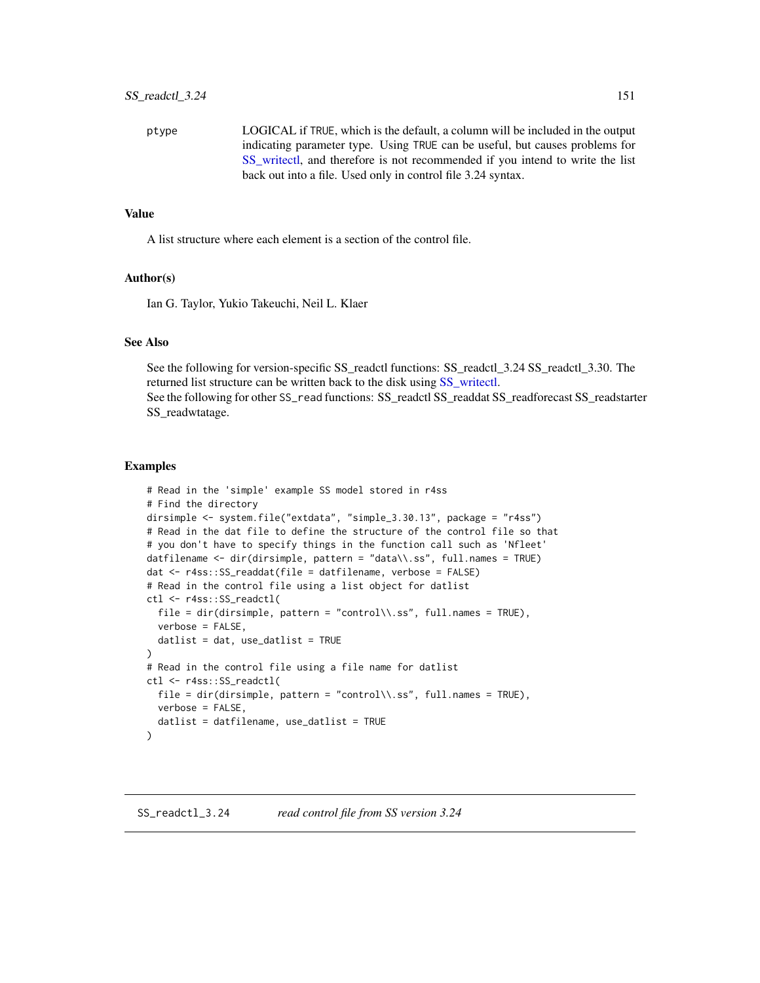ptype LOGICAL if TRUE, which is the default, a column will be included in the output indicating parameter type. Using TRUE can be useful, but causes problems for [SS\\_writectl,](#page-177-0) and therefore is not recommended if you intend to write the list back out into a file. Used only in control file 3.24 syntax.

### Value

A list structure where each element is a section of the control file.

### Author(s)

Ian G. Taylor, Yukio Takeuchi, Neil L. Klaer

#### See Also

See the following for version-specific SS\_readctl functions: SS\_readctl\_3.24 SS\_readctl\_3.30. The returned list structure can be written back to the disk using [SS\\_writectl.](#page-177-0) See the following for other SS\_read functions: SS\_readctl SS\_readdat SS\_readforecast SS\_readstarter SS readwtatage.

#### Examples

```
# Read in the 'simple' example SS model stored in r4ss
# Find the directory
dirsimple <- system.file("extdata", "simple_3.30.13", package = "r4ss")
# Read in the dat file to define the structure of the control file so that
# you don't have to specify things in the function call such as 'Nfleet'
datfilename <- dir(dirsimple, pattern = "data\\.ss", full.names = TRUE)
dat <- r4ss::SS_readdat(file = datfilename, verbose = FALSE)
# Read in the control file using a list object for datlist
ctl <- r4ss::SS_readctl(
  file = dir(dirsimple, pattern = "control\\.ss", full.names = TRUE),
  verbose = FALSE,
  datlist = dat, use_datalist = TRUE\lambda# Read in the control file using a file name for datlist
ctl <- r4ss::SS_readctl(
  file = dir(dirsimple, pattern = "control\\.ss", full.names = TRUE),
  verbose = FALSE,
  datlist = datfilename, use_datlist = TRUE
)
```
<span id="page-150-0"></span>SS\_readctl\_3.24 *read control file from SS version 3.24*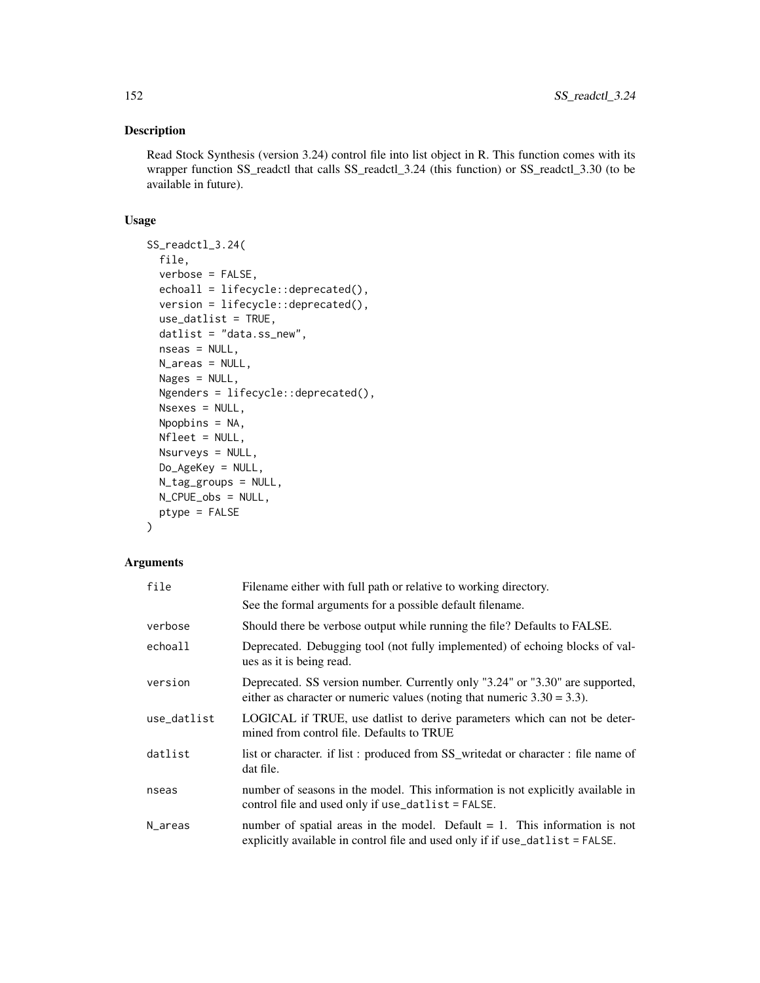## Description

Read Stock Synthesis (version 3.24) control file into list object in R. This function comes with its wrapper function SS\_readctl that calls SS\_readctl\_3.24 (this function) or SS\_readctl\_3.30 (to be available in future).

## Usage

```
SS_readctl_3.24(
  file,
  verbose = FALSE,
 echoall = lifecycle::deprecated(),
 version = lifecycle::deprecated(),
  use_datlist = TRUE,
  datlist = "data.ss_new",
 nseas = NULL,
 N_areas = NULL,
 Nages = NULL,
 Ngenders = lifecycle::deprecated(),
 Nsexes = NULL,
 Npopbins = NA,
 Nfleet = NULL,
 Nsurveys = NULL,
 Do_AgeKey = NULL,
 N_tag_groups = NULL,
 N_CPUE_obs = NULL,
 ptype = FALSE
)
```

| file        | Filename either with full path or relative to working directory.                                                                                                   |
|-------------|--------------------------------------------------------------------------------------------------------------------------------------------------------------------|
|             | See the formal arguments for a possible default filename.                                                                                                          |
| verbose     | Should there be verbose output while running the file? Defaults to FALSE.                                                                                          |
| echoall     | Deprecated. Debugging tool (not fully implemented) of echoing blocks of val-<br>ues as it is being read.                                                           |
| version     | Deprecated. SS version number. Currently only "3.24" or "3.30" are supported,<br>either as character or numeric values (noting that numeric $3.30 = 3.3$ ).        |
| use_datlist | LOGICAL if TRUE, use datlist to derive parameters which can not be deter-<br>mined from control file. Defaults to TRUE                                             |
| datlist     | list or character. if list: produced from SS_writedat or character: file name of<br>dat file.                                                                      |
| nseas       | number of seasons in the model. This information is not explicitly available in<br>control file and used only if use_datlist = FALSE.                              |
| N_areas     | number of spatial areas in the model. Default $= 1$ . This information is not<br>explicitly available in control file and used only if if $use_datalist = FALSE$ . |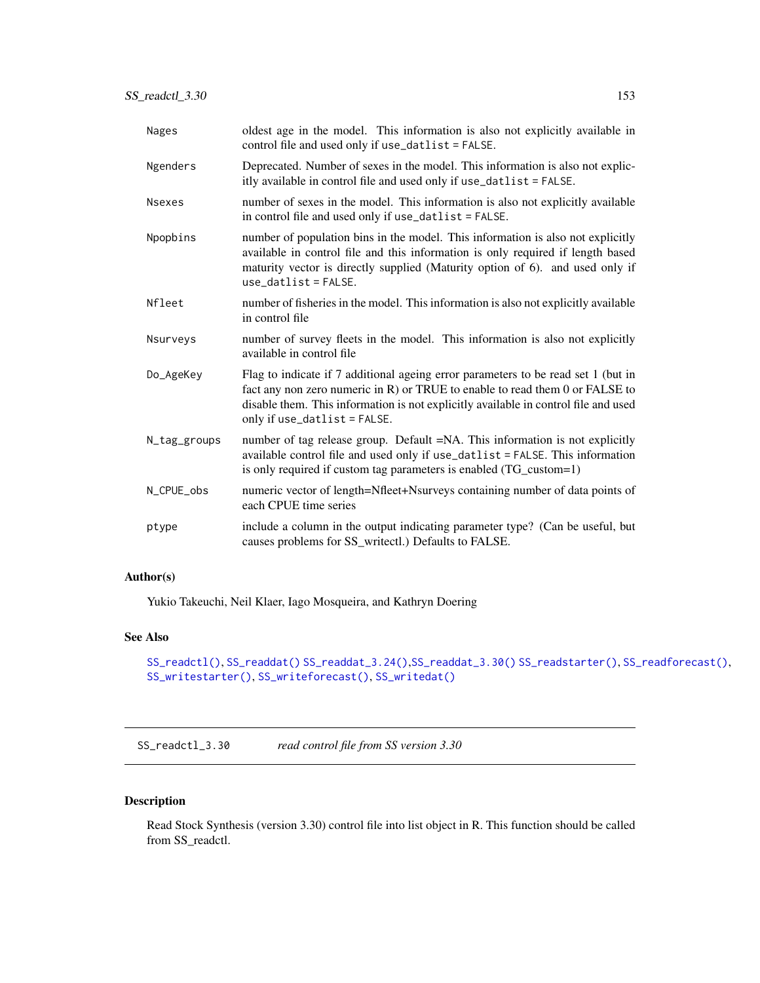| Nages         | oldest age in the model. This information is also not explicitly available in<br>control file and used only if use_datlist = FALSE.                                                                                                                                                      |
|---------------|------------------------------------------------------------------------------------------------------------------------------------------------------------------------------------------------------------------------------------------------------------------------------------------|
| Ngenders      | Deprecated. Number of sexes in the model. This information is also not explic-<br>itly available in control file and used only if use_datlist = FALSE.                                                                                                                                   |
| <b>Nsexes</b> | number of sexes in the model. This information is also not explicitly available<br>in control file and used only if use_datlist = FALSE.                                                                                                                                                 |
| Npopbins      | number of population bins in the model. This information is also not explicitly<br>available in control file and this information is only required if length based<br>maturity vector is directly supplied (Maturity option of 6). and used only if<br>$use_datalist = FALSE.$           |
| Nfleet        | number of fisheries in the model. This information is also not explicitly available<br>in control file                                                                                                                                                                                   |
| Nsurveys      | number of survey fleets in the model. This information is also not explicitly<br>available in control file                                                                                                                                                                               |
| Do_AgeKey     | Flag to indicate if 7 additional ageing error parameters to be read set 1 (but in<br>fact any non zero numeric in R) or TRUE to enable to read them 0 or FALSE to<br>disable them. This information is not explicitly available in control file and used<br>only if use_datlist = FALSE. |
| N_tag_groups  | number of tag release group. Default =NA. This information is not explicitly<br>available control file and used only if use_datlist = FALSE. This information<br>is only required if custom tag parameters is enabled (TG_custom=1)                                                      |
| N_CPUE_obs    | numeric vector of length=Nfleet+Nsurveys containing number of data points of<br>each CPUE time series                                                                                                                                                                                    |
| ptype         | include a column in the output indicating parameter type? (Can be useful, but<br>causes problems for SS_writectl.) Defaults to FALSE.                                                                                                                                                    |

# Author(s)

Yukio Takeuchi, Neil Klaer, Iago Mosqueira, and Kathryn Doering

# See Also

```
SS_readctl(), SS_readdat() SS_readdat_3.24(),SS_readdat_3.30() SS_readstarter(), SS_readforecast(),
SS_writestarter(), SS_writeforecast(), SS_writedat()
```
<span id="page-152-0"></span>SS\_readctl\_3.30 *read control file from SS version 3.30*

# Description

Read Stock Synthesis (version 3.30) control file into list object in R. This function should be called from SS\_readctl.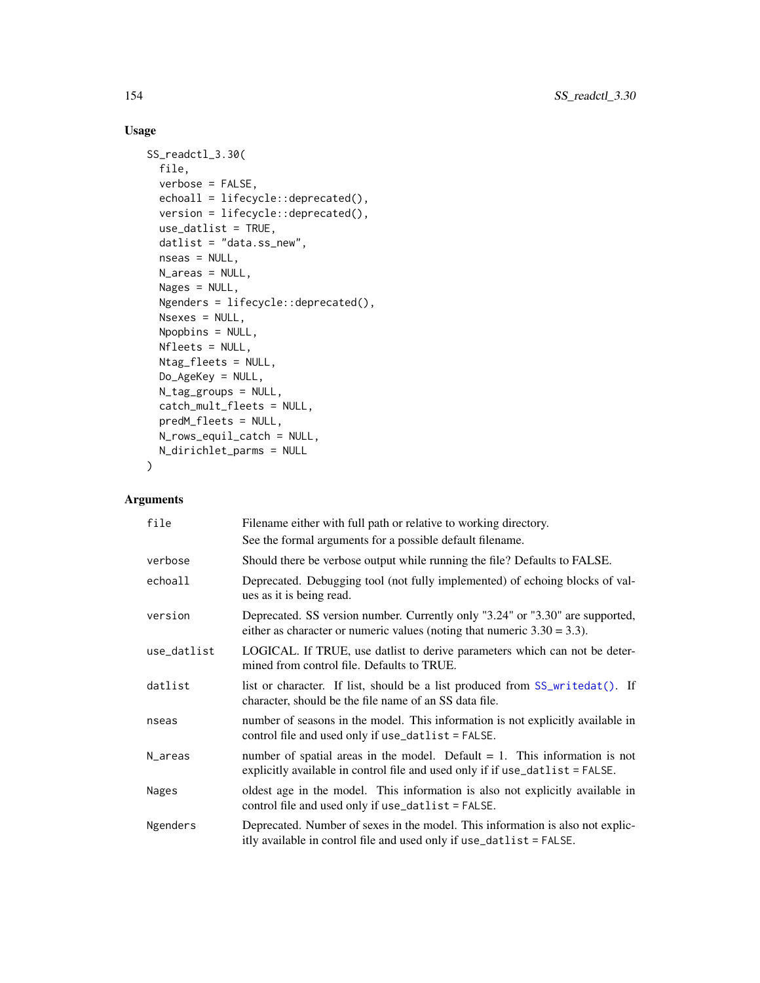# Usage

```
SS_readctl_3.30(
  file,
  verbose = FALSE,
 echoall = lifecycle::deprecated(),
 version = lifecycle::deprecated(),
 use_datlist = TRUE,
  datlist = "data.ss_new",
  nseas = NULL,
 N_areas = NULL,
 Nages = NULL,
 Ngenders = lifecycle::deprecated(),
 Nsexes = NULL,
 Npopbins = NULL,
 Nfleets = NULL,
 Ntag_fleets = NULL,
 Do_AgeKey = NULL,
 N_tag_groups = NULL,
  catch_mult_fleets = NULL,
 predM_fleets = NULL,
 N_rows_equil_catch = NULL,
 N_dirichlet_parms = NULL
\mathcal{L}
```

| file         | Filename either with full path or relative to working directory.                                                                                               |
|--------------|----------------------------------------------------------------------------------------------------------------------------------------------------------------|
|              | See the formal arguments for a possible default filename.                                                                                                      |
| verbose      | Should there be verbose output while running the file? Defaults to FALSE.                                                                                      |
| echoall      | Deprecated. Debugging tool (not fully implemented) of echoing blocks of val-<br>ues as it is being read.                                                       |
| version      | Deprecated. SS version number. Currently only "3.24" or "3.30" are supported,<br>either as character or numeric values (noting that numeric $3.30 = 3.3$ ).    |
| use_datlist  | LOGICAL. If TRUE, use datlist to derive parameters which can not be deter-<br>mined from control file. Defaults to TRUE.                                       |
| datlist      | list or character. If list, should be a list produced from SS_writedat(). If<br>character, should be the file name of an SS data file.                         |
| nseas        | number of seasons in the model. This information is not explicitly available in<br>control file and used only if use_datlist = FALSE.                          |
| N_areas      | number of spatial areas in the model. Default $= 1$ . This information is not<br>explicitly available in control file and used only if if use_datlist = FALSE. |
| <b>Nages</b> | oldest age in the model. This information is also not explicitly available in<br>control file and used only if use_datlist = FALSE.                            |
| Ngenders     | Deprecated. Number of sexes in the model. This information is also not explic-<br>itly available in control file and used only if use_datlist = FALSE.         |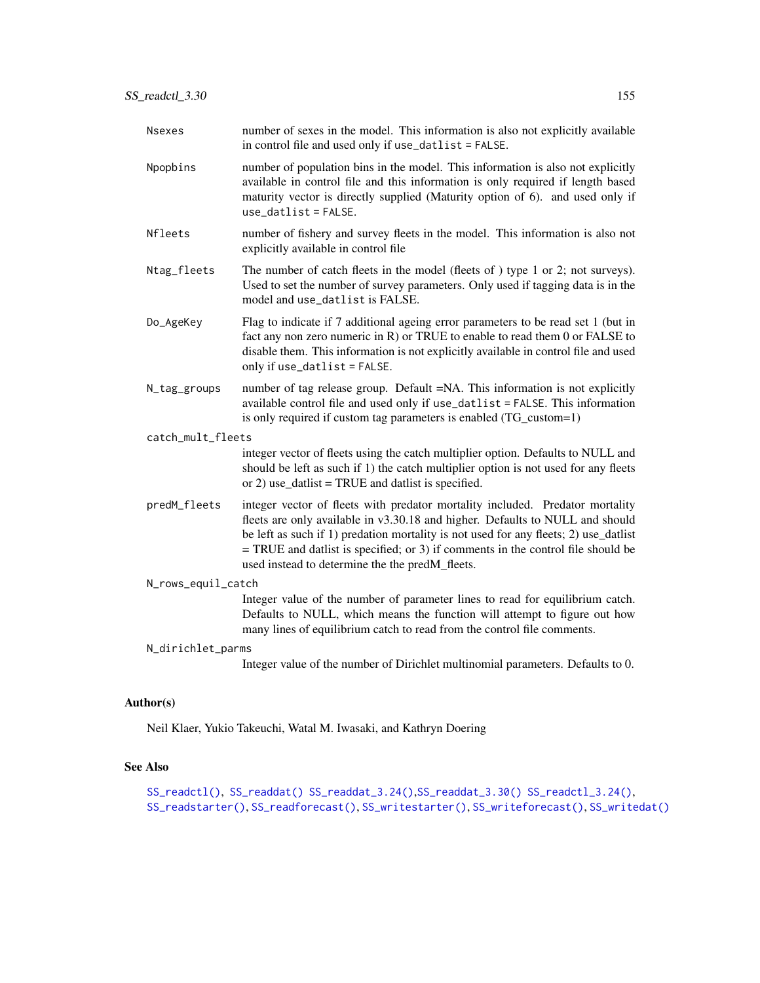| <b>Nsexes</b>      | number of sexes in the model. This information is also not explicitly available<br>in control file and used only if use_datlist = FALSE.                                                                                                                                                                                                                                                        |
|--------------------|-------------------------------------------------------------------------------------------------------------------------------------------------------------------------------------------------------------------------------------------------------------------------------------------------------------------------------------------------------------------------------------------------|
| Npopbins           | number of population bins in the model. This information is also not explicitly<br>available in control file and this information is only required if length based<br>maturity vector is directly supplied (Maturity option of 6). and used only if<br>$use_datalist = FALSE.$                                                                                                                  |
| Nfleets            | number of fishery and survey fleets in the model. This information is also not<br>explicitly available in control file                                                                                                                                                                                                                                                                          |
| Ntag_fleets        | The number of catch fleets in the model (fleets of ) type 1 or 2; not surveys).<br>Used to set the number of survey parameters. Only used if tagging data is in the<br>model and use_datlist is FALSE.                                                                                                                                                                                          |
| Do_AgeKey          | Flag to indicate if 7 additional ageing error parameters to be read set 1 (but in<br>fact any non zero numeric in R) or TRUE to enable to read them 0 or FALSE to<br>disable them. This information is not explicitly available in control file and used<br>only if use_datlist = FALSE.                                                                                                        |
| N_tag_groups       | number of tag release group. Default =NA. This information is not explicitly<br>available control file and used only if use_datlist = FALSE. This information<br>is only required if custom tag parameters is enabled (TG_custom=1)                                                                                                                                                             |
| catch_mult_fleets  |                                                                                                                                                                                                                                                                                                                                                                                                 |
|                    | integer vector of fleets using the catch multiplier option. Defaults to NULL and<br>should be left as such if 1) the catch multiplier option is not used for any fleets<br>or 2) use_datlist = TRUE and datlist is specified.                                                                                                                                                                   |
| predM_fleets       | integer vector of fleets with predator mortality included. Predator mortality<br>fleets are only available in v3.30.18 and higher. Defaults to NULL and should<br>be left as such if 1) predation mortality is not used for any fleets; 2) use_datlist<br>$=$ TRUE and datlist is specified; or 3) if comments in the control file should be<br>used instead to determine the the predM_fleets. |
| N_rows_equil_catch |                                                                                                                                                                                                                                                                                                                                                                                                 |
|                    | Integer value of the number of parameter lines to read for equilibrium catch.<br>Defaults to NULL, which means the function will attempt to figure out how<br>many lines of equilibrium catch to read from the control file comments.                                                                                                                                                           |
| N_dirichlet_parms  |                                                                                                                                                                                                                                                                                                                                                                                                 |
|                    | Integer value of the number of Dirichlet multinomial parameters. Defaults to 0.                                                                                                                                                                                                                                                                                                                 |

# Author(s)

Neil Klaer, Yukio Takeuchi, Watal M. Iwasaki, and Kathryn Doering

# See Also

[SS\\_readctl\(\)](#page-147-0), [SS\\_readdat\(\)](#page-155-0) [SS\\_readdat\\_3.24\(\)](#page-157-0),[SS\\_readdat\\_3.30\(\)](#page-158-0) [SS\\_readctl\\_3.24\(\)](#page-150-0), [SS\\_readstarter\(\)](#page-161-0), [SS\\_readforecast\(\)](#page-159-0), [SS\\_writestarter\(\)](#page-184-0), [SS\\_writeforecast\(\)](#page-182-0), [SS\\_writedat\(\)](#page-179-0)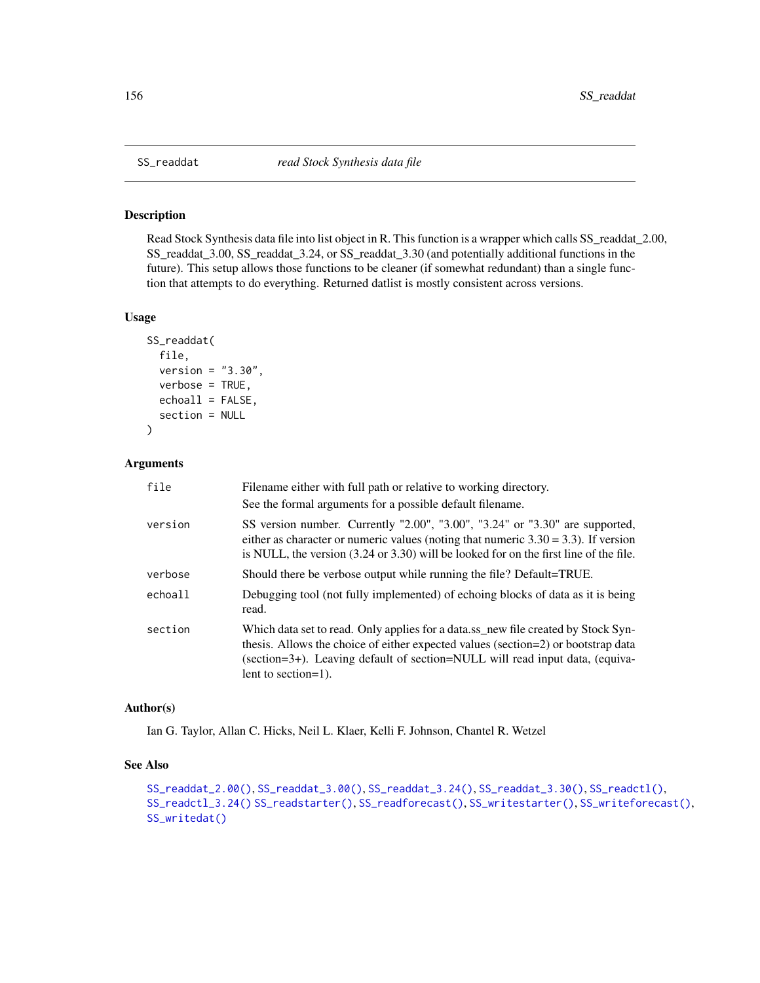<span id="page-155-0"></span>

### Description

Read Stock Synthesis data file into list object in R. This function is a wrapper which calls SS\_readdat\_2.00, SS\_readdat\_3.00, SS\_readdat\_3.24, or SS\_readdat\_3.30 (and potentially additional functions in the future). This setup allows those functions to be cleaner (if somewhat redundant) than a single function that attempts to do everything. Returned datlist is mostly consistent across versions.

#### Usage

```
SS_readdat(
  file,
  version = "3.30",
  verbose = TRUE,
  echoall = FALSE,section = NULL
\mathcal{E}
```
# Arguments

| file    | Filename either with full path or relative to working directory.                                                                                                                                                                                                              |
|---------|-------------------------------------------------------------------------------------------------------------------------------------------------------------------------------------------------------------------------------------------------------------------------------|
|         | See the formal arguments for a possible default filename.                                                                                                                                                                                                                     |
| version | SS version number. Currently "2.00", "3.00", "3.24" or "3.30" are supported,<br>either as character or numeric values (noting that numeric $3.30 = 3.3$ ). If version<br>is NULL, the version $(3.24 \text{ or } 3.30)$ will be looked for on the first line of the file.     |
| verbose | Should there be verbose output while running the file? Default=TRUE.                                                                                                                                                                                                          |
| echoall | Debugging tool (not fully implemented) of echoing blocks of data as it is being<br>read.                                                                                                                                                                                      |
| section | Which data set to read. Only applies for a data.ss_new file created by Stock Syn-<br>thesis. Allows the choice of either expected values (section=2) or bootstrap data<br>(section=3+). Leaving default of section=NULL will read input data, (equiva-<br>lent to section=1). |

#### Author(s)

Ian G. Taylor, Allan C. Hicks, Neil L. Klaer, Kelli F. Johnson, Chantel R. Wetzel

# See Also

```
SS_readdat_2.00(), SS_readdat_3.00(), SS_readdat_3.24(), SS_readdat_3.30(), SS_readctl(),
SS_readctl_3.24() SS_readstarter(), SS_readforecast(), SS_writestarter(), SS_writeforecast(),
SS_writedat()
```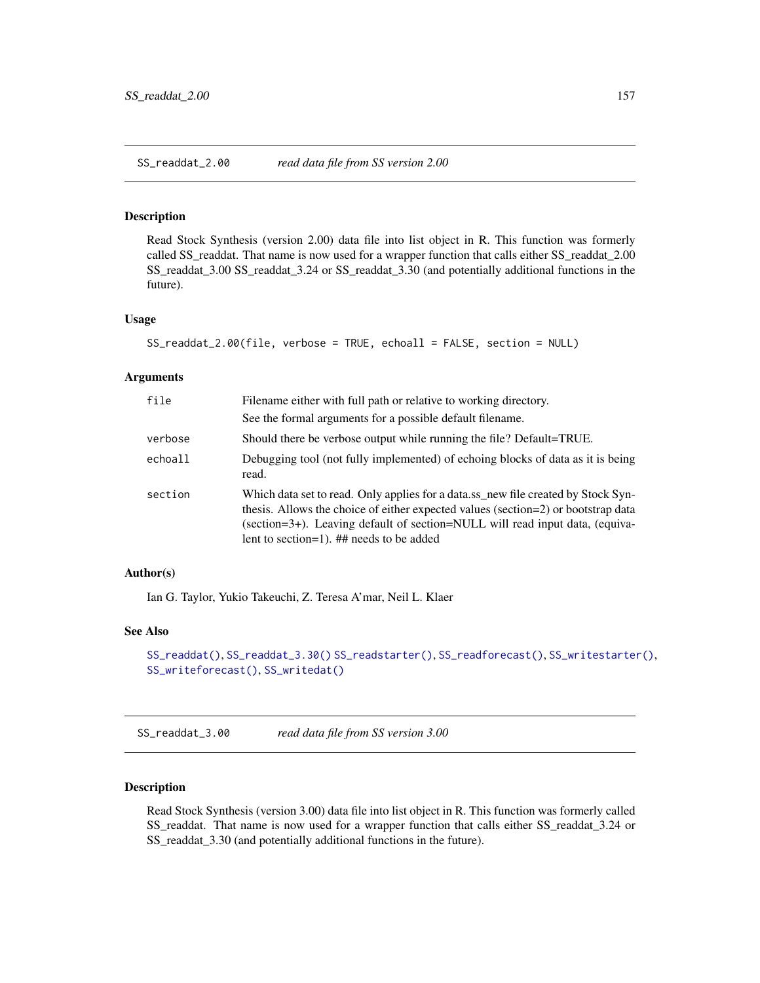<span id="page-156-0"></span>SS\_readdat\_2.00 *read data file from SS version 2.00*

#### Description

Read Stock Synthesis (version 2.00) data file into list object in R. This function was formerly called SS\_readdat. That name is now used for a wrapper function that calls either SS\_readdat\_2.00 SS\_readdat\_3.00 SS\_readdat\_3.24 or SS\_readdat\_3.30 (and potentially additional functions in the future).

#### Usage

```
SS_readdat_2.00(file, verbose = TRUE, echoall = FALSE, section = NULL)
```
### Arguments

| file    | Filename either with full path or relative to working directory.                                                                                                                                                                                                                                   |
|---------|----------------------------------------------------------------------------------------------------------------------------------------------------------------------------------------------------------------------------------------------------------------------------------------------------|
|         | See the formal arguments for a possible default filename.                                                                                                                                                                                                                                          |
| verbose | Should there be verbose output while running the file? Default=TRUE.                                                                                                                                                                                                                               |
| echoall | Debugging tool (not fully implemented) of echoing blocks of data as it is being<br>read.                                                                                                                                                                                                           |
| section | Which data set to read. Only applies for a data.ss_new file created by Stock Syn-<br>thesis. Allows the choice of either expected values (section=2) or bootstrap data<br>(section=3+). Leaving default of section=NULL will read input data, (equiva-<br>lent to section=1). ## needs to be added |

### Author(s)

Ian G. Taylor, Yukio Takeuchi, Z. Teresa A'mar, Neil L. Klaer

### See Also

```
SS_readdat(), SS_readdat_3.30() SS_readstarter(), SS_readforecast(), SS_writestarter(),
SS_writeforecast(), SS_writedat()
```
<span id="page-156-1"></span>SS\_readdat\_3.00 *read data file from SS version 3.00*

### Description

Read Stock Synthesis (version 3.00) data file into list object in R. This function was formerly called SS\_readdat. That name is now used for a wrapper function that calls either SS\_readdat\_3.24 or SS\_readdat\_3.30 (and potentially additional functions in the future).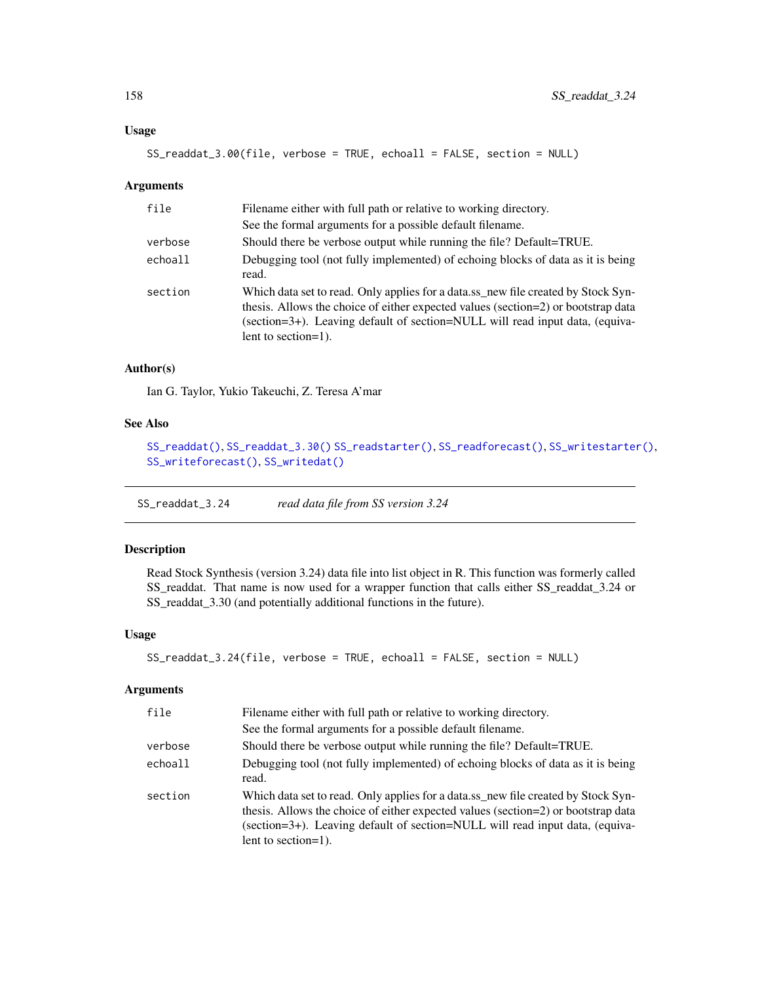### Usage

```
SS_readdat_3.00(file, verbose = TRUE, echoall = FALSE, section = NULL)
```
### Arguments

| file    | Filename either with full path or relative to working directory.                                                                                                                                                                                                              |
|---------|-------------------------------------------------------------------------------------------------------------------------------------------------------------------------------------------------------------------------------------------------------------------------------|
|         | See the formal arguments for a possible default filename.                                                                                                                                                                                                                     |
| verbose | Should there be verbose output while running the file? Default=TRUE.                                                                                                                                                                                                          |
| echoall | Debugging tool (not fully implemented) of echoing blocks of data as it is being<br>read.                                                                                                                                                                                      |
| section | Which data set to read. Only applies for a data.ss_new file created by Stock Syn-<br>thesis. Allows the choice of either expected values (section=2) or bootstrap data<br>(section=3+). Leaving default of section=NULL will read input data, (equiva-<br>lent to section=1). |

### Author(s)

Ian G. Taylor, Yukio Takeuchi, Z. Teresa A'mar

## See Also

```
SS_readdat(), SS_readdat_3.30() SS_readstarter(), SS_readforecast(), SS_writestarter(),
SS_writeforecast(), SS_writedat()
```
<span id="page-157-0"></span>SS\_readdat\_3.24 *read data file from SS version 3.24*

#### Description

Read Stock Synthesis (version 3.24) data file into list object in R. This function was formerly called SS\_readdat. That name is now used for a wrapper function that calls either SS\_readdat\_3.24 or SS\_readdat\_3.30 (and potentially additional functions in the future).

# Usage

```
SS_readdat_3.24(file, verbose = TRUE, echoall = FALSE, section = NULL)
```

| file    | Filename either with full path or relative to working directory.                                                                                                                                                                                                                  |
|---------|-----------------------------------------------------------------------------------------------------------------------------------------------------------------------------------------------------------------------------------------------------------------------------------|
|         | See the formal arguments for a possible default filename.                                                                                                                                                                                                                         |
| verbose | Should there be verbose output while running the file? Default=TRUE.                                                                                                                                                                                                              |
| echoall | Debugging tool (not fully implemented) of echoing blocks of data as it is being<br>read.                                                                                                                                                                                          |
| section | Which data set to read. Only applies for a data.ss_new file created by Stock Syn-<br>thesis. Allows the choice of either expected values (section=2) or bootstrap data<br>(section=3+). Leaving default of section=NULL will read input data, (equiva-<br>lent to section= $1$ ). |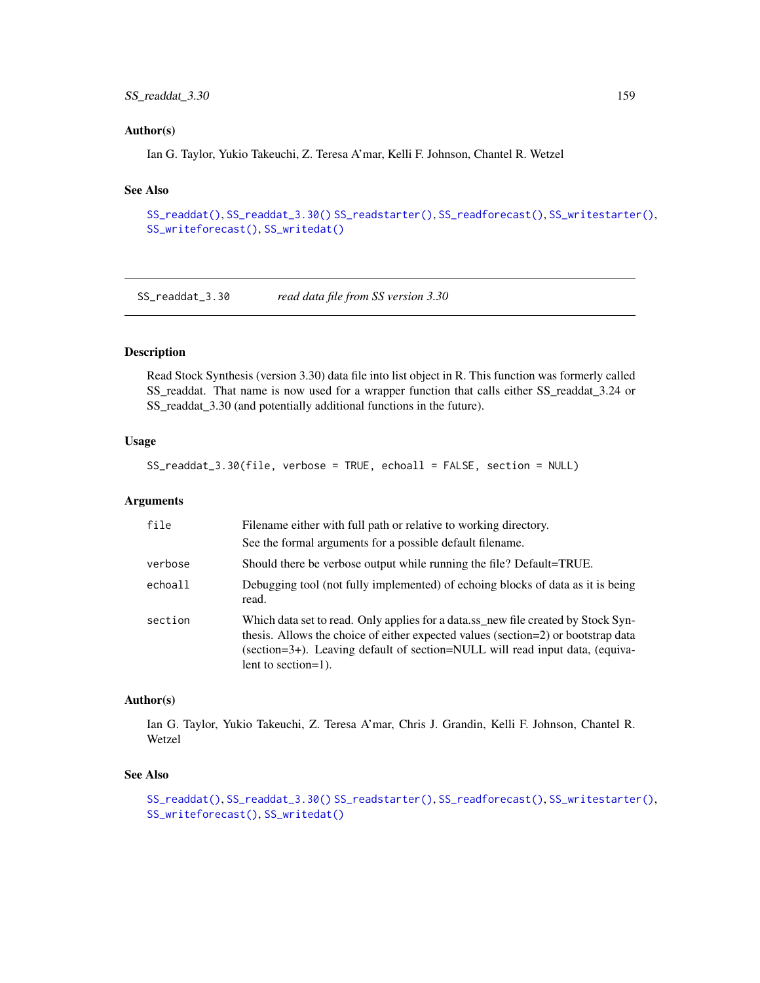# SS\_readdat\_3.30 159

### Author(s)

Ian G. Taylor, Yukio Takeuchi, Z. Teresa A'mar, Kelli F. Johnson, Chantel R. Wetzel

### See Also

```
SS_readdat(), SS_readdat_3.30() SS_readstarter(), SS_readforecast(), SS_writestarter(),
SS_writeforecast(), SS_writedat()
```
<span id="page-158-0"></span>SS\_readdat\_3.30 *read data file from SS version 3.30*

# Description

Read Stock Synthesis (version 3.30) data file into list object in R. This function was formerly called SS\_readdat. That name is now used for a wrapper function that calls either SS\_readdat\_3.24 or SS\_readdat\_3.30 (and potentially additional functions in the future).

#### Usage

SS\_readdat\_3.30(file, verbose = TRUE, echoall = FALSE, section = NULL)

### Arguments

| file    | Filename either with full path or relative to working directory.                                                                                                                                                                                                              |
|---------|-------------------------------------------------------------------------------------------------------------------------------------------------------------------------------------------------------------------------------------------------------------------------------|
|         | See the formal arguments for a possible default filename.                                                                                                                                                                                                                     |
| verbose | Should there be verbose output while running the file? Default=TRUE.                                                                                                                                                                                                          |
| echoall | Debugging tool (not fully implemented) of echoing blocks of data as it is being<br>read.                                                                                                                                                                                      |
| section | Which data set to read. Only applies for a data.ss_new file created by Stock Syn-<br>thesis. Allows the choice of either expected values (section=2) or bootstrap data<br>(section=3+). Leaving default of section=NULL will read input data, (equiva-<br>lent to section=1). |

#### Author(s)

Ian G. Taylor, Yukio Takeuchi, Z. Teresa A'mar, Chris J. Grandin, Kelli F. Johnson, Chantel R. Wetzel

#### See Also

```
SS_readdat(), SS_readdat_3.30() SS_readstarter(), SS_readforecast(), SS_writestarter(),
SS_writeforecast(), SS_writedat()
```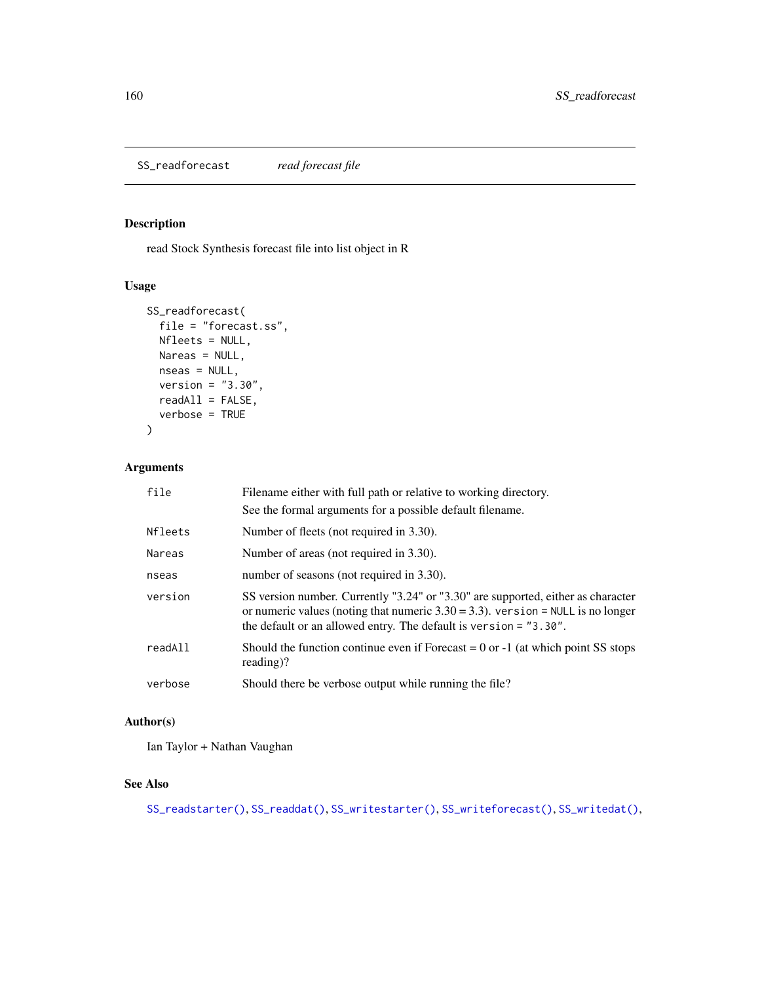<span id="page-159-0"></span>SS\_readforecast *read forecast file*

# Description

read Stock Synthesis forecast file into list object in R

# Usage

```
SS_readforecast(
 file = "forecast.ss",
 Nfleets = NULL,
 Nareas = NULL,
 nseas = NULL,
 version = "3.30",
 readAll = FALSE,verbose = TRUE
\mathcal{L}
```
# Arguments

| file    | Filename either with full path or relative to working directory.                                                                                                                                                                                 |
|---------|--------------------------------------------------------------------------------------------------------------------------------------------------------------------------------------------------------------------------------------------------|
|         | See the formal arguments for a possible default filename.                                                                                                                                                                                        |
| Nfleets | Number of fleets (not required in 3.30).                                                                                                                                                                                                         |
| Nareas  | Number of areas (not required in 3.30).                                                                                                                                                                                                          |
| nseas   | number of seasons (not required in 3.30).                                                                                                                                                                                                        |
| version | SS version number. Currently "3.24" or "3.30" are supported, either as character<br>or numeric values (noting that numeric $3.30 = 3.3$ ). version = NULL is no longer<br>the default or an allowed entry. The default is version $=$ $"3.30"$ . |
| readAll | Should the function continue even if Forecast $= 0$ or $-1$ (at which point SS stops<br>$reading$ ?                                                                                                                                              |
| verbose | Should there be verbose output while running the file?                                                                                                                                                                                           |

# Author(s)

Ian Taylor + Nathan Vaughan

## See Also

[SS\\_readstarter\(\)](#page-161-0), [SS\\_readdat\(\)](#page-155-0), [SS\\_writestarter\(\)](#page-184-0), [SS\\_writeforecast\(\)](#page-182-0), [SS\\_writedat\(\)](#page-179-0),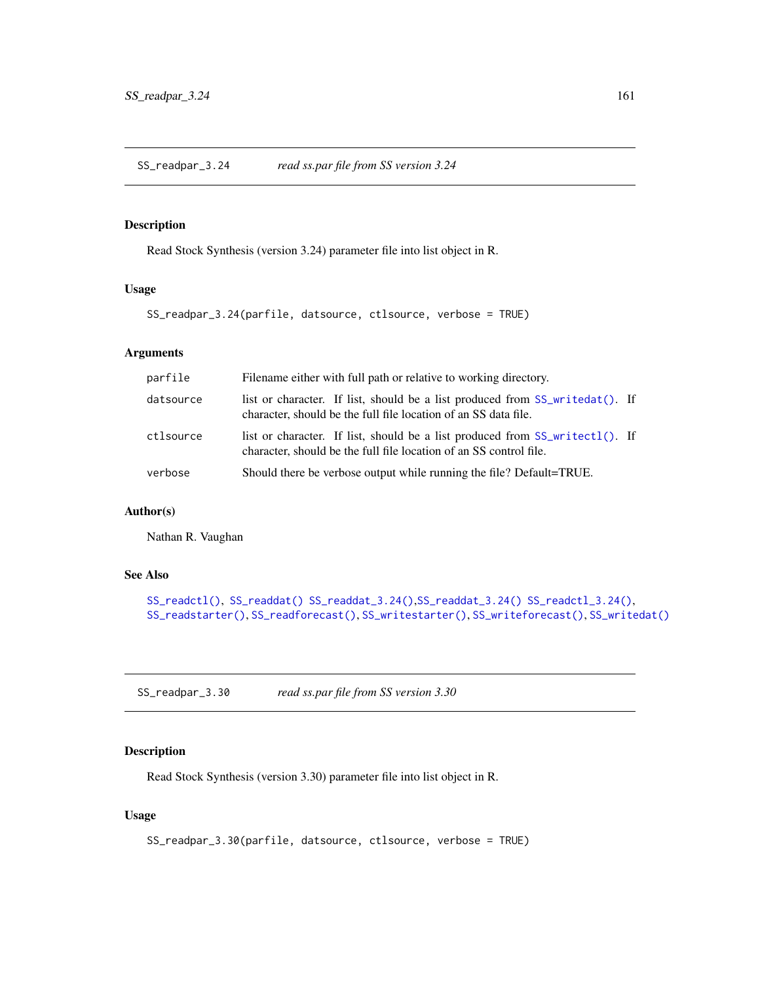SS\_readpar\_3.24 *read ss.par file from SS version 3.24*

# Description

Read Stock Synthesis (version 3.24) parameter file into list object in R.

#### Usage

```
SS_readpar_3.24(parfile, datsource, ctlsource, verbose = TRUE)
```
# Arguments

| parfile   | Filename either with full path or relative to working directory.                                                                                       |  |
|-----------|--------------------------------------------------------------------------------------------------------------------------------------------------------|--|
| datsource | list or character. If list, should be a list produced from SS_writedat(). If<br>character, should be the full file location of an SS data file.        |  |
| ctlsource | list or character. If list, should be a list produced from $SS_w$ writectl(). If<br>character, should be the full file location of an SS control file. |  |
| verbose   | Should there be verbose output while running the file? Default=TRUE.                                                                                   |  |

# Author(s)

Nathan R. Vaughan

# See Also

```
SS_readctl(), SS_readdat() SS_readdat_3.24(),SS_readdat_3.24() SS_readctl_3.24(),
SS_readstarter(), SS_readforecast(), SS_writestarter(), SS_writeforecast(), SS_writedat()
```
SS\_readpar\_3.30 *read ss.par file from SS version 3.30*

## Description

Read Stock Synthesis (version 3.30) parameter file into list object in R.

### Usage

```
SS_readpar_3.30(parfile, datsource, ctlsource, verbose = TRUE)
```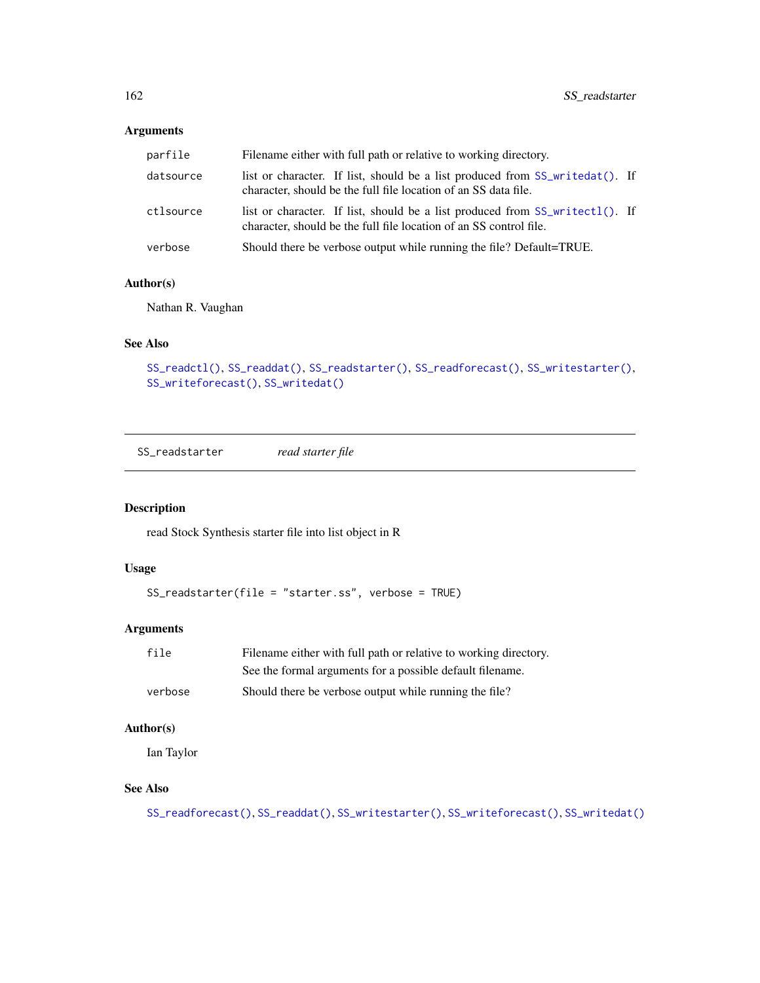## Arguments

| parfile   | Filename either with full path or relative to working directory.                                                                                       |  |
|-----------|--------------------------------------------------------------------------------------------------------------------------------------------------------|--|
| datsource | list or character. If list, should be a list produced from SS_writedat(). If<br>character, should be the full file location of an SS data file.        |  |
| ctlsource | list or character. If list, should be a list produced from $SS\_writect1()$ . If<br>character, should be the full file location of an SS control file. |  |
| verbose   | Should there be verbose output while running the file? Default=TRUE.                                                                                   |  |

# Author(s)

Nathan R. Vaughan

### See Also

```
SS_readctl(), SS_readdat(), SS_readstarter(), SS_readforecast(), SS_writestarter(),
SS_writeforecast(), SS_writedat()
```
<span id="page-161-0"></span>SS\_readstarter *read starter file*

# Description

read Stock Synthesis starter file into list object in R

# Usage

```
SS_readstarter(file = "starter.ss", verbose = TRUE)
```
## Arguments

| file    | Filename either with full path or relative to working directory. |
|---------|------------------------------------------------------------------|
|         | See the formal arguments for a possible default filename.        |
| verbose | Should there be verbose output while running the file?           |

### Author(s)

Ian Taylor

# See Also

```
SS_readforecast(), SS_readdat(), SS_writestarter(), SS_writeforecast(), SS_writedat()
```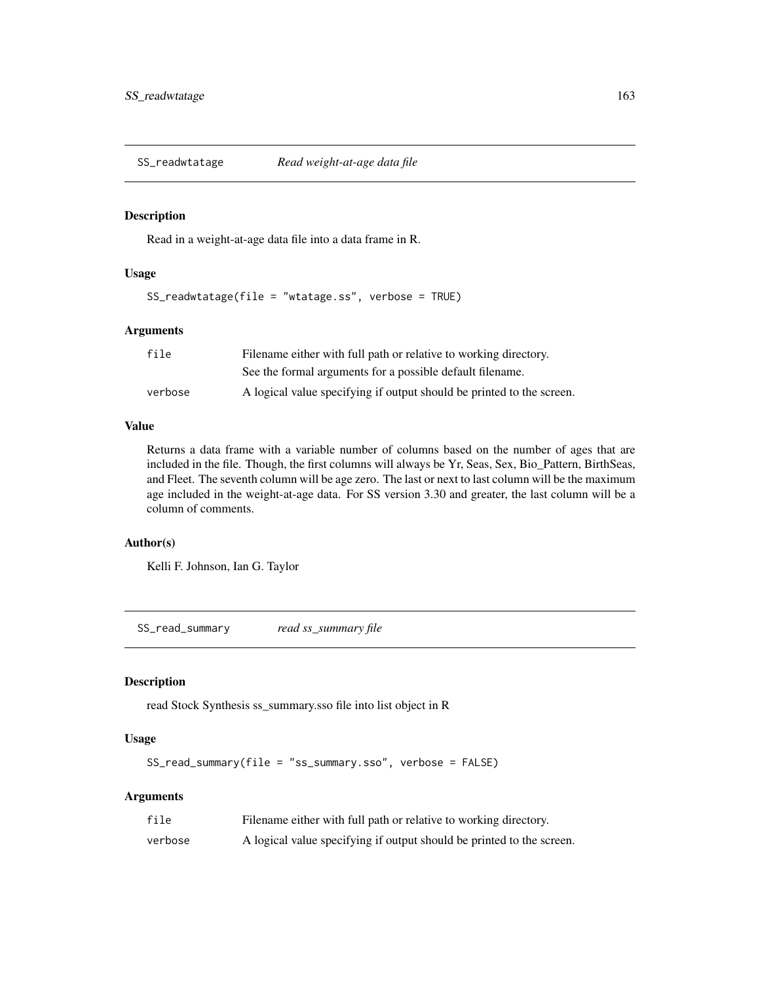<span id="page-162-0"></span>

### Description

Read in a weight-at-age data file into a data frame in R.

# Usage

SS\_readwtatage(file = "wtatage.ss", verbose = TRUE)

### Arguments

| file    | Filename either with full path or relative to working directory.      |
|---------|-----------------------------------------------------------------------|
|         | See the formal arguments for a possible default filename.             |
| verbose | A logical value specifying if output should be printed to the screen. |

#### Value

Returns a data frame with a variable number of columns based on the number of ages that are included in the file. Though, the first columns will always be Yr, Seas, Sex, Bio\_Pattern, BirthSeas, and Fleet. The seventh column will be age zero. The last or next to last column will be the maximum age included in the weight-at-age data. For SS version 3.30 and greater, the last column will be a column of comments.

# Author(s)

Kelli F. Johnson, Ian G. Taylor

SS\_read\_summary *read ss\_summary file*

### Description

read Stock Synthesis ss\_summary.sso file into list object in R

## Usage

```
SS_read_summary(file = "ss_summary.sso", verbose = FALSE)
```

| file    | Filename either with full path or relative to working directory.      |
|---------|-----------------------------------------------------------------------|
| verbose | A logical value specifying if output should be printed to the screen. |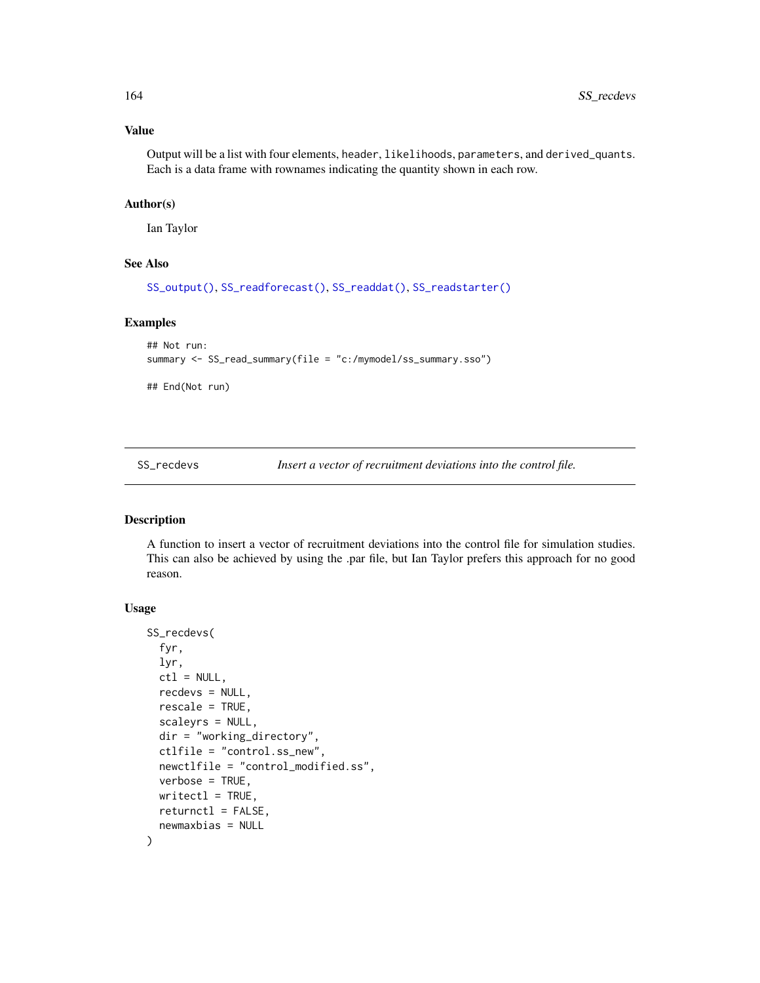### Value

Output will be a list with four elements, header, likelihoods, parameters, and derived\_quants. Each is a data frame with rownames indicating the quantity shown in each row.

### Author(s)

Ian Taylor

#### See Also

[SS\\_output\(\)](#page-131-0), [SS\\_readforecast\(\)](#page-159-0), [SS\\_readdat\(\)](#page-155-0), [SS\\_readstarter\(\)](#page-161-0)

# Examples

```
## Not run:
summary <- SS_read_summary(file = "c:/mymodel/ss_summary.sso")
## End(Not run)
```
SS\_recdevs *Insert a vector of recruitment deviations into the control file.*

### Description

A function to insert a vector of recruitment deviations into the control file for simulation studies. This can also be achieved by using the .par file, but Ian Taylor prefers this approach for no good reason.

#### Usage

```
SS_recdevs(
  fyr,
 lyr,
 ctl = NULL,recdevs = NULL,
  rescale = TRUE,
  scaleyrs = NULL,
  dir = "working_directory",
 ctlfile = "control.ss_new",
  newctlfile = "control_modified.ss",
  verbose = TRUE,
 writect1 = TRUE,
  return ctl = FALSE,newmaxbias = NULL
)
```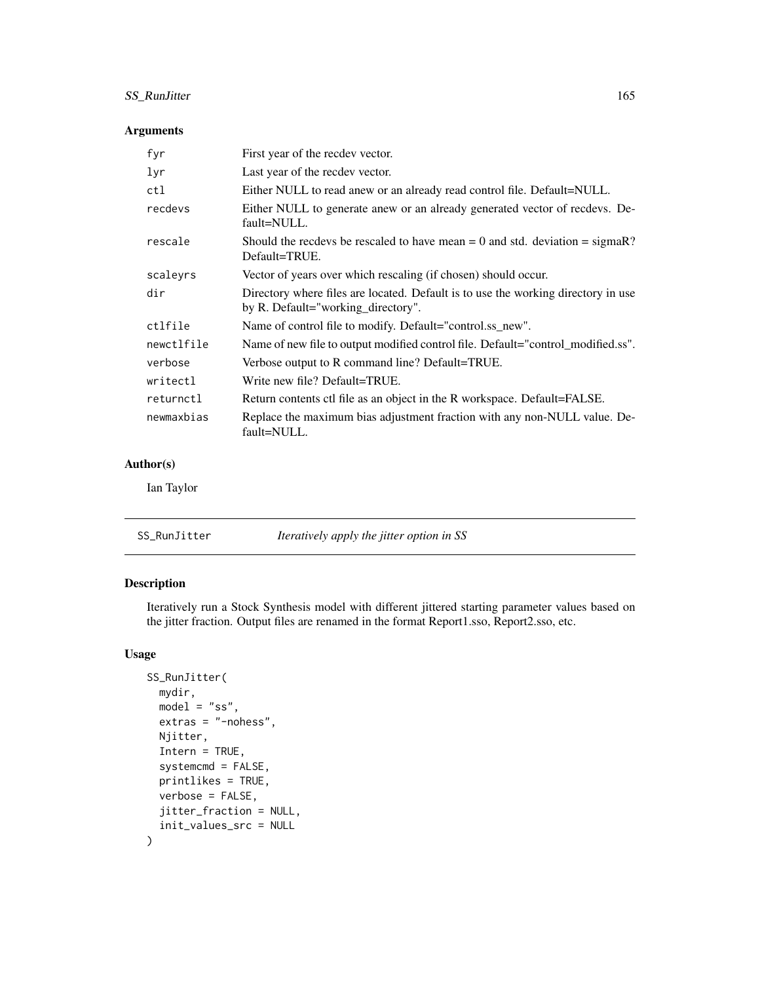# SS\_RunJitter 165

# Arguments

| fyr        | First year of the recdev vector.                                                                                        |
|------------|-------------------------------------------------------------------------------------------------------------------------|
| lyr        | Last year of the recdev vector.                                                                                         |
| ctl        | Either NULL to read anew or an already read control file. Default=NULL.                                                 |
| recdevs    | Either NULL to generate anew or an already generated vector of recdevs. De-<br>fault=NULL.                              |
| rescale    | Should the recdevs be rescaled to have mean $= 0$ and std. deviation $=$ sigmaR?<br>Default=TRUE.                       |
| scaleyrs   | Vector of years over which rescaling (if chosen) should occur.                                                          |
| dir        | Directory where files are located. Default is to use the working directory in use<br>by R. Default="working_directory". |
| ctlfile    | Name of control file to modify. Default="control.ss_new".                                                               |
| newctlfile | Name of new file to output modified control file. Default="control_modified.ss".                                        |
| verbose    | Verbose output to R command line? Default=TRUE.                                                                         |
| writectl   | Write new file? Default=TRUE.                                                                                           |
| returnctl  | Return contents ctl file as an object in the R workspace. Default=FALSE.                                                |
| newmaxbias | Replace the maximum bias adjustment fraction with any non-NULL value. De-<br>fault=NULL.                                |

# Author(s)

Ian Taylor

| SS_RunJitter | Iteratively apply the jitter option in SS |  |
|--------------|-------------------------------------------|--|
|--------------|-------------------------------------------|--|

# Description

Iteratively run a Stock Synthesis model with different jittered starting parameter values based on the jitter fraction. Output files are renamed in the format Report1.sso, Report2.sso, etc.

# Usage

```
SS_RunJitter(
 mydir,
 model = "ss",extras = "-nohess",
 Njitter,
  Intern = TRUE,
  systemcmd = FALSE,
 printlikes = TRUE,
 verbose = FALSE,
  jitter_fraction = NULL,
  init_values_src = NULL
\mathcal{E}
```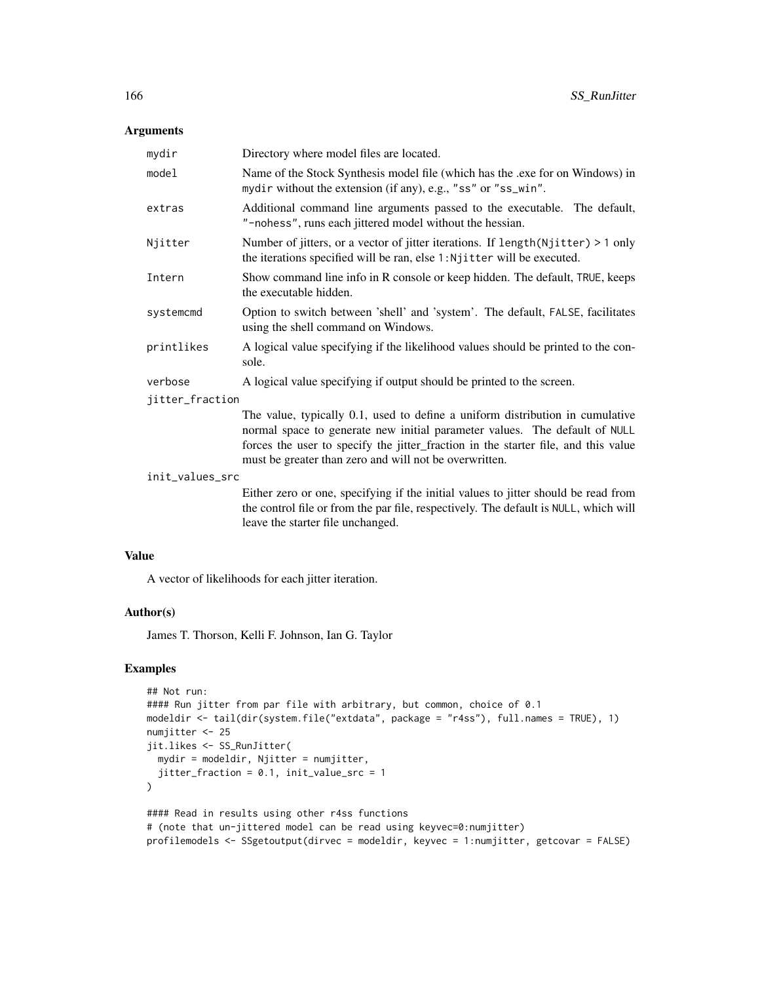## Arguments

| mydir           | Directory where model files are located.                                                                                                                                                                                                                                                                    |
|-----------------|-------------------------------------------------------------------------------------------------------------------------------------------------------------------------------------------------------------------------------------------------------------------------------------------------------------|
| model           | Name of the Stock Synthesis model file (which has the .exe for on Windows) in<br>mydir without the extension (if any), e.g., "ss" or "ss_win".                                                                                                                                                              |
| extras          | Additional command line arguments passed to the executable. The default,<br>"-nohess", runs each jittered model without the hessian.                                                                                                                                                                        |
| Njitter         | Number of jitters, or a vector of jitter iterations. If $length(Njitter) > 1$ only<br>the iterations specified will be ran, else 1: Njitter will be executed.                                                                                                                                               |
| Intern          | Show command line info in R console or keep hidden. The default, TRUE, keeps<br>the executable hidden.                                                                                                                                                                                                      |
| systemcmd       | Option to switch between 'shell' and 'system'. The default, FALSE, facilitates<br>using the shell command on Windows.                                                                                                                                                                                       |
| printlikes      | A logical value specifying if the likelihood values should be printed to the con-<br>sole.                                                                                                                                                                                                                  |
| verbose         | A logical value specifying if output should be printed to the screen.                                                                                                                                                                                                                                       |
| jitter_fraction |                                                                                                                                                                                                                                                                                                             |
|                 | The value, typically 0.1, used to define a uniform distribution in cumulative<br>normal space to generate new initial parameter values. The default of NULL<br>forces the user to specify the jitter_fraction in the starter file, and this value<br>must be greater than zero and will not be overwritten. |
| init_values_src |                                                                                                                                                                                                                                                                                                             |
|                 | Either zero or one, specifying if the initial values to jitter should be read from<br>the control file or from the par file, respectively. The default is NULL, which will                                                                                                                                  |

### Value

A vector of likelihoods for each jitter iteration.

leave the starter file unchanged.

#### Author(s)

James T. Thorson, Kelli F. Johnson, Ian G. Taylor

# Examples

```
## Not run:
#### Run jitter from par file with arbitrary, but common, choice of 0.1
modeldir <- tail(dir(system.file("extdata", package = "r4ss"), full.names = TRUE), 1)
numjitter <- 25
jit.likes <- SS_RunJitter(
  mydir = modeldir, Njitter = numjitter,
  jitter_fraction = 0.1, init_value_src = 1
)
#### Read in results using other r4ss functions
# (note that un-jittered model can be read using keyvec=0:numjitter)
profilemodels <- SSgetoutput(dirvec = modeldir, keyvec = 1:numjitter, getcovar = FALSE)
```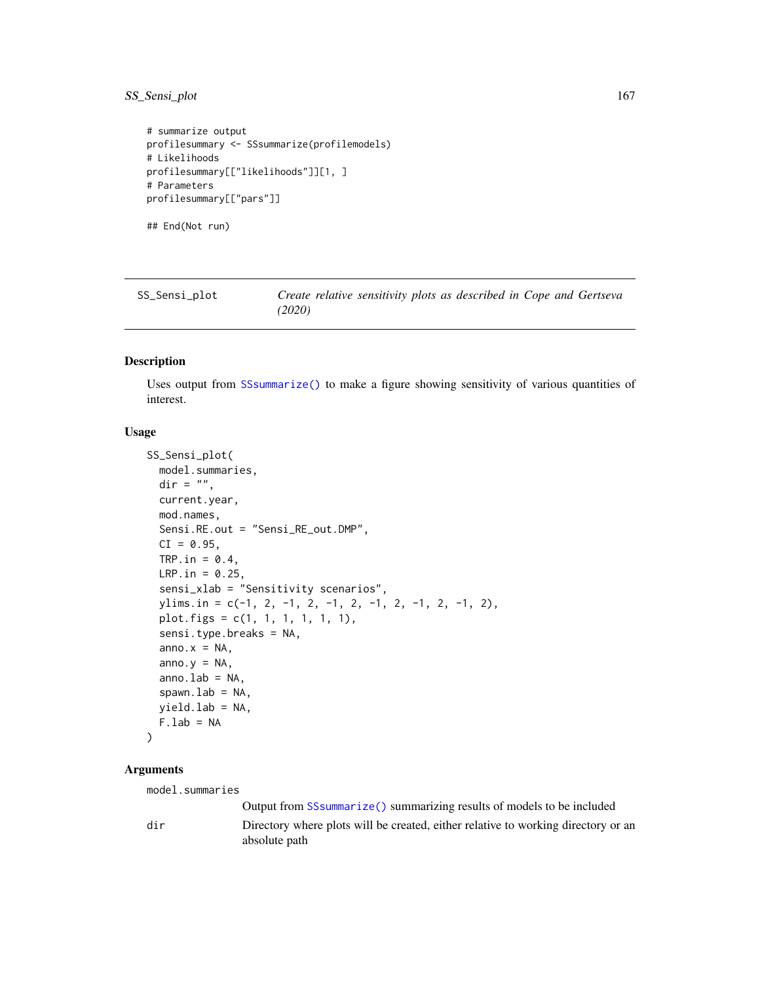# SS\_Sensi\_plot 167

```
# summarize output
profilesummary <- SSsummarize(profilemodels)
# Likelihoods
profilesummary[["likelihoods"]][1, ]
# Parameters
profilesummary[["pars"]]
## End(Not run)
```
SS\_Sensi\_plot *Create relative sensitivity plots as described in Cope and Gertseva (2020)*

# Description

Uses output from [SSsummarize\(\)](#page-117-0) to make a figure showing sensitivity of various quantities of interest.

### Usage

```
SS_Sensi_plot(
  model.summaries,
  \text{dir} = "",current.year,
  mod.names,
  Sensi.RE.out = "Sensi_RE_out.DMP",
  CI = 0.95,
  TRP.in = 0.4,
 LRP.in = 0.25,sensi_xlab = "Sensitivity scenarios",
  ylims.in = c(-1, 2, -1, 2, -1, 2, -1, 2, -1, 2, -1, 2),
  plot.figs = c(1, 1, 1, 1, 1, 1),
  sensi.type.breaks = NA,
  anno.x = NA,
  anno.y = NA,
  anno.lab = NA,
  spanu.1ab = NA,
  yield.lab = NA,
  F. lab = NA
\lambda
```
### Arguments

model.summaries

Output from [SSsummarize\(\)](#page-117-0) summarizing results of models to be included dir Directory where plots will be created, either relative to working directory or an absolute path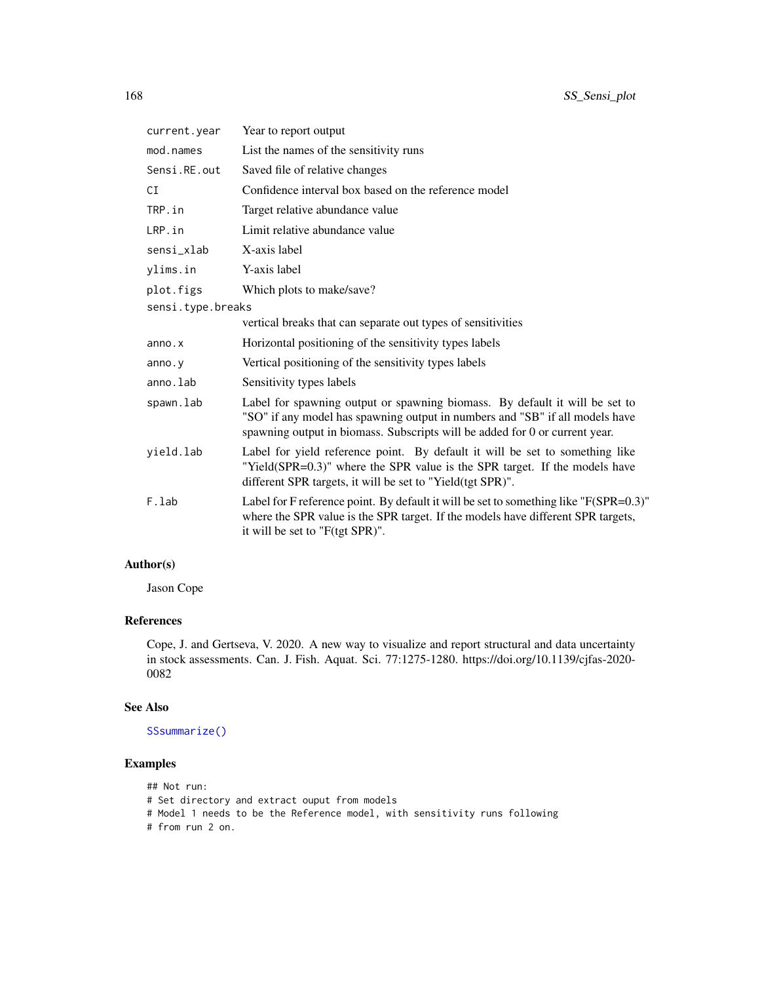| current.year      | Year to report output                                                                                                                                                                                                                      |
|-------------------|--------------------------------------------------------------------------------------------------------------------------------------------------------------------------------------------------------------------------------------------|
| mod.names         | List the names of the sensitivity runs                                                                                                                                                                                                     |
| Sensi.RE.out      | Saved file of relative changes                                                                                                                                                                                                             |
| CI                | Confidence interval box based on the reference model                                                                                                                                                                                       |
| TRP.in            | Target relative abundance value                                                                                                                                                                                                            |
| LRP.in            | Limit relative abundance value                                                                                                                                                                                                             |
| sensi_xlab        | X-axis label                                                                                                                                                                                                                               |
| ylims.in          | Y-axis label                                                                                                                                                                                                                               |
| plot.figs         | Which plots to make/save?                                                                                                                                                                                                                  |
| sensi.type.breaks |                                                                                                                                                                                                                                            |
|                   | vertical breaks that can separate out types of sensitivities                                                                                                                                                                               |
| anno.x            | Horizontal positioning of the sensitivity types labels                                                                                                                                                                                     |
| anno. y           | Vertical positioning of the sensitivity types labels                                                                                                                                                                                       |
| anno.lab          | Sensitivity types labels                                                                                                                                                                                                                   |
| spawn.lab         | Label for spawning output or spawning biomass. By default it will be set to<br>"SO" if any model has spawning output in numbers and "SB" if all models have<br>spawning output in biomass. Subscripts will be added for 0 or current year. |
| yield.lab         | Label for yield reference point. By default it will be set to something like<br>"Yield(SPR=0.3)" where the SPR value is the SPR target. If the models have<br>different SPR targets, it will be set to "Yield(tgt SPR)".                   |
| F.lab             | Label for F reference point. By default it will be set to something like "F(SPR=0.3)"<br>where the SPR value is the SPR target. If the models have different SPR targets,<br>it will be set to "F(tgt SPR)".                               |

# Author(s)

Jason Cope

# References

Cope, J. and Gertseva, V. 2020. A new way to visualize and report structural and data uncertainty in stock assessments. Can. J. Fish. Aquat. Sci. 77:1275-1280. https://doi.org/10.1139/cjfas-2020- 0082

## See Also

[SSsummarize\(\)](#page-117-0)

# Examples

- ## Not run:
- # Set directory and extract ouput from models
- # Model 1 needs to be the Reference model, with sensitivity runs following
- # from run 2 on.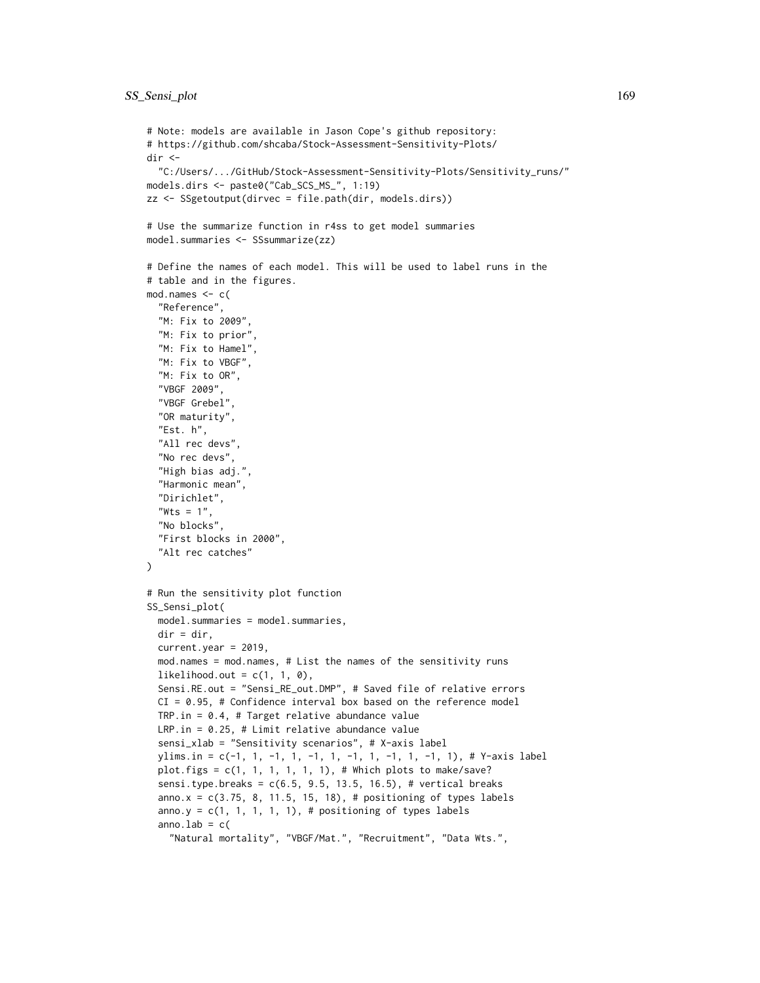```
# Note: models are available in Jason Cope's github repository:
# https://github.com/shcaba/Stock-Assessment-Sensitivity-Plots/
dir <-
  "C:/Users/.../GitHub/Stock-Assessment-Sensitivity-Plots/Sensitivity_runs/"
models.dirs <- paste0("Cab_SCS_MS_", 1:19)
zz <- SSgetoutput(dirvec = file.path(dir, models.dirs))
# Use the summarize function in r4ss to get model summaries
model.summaries <- SSsummarize(zz)
# Define the names of each model. This will be used to label runs in the
# table and in the figures.
mod.names <- c(
  "Reference",
  "M: Fix to 2009",
  "M: Fix to prior"
  "M: Fix to Hamel",
  "M: Fix to VBGF",
  "M: Fix to OR",
  "VBGF 2009",
  "VBGF Grebel",
  "OR maturity",
  "Est. h",
  "All rec devs",
  "No rec devs",
  "High bias adj.",
  "Harmonic mean",
  "Dirichlet",
  "Wts = 1",
  "No blocks",
  "First blocks in 2000",
  "Alt rec catches"
\lambda# Run the sensitivity plot function
SS_Sensi_plot(
  model.summaries = model.summaries,
  dir = dir,
  current.year = 2019,
  mod.names = mod.names, # List the names of the sensitivity runs
  likelihood.out = c(1, 1, 0),
  Sensi.RE.out = "Sensi_RE_out.DMP", # Saved file of relative errors
  CI = 0.95, # Confidence interval box based on the reference model
  TRP.in = 0.4, # Target relative abundance value
  LRP.in = 0.25, # Limit relative abundance value
  sensi_xlab = "Sensitivity scenarios", # X-axis label
  ylims.in = c(-1, 1, -1, 1, -1, 1, -1, 1, -1, 1, -1, 1), # Y-axis label
  plot.figs = c(1, 1, 1, 1, 1, 1), # Which plots to make/save?
  sensi.type.breaks = c(6.5, 9.5, 13.5, 16.5), # vertical breaks
  anno.x = c(3.75, 8, 11.5, 15, 18), # positioning of types labels
  anno.y = c(1, 1, 1, 1, 1), # positioning of types labels
  anno.lab = c("Natural mortality", "VBGF/Mat.", "Recruitment", "Data Wts.",
```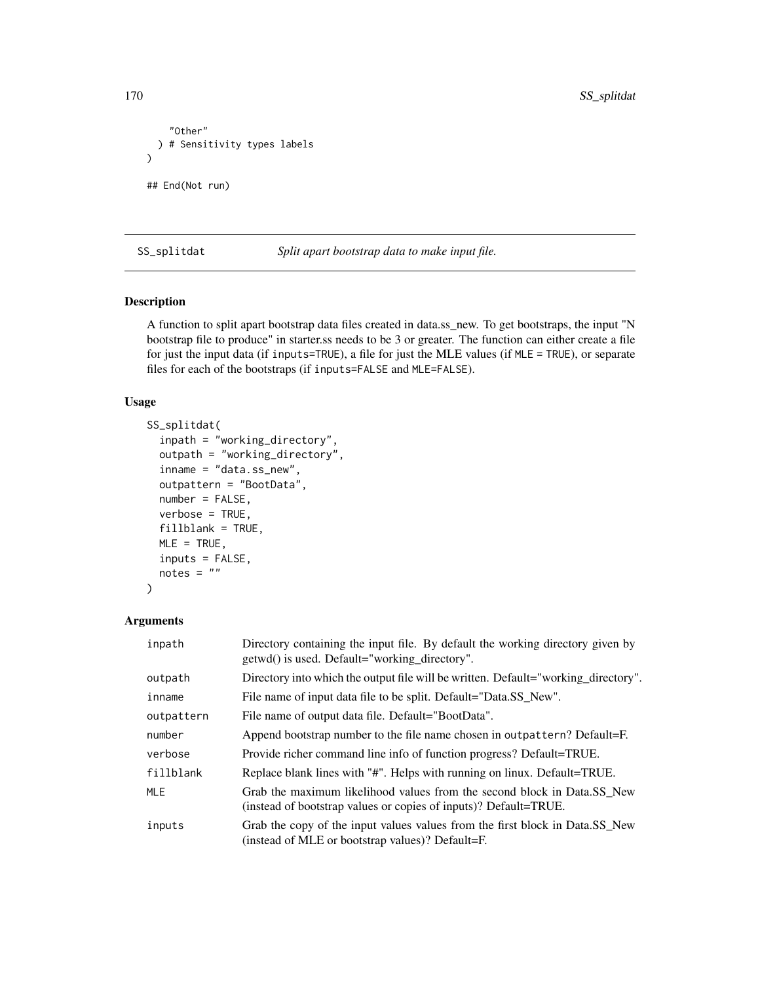```
"Other"
  ) # Sensitivity types labels
)
## End(Not run)
```
SS\_splitdat *Split apart bootstrap data to make input file.*

### Description

A function to split apart bootstrap data files created in data.ss\_new. To get bootstraps, the input "N bootstrap file to produce" in starter.ss needs to be 3 or greater. The function can either create a file for just the input data (if inputs=TRUE), a file for just the MLE values (if MLE = TRUE), or separate files for each of the bootstraps (if inputs=FALSE and MLE=FALSE).

### Usage

```
SS_splitdat(
  inpath = "working_directory",
  outpath = "working_directory",
  inname = "data.ss_new",
  outpattern = "BootData",
 number = FALSE,
 verbose = TRUE,
 fillblank = TRUE,
 MLE = TRUE,inputs = FALSE,notes = "\mathcal{E}
```

| inpath     | Directory containing the input file. By default the working directory given by<br>getwd() is used. Default="working_directory".             |
|------------|---------------------------------------------------------------------------------------------------------------------------------------------|
| outpath    | Directory into which the output file will be written. Default="working_directory".                                                          |
| inname     | File name of input data file to be split. Default="Data.SS New".                                                                            |
| outpattern | File name of output data file. Default="BootData".                                                                                          |
| number     | Append bootstrap number to the file name chosen in outpattern? Default=F.                                                                   |
| verbose    | Provide richer command line info of function progress? Default=TRUE.                                                                        |
| fillblank  | Replace blank lines with "#". Helps with running on linux. Default=TRUE.                                                                    |
| <b>MLE</b> | Grab the maximum likelihood values from the second block in Data.SS New<br>(instead of bootstrap values or copies of inputs)? Default=TRUE. |
| inputs     | Grab the copy of the input values values from the first block in Data.SS New<br>(instead of MLE or bootstrap values)? Default=F.            |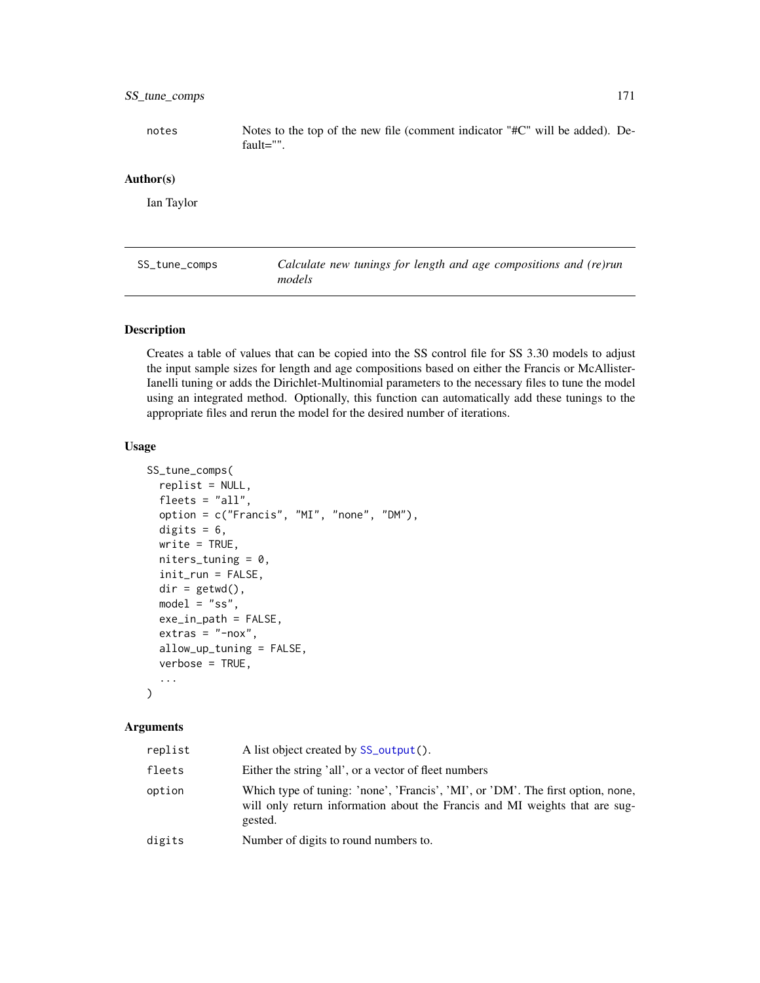# SS\_tune\_comps 171

notes Notes to the top of the new file (comment indicator "#C" will be added). Default="".

#### Author(s)

Ian Taylor

<span id="page-170-0"></span>SS\_tune\_comps *Calculate new tunings for length and age compositions and (re)run models*

#### Description

Creates a table of values that can be copied into the SS control file for SS 3.30 models to adjust the input sample sizes for length and age compositions based on either the Francis or McAllister-Ianelli tuning or adds the Dirichlet-Multinomial parameters to the necessary files to tune the model using an integrated method. Optionally, this function can automatically add these tunings to the appropriate files and rerun the model for the desired number of iterations.

#### Usage

```
SS_tune_comps(
  replist = NULL,
  fleets = "all",
  option = c("Francis", "MI", "none", "DM"),
  digits = 6,
 write = TRUE,niters_tuning = 0,
  init_run = FALSE,
  dir = getwd(),
 model = "ss",exe_in_path = FALSE,
  extras = "-nox",allow_up_tuning = FALSE,
  verbose = TRUE,
  ...
)
```

| replist | A list object created by SS_output().                                                                                                                                     |
|---------|---------------------------------------------------------------------------------------------------------------------------------------------------------------------------|
| fleets  | Either the string 'all', or a vector of fleet numbers                                                                                                                     |
| option  | Which type of tuning: 'none', 'Francis', 'MI', or 'DM'. The first option, none,<br>will only return information about the Francis and MI weights that are sug-<br>gested. |
| digits  | Number of digits to round numbers to.                                                                                                                                     |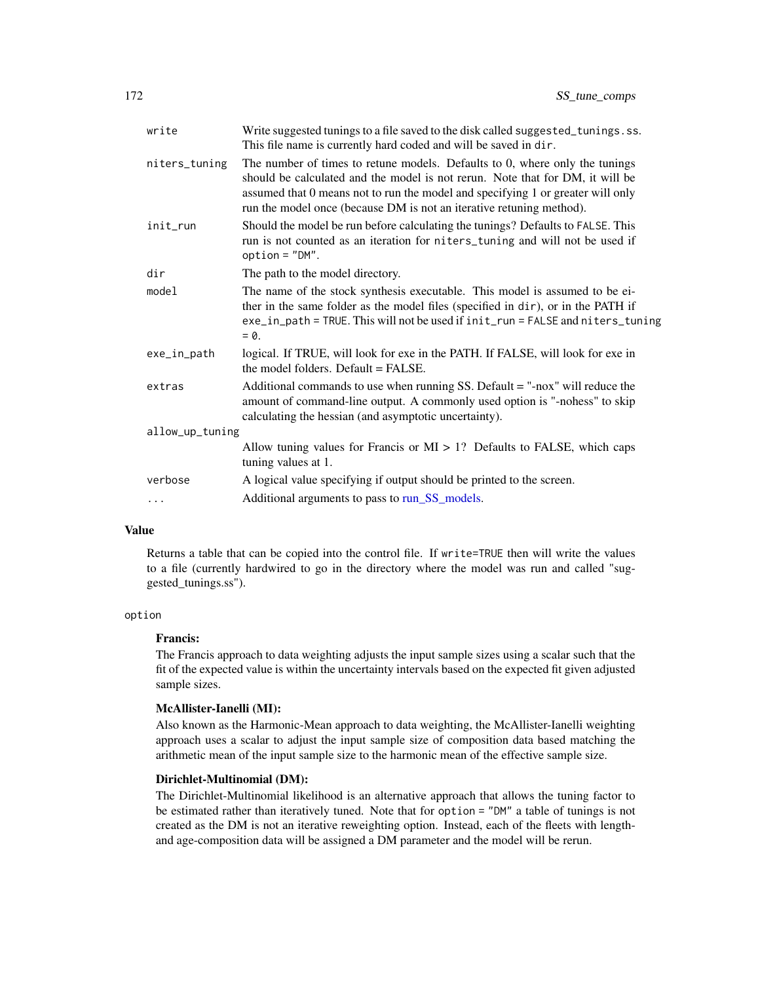| write           | Write suggested tunings to a file saved to the disk called suggested_tunings.ss.<br>This file name is currently hard coded and will be saved in dir.                                                                                                                                                                    |
|-----------------|-------------------------------------------------------------------------------------------------------------------------------------------------------------------------------------------------------------------------------------------------------------------------------------------------------------------------|
| niters_tuning   | The number of times to retune models. Defaults to 0, where only the tunings<br>should be calculated and the model is not rerun. Note that for DM, it will be<br>assumed that 0 means not to run the model and specifying 1 or greater will only<br>run the model once (because DM is not an iterative retuning method). |
| init_run        | Should the model be run before calculating the tunings? Defaults to FALSE. This<br>run is not counted as an iteration for niters_tuning and will not be used if<br>$option = "DM".$                                                                                                                                     |
| dir             | The path to the model directory.                                                                                                                                                                                                                                                                                        |
| model           | The name of the stock synthesis executable. This model is assumed to be ei-<br>ther in the same folder as the model files (specified in dir), or in the PATH if<br>exe_in_path = TRUE. This will not be used if init_run = FALSE and niters_tuning<br>$= 0.$                                                            |
| exe_in_path     | logical. If TRUE, will look for exe in the PATH. If FALSE, will look for exe in<br>the model folders. Default $=$ FALSE.                                                                                                                                                                                                |
| extras          | Additional commands to use when running SS. Default $=$ "-nox" will reduce the<br>amount of command-line output. A commonly used option is "-nohess" to skip<br>calculating the hessian (and asymptotic uncertainty).                                                                                                   |
| allow_up_tuning |                                                                                                                                                                                                                                                                                                                         |
|                 | Allow tuning values for Francis or $MI > 1$ ? Defaults to FALSE, which caps<br>tuning values at 1.                                                                                                                                                                                                                      |
| verbose         | A logical value specifying if output should be printed to the screen.                                                                                                                                                                                                                                                   |
| $\cdots$        | Additional arguments to pass to run_SS_models.                                                                                                                                                                                                                                                                          |
|                 |                                                                                                                                                                                                                                                                                                                         |

### Value

Returns a table that can be copied into the control file. If write=TRUE then will write the values to a file (currently hardwired to go in the directory where the model was run and called "suggested\_tunings.ss").

### option

### Francis:

The Francis approach to data weighting adjusts the input sample sizes using a scalar such that the fit of the expected value is within the uncertainty intervals based on the expected fit given adjusted sample sizes.

### McAllister-Ianelli (MI):

Also known as the Harmonic-Mean approach to data weighting, the McAllister-Ianelli weighting approach uses a scalar to adjust the input sample size of composition data based matching the arithmetic mean of the input sample size to the harmonic mean of the effective sample size.

### Dirichlet-Multinomial (DM):

The Dirichlet-Multinomial likelihood is an alternative approach that allows the tuning factor to be estimated rather than iteratively tuned. Note that for option = "DM" a table of tunings is not created as the DM is not an iterative reweighting option. Instead, each of the fleets with lengthand age-composition data will be assigned a DM parameter and the model will be rerun.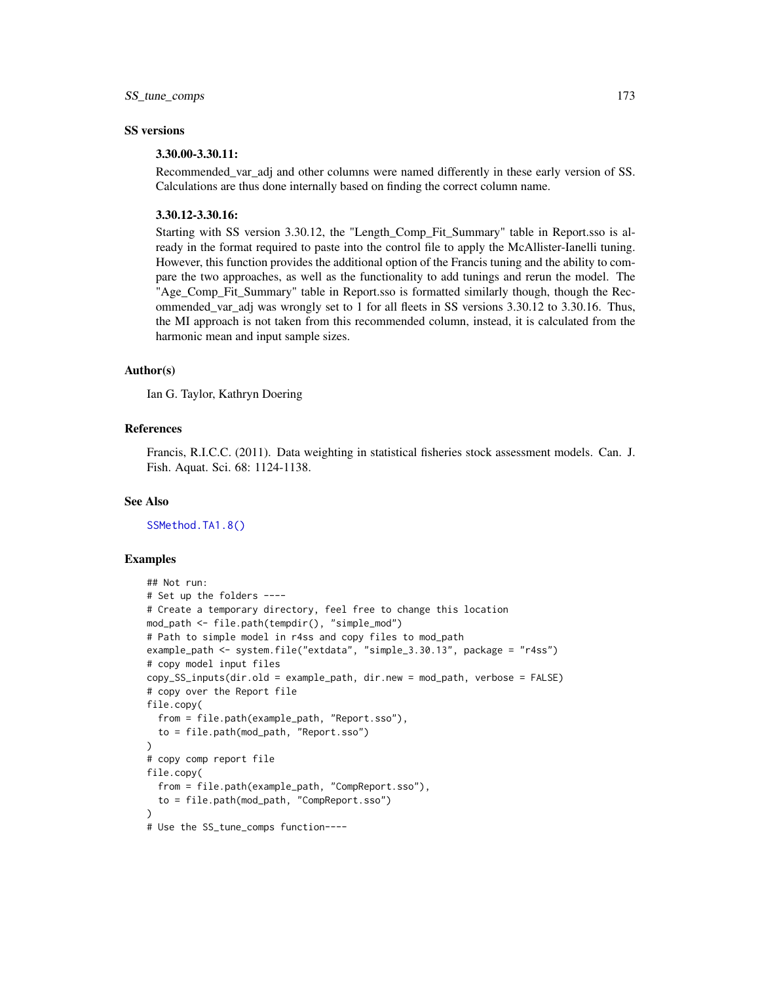### SS versions

# 3.30.00-3.30.11:

Recommended\_var\_adj and other columns were named differently in these early version of SS. Calculations are thus done internally based on finding the correct column name.

### 3.30.12-3.30.16:

Starting with SS version 3.30.12, the "Length\_Comp\_Fit\_Summary" table in Report.sso is already in the format required to paste into the control file to apply the McAllister-Ianelli tuning. However, this function provides the additional option of the Francis tuning and the ability to compare the two approaches, as well as the functionality to add tunings and rerun the model. The "Age\_Comp\_Fit\_Summary" table in Report.sso is formatted similarly though, though the Recommended\_var\_adj was wrongly set to 1 for all fleets in SS versions 3.30.12 to 3.30.16. Thus, the MI approach is not taken from this recommended column, instead, it is calculated from the harmonic mean and input sample sizes.

#### Author(s)

Ian G. Taylor, Kathryn Doering

#### References

Francis, R.I.C.C. (2011). Data weighting in statistical fisheries stock assessment models. Can. J. Fish. Aquat. Sci. 68: 1124-1138.

#### See Also

[SSMethod.TA1.8\(\)](#page-50-0)

### Examples

```
## Not run:
# Set up the folders ----
# Create a temporary directory, feel free to change this location
mod_path <- file.path(tempdir(), "simple_mod")
# Path to simple model in r4ss and copy files to mod_path
example_path <- system.file("extdata", "simple_3.30.13", package = "r4ss")
# copy model input files
copy_SS_inputs(dir.old = example_path, dir.new = mod_path, verbose = FALSE)
# copy over the Report file
file.copy(
  from = file.path(example_path, "Report.sso"),
  to = file.path(mod_path, "Report.sso")
)
# copy comp report file
file.copy(
  from = file.path(example_path, "CompReport.sso"),
  to = file.path(mod_path, "CompReport.sso")
)
# Use the SS_tune_comps function----
```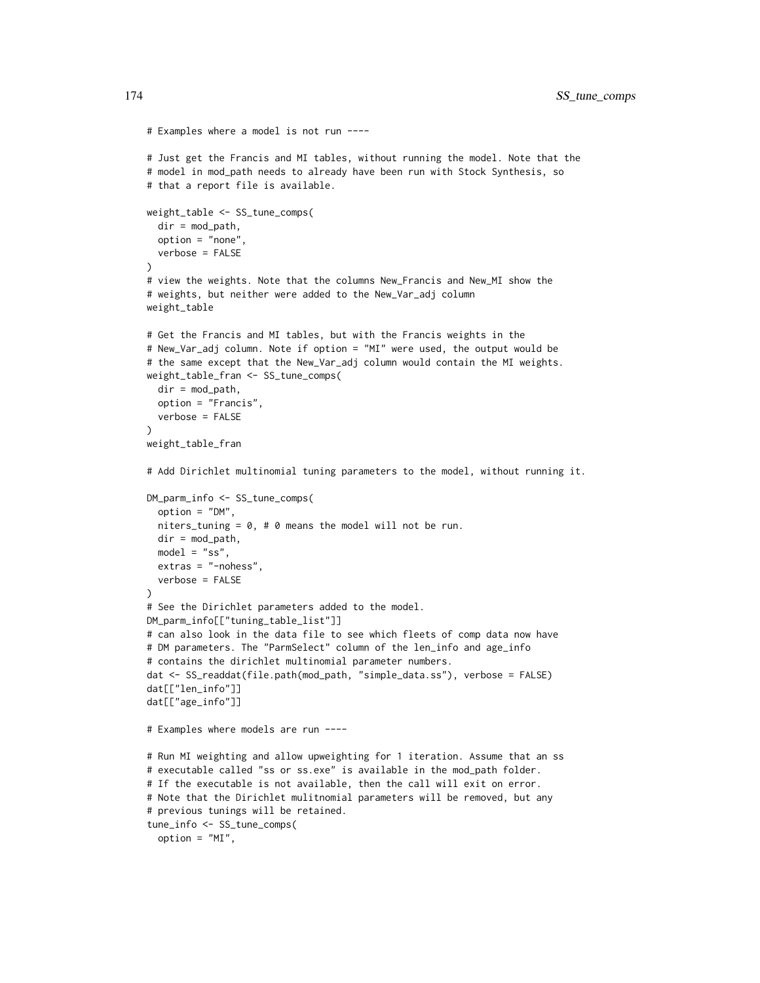```
# Examples where a model is not run ----
# Just get the Francis and MI tables, without running the model. Note that the
# model in mod_path needs to already have been run with Stock Synthesis, so
# that a report file is available.
weight_table <- SS_tune_comps(
  dir = mod\_path,option = "none",
  verbose = FALSE
)
# view the weights. Note that the columns New_Francis and New_MI show the
# weights, but neither were added to the New_Var_adj column
weight_table
# Get the Francis and MI tables, but with the Francis weights in the
# New_Var_adj column. Note if option = "MI" were used, the output would be
# the same except that the New_Var_adj column would contain the MI weights.
weight_table_fran <- SS_tune_comps(
  dir = mod\_path,option = "Francis",
  verbose = FALSE
\lambdaweight_table_fran
# Add Dirichlet multinomial tuning parameters to the model, without running it.
DM_parm_info <- SS_tune_comps(
  option = "DM",
  niters_tuning = 0, # 0 means the model will not be run.
  dir = mod\_path,model = "ss",extras = "-nohess",
  verbose = FALSE
\lambda# See the Dirichlet parameters added to the model.
DM_parm_info[["tuning_table_list"]]
# can also look in the data file to see which fleets of comp data now have
# DM parameters. The "ParmSelect" column of the len_info and age_info
# contains the dirichlet multinomial parameter numbers.
dat <- SS_readdat(file.path(mod_path, "simple_data.ss"), verbose = FALSE)
dat[["len_info"]]
dat[["age_info"]]
# Examples where models are run ----
# Run MI weighting and allow upweighting for 1 iteration. Assume that an ss
# executable called "ss or ss.exe" is available in the mod_path folder.
# If the executable is not available, then the call will exit on error.
# Note that the Dirichlet mulitnomial parameters will be removed, but any
# previous tunings will be retained.
tune_info <- SS_tune_comps(
  option = "MI",
```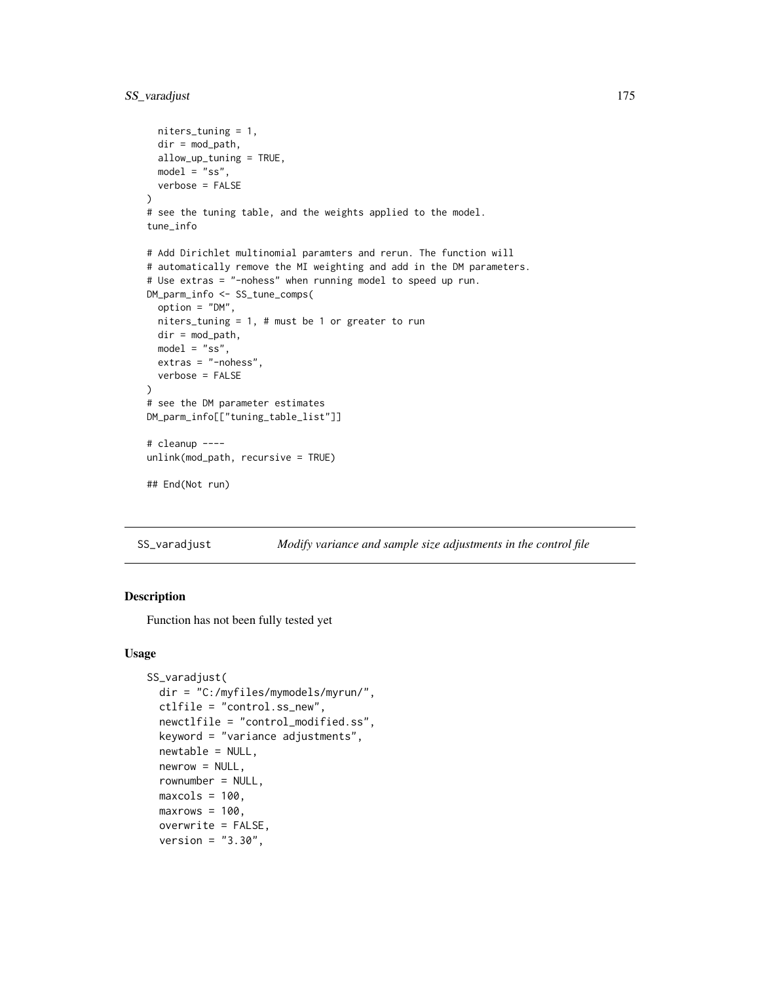# SS\_varadjust 175

```
niters_tuning = 1,
  dir = mod_path,
  allow_up_tuning = TRUE,
  model = "ss",verbose = FALSE
)
# see the tuning table, and the weights applied to the model.
tune_info
# Add Dirichlet multinomial paramters and rerun. The function will
# automatically remove the MI weighting and add in the DM parameters.
# Use extras = "-nohess" when running model to speed up run.
DM_parm_info <- SS_tune_comps(
  option = "DM",
  niters_tuning = 1, # must be 1 or greater to run
  dir = mod_path,
 model = "ss",extras = "-nohess",
  verbose = FALSE
)
# see the DM parameter estimates
DM_parm_info[["tuning_table_list"]]
# cleanup ----
unlink(mod_path, recursive = TRUE)
## End(Not run)
```
SS\_varadjust *Modify variance and sample size adjustments in the control file*

## Description

Function has not been fully tested yet

### Usage

```
SS_varadjust(
  dir = "C:/myfiles/mymodels/myrun/",
  ctlfile = "control.ss_new",
  newctlfile = "control_modified.ss",
  keyword = "variance adjustments",
  newtable = NULL,
  newrow = NULL,rownumber = NULL,
 maxcols = 100,
 maxrows = 100,
 overwrite = FALSE,
  version = "3.30",
```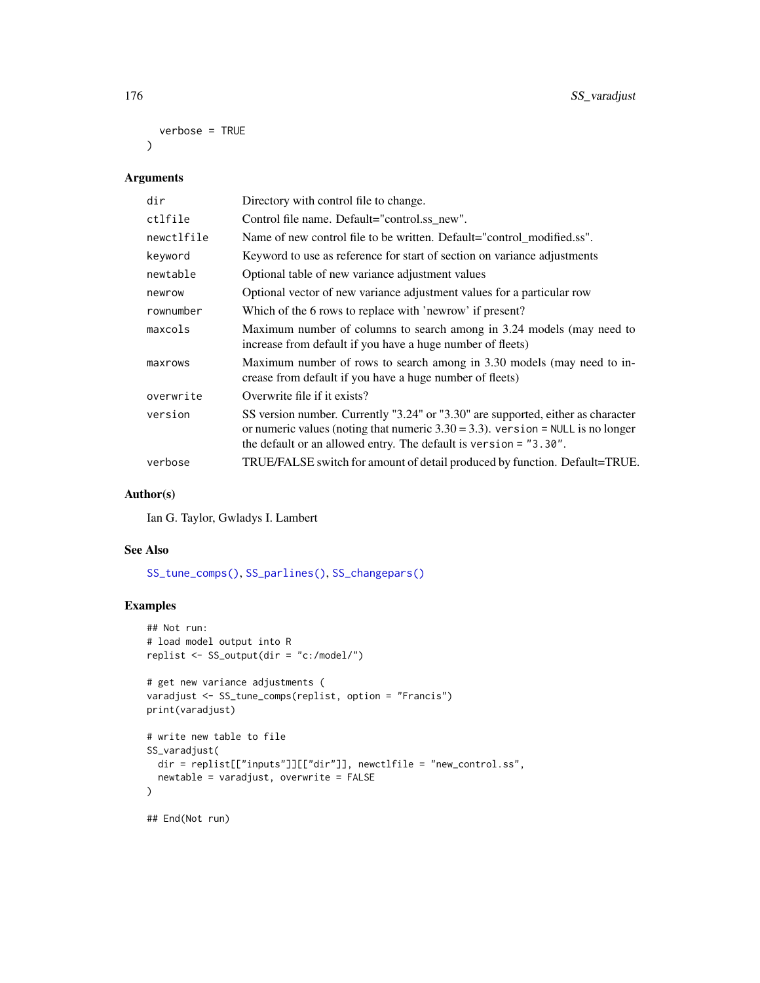```
verbose = TRUE
```
 $\lambda$ 

# Arguments

| dir        | Directory with control file to change.                                                                                                                                                                                                      |
|------------|---------------------------------------------------------------------------------------------------------------------------------------------------------------------------------------------------------------------------------------------|
| ctlfile    | Control file name. Default="control.ss_new".                                                                                                                                                                                                |
| newctlfile | Name of new control file to be written. Default="control_modified.ss".                                                                                                                                                                      |
| keyword    | Keyword to use as reference for start of section on variance adjustments                                                                                                                                                                    |
| newtable   | Optional table of new variance adjustment values                                                                                                                                                                                            |
| newrow     | Optional vector of new variance adjustment values for a particular row                                                                                                                                                                      |
| rownumber  | Which of the 6 rows to replace with 'newrow' if present?                                                                                                                                                                                    |
| maxcols    | Maximum number of columns to search among in 3.24 models (may need to<br>increase from default if you have a huge number of fleets)                                                                                                         |
| maxrows    | Maximum number of rows to search among in 3.30 models (may need to in-<br>crease from default if you have a huge number of fleets)                                                                                                          |
| overwrite  | Overwrite file if it exists?                                                                                                                                                                                                                |
| version    | SS version number. Currently "3.24" or "3.30" are supported, either as character<br>or numeric values (noting that numeric $3.30 = 3.3$ ). version = NULL is no longer<br>the default or an allowed entry. The default is version = "3.30". |
| verbose    | TRUE/FALSE switch for amount of detail produced by function. Default=TRUE.                                                                                                                                                                  |

## Author(s)

Ian G. Taylor, Gwladys I. Lambert

#### See Also

[SS\\_tune\\_comps\(\)](#page-170-0), [SS\\_parlines\(\)](#page-134-0), [SS\\_changepars\(\)](#page-121-0)

### Examples

```
## Not run:
# load model output into R
replist <- SS_output(dir = "c:/model/")
# get new variance adjustments (
varadjust <- SS_tune_comps(replist, option = "Francis")
print(varadjust)
# write new table to file
SS_varadjust(
 dir = replist[["inputs"]][["dir"]], newctlfile = "new_control.ss",
  newtable = varadjust, overwrite = FALSE
)
## End(Not run)
```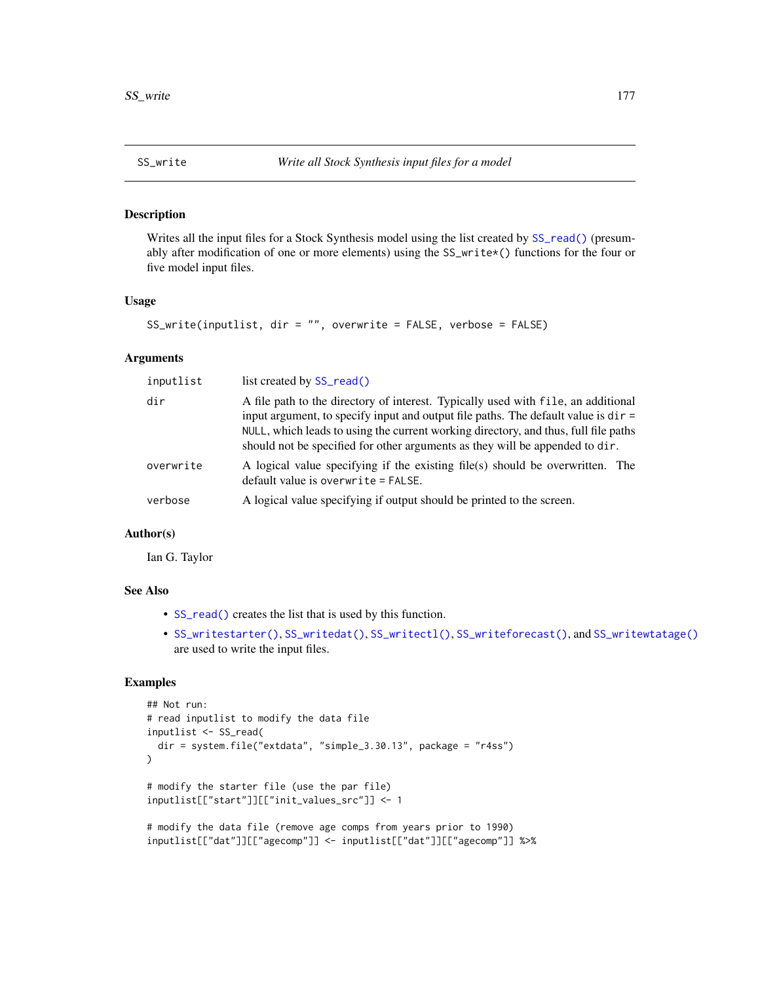<span id="page-176-0"></span>

### Description

Writes all the input files for a Stock Synthesis model using the list created by  $SS_{read}()$  (presumably after modification of one or more elements) using the SS\_write\*() functions for the four or five model input files.

### Usage

```
SS_write(inputlist, dir = "", overwrite = FALSE, verbose = FALSE)
```
#### Arguments

| inputlist | list created by SS_read()                                                                                                                                                                                                                                                                                                                        |
|-----------|--------------------------------------------------------------------------------------------------------------------------------------------------------------------------------------------------------------------------------------------------------------------------------------------------------------------------------------------------|
| dir       | A file path to the directory of interest. Typically used with file, an additional<br>input argument, to specify input and output file paths. The default value is $dir =$<br>NULL, which leads to using the current working directory, and thus, full file paths<br>should not be specified for other arguments as they will be appended to dir. |
| overwrite | A logical value specifying if the existing file(s) should be overwritten. The<br>$default value$ is overwrite = FALSE.                                                                                                                                                                                                                           |
| verbose   | A logical value specifying if output should be printed to the screen.                                                                                                                                                                                                                                                                            |

#### Author(s)

Ian G. Taylor

### See Also

- [SS\\_read\(\)](#page-146-0) creates the list that is used by this function.
- [SS\\_writestarter\(\)](#page-184-0), [SS\\_writedat\(\)](#page-179-0), [SS\\_writectl\(\)](#page-177-0), [SS\\_writeforecast\(\)](#page-182-0), and [SS\\_writewtatage\(\)](#page-185-0) are used to write the input files.

# Examples

```
## Not run:
# read inputlist to modify the data file
inputlist <- SS_read(
 dir = system.file("extdata", "simple_3.30.13", package = "r4ss")
)
# modify the starter file (use the par file)
inputlist[["start"]][["init_values_src"]] <- 1
# modify the data file (remove age comps from years prior to 1990)
inputlist[["dat"]][["agecomp"]] <- inputlist[["dat"]][["agecomp"]] %>%
```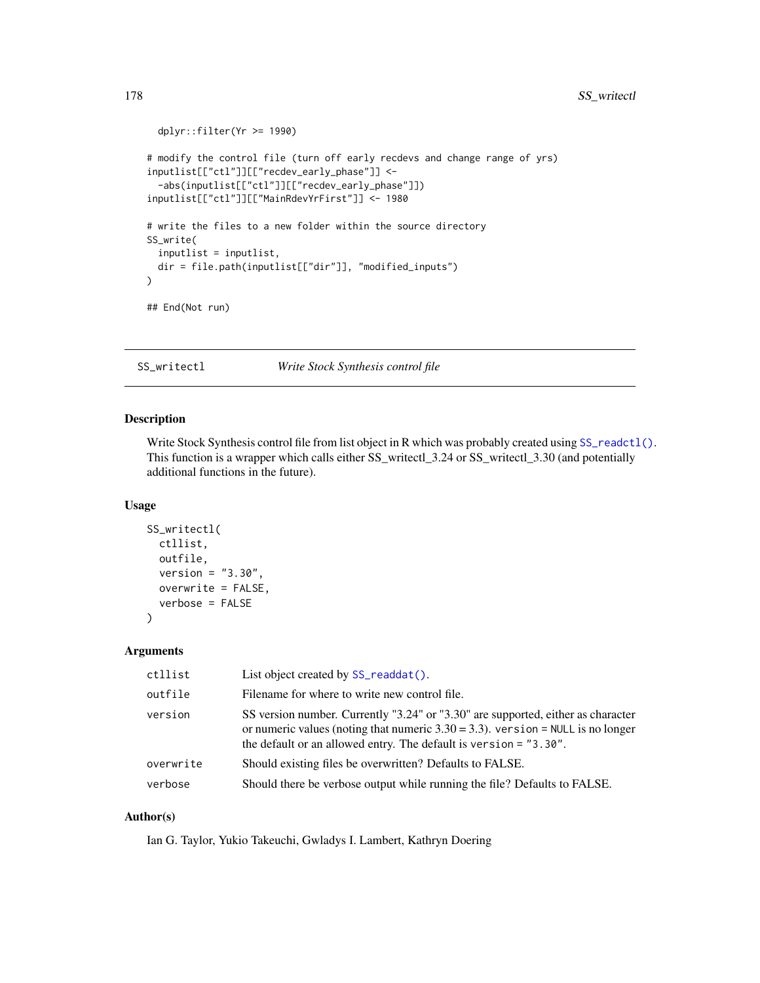```
dplyr::filter(Yr >= 1990)
# modify the control file (turn off early recdevs and change range of yrs)
inputlist[["ctl"]][["recdev_early_phase"]] <-
 -abs(inputlist[["ctl"]][["recdev_early_phase"]])
inputlist[["ctl"]][["MainRdevYrFirst"]] <- 1980
# write the files to a new folder within the source directory
SS_write(
 inputlist = inputlist,
 dir = file.path(inputlist[["dir"]], "modified_inputs")
\mathcal{L}## End(Not run)
```
<span id="page-177-0"></span>SS\_writectl *Write Stock Synthesis control file*

#### Description

Write Stock Synthesis control file from list object in R which was probably created using SS\_readct1(). This function is a wrapper which calls either SS\_writectl\_3.24 or SS\_writectl\_3.30 (and potentially additional functions in the future).

### Usage

```
SS_writectl(
  ctllist,
  outfile,
  version = "3.30",
  overwrite = FALSE,
  verbose = FALSE)
```
#### Arguments

| ctllist   | List object created by SS_readdat().                                                                                                                                                                                                        |
|-----------|---------------------------------------------------------------------------------------------------------------------------------------------------------------------------------------------------------------------------------------------|
| outfile   | Filename for where to write new control file.                                                                                                                                                                                               |
| version   | SS version number. Currently "3.24" or "3.30" are supported, either as character<br>or numeric values (noting that numeric $3.30 = 3.3$ ). version = NULL is no longer<br>the default or an allowed entry. The default is version = "3.30". |
| overwrite | Should existing files be overwritten? Defaults to FALSE.                                                                                                                                                                                    |
| verbose   | Should there be verbose output while running the file? Defaults to FALSE.                                                                                                                                                                   |

### Author(s)

Ian G. Taylor, Yukio Takeuchi, Gwladys I. Lambert, Kathryn Doering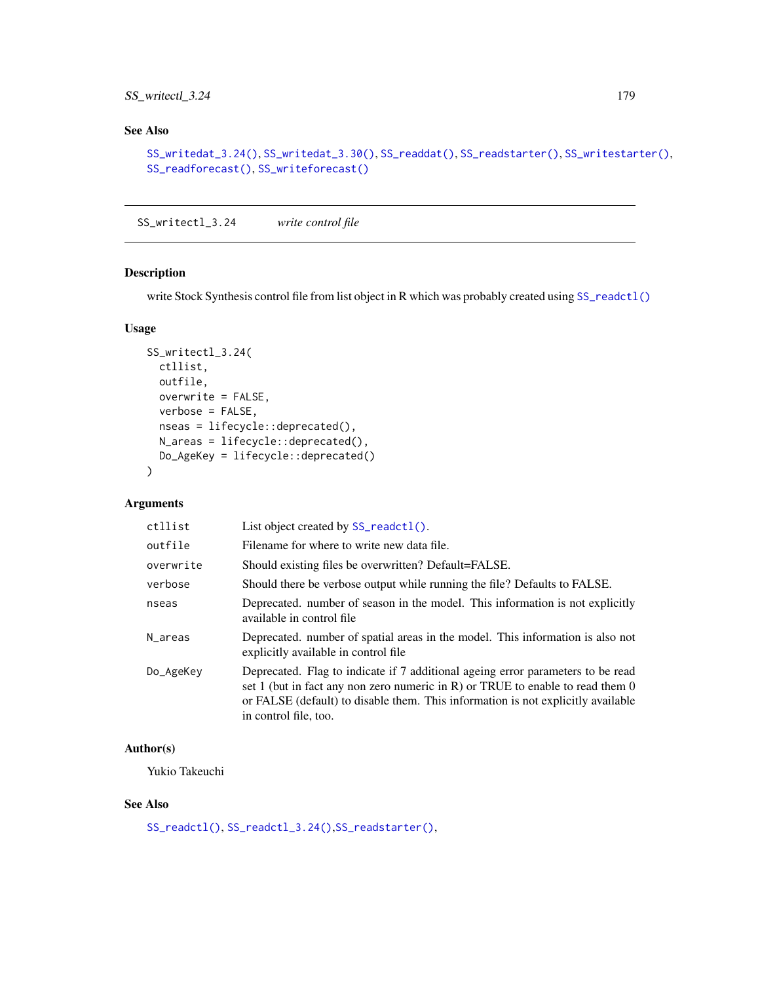# SS\_writectl\_3.24 179

# See Also

```
SS_writedat_3.24(), SS_writedat_3.30(), SS_readdat(), SS_readstarter(), SS_writestarter(),
SS_readforecast(), SS_writeforecast()
```
SS\_writectl\_3.24 *write control file*

# Description

write Stock Synthesis control file from list object in R which was probably created using [SS\\_readctl\(\)](#page-147-0)

### Usage

```
SS_writectl_3.24(
 ctllist,
 outfile,
 overwrite = FALSE,
 verbose = FALSE,
 nseas = lifecycle::deprecated(),
 N_areas = lifecycle::deprecated(),
 Do_AgeKey = lifecycle::deprecated()
\mathcal{L}
```
### Arguments

| ctllist   | List object created by $SS$ -readctl().                                                                                                                                                                                                                                          |
|-----------|----------------------------------------------------------------------------------------------------------------------------------------------------------------------------------------------------------------------------------------------------------------------------------|
| outfile   | Filename for where to write new data file.                                                                                                                                                                                                                                       |
| overwrite | Should existing files be overwritten? Default=FALSE.                                                                                                                                                                                                                             |
| verbose   | Should there be verbose output while running the file? Defaults to FALSE.                                                                                                                                                                                                        |
| nseas     | Deprecated. number of season in the model. This information is not explicitly<br>available in control file                                                                                                                                                                       |
| N_areas   | Deprecated, number of spatial areas in the model. This information is also not<br>explicitly available in control file                                                                                                                                                           |
| Do_AgeKey | Deprecated. Flag to indicate if 7 additional ageing error parameters to be read<br>set 1 (but in fact any non zero numeric in R) or TRUE to enable to read them $0$<br>or FALSE (default) to disable them. This information is not explicitly available<br>in control file, too. |

# Author(s)

Yukio Takeuchi

# See Also

[SS\\_readctl\(\)](#page-147-0), [SS\\_readctl\\_3.24\(\)](#page-150-0),[SS\\_readstarter\(\)](#page-161-0),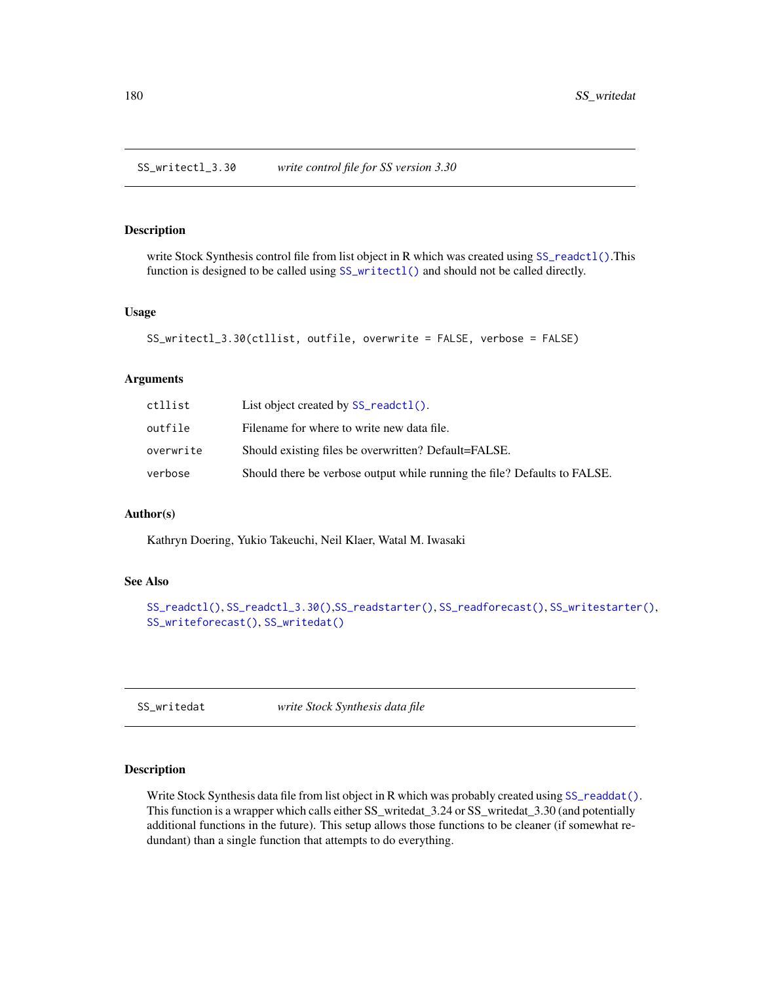SS\_writectl\_3.30 *write control file for SS version 3.30*

#### Description

write Stock Synthesis control file from list object in R which was created using [SS\\_readctl\(\)](#page-147-0).This function is designed to be called using [SS\\_writectl\(\)](#page-177-0) and should not be called directly.

### Usage

```
SS_writectl_3.30(ctllist, outfile, overwrite = FALSE, verbose = FALSE)
```
### Arguments

| ctllist   | List object created by SS_readct1().                                      |
|-----------|---------------------------------------------------------------------------|
| outfile   | Filename for where to write new data file.                                |
| overwrite | Should existing files be overwritten? Default=FALSE.                      |
| verbose   | Should there be verbose output while running the file? Defaults to FALSE. |

#### Author(s)

Kathryn Doering, Yukio Takeuchi, Neil Klaer, Watal M. Iwasaki

### See Also

```
SS_readctl(), SS_readctl_3.30(),SS_readstarter(), SS_readforecast(), SS_writestarter(),
SS_writeforecast(), SS_writedat()
```
<span id="page-179-0"></span>SS\_writedat *write Stock Synthesis data file*

### Description

Write Stock Synthesis data file from list object in R which was probably created using [SS\\_readdat\(\)](#page-155-0). This function is a wrapper which calls either SS\_writedat\_3.24 or SS\_writedat\_3.30 (and potentially additional functions in the future). This setup allows those functions to be cleaner (if somewhat redundant) than a single function that attempts to do everything.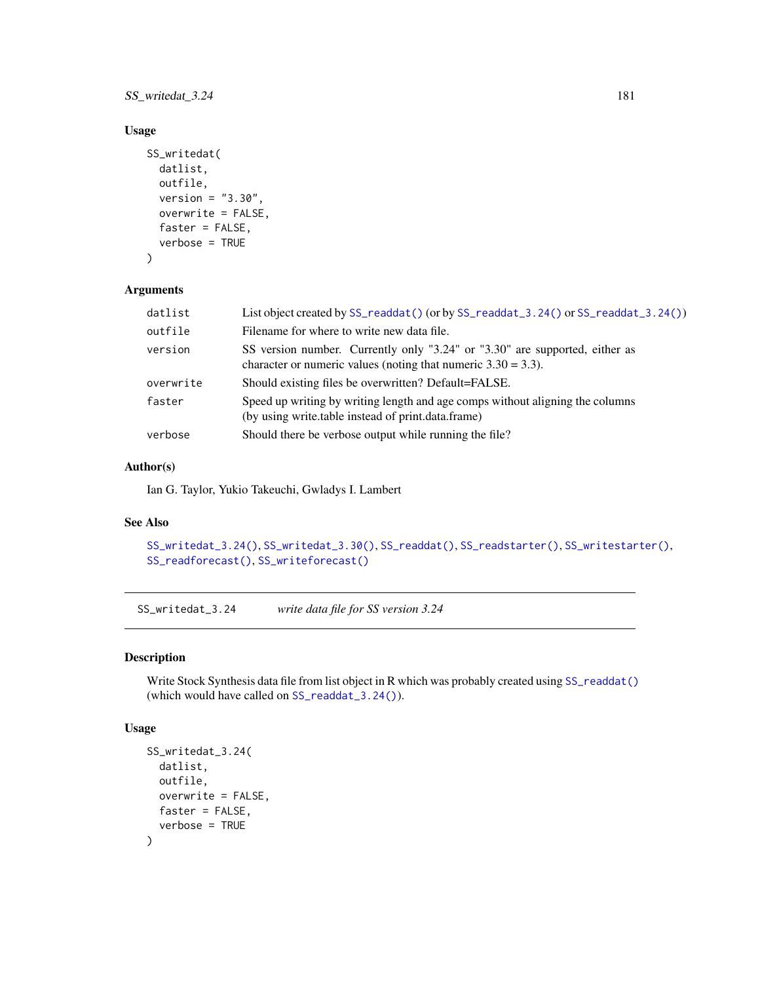<span id="page-180-1"></span>SS\_writedat\_3.24 181

#### Usage

```
SS_writedat(
 datlist,
  outfile,
 version = "3.30",
 overwrite = FALSE,
  faster = FALSE,
  verbose = TRUE
)
```
#### Arguments

| datlist   | List object created by SS_readdat () (or by SS_readdat_3.24() or SS_readdat_3.24())                                                             |
|-----------|-------------------------------------------------------------------------------------------------------------------------------------------------|
| outfile   | Filename for where to write new data file.                                                                                                      |
| version   | SS version number. Currently only "3.24" or "3.30" are supported, either as<br>character or numeric values (noting that numeric $3.30 = 3.3$ ). |
| overwrite | Should existing files be overwritten? Default=FALSE.                                                                                            |
| faster    | Speed up writing by writing length and age comps without aligning the columns<br>(by using write table instead of print data frame)             |
| verbose   | Should there be verbose output while running the file?                                                                                          |

#### Author(s)

Ian G. Taylor, Yukio Takeuchi, Gwladys I. Lambert

# See Also

```
SS_writedat_3.24(), SS_writedat_3.30(), SS_readdat(), SS_readstarter(), SS_writestarter(),
SS_readforecast(), SS_writeforecast()
```
<span id="page-180-0"></span>SS\_writedat\_3.24 *write data file for SS version 3.24*

#### Description

Write Stock Synthesis data file from list object in R which was probably created using [SS\\_readdat\(\)](#page-155-0) (which would have called on [SS\\_readdat\\_3.24\(\)](#page-157-0)).

#### Usage

```
SS_writedat_3.24(
  datlist,
 outfile,
 overwrite = FALSE,
 faster = FALSE,
  verbose = TRUE
)
```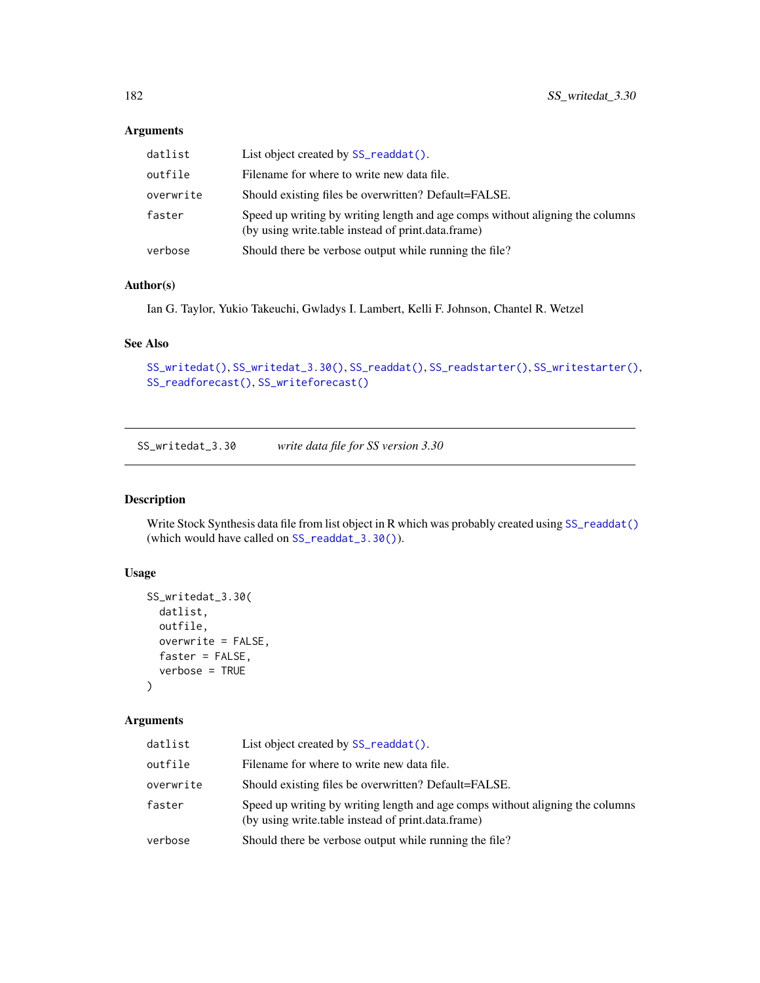# Arguments

| datlist   | List object created by SS_readdat().                                                                                                |
|-----------|-------------------------------------------------------------------------------------------------------------------------------------|
| outfile   | Filename for where to write new data file.                                                                                          |
| overwrite | Should existing files be overwritten? Default=FALSE.                                                                                |
| faster    | Speed up writing by writing length and age comps without aligning the columns<br>(by using write table instead of print data frame) |
| verbose   | Should there be verbose output while running the file?                                                                              |

#### Author(s)

Ian G. Taylor, Yukio Takeuchi, Gwladys I. Lambert, Kelli F. Johnson, Chantel R. Wetzel

# See Also

```
SS_writedat(), SS_writedat_3.30(), SS_readdat(), SS_readstarter(), SS_writestarter(),
SS_readforecast(), SS_writeforecast()
```
<span id="page-181-0"></span>SS\_writedat\_3.30 *write data file for SS version 3.30*

# Description

Write Stock Synthesis data file from list object in R which was probably created using [SS\\_readdat\(\)](#page-155-0) (which would have called on [SS\\_readdat\\_3.30\(\)](#page-158-0)).

# Usage

```
SS_writedat_3.30(
  datlist,
  outfile,
  overwrite = FALSE,
  faster = FALSE,
  verbose = TRUE
\mathcal{E}
```

| datlist   | List object created by SS_readdat().                                                                                                |
|-----------|-------------------------------------------------------------------------------------------------------------------------------------|
| outfile   | Filename for where to write new data file.                                                                                          |
| overwrite | Should existing files be overwritten? Default=FALSE.                                                                                |
| faster    | Speed up writing by writing length and age comps without aligning the columns<br>(by using write table instead of print data frame) |
| verbose   | Should there be verbose output while running the file?                                                                              |

<span id="page-181-1"></span>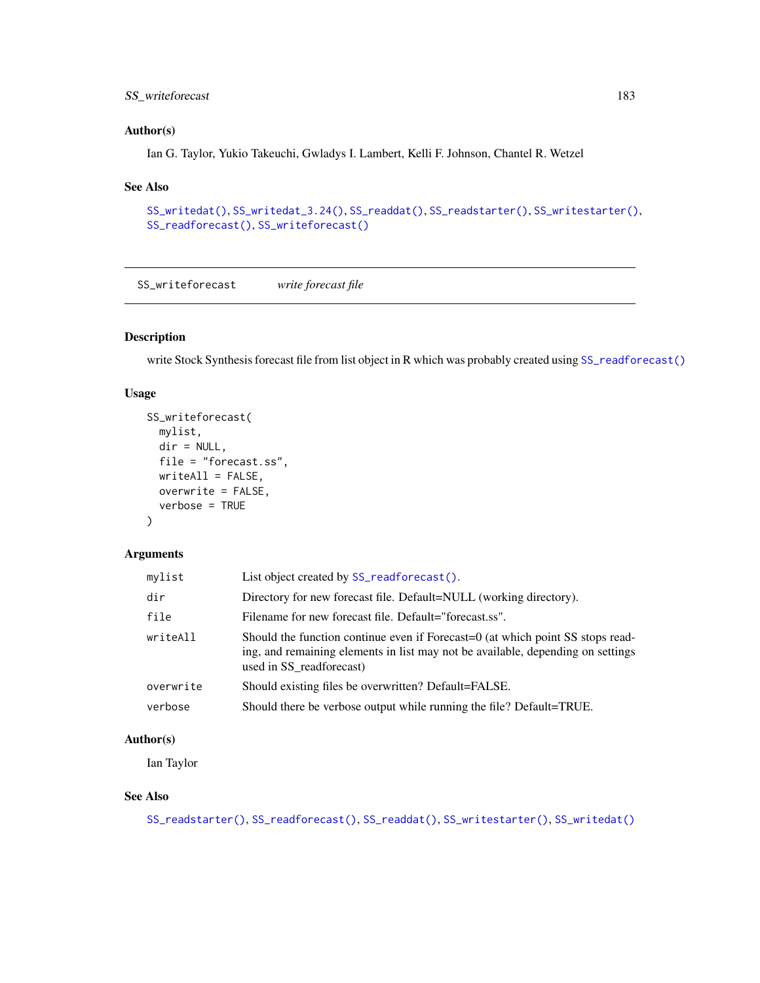# <span id="page-182-1"></span>SS\_writeforecast 183

# Author(s)

Ian G. Taylor, Yukio Takeuchi, Gwladys I. Lambert, Kelli F. Johnson, Chantel R. Wetzel

#### See Also

```
SS_writedat(), SS_writedat_3.24(), SS_readdat(), SS_readstarter(), SS_writestarter(),
SS_readforecast(), SS_writeforecast()
```
<span id="page-182-0"></span>SS\_writeforecast *write forecast file*

# Description

write Stock Synthesis forecast file from list object in R which was probably created using [SS\\_readforecast\(\)](#page-159-0)

#### Usage

```
SS_writeforecast(
 mylist,
 dir = NULL,file = "forecast.ss",
 writeAll = FALSE,
 overwrite = FALSE,
 verbose = TRUE
)
```
#### Arguments

| mylist    | List object created by SS_readforecast().                                                                                                                                                     |
|-----------|-----------------------------------------------------------------------------------------------------------------------------------------------------------------------------------------------|
| dir       | Directory for new forecast file. Default=NULL (working directory).                                                                                                                            |
| file      | Filename for new forecast file. Default="forecast.ss".                                                                                                                                        |
| writeAll  | Should the function continue even if Forecast=0 (at which point SS stops read-<br>ing, and remaining elements in list may not be available, depending on settings<br>used in SS readforecast) |
| overwrite | Should existing files be overwritten? Default=FALSE.                                                                                                                                          |
| verbose   | Should there be verbose output while running the file? Default=TRUE.                                                                                                                          |

#### Author(s)

Ian Taylor

#### See Also

```
SS_readstarter(), SS_readforecast(), SS_readdat(), SS_writestarter(), SS_writedat()
```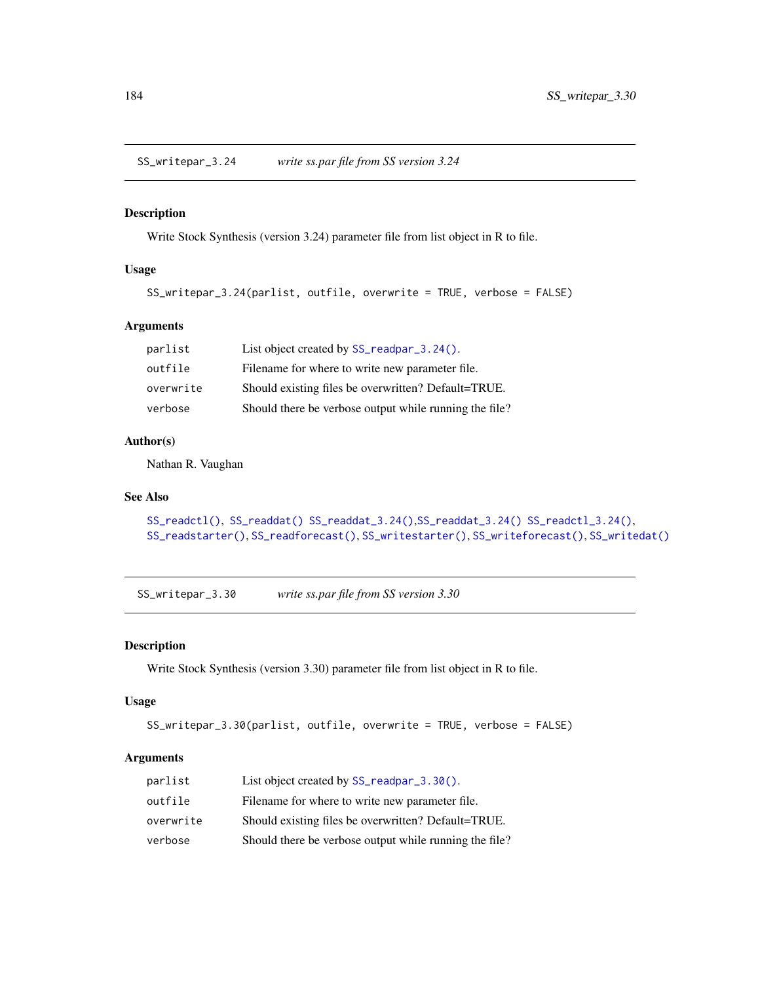<span id="page-183-0"></span>SS\_writepar\_3.24 *write ss.par file from SS version 3.24*

# Description

Write Stock Synthesis (version 3.24) parameter file from list object in R to file.

#### Usage

```
SS_writepar_3.24(parlist, outfile, overwrite = TRUE, verbose = FALSE)
```
# Arguments

| parlist   | List object created by SS_readpar_3.24().              |
|-----------|--------------------------------------------------------|
| outfile   | Filename for where to write new parameter file.        |
| overwrite | Should existing files be overwritten? Default=TRUE.    |
| verbose   | Should there be verbose output while running the file? |

#### Author(s)

Nathan R. Vaughan

#### See Also

```
SS_readctl(), SS_readdat() SS_readdat_3.24(),SS_readdat_3.24() SS_readctl_3.24(),
SS_readstarter(), SS_readforecast(), SS_writestarter(), SS_writeforecast(), SS_writedat()
```
SS\_writepar\_3.30 *write ss.par file from SS version 3.30*

#### Description

Write Stock Synthesis (version 3.30) parameter file from list object in R to file.

#### Usage

```
SS_writepar_3.30(parlist, outfile, overwrite = TRUE, verbose = FALSE)
```

| parlist   | List object created by SS_readpar_3.30().              |
|-----------|--------------------------------------------------------|
| outfile   | Filename for where to write new parameter file.        |
| overwrite | Should existing files be overwritten? Default=TRUE.    |
| verbose   | Should there be verbose output while running the file? |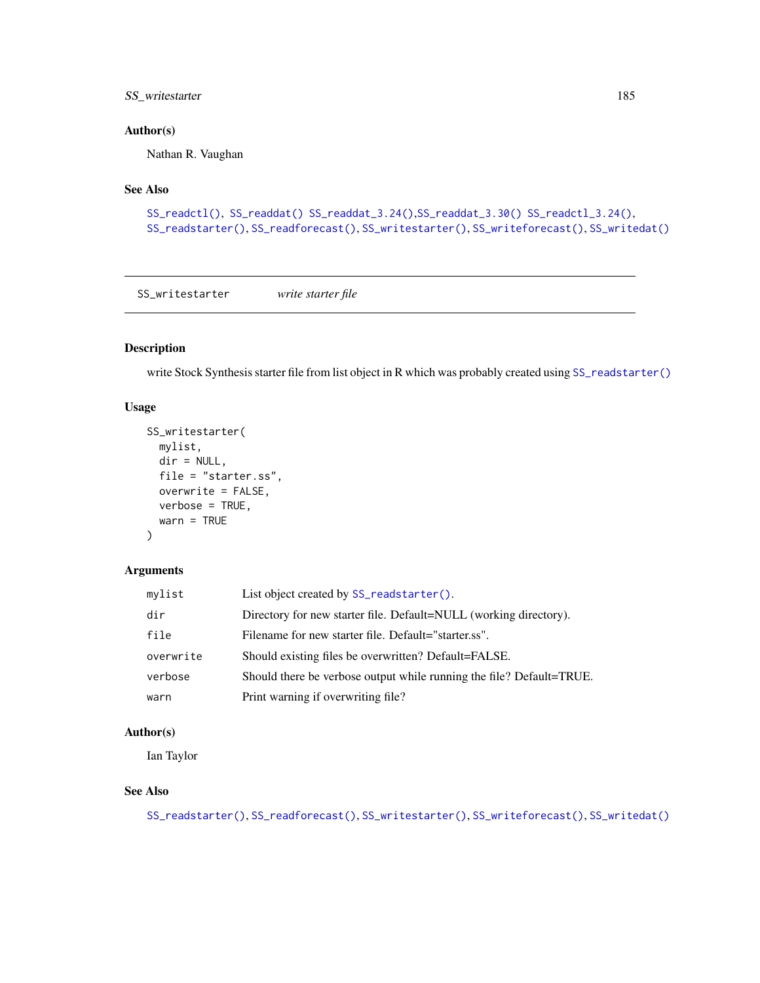# <span id="page-184-1"></span>SS\_writestarter 185

#### Author(s)

Nathan R. Vaughan

#### See Also

```
SS_readctl(), SS_readdat() SS_readdat_3.24(),SS_readdat_3.30() SS_readctl_3.24(),
SS_readstarter(), SS_readforecast(), SS_writestarter(), SS_writeforecast(), SS_writedat()
```
<span id="page-184-0"></span>SS\_writestarter *write starter file*

# Description

write Stock Synthesis starter file from list object in R which was probably created using [SS\\_readstarter\(\)](#page-161-0)

#### Usage

```
SS_writestarter(
  mylist,
  dir = NULL,file = "starter.ss",
  overwrite = FALSE,
  verbose = TRUE,
  warn = TRUE
\mathcal{L}
```
#### Arguments

| mylist    | List object created by SS_readstarter().                             |
|-----------|----------------------------------------------------------------------|
| dir       | Directory for new starter file. Default=NULL (working directory).    |
| file      | Filename for new starter file. Default="starter.ss".                 |
| overwrite | Should existing files be overwritten? Default=FALSE.                 |
| verbose   | Should there be verbose output while running the file? Default=TRUE. |
| warn      | Print warning if overwriting file?                                   |

# Author(s)

Ian Taylor

# See Also

```
SS_readstarter(), SS_readforecast(), SS_writestarter(), SS_writeforecast(), SS_writedat()
```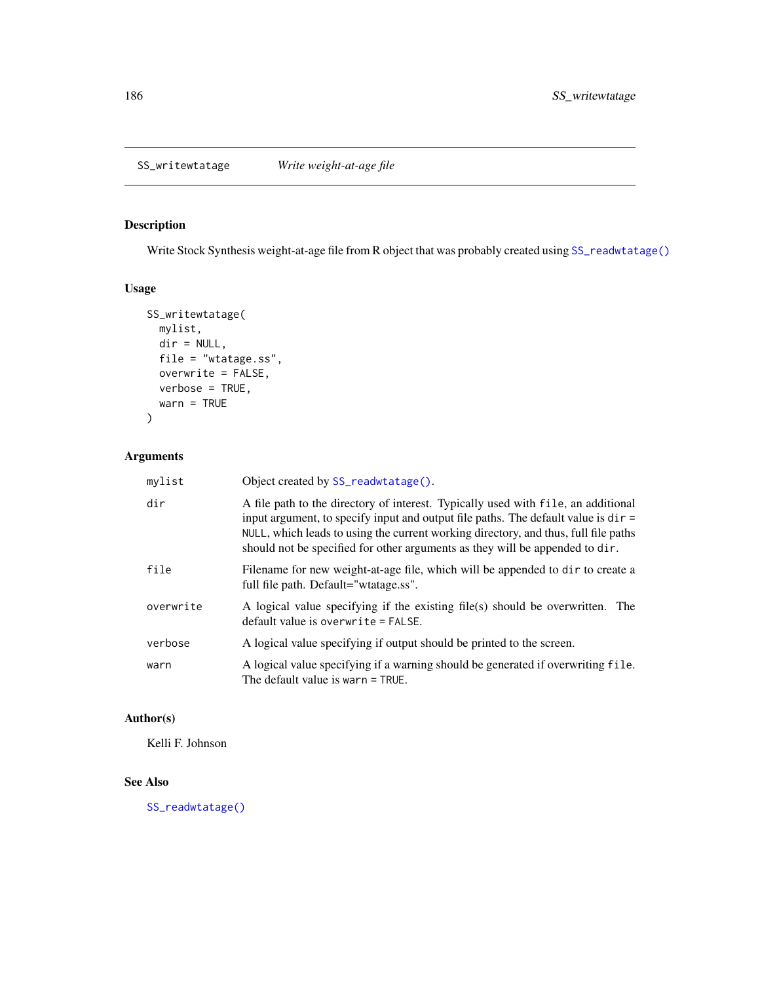# <span id="page-185-0"></span>Description

Write Stock Synthesis weight-at-age file from R object that was probably created using [SS\\_readwtatage\(\)](#page-162-0)

# Usage

```
SS_writewtatage(
 mylist,
 dir = NULL,file = "wtatage.ss",
 overwrite = FALSE,
 verbose = TRUE,
 warn = TRUE
)
```
# Arguments

| mylist    | Object created by SS_readwtatage().                                                                                                                                                                                                                                                                                                              |
|-----------|--------------------------------------------------------------------------------------------------------------------------------------------------------------------------------------------------------------------------------------------------------------------------------------------------------------------------------------------------|
| dir       | A file path to the directory of interest. Typically used with file, an additional<br>input argument, to specify input and output file paths. The default value is $dir =$<br>NULL, which leads to using the current working directory, and thus, full file paths<br>should not be specified for other arguments as they will be appended to dir. |
| file      | Filename for new weight-at-age file, which will be appended to dir to create a<br>full file path. Default="wtatage.ss".                                                                                                                                                                                                                          |
| overwrite | A logical value specifying if the existing file(s) should be overwritten. The<br>$default value$ is overwrite = FALSE.                                                                                                                                                                                                                           |
| verbose   | A logical value specifying if output should be printed to the screen.                                                                                                                                                                                                                                                                            |
| warn      | A logical value specifying if a warning should be generated if overwriting file.<br>The default value is warn = TRUE.                                                                                                                                                                                                                            |

# Author(s)

Kelli F. Johnson

# See Also

[SS\\_readwtatage\(\)](#page-162-0)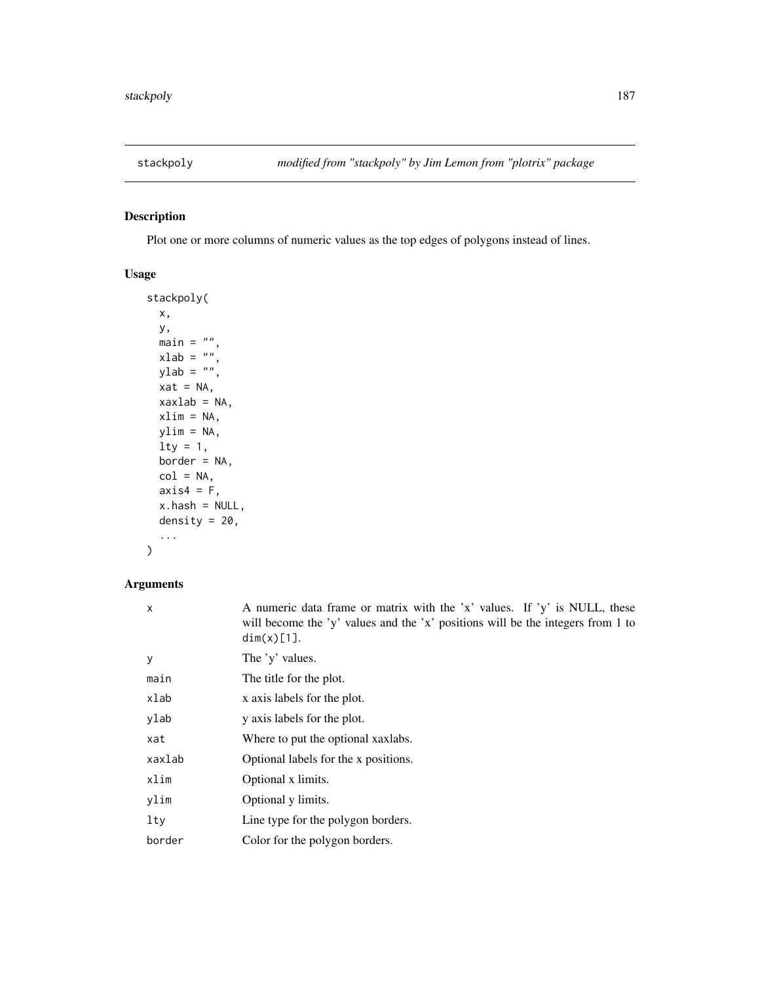<span id="page-186-0"></span>

# Description

Plot one or more columns of numeric values as the top edges of polygons instead of lines.

# Usage

```
stackpoly(
 x,
 y,
 main = "",xlab = ",
 ylab = ",
 xat = NA,
 xaxlab = NA,
 xlim = NA,
 ylim = NA,
 \frac{1}{y} = 1,border = NA,
 col = NA,
 axis4 = F,
 x.hash = NULL,density = 20,
  ...
)
```

| $\mathsf{x}$ | A numeric data frame or matrix with the 'x' values. If 'y' is NULL, these<br>will become the 'y' values and the 'x' positions will be the integers from 1 to<br>dim(x)[1]. |
|--------------|----------------------------------------------------------------------------------------------------------------------------------------------------------------------------|
| У            | The 'y' values.                                                                                                                                                            |
| main         | The title for the plot.                                                                                                                                                    |
| xlab         | x axis labels for the plot.                                                                                                                                                |
| ylab         | y axis labels for the plot.                                                                                                                                                |
| xat          | Where to put the optional xaxiabs.                                                                                                                                         |
| xaxlab       | Optional labels for the x positions.                                                                                                                                       |
| xlim         | Optional x limits.                                                                                                                                                         |
| ylim         | Optional y limits.                                                                                                                                                         |
| lty          | Line type for the polygon borders.                                                                                                                                         |
| border       | Color for the polygon borders.                                                                                                                                             |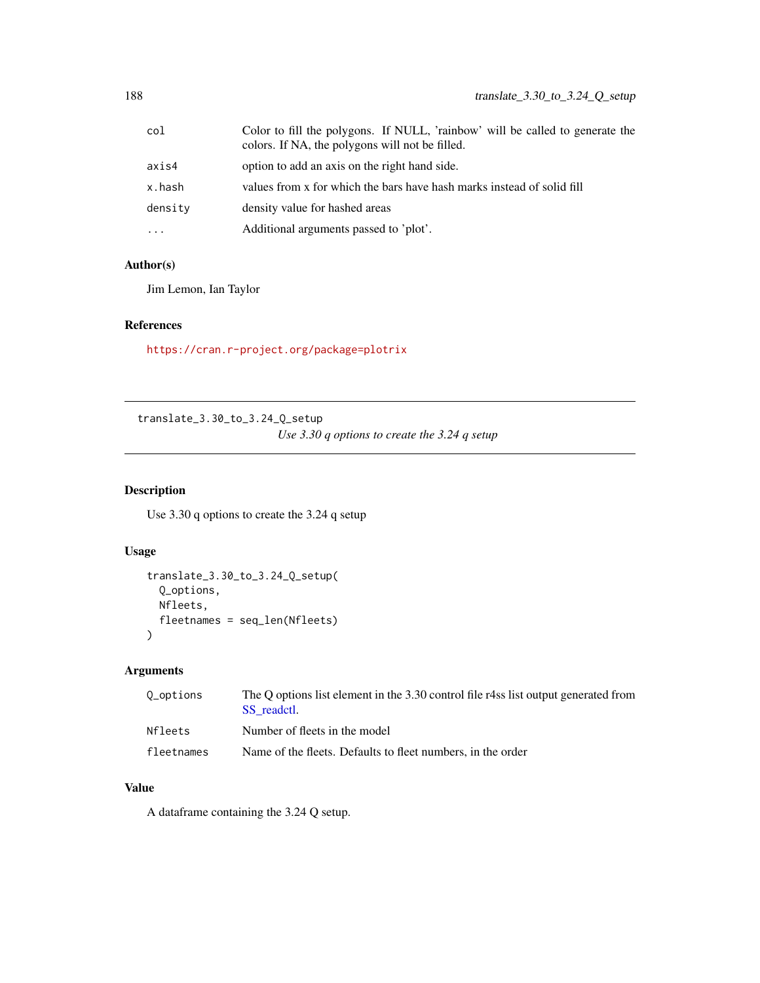<span id="page-187-0"></span>

| col                 | Color to fill the polygons. If NULL, 'rainbow' will be called to generate the<br>colors. If NA, the polygons will not be filled. |
|---------------------|----------------------------------------------------------------------------------------------------------------------------------|
| axis4               | option to add an axis on the right hand side.                                                                                    |
| x.hash              | values from x for which the bars have hash marks instead of solid fill                                                           |
| density             | density value for hashed areas                                                                                                   |
| $\cdot \cdot \cdot$ | Additional arguments passed to 'plot'.                                                                                           |

#### Author(s)

Jim Lemon, Ian Taylor

#### References

<https://cran.r-project.org/package=plotrix>

translate\_3.30\_to\_3.24\_Q\_setup *Use 3.30 q options to create the 3.24 q setup*

# Description

Use 3.30 q options to create the 3.24 q setup

#### Usage

```
translate_3.30_to_3.24_Q_setup(
  Q_options,
  Nfleets,
  fleetnames = seq_len(Nfleets)
\overline{\phantom{a}}
```
# Arguments

| 0_options  | The O options list element in the 3.30 control file r4ss list output generated from<br>SS readctl. |
|------------|----------------------------------------------------------------------------------------------------|
| Nfleets    | Number of fleets in the model                                                                      |
| fleetnames | Name of the fleets. Defaults to fleet numbers, in the order                                        |

# Value

A dataframe containing the 3.24 Q setup.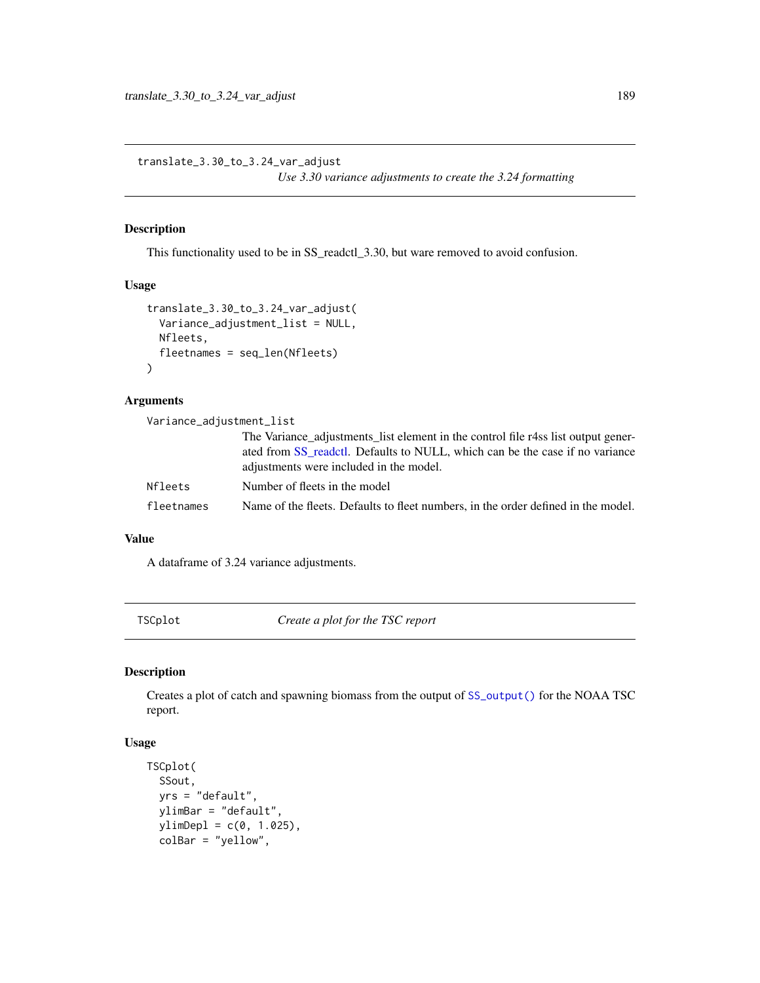<span id="page-188-0"></span>translate\_3.30\_to\_3.24\_var\_adjust *Use 3.30 variance adjustments to create the 3.24 formatting*

#### Description

This functionality used to be in SS\_readctl\_3.30, but ware removed to avoid confusion.

# Usage

```
translate_3.30_to_3.24_var_adjust(
  Variance_adjustment_list = NULL,
  Nfleets,
  fleetnames = seq_len(Nfleets)
\mathcal{L}
```
#### Arguments

| Variance_adjustment_list |                                                                                                                                                                                                             |
|--------------------------|-------------------------------------------------------------------------------------------------------------------------------------------------------------------------------------------------------------|
|                          | The Variance adjustments list element in the control file r4ss list output gener-<br>ated from SS readed. Defaults to NULL, which can be the case if no variance<br>adjustments were included in the model. |
| <b>Nfleets</b>           | Number of fleets in the model                                                                                                                                                                               |
| fleetnames               | Name of the fleets. Defaults to fleet numbers, in the order defined in the model.                                                                                                                           |

#### Value

A dataframe of 3.24 variance adjustments.

TSCplot *Create a plot for the TSC report*

#### Description

Creates a plot of catch and spawning biomass from the output of [SS\\_output\(\)](#page-131-0) for the NOAA TSC report.

#### Usage

```
TSCplot(
  SSout,
  yrs = "default",
 ylimBar = "default",
  ylimDep1 = c(0, 1.025),
  colBar = "yellow",
```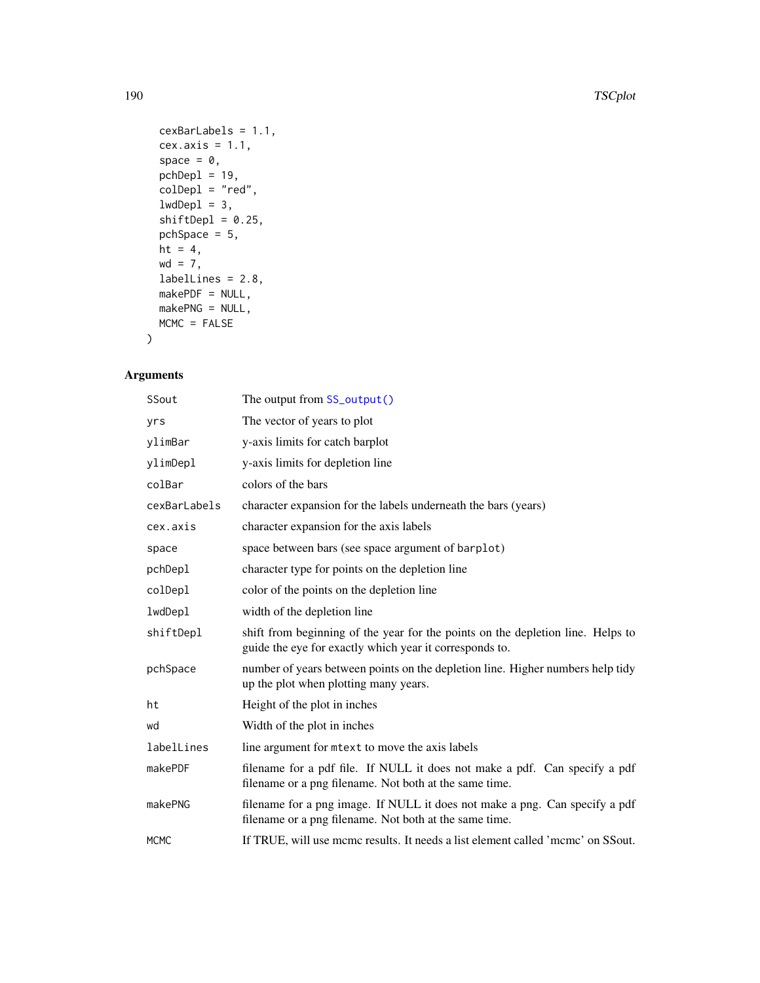```
cexBarLabels = 1.1,
 cex.axis = 1.1,space = 0,
 pchDep1 = 19,
 colDepl = "red",
 lwdDep1 = 3,shiftDep1 = 0.25,pchSpace = 5,
 ht = 4,wd = 7,
 labelLines = 2.8,
 makePDF = NULL,
 makePNG = NULL,
 MCMC = FALSE
\mathcal{L}
```

| SSout        | The output from SS_output()                                                                                                                |
|--------------|--------------------------------------------------------------------------------------------------------------------------------------------|
| yrs          | The vector of years to plot                                                                                                                |
| ylimBar      | y-axis limits for catch barplot                                                                                                            |
| ylimDepl     | y-axis limits for depletion line                                                                                                           |
| colBar       | colors of the bars                                                                                                                         |
| cexBarLabels | character expansion for the labels underneath the bars (years)                                                                             |
| cex.axis     | character expansion for the axis labels                                                                                                    |
| space        | space between bars (see space argument of barplot)                                                                                         |
| pchDepl      | character type for points on the depletion line                                                                                            |
| colDepl      | color of the points on the depletion line                                                                                                  |
| lwdDepl      | width of the depletion line                                                                                                                |
| shiftDepl    | shift from beginning of the year for the points on the depletion line. Helps to<br>guide the eye for exactly which year it corresponds to. |
| pchSpace     | number of years between points on the depletion line. Higher numbers help tidy<br>up the plot when plotting many years.                    |
| ht           | Height of the plot in inches                                                                                                               |
| wd           | Width of the plot in inches                                                                                                                |
| labelLines   | line argument for mett to move the axis labels                                                                                             |
| makePDF      | filename for a pdf file. If NULL it does not make a pdf. Can specify a pdf<br>filename or a png filename. Not both at the same time.       |
| makePNG      | filename for a png image. If NULL it does not make a png. Can specify a pdf<br>filename or a png filename. Not both at the same time.      |
| <b>MCMC</b>  | If TRUE, will use mcmc results. It needs a list element called 'mcmc' on SSout.                                                            |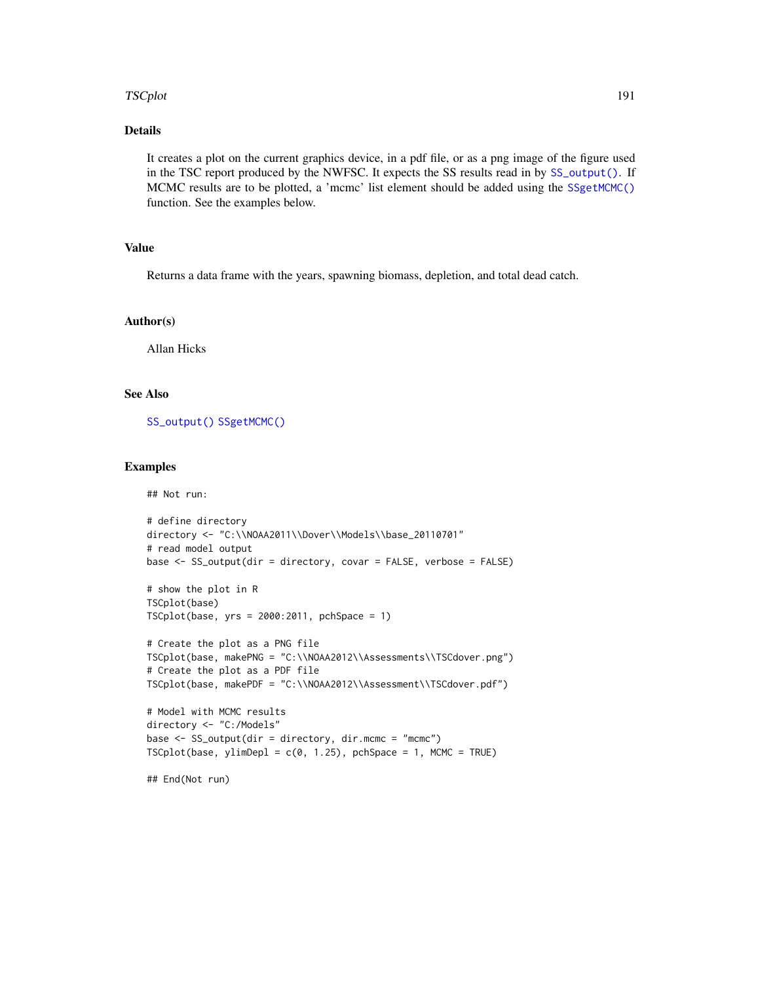#### <span id="page-190-0"></span>TSCplot 191

#### Details

It creates a plot on the current graphics device, in a pdf file, or as a png image of the figure used in the TSC report produced by the NWFSC. It expects the SS results read in by [SS\\_output\(\)](#page-131-0). If MCMC results are to be plotted, a 'mcmc' list element should be added using the [SSgetMCMC\(\)](#page-44-0) function. See the examples below.

# Value

Returns a data frame with the years, spawning biomass, depletion, and total dead catch.

#### Author(s)

Allan Hicks

#### See Also

[SS\\_output\(\)](#page-131-0) [SSgetMCMC\(\)](#page-44-0)

#### Examples

## Not run:

```
# define directory
directory <- "C:\\NOAA2011\\Dover\\Models\\base_20110701"
# read model output
base \leq SS_output(dir = directory, covar = FALSE, verbose = FALSE)
# show the plot in R
TSCplot(base)
TSCplot(base, yrs = 2000:2011, pchSpace = 1)
# Create the plot as a PNG file
TSCplot(base, makePNG = "C:\\NOAA2012\\Assessments\\TSCdover.png")
# Create the plot as a PDF file
TSCplot(base, makePDF = "C:\\NOAA2012\\Assessment\\TSCdover.pdf")
# Model with MCMC results
directory <- "C:/Models"
base <- SS_output(dir = directory, dir.mcmc = "mcmc")
TSCplot(base, ylimDepth = c(0, 1.25), pchSpace = 1, MCMC = TRUE
```
## End(Not run)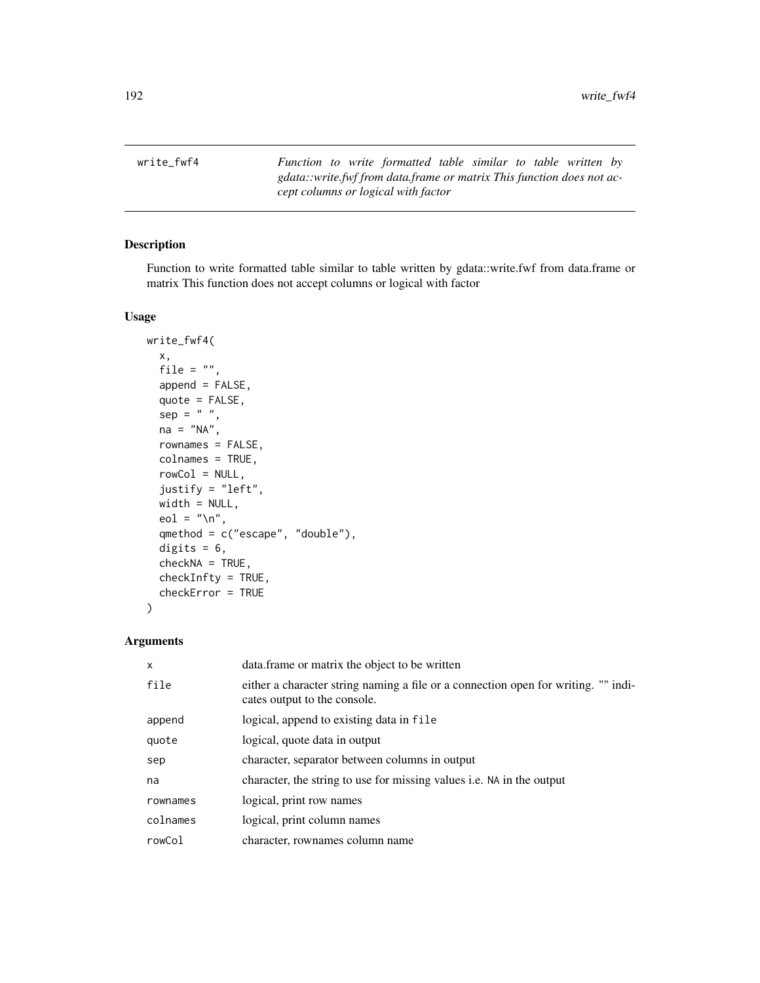<span id="page-191-0"></span>write\_fwf4 *Function to write formatted table similar to table written by gdata::write.fwf from data.frame or matrix This function does not accept columns or logical with factor*

# Description

Function to write formatted table similar to table written by gdata::write.fwf from data.frame or matrix This function does not accept columns or logical with factor

#### Usage

```
write_fwf4(
  x,
  file = ",
  append = FALSE,quote = FALSE,
  sep = " " " ,na = "NA",
  rownames = FALSE,
  colnames = TRUE,
  rowCol = NULL,justify = "left",
 width = NULL,
  eol = "n",qmethod = c("escape", "double"),
  digits = 6,
  checkNA = TRUE,
  checkInfty = TRUE,
  checkError = TRUE
)
```

| $\mathsf{x}$ | data frame or matrix the object to be written                                                                      |
|--------------|--------------------------------------------------------------------------------------------------------------------|
| file         | either a character string naming a file or a connection open for writing. "" indi-<br>cates output to the console. |
| append       | logical, append to existing data in file                                                                           |
| quote        | logical, quote data in output                                                                                      |
| sep          | character, separator between columns in output                                                                     |
| na           | character, the string to use for missing values <i>i.e.</i> NA in the output                                       |
| rownames     | logical, print row names                                                                                           |
| colnames     | logical, print column names                                                                                        |
| rowCol       | character, rownames column name                                                                                    |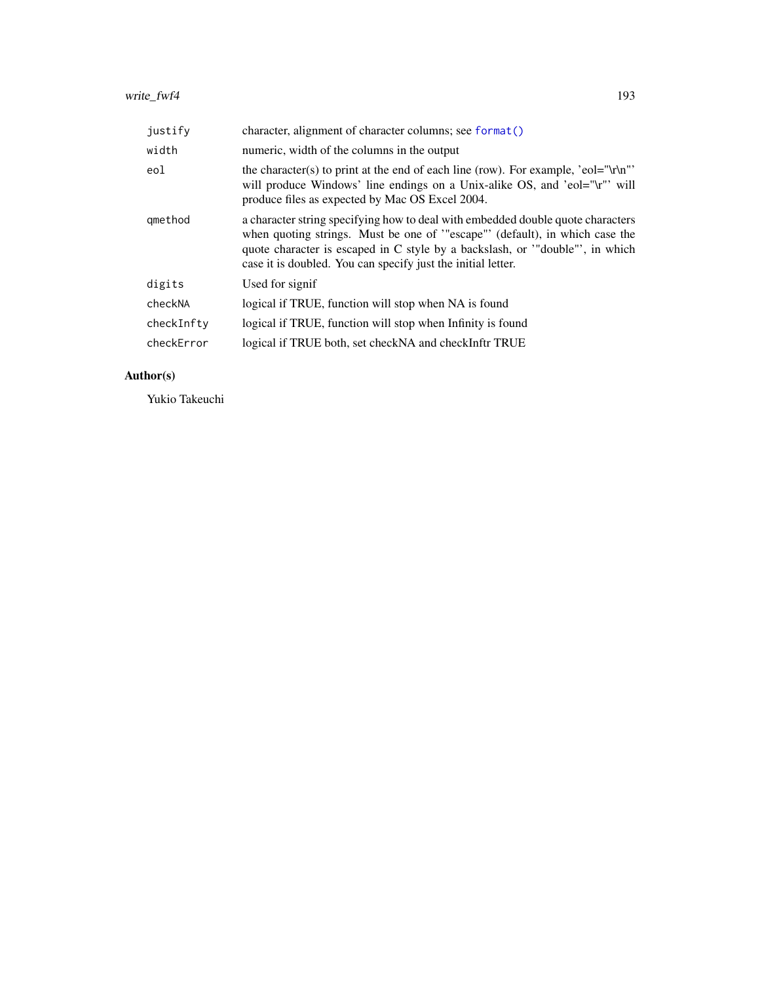<span id="page-192-0"></span>

| justify    | character, alignment of character columns; see format()                                                                                                                                                                                                                                                        |
|------------|----------------------------------------------------------------------------------------------------------------------------------------------------------------------------------------------------------------------------------------------------------------------------------------------------------------|
| width      | numeric, width of the columns in the output                                                                                                                                                                                                                                                                    |
| eol        | the character(s) to print at the end of each line (row). For example, 'eol="\r\n"'<br>will produce Windows' line endings on a Unix-alike OS, and 'eol="\r"' will<br>produce files as expected by Mac OS Excel 2004.                                                                                            |
| gmethod    | a character string specifying how to deal with embedded double quote characters<br>when quoting strings. Must be one of "escape" (default), in which case the<br>quote character is escaped in C style by a backslash, or '"double"', in which<br>case it is doubled. You can specify just the initial letter. |
| digits     | Used for signif                                                                                                                                                                                                                                                                                                |
| checkNA    | logical if TRUE, function will stop when NA is found                                                                                                                                                                                                                                                           |
| checkInfty | logical if TRUE, function will stop when Infinity is found                                                                                                                                                                                                                                                     |
| checkError | logical if TRUE both, set checkNA and checkInftr TRUE                                                                                                                                                                                                                                                          |

# Author(s)

Yukio Takeuchi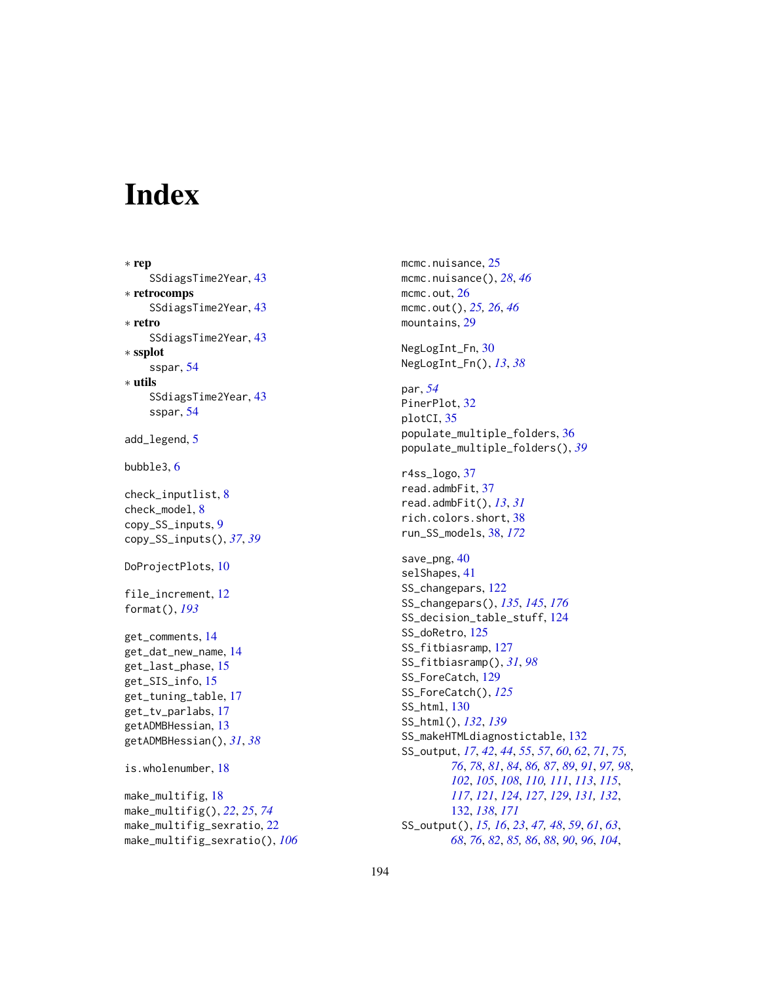# **Index**

```
∗ rep
    SSdiagsTime2Year, 43
∗ retrocomps
    SSdiagsTime2Year, 43
∗ retro
    SSdiagsTime2Year, 43
∗ ssplot
    sspar, 54
∗ utils
    SSdiagsTime2Year, 43
    sspar, 54
add_legend, 5
bubble3, 6
check_inputlist, 8
check_model, 8
copy_SS_inputs, 9
copy_SS_inputs(), 37, 39
DoProjectPlots, 10
file_increment, 12
format(), 193
get_comments, 14
get_dat_new_name, 14
get_last_phase, 15
get_SIS_info, 15
get_tuning_table, 17
get_tv_parlabs, 17
getADMBHessian, 13
getADMBHessian(), 31, 38
is.wholenumber, 18
make_multifig, 18
make_multifig(), 22, 25, 74
make_multifig_sexratio, 22
make_multifig_sexratio(), 106
```
mcmc.nuisance, [25](#page-24-0) mcmc.nuisance(), *[28](#page-27-0)*, *[46](#page-45-0)* mcmc.out, [26](#page-25-0) mcmc.out(), *[25,](#page-24-0) [26](#page-25-0)*, *[46](#page-45-0)* mountains, [29](#page-28-0) NegLogInt\_Fn, [30](#page-29-0) NegLogInt\_Fn(), *[13](#page-12-0)*, *[38](#page-37-0)* par, *[54](#page-53-0)* PinerPlot, [32](#page-31-0) plotCI, [35](#page-34-0) populate\_multiple\_folders, [36](#page-35-0) populate\_multiple\_folders(), *[39](#page-38-0)* r4ss\_logo, [37](#page-36-0) read.admbFit, [37](#page-36-0) read.admbFit(), *[13](#page-12-0)*, *[31](#page-30-0)* rich.colors.short, [38](#page-37-0) run\_SS\_models, [38,](#page-37-0) *[172](#page-171-0)* save\_png, [40](#page-39-0) selShapes, [41](#page-40-0) SS\_changepars, [122](#page-121-0) SS\_changepars(), *[135](#page-134-0)*, *[145](#page-144-0)*, *[176](#page-175-0)* SS\_decision\_table\_stuff, [124](#page-123-0) SS\_doRetro, [125](#page-124-0) SS\_fitbiasramp, [127](#page-126-0) SS\_fitbiasramp(), *[31](#page-30-0)*, *[98](#page-97-0)* SS\_ForeCatch, [129](#page-128-0) SS\_ForeCatch(), *[125](#page-124-0)* SS\_html, [130](#page-129-0) SS\_html(), *[132](#page-131-1)*, *[139](#page-138-0)* SS\_makeHTMLdiagnostictable, [132](#page-131-1) SS\_output, *[17](#page-16-0)*, *[42](#page-41-0)*, *[44](#page-43-0)*, *[55](#page-54-0)*, *[57](#page-56-0)*, *[60](#page-59-0)*, *[62](#page-61-0)*, *[71](#page-70-0)*, *[75,](#page-74-0) [76](#page-75-0)*, *[78](#page-77-0)*, *[81](#page-80-0)*, *[84](#page-83-0)*, *[86,](#page-85-0) [87](#page-86-0)*, *[89](#page-88-0)*, *[91](#page-90-0)*, *[97,](#page-96-0) [98](#page-97-0)*, *[102](#page-101-0)*, *[105](#page-104-0)*, *[108](#page-107-0)*, *[110,](#page-109-0) [111](#page-110-0)*, *[113](#page-112-0)*, *[115](#page-114-0)*, *[117](#page-116-0)*, *[121](#page-120-0)*, *[124](#page-123-0)*, *[127](#page-126-0)*, *[129](#page-128-0)*, *[131,](#page-130-0) [132](#page-131-1)*, [132,](#page-131-1) *[138](#page-137-0)*, *[171](#page-170-0)* SS\_output(), *[15,](#page-14-0) [16](#page-15-0)*, *[23](#page-22-0)*, *[47,](#page-46-0) [48](#page-47-0)*, *[59](#page-58-0)*, *[61](#page-60-0)*, *[63](#page-62-0)*, *[68](#page-67-0)*, *[76](#page-75-0)*, *[82](#page-81-0)*, *[85,](#page-84-0) [86](#page-85-0)*, *[88](#page-87-0)*, *[90](#page-89-0)*, *[96](#page-95-0)*, *[104](#page-103-0)*,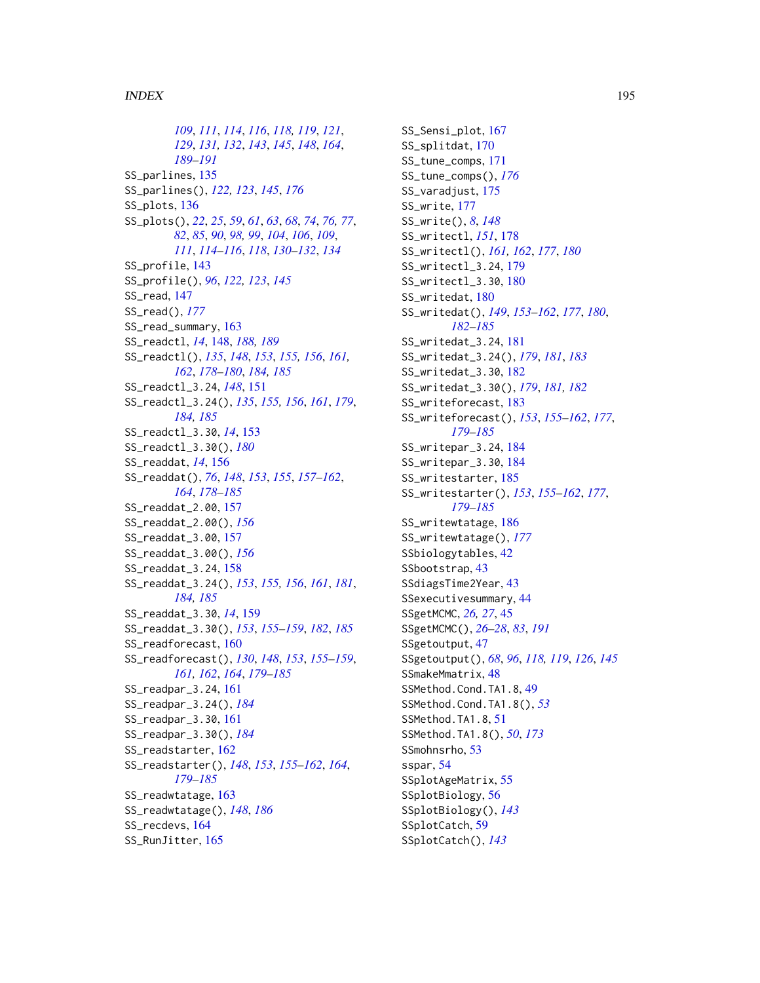*[109](#page-108-0)*, *[111](#page-110-0)*, *[114](#page-113-0)*, *[116](#page-115-0)*, *[118,](#page-117-0) [119](#page-118-0)*, *[121](#page-120-0)*, *[129](#page-128-0)*, *[131,](#page-130-0) [132](#page-131-1)*, *[143](#page-142-0)*, *[145](#page-144-0)*, *[148](#page-147-1)*, *[164](#page-163-0)*, *[189](#page-188-0)[–191](#page-190-0)* SS\_parlines, [135](#page-134-0) SS\_parlines(), *[122,](#page-121-0) [123](#page-122-0)*, *[145](#page-144-0)*, *[176](#page-175-0)* SS\_plots, [136](#page-135-0) SS\_plots(), *[22](#page-21-0)*, *[25](#page-24-0)*, *[59](#page-58-0)*, *[61](#page-60-0)*, *[63](#page-62-0)*, *[68](#page-67-0)*, *[74](#page-73-0)*, *[76,](#page-75-0) [77](#page-76-0)*, *[82](#page-81-0)*, *[85](#page-84-0)*, *[90](#page-89-0)*, *[98,](#page-97-0) [99](#page-98-0)*, *[104](#page-103-0)*, *[106](#page-105-0)*, *[109](#page-108-0)*, *[111](#page-110-0)*, *[114](#page-113-0)[–116](#page-115-0)*, *[118](#page-117-0)*, *[130–](#page-129-0)[132](#page-131-1)*, *[134](#page-133-0)* SS\_profile, [143](#page-142-0) SS\_profile(), *[96](#page-95-0)*, *[122,](#page-121-0) [123](#page-122-0)*, *[145](#page-144-0)* SS\_read, [147](#page-146-0) SS\_read(), *[177](#page-176-0)* SS\_read\_summary, [163](#page-162-1) SS\_readctl, *[14](#page-13-0)*, [148,](#page-147-1) *[188,](#page-187-0) [189](#page-188-0)* SS\_readctl(), *[135](#page-134-0)*, *[148](#page-147-1)*, *[153](#page-152-0)*, *[155,](#page-154-0) [156](#page-155-1)*, *[161,](#page-160-2) [162](#page-161-1)*, *[178](#page-177-0)[–180](#page-179-1)*, *[184,](#page-183-0) [185](#page-184-1)* SS\_readctl\_3.24, *[148](#page-147-1)*, [151](#page-150-1) SS\_readctl\_3.24(), *[135](#page-134-0)*, *[155,](#page-154-0) [156](#page-155-1)*, *[161](#page-160-2)*, *[179](#page-178-0)*, *[184,](#page-183-0) [185](#page-184-1)* SS\_readctl\_3.30, *[14](#page-13-0)*, [153](#page-152-0) SS\_readctl\_3.30(), *[180](#page-179-1)* SS\_readdat, *[14](#page-13-0)*, [156](#page-155-1) SS\_readdat(), *[76](#page-75-0)*, *[148](#page-147-1)*, *[153](#page-152-0)*, *[155](#page-154-0)*, *[157–](#page-156-0)[162](#page-161-1)*, *[164](#page-163-0)*, *[178](#page-177-0)[–185](#page-184-1)* SS\_readdat\_2.00, [157](#page-156-0) SS\_readdat\_2.00(), *[156](#page-155-1)* SS\_readdat\_3.00, [157](#page-156-0) SS\_readdat\_3.00(), *[156](#page-155-1)* SS\_readdat\_3.24, [158](#page-157-1) SS\_readdat\_3.24(), *[153](#page-152-0)*, *[155,](#page-154-0) [156](#page-155-1)*, *[161](#page-160-2)*, *[181](#page-180-1)*, *[184,](#page-183-0) [185](#page-184-1)* SS\_readdat\_3.30, *[14](#page-13-0)*, [159](#page-158-1) SS\_readdat\_3.30(), *[153](#page-152-0)*, *[155–](#page-154-0)[159](#page-158-1)*, *[182](#page-181-1)*, *[185](#page-184-1)* SS\_readforecast, [160](#page-159-1) SS\_readforecast(), *[130](#page-129-0)*, *[148](#page-147-1)*, *[153](#page-152-0)*, *[155–](#page-154-0)[159](#page-158-1)*, *[161,](#page-160-2) [162](#page-161-1)*, *[164](#page-163-0)*, *[179–](#page-178-0)[185](#page-184-1)* SS\_readpar\_3.24, [161](#page-160-2) SS\_readpar\_3.24(), *[184](#page-183-0)* SS\_readpar\_3.30, [161](#page-160-2) SS\_readpar\_3.30(), *[184](#page-183-0)* SS\_readstarter, [162](#page-161-1) SS\_readstarter(), *[148](#page-147-1)*, *[153](#page-152-0)*, *[155–](#page-154-0)[162](#page-161-1)*, *[164](#page-163-0)*, *[179](#page-178-0)[–185](#page-184-1)* SS\_readwtatage, [163](#page-162-1) SS\_readwtatage(), *[148](#page-147-1)*, *[186](#page-185-0)* SS\_recdevs, [164](#page-163-0) SS\_RunJitter, [165](#page-164-0)

SS\_Sensi\_plot, [167](#page-166-0) SS\_splitdat, [170](#page-169-0) SS\_tune\_comps, [171](#page-170-0) SS\_tune\_comps(), *[176](#page-175-0)* SS\_varadjust, [175](#page-174-0) SS\_write, [177](#page-176-0) SS\_write(), *[8](#page-7-0)*, *[148](#page-147-1)* SS\_writectl, *[151](#page-150-1)*, [178](#page-177-0) SS\_writectl(), *[161,](#page-160-2) [162](#page-161-1)*, *[177](#page-176-0)*, *[180](#page-179-1)* SS\_writectl\_3.24, [179](#page-178-0) SS\_writectl\_3.30, [180](#page-179-1) SS\_writedat, [180](#page-179-1) SS\_writedat(), *[149](#page-148-0)*, *[153](#page-152-0)[–162](#page-161-1)*, *[177](#page-176-0)*, *[180](#page-179-1)*, *[182](#page-181-1)[–185](#page-184-1)* SS\_writedat\_3.24, [181](#page-180-1) SS\_writedat\_3.24(), *[179](#page-178-0)*, *[181](#page-180-1)*, *[183](#page-182-1)* SS\_writedat\_3.30, [182](#page-181-1) SS\_writedat\_3.30(), *[179](#page-178-0)*, *[181,](#page-180-1) [182](#page-181-1)* SS\_writeforecast, [183](#page-182-1) SS\_writeforecast(), *[153](#page-152-0)*, *[155](#page-154-0)[–162](#page-161-1)*, *[177](#page-176-0)*, *[179](#page-178-0)[–185](#page-184-1)* SS\_writepar\_3.24, [184](#page-183-0) SS\_writepar\_3.30, [184](#page-183-0) SS\_writestarter, [185](#page-184-1) SS\_writestarter(), *[153](#page-152-0)*, *[155](#page-154-0)[–162](#page-161-1)*, *[177](#page-176-0)*, *[179](#page-178-0)[–185](#page-184-1)* SS\_writewtatage, [186](#page-185-0) SS\_writewtatage(), *[177](#page-176-0)* SSbiologytables, [42](#page-41-0) SSbootstrap, [43](#page-42-0) SSdiagsTime2Year, [43](#page-42-0) SSexecutivesummary, [44](#page-43-0) SSgetMCMC, *[26,](#page-25-0) [27](#page-26-0)*, [45](#page-44-1) SSgetMCMC(), *[26](#page-25-0)[–28](#page-27-0)*, *[83](#page-82-0)*, *[191](#page-190-0)* SSgetoutput, [47](#page-46-0) SSgetoutput(), *[68](#page-67-0)*, *[96](#page-95-0)*, *[118,](#page-117-0) [119](#page-118-0)*, *[126](#page-125-0)*, *[145](#page-144-0)* SSmakeMmatrix, [48](#page-47-0) SSMethod.Cond.TA1.8, [49](#page-48-0) SSMethod.Cond.TA1.8(), *[53](#page-52-0)* SSMethod.TA1.8, [51](#page-50-0) SSMethod.TA1.8(), *[50](#page-49-0)*, *[173](#page-172-0)* SSmohnsrho, [53](#page-52-0) sspar, [54](#page-53-0) SSplotAgeMatrix, [55](#page-54-0) SSplotBiology, [56](#page-55-0) SSplotBiology(), *[143](#page-142-0)* SSplotCatch, [59](#page-58-0) SSplotCatch(), *[143](#page-142-0)*